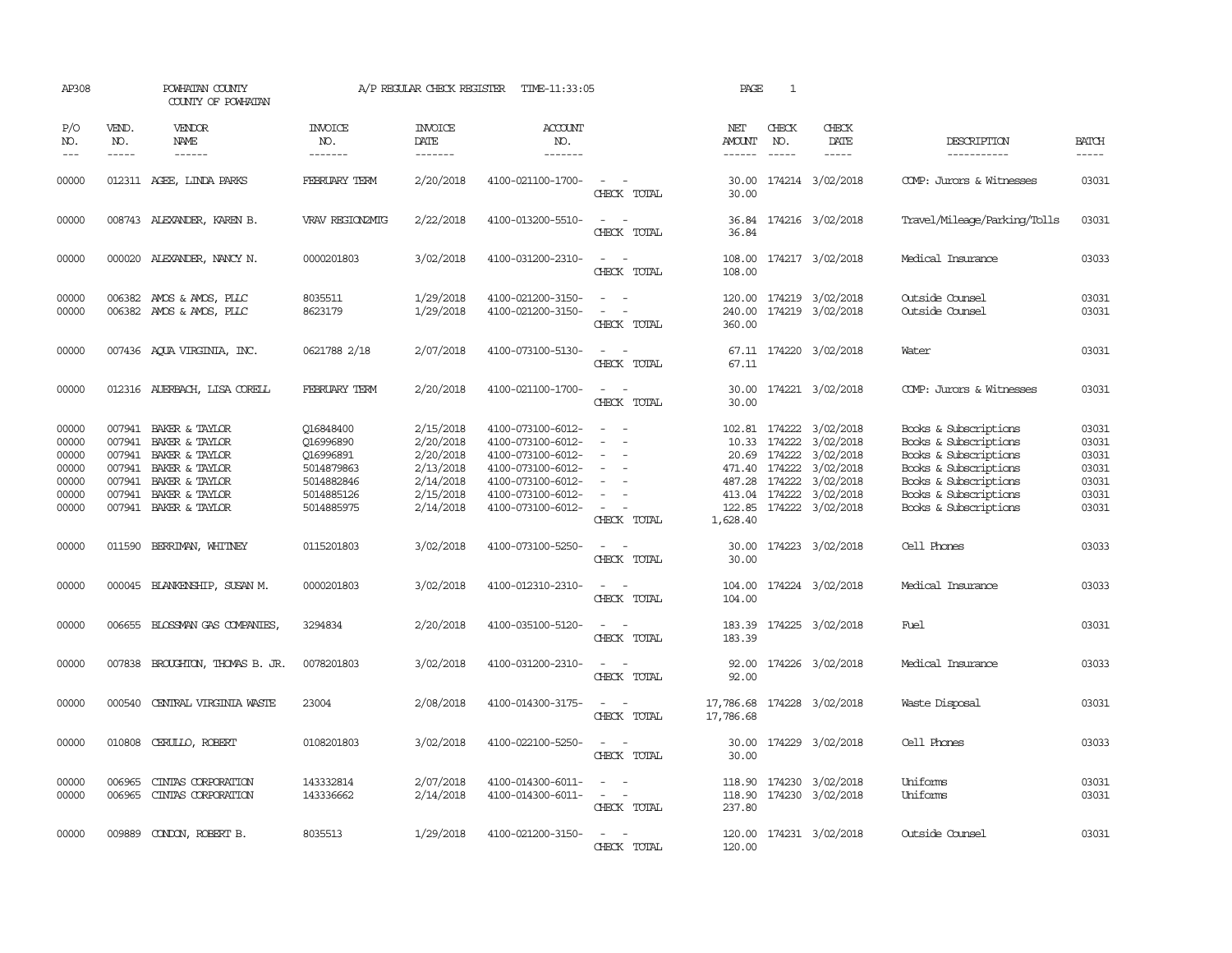| AP308                                                       |                             | POWHATAN COUNTY<br>COUNTY OF POWHATAN                                                                                                                                       |                                                                                             | A/P REGULAR CHECK REGISTER                                                              | TIME-11:33:05                                                                                                                                   |                                                                                 | PAGE                    | 1                                                                                                                                                                                                                                                                                                                                                                                                            |                                                                                                                                                                           |                                                                                                                                                                             |                                                             |
|-------------------------------------------------------------|-----------------------------|-----------------------------------------------------------------------------------------------------------------------------------------------------------------------------|---------------------------------------------------------------------------------------------|-----------------------------------------------------------------------------------------|-------------------------------------------------------------------------------------------------------------------------------------------------|---------------------------------------------------------------------------------|-------------------------|--------------------------------------------------------------------------------------------------------------------------------------------------------------------------------------------------------------------------------------------------------------------------------------------------------------------------------------------------------------------------------------------------------------|---------------------------------------------------------------------------------------------------------------------------------------------------------------------------|-----------------------------------------------------------------------------------------------------------------------------------------------------------------------------|-------------------------------------------------------------|
| P/O<br>NO.<br>$\frac{1}{2}$                                 | VEND.<br>NO.<br>$- - - - -$ | VENDOR<br>NAME<br>$- - - - - -$                                                                                                                                             | <b>INVOICE</b><br>NO.<br>-------                                                            | <b>INVOICE</b><br>DATE<br>-------                                                       | <b>ACCOUNT</b><br>NO.<br>-------                                                                                                                |                                                                                 | NET<br>AMOUNT<br>------ | CHECK<br>NO.<br>$\frac{1}{2} \frac{1}{2} \frac{1}{2} \frac{1}{2} \frac{1}{2} \frac{1}{2} \frac{1}{2} \frac{1}{2} \frac{1}{2} \frac{1}{2} \frac{1}{2} \frac{1}{2} \frac{1}{2} \frac{1}{2} \frac{1}{2} \frac{1}{2} \frac{1}{2} \frac{1}{2} \frac{1}{2} \frac{1}{2} \frac{1}{2} \frac{1}{2} \frac{1}{2} \frac{1}{2} \frac{1}{2} \frac{1}{2} \frac{1}{2} \frac{1}{2} \frac{1}{2} \frac{1}{2} \frac{1}{2} \frac{$ | CHECK<br>DATE<br>$- - - - -$                                                                                                                                              | DESCRIPTION<br>-----------                                                                                                                                                  | <b>BATCH</b><br>-----                                       |
| 00000                                                       |                             | 012311 AGEE, LINDA PARKS                                                                                                                                                    | FEBRUARY TERM                                                                               | 2/20/2018                                                                               | 4100-021100-1700-                                                                                                                               | $\sim$ $\sim$<br>CHECK TOTAL                                                    | 30.00                   |                                                                                                                                                                                                                                                                                                                                                                                                              | 30.00 174214 3/02/2018                                                                                                                                                    | COMP: Jurors & Witnesses                                                                                                                                                    | 03031                                                       |
| 00000                                                       |                             | 008743 ALEXANDER, KAREN B.                                                                                                                                                  | VRAV REGION2MIG                                                                             | 2/22/2018                                                                               | 4100-013200-5510-                                                                                                                               | $\sim$<br>$\sim$<br>CHECK TOTAL                                                 | 36.84                   |                                                                                                                                                                                                                                                                                                                                                                                                              | 36.84 174216 3/02/2018                                                                                                                                                    | Travel/Mileage/Parking/Tolls                                                                                                                                                | 03031                                                       |
| 00000                                                       |                             | 000020 ALEXANDER, NANCY N.                                                                                                                                                  | 0000201803                                                                                  | 3/02/2018                                                                               | 4100-031200-2310-                                                                                                                               | $\sim$ $ \sim$<br>CHECK TOTAL                                                   | 108.00<br>108.00        |                                                                                                                                                                                                                                                                                                                                                                                                              | 174217 3/02/2018                                                                                                                                                          | Medical Insurance                                                                                                                                                           | 03033                                                       |
| 00000<br>00000                                              |                             | 006382 AMOS & AMOS, PLLC<br>006382 AMOS & AMOS, PLLC                                                                                                                        | 8035511<br>8623179                                                                          | 1/29/2018<br>1/29/2018                                                                  | 4100-021200-3150-<br>4100-021200-3150-                                                                                                          | CHECK TOTAL                                                                     | 240.00<br>360.00        |                                                                                                                                                                                                                                                                                                                                                                                                              | 120.00 174219 3/02/2018<br>174219 3/02/2018                                                                                                                               | Outside Counsel<br>Outside Counsel                                                                                                                                          | 03031<br>03031                                              |
| 00000                                                       |                             | 007436 AQUA VIRGINIA, INC.                                                                                                                                                  | 0621788 2/18                                                                                | 2/07/2018                                                                               | 4100-073100-5130-                                                                                                                               | $\sim$ $ \sim$<br>CHECK TOTAL                                                   | 67.11                   |                                                                                                                                                                                                                                                                                                                                                                                                              | 67.11 174220 3/02/2018                                                                                                                                                    | Water                                                                                                                                                                       | 03031                                                       |
| 00000                                                       |                             | 012316 AUERBACH, LISA CORELL                                                                                                                                                | FEBRUARY TERM                                                                               | 2/20/2018                                                                               | 4100-021100-1700-                                                                                                                               | CHECK TOTAL                                                                     | 30.00<br>30.00          |                                                                                                                                                                                                                                                                                                                                                                                                              | 174221 3/02/2018                                                                                                                                                          | COMP: Jurors & Witnesses                                                                                                                                                    | 03031                                                       |
| 00000<br>00000<br>00000<br>00000<br>00000<br>00000<br>00000 |                             | 007941 BAKER & TAYLOR<br>007941 BAKER & TAYLOR<br>007941 BAKER & TAYLOR<br>007941 BAKER & TAYLOR<br>007941 BAKER & TAYLOR<br>007941 BAKER & TAYLOR<br>007941 BAKER & TAYLOR | Q16848400<br>016996890<br>Q16996891<br>5014879863<br>5014882846<br>5014885126<br>5014885975 | 2/15/2018<br>2/20/2018<br>2/20/2018<br>2/13/2018<br>2/14/2018<br>2/15/2018<br>2/14/2018 | 4100-073100-6012-<br>4100-073100-6012-<br>4100-073100-6012-<br>4100-073100-6012-<br>4100-073100-6012-<br>4100-073100-6012-<br>4100-073100-6012- | $\sim$<br>$\sim$<br>$\sim$<br>$\sim$<br>$\overline{\phantom{a}}$<br>CHECK TOTAL | 1,628.40                | 487.28 174222                                                                                                                                                                                                                                                                                                                                                                                                | 102.81 174222 3/02/2018<br>10.33 174222 3/02/2018<br>20.69 174222 3/02/2018<br>471.40 174222 3/02/2018<br>3/02/2018<br>413.04 174222 3/02/2018<br>122.85 174222 3/02/2018 | Books & Subscriptions<br>Books & Subscriptions<br>Books & Subscriptions<br>Books & Subscriptions<br>Books & Subscriptions<br>Books & Subscriptions<br>Books & Subscriptions | 03031<br>03031<br>03031<br>03031<br>03031<br>03031<br>03031 |
| 00000                                                       |                             | 011590 BERRIMAN, WHITNEY                                                                                                                                                    | 0115201803                                                                                  | 3/02/2018                                                                               | 4100-073100-5250-                                                                                                                               | $\sim$ $\sim$<br>CHECK TOTAL                                                    | 30.00<br>30.00          |                                                                                                                                                                                                                                                                                                                                                                                                              | 174223 3/02/2018                                                                                                                                                          | Cell Phones                                                                                                                                                                 | 03033                                                       |
| 00000                                                       |                             | 000045 BLANKENSHIP, SUSAN M.                                                                                                                                                | 0000201803                                                                                  | 3/02/2018                                                                               | 4100-012310-2310-                                                                                                                               | $\sim$ $ -$<br>CHECK TOTAL                                                      | 104.00                  |                                                                                                                                                                                                                                                                                                                                                                                                              | 104.00 174224 3/02/2018                                                                                                                                                   | Medical Insurance                                                                                                                                                           | 03033                                                       |
| 00000                                                       |                             | 006655 BLOSSMAN GAS COMPANIES                                                                                                                                               | 3294834                                                                                     | 2/20/2018                                                                               | 4100-035100-5120-                                                                                                                               | $\sim$<br>$\overline{a}$<br>CHECK TOTAL                                         | 183.39<br>183.39        |                                                                                                                                                                                                                                                                                                                                                                                                              | 174225 3/02/2018                                                                                                                                                          | Fuel                                                                                                                                                                        | 03031                                                       |
| 00000                                                       |                             | 007838 BROUGHTON, THOMAS B. JR.                                                                                                                                             | 0078201803                                                                                  | 3/02/2018                                                                               | 4100-031200-2310-                                                                                                                               | $\overline{\phantom{a}}$<br>$\sim$<br>CHECK TOTAL                               | 92.00<br>92.00          |                                                                                                                                                                                                                                                                                                                                                                                                              | 174226 3/02/2018                                                                                                                                                          | Medical Insurance                                                                                                                                                           | 03033                                                       |
| 00000                                                       |                             | 000540 CENTRAL VIRGINIA WASTE                                                                                                                                               | 23004                                                                                       | 2/08/2018                                                                               | 4100-014300-3175-                                                                                                                               | $\sim$ $ \sim$<br>CHECK TOTAL                                                   | 17,786.68               |                                                                                                                                                                                                                                                                                                                                                                                                              | 17,786.68 174228 3/02/2018                                                                                                                                                | Waste Disposal                                                                                                                                                              | 03031                                                       |
| 00000                                                       |                             | 010808 CERULLO, ROBERT                                                                                                                                                      | 0108201803                                                                                  | 3/02/2018                                                                               | 4100-022100-5250-                                                                                                                               | $\sim$ $ -$<br>CHECK TOTAL                                                      | 30.00                   |                                                                                                                                                                                                                                                                                                                                                                                                              | 30.00 174229 3/02/2018                                                                                                                                                    | Cell Phones                                                                                                                                                                 | 03033                                                       |
| 00000<br>00000                                              | 006965                      | CINIAS CORPORATION<br>006965 CINIAS CORPORATION                                                                                                                             | 143332814<br>143336662                                                                      | 2/07/2018<br>2/14/2018                                                                  | 4100-014300-6011-<br>4100-014300-6011-                                                                                                          | $\sim$<br>$\sim$<br>$\sim$ 10 $\sim$ $\sim$<br>CHECK TOTAL                      | 237.80                  |                                                                                                                                                                                                                                                                                                                                                                                                              | 118.90 174230 3/02/2018<br>118.90 174230 3/02/2018                                                                                                                        | Uniforms<br>Uniforms                                                                                                                                                        | 03031<br>03031                                              |
| 00000                                                       |                             | 009889 CONDON, ROBERT B.                                                                                                                                                    | 8035513                                                                                     | 1/29/2018                                                                               | 4100-021200-3150-                                                                                                                               | CHECK TOTAL                                                                     | 120.00                  |                                                                                                                                                                                                                                                                                                                                                                                                              | 120.00 174231 3/02/2018                                                                                                                                                   | Outside Counsel                                                                                                                                                             | 03031                                                       |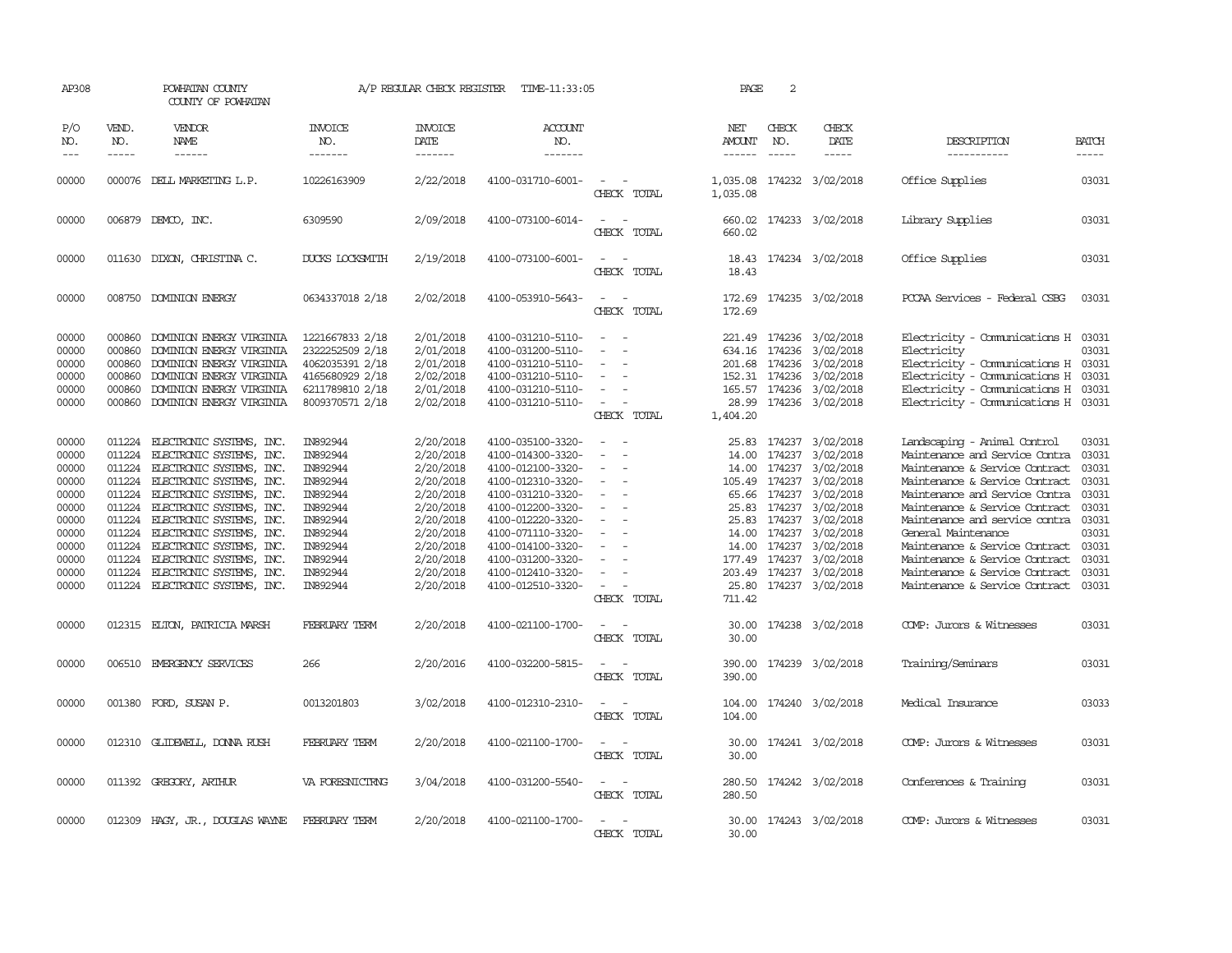| AP308                                                                                                    |                                                                    | POWHATAN COUNTY<br>COUNTY OF POWHATAN                                                                                                                                                                                                                                                                                                                                           |                                                                                                                                              | A/P REGULAR CHECK REGISTER                                                                                                                               | TIME-11:33:05                                                                                                                                                                                                                                            |                                                                               | PAGE                                                 | 2                                                                 |                                                                                                                                                                                                                                    |                                                                                                                                                                                                                                                                                                                                                                                                               |                                                                                                 |
|----------------------------------------------------------------------------------------------------------|--------------------------------------------------------------------|---------------------------------------------------------------------------------------------------------------------------------------------------------------------------------------------------------------------------------------------------------------------------------------------------------------------------------------------------------------------------------|----------------------------------------------------------------------------------------------------------------------------------------------|----------------------------------------------------------------------------------------------------------------------------------------------------------|----------------------------------------------------------------------------------------------------------------------------------------------------------------------------------------------------------------------------------------------------------|-------------------------------------------------------------------------------|------------------------------------------------------|-------------------------------------------------------------------|------------------------------------------------------------------------------------------------------------------------------------------------------------------------------------------------------------------------------------|---------------------------------------------------------------------------------------------------------------------------------------------------------------------------------------------------------------------------------------------------------------------------------------------------------------------------------------------------------------------------------------------------------------|-------------------------------------------------------------------------------------------------|
| P/O<br>NO.                                                                                               | VEND.<br>NO.                                                       | VENDOR<br>NAME                                                                                                                                                                                                                                                                                                                                                                  | <b>INVOICE</b><br>NO.                                                                                                                        | <b>INVOICE</b><br><b>DATE</b>                                                                                                                            | <b>ACCOUNT</b><br>NO.                                                                                                                                                                                                                                    |                                                                               | NET<br>AMOUNT                                        | CHECK<br>NO.                                                      | CHECK<br>DATE                                                                                                                                                                                                                      | DESCRIPTION                                                                                                                                                                                                                                                                                                                                                                                                   | <b>BATCH</b>                                                                                    |
| $---$                                                                                                    | $- - - - -$                                                        | $- - - - - -$                                                                                                                                                                                                                                                                                                                                                                   | -------                                                                                                                                      | -------                                                                                                                                                  | -------                                                                                                                                                                                                                                                  |                                                                               | ------                                               | $\frac{1}{2}$                                                     | -----                                                                                                                                                                                                                              | -----------                                                                                                                                                                                                                                                                                                                                                                                                   | -----                                                                                           |
| 00000                                                                                                    |                                                                    | 000076 DELL MARKETING L.P.                                                                                                                                                                                                                                                                                                                                                      | 10226163909                                                                                                                                  | 2/22/2018                                                                                                                                                | 4100-031710-6001-                                                                                                                                                                                                                                        | CHECK TOTAL                                                                   | 1,035.08<br>1,035.08                                 |                                                                   | 174232 3/02/2018                                                                                                                                                                                                                   | Office Supplies                                                                                                                                                                                                                                                                                                                                                                                               | 03031                                                                                           |
| 00000                                                                                                    |                                                                    | 006879 DEMCO, INC.                                                                                                                                                                                                                                                                                                                                                              | 6309590                                                                                                                                      | 2/09/2018                                                                                                                                                | 4100-073100-6014-                                                                                                                                                                                                                                        | CHECK TOTAL                                                                   | 660.02                                               |                                                                   | 660.02 174233 3/02/2018                                                                                                                                                                                                            | Library Supplies                                                                                                                                                                                                                                                                                                                                                                                              | 03031                                                                                           |
| 00000                                                                                                    |                                                                    | 011630 DIXON, CHRISTINA C.                                                                                                                                                                                                                                                                                                                                                      | <b>DUCKS LOCKSMITH</b>                                                                                                                       | 2/19/2018                                                                                                                                                | 4100-073100-6001-                                                                                                                                                                                                                                        | CHECK TOTAL                                                                   | 18.43<br>18.43                                       |                                                                   | 174234 3/02/2018                                                                                                                                                                                                                   | Office Supplies                                                                                                                                                                                                                                                                                                                                                                                               | 03031                                                                                           |
| 00000                                                                                                    |                                                                    | 008750 DOMINION ENERGY                                                                                                                                                                                                                                                                                                                                                          | 0634337018 2/18                                                                                                                              | 2/02/2018                                                                                                                                                | 4100-053910-5643-                                                                                                                                                                                                                                        | $\sim$ $\sim$<br>CHECK TOTAL                                                  | 172.69<br>172.69                                     |                                                                   | 174235 3/02/2018                                                                                                                                                                                                                   | PCCAA Services - Federal CSBG                                                                                                                                                                                                                                                                                                                                                                                 | 03031                                                                                           |
| 00000<br>00000<br>00000<br>00000<br>00000<br>00000                                                       | 000860<br>000860<br>000860<br>000860<br>000860<br>000860           | DOMINION ENERGY VIRGINIA<br>DOMINION ENERGY VIRGINIA<br>DOMINION ENERGY VIRGINIA<br>DOMINION ENERGY VIRGINIA<br>DOMINION ENERGY VIRGINIA<br>DOMINION ENERGY VIRGINIA                                                                                                                                                                                                            | 1221667833 2/18<br>2322252509 2/18<br>4062035391 2/18<br>4165680929 2/18<br>6211789810 2/18<br>8009370571 2/18                               | 2/01/2018<br>2/01/2018<br>2/01/2018<br>2/02/2018<br>2/01/2018<br>2/02/2018                                                                               | 4100-031210-5110-<br>4100-031200-5110-<br>4100-031210-5110-<br>4100-031210-5110-<br>4100-031210-5110-<br>4100-031210-5110-                                                                                                                               | $\equiv$<br>CHECK TOTAL                                                       | 1,404.20                                             | 634.16 174236<br>152.31 174236                                    | 221.49 174236 3/02/2018<br>3/02/2018<br>201.68 174236 3/02/2018<br>3/02/2018<br>165.57 174236 3/02/2018<br>28.99 174236 3/02/2018                                                                                                  | Electricity - Comunications H 03031<br>Electricity<br>Electricity - Comunications H 03031<br>Electricity - Comunications H 03031<br>Electricity - Comunications H 03031<br>Electricity - Comunications H 03031                                                                                                                                                                                                | 03031                                                                                           |
| 00000<br>00000<br>00000<br>00000<br>00000<br>00000<br>00000<br>00000<br>00000<br>00000<br>00000<br>00000 | 011224<br>011224<br>011224<br>011224<br>011224<br>011224<br>011224 | 011224 ELECTRONIC SYSTEMS, INC.<br>ELECTRONIC SYSTEMS, INC.<br>011224 ELECTRONIC SYSTEMS, INC.<br>ELECTRONIC SYSTEMS, INC.<br>011224 ELECTRONIC SYSTEMS, INC.<br>ELECTRONIC SYSTEMS, INC.<br>ELECTRONIC SYSTEMS, INC.<br>ELECTRONIC SYSTEMS, INC.<br>011224 ELECTRONIC SYSTEMS, INC.<br>ELECTRONIC SYSTEMS, INC.<br>ELECTRONIC SYSTEMS, INC.<br>011224 ELECTRONIC SYSTEMS, INC. | IN892944<br>IN892944<br>IN892944<br>IN892944<br>IN892944<br>IN892944<br>IN892944<br>IN892944<br>IN892944<br>IN892944<br>IN892944<br>IN892944 | 2/20/2018<br>2/20/2018<br>2/20/2018<br>2/20/2018<br>2/20/2018<br>2/20/2018<br>2/20/2018<br>2/20/2018<br>2/20/2018<br>2/20/2018<br>2/20/2018<br>2/20/2018 | 4100-035100-3320-<br>4100-014300-3320-<br>4100-012100-3320-<br>4100-012310-3320-<br>4100-031210-3320-<br>4100-012200-3320-<br>4100-012220-3320-<br>4100-071110-3320-<br>4100-014100-3320-<br>4100-031200-3320-<br>4100-012410-3320-<br>4100-012510-3320- | $\overline{\phantom{a}}$<br>$\sim$<br>$\overline{\phantom{a}}$<br>CHECK TOTAL | 14.00<br>105.49<br>25.83<br>25.83<br>14.00<br>711.42 | 65.66 174237<br>174237<br>14.00 174237<br>174237<br>177.49 174237 | 25.83 174237 3/02/2018<br>174237 3/02/2018<br>14.00 174237 3/02/2018<br>174237 3/02/2018<br>3/02/2018<br>3/02/2018<br>174237 3/02/2018<br>3/02/2018<br>3/02/2018<br>3/02/2018<br>203.49 174237 3/02/2018<br>25.80 174237 3/02/2018 | Landscaping - Animal Control<br>Maintenance and Service Contra<br>Maintenance & Service Contract<br>Maintenance & Service Contract<br>Maintenance and Service Contra<br>Maintenance & Service Contract<br>Maintenance and service contra<br>General Maintenance<br>Maintenance & Service Contract 03031<br>Maintenance & Service Contract<br>Maintenance & Service Contract<br>Maintenance & Service Contract | 03031<br>03031<br>03031<br>03031<br>03031<br>03031<br>03031<br>03031<br>03031<br>03031<br>03031 |
| 00000                                                                                                    |                                                                    | 012315 ELTON, PATRICIA MARSH                                                                                                                                                                                                                                                                                                                                                    | <b>FEBRUARY TERM</b>                                                                                                                         | 2/20/2018                                                                                                                                                | 4100-021100-1700-                                                                                                                                                                                                                                        | CHECK TOTAL                                                                   | 30.00<br>30.00                                       |                                                                   | 174238 3/02/2018                                                                                                                                                                                                                   | COMP: Jurors & Witnesses                                                                                                                                                                                                                                                                                                                                                                                      | 03031                                                                                           |
| 00000                                                                                                    |                                                                    | 006510 EMERGENCY SERVICES                                                                                                                                                                                                                                                                                                                                                       | 266                                                                                                                                          | 2/20/2016                                                                                                                                                | 4100-032200-5815-                                                                                                                                                                                                                                        | CHECK TOTAL                                                                   | 390.00<br>390.00                                     |                                                                   | 174239 3/02/2018                                                                                                                                                                                                                   | Training/Seminars                                                                                                                                                                                                                                                                                                                                                                                             | 03031                                                                                           |
| 00000                                                                                                    |                                                                    | 001380 FORD, SUSAN P.                                                                                                                                                                                                                                                                                                                                                           | 0013201803                                                                                                                                   | 3/02/2018                                                                                                                                                | 4100-012310-2310-                                                                                                                                                                                                                                        | CHECK TOTAL                                                                   | 104.00<br>104.00                                     |                                                                   | 174240 3/02/2018                                                                                                                                                                                                                   | Medical Insurance                                                                                                                                                                                                                                                                                                                                                                                             | 03033                                                                                           |
| 00000                                                                                                    |                                                                    | 012310 GLIDEWELL, DONNA RUSH                                                                                                                                                                                                                                                                                                                                                    | FEBRUARY TERM                                                                                                                                | 2/20/2018                                                                                                                                                | 4100-021100-1700-                                                                                                                                                                                                                                        | $\sim$<br>CHECK TOTAL                                                         | 30.00<br>30.00                                       |                                                                   | 174241 3/02/2018                                                                                                                                                                                                                   | COMP: Jurors & Witnesses                                                                                                                                                                                                                                                                                                                                                                                      | 03031                                                                                           |
| 00000                                                                                                    |                                                                    | 011392 GREGORY, ARTHUR                                                                                                                                                                                                                                                                                                                                                          | VA FORESNICTRNG                                                                                                                              | 3/04/2018                                                                                                                                                | 4100-031200-5540-                                                                                                                                                                                                                                        | CHECK TOTAL                                                                   | 280.50<br>280.50                                     |                                                                   | 174242 3/02/2018                                                                                                                                                                                                                   | Conferences & Training                                                                                                                                                                                                                                                                                                                                                                                        | 03031                                                                                           |
| 00000                                                                                                    |                                                                    | 012309 HAGY, JR., DOUGLAS WAYNE                                                                                                                                                                                                                                                                                                                                                 | FEBRUARY TERM                                                                                                                                | 2/20/2018                                                                                                                                                | 4100-021100-1700-                                                                                                                                                                                                                                        | CHECK TOTAL                                                                   | 30.00<br>30.00                                       |                                                                   | 174243 3/02/2018                                                                                                                                                                                                                   | COMP: Jurors & Witnesses                                                                                                                                                                                                                                                                                                                                                                                      | 03031                                                                                           |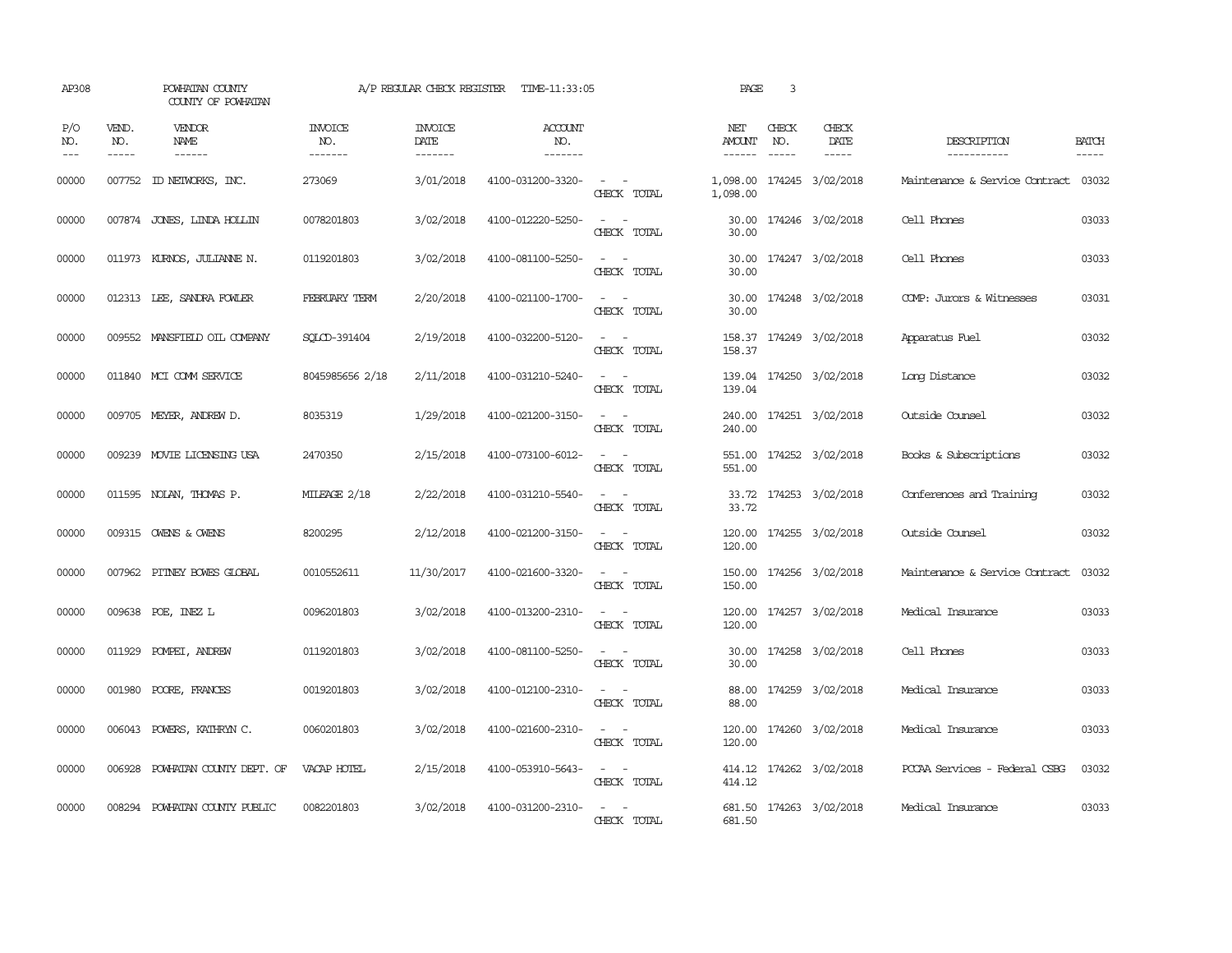| AP308                                                                                                                                                                                                                                                                                                                                                                                                      |                             | POWHATAN COUNTY<br>COUNTY OF POWHATAN  |                                  | A/P REGULAR CHECK REGISTER        | TIME-11:33:05                    |                                                                                                                             | PAGE                    | 3            |                              |                                |                             |
|------------------------------------------------------------------------------------------------------------------------------------------------------------------------------------------------------------------------------------------------------------------------------------------------------------------------------------------------------------------------------------------------------------|-----------------------------|----------------------------------------|----------------------------------|-----------------------------------|----------------------------------|-----------------------------------------------------------------------------------------------------------------------------|-------------------------|--------------|------------------------------|--------------------------------|-----------------------------|
| P/O<br>NO.<br>$\frac{1}{2} \frac{1}{2} \frac{1}{2} \frac{1}{2} \frac{1}{2} \frac{1}{2} \frac{1}{2} \frac{1}{2} \frac{1}{2} \frac{1}{2} \frac{1}{2} \frac{1}{2} \frac{1}{2} \frac{1}{2} \frac{1}{2} \frac{1}{2} \frac{1}{2} \frac{1}{2} \frac{1}{2} \frac{1}{2} \frac{1}{2} \frac{1}{2} \frac{1}{2} \frac{1}{2} \frac{1}{2} \frac{1}{2} \frac{1}{2} \frac{1}{2} \frac{1}{2} \frac{1}{2} \frac{1}{2} \frac{$ | VEND.<br>NO.<br>$- - - - -$ | <b>VENDOR</b><br>NAME<br>$- - - - - -$ | <b>INVOICE</b><br>NO.<br>------- | <b>INVOICE</b><br>DATE<br>------- | <b>ACCOUNT</b><br>NO.<br>------- |                                                                                                                             | NET<br>AMOUNT<br>------ | CHECK<br>NO. | CHECK<br>DATE<br>$- - - - -$ | DESCRIPTION<br>-----------     | <b>BATCH</b><br>$- - - - -$ |
| 00000                                                                                                                                                                                                                                                                                                                                                                                                      |                             | 007752 ID NEIWORKS, INC.               | 273069                           | 3/01/2018                         | 4100-031200-3320-                | $\overline{\phantom{a}}$<br>CHECK TOTAL                                                                                     | 1,098.00<br>1,098.00    |              | 174245 3/02/2018             | Maintenance & Service Contract | 03032                       |
| 00000                                                                                                                                                                                                                                                                                                                                                                                                      |                             | 007874 JONES, LINDA HOLLIN             | 0078201803                       | 3/02/2018                         | 4100-012220-5250-                | $\sim$<br>CHECK TOTAL                                                                                                       | 30.00<br>30.00          |              | 174246 3/02/2018             | Cell Phones                    | 03033                       |
| 00000                                                                                                                                                                                                                                                                                                                                                                                                      |                             | 011973 KURNOS, JULIANNE N.             | 0119201803                       | 3/02/2018                         | 4100-081100-5250-                | $\equiv$<br>$\sim$<br>CHECK TOTAL                                                                                           | 30.00<br>30.00          |              | 174247 3/02/2018             | Cell Phones                    | 03033                       |
| 00000                                                                                                                                                                                                                                                                                                                                                                                                      |                             | 012313 LEE, SANDRA FOWLER              | FEBRUARY TERM                    | 2/20/2018                         | 4100-021100-1700-                | $\omega_{\rm{max}}$ and $\omega_{\rm{max}}$<br>CHECK TOTAL                                                                  | 30.00                   |              | 30.00 174248 3/02/2018       | COMP: Jurors & Witnesses       | 03031                       |
| 00000                                                                                                                                                                                                                                                                                                                                                                                                      |                             | 009552 MANSFIELD OIL COMPANY           | SOLCD-391404                     | 2/19/2018                         | 4100-032200-5120-                | $ -$<br>CHECK TOTAL                                                                                                         | 158.37                  |              | 158.37 174249 3/02/2018      | Apparatus Fuel                 | 03032                       |
| 00000                                                                                                                                                                                                                                                                                                                                                                                                      |                             | 011840 MCI COMM SERVICE                | 8045985656 2/18                  | 2/11/2018                         | 4100-031210-5240-                | $\sim$ $-$<br>$\sim$<br>CHECK TOTAL                                                                                         | 139.04                  |              | 139.04 174250 3/02/2018      | Long Distance                  | 03032                       |
| 00000                                                                                                                                                                                                                                                                                                                                                                                                      |                             | 009705 MEYER, ANDREW D.                | 8035319                          | 1/29/2018                         | 4100-021200-3150-                | $\sim$ $ \sim$<br>CHECK TOTAL                                                                                               | 240.00<br>240.00        |              | 174251 3/02/2018             | Outside Counsel                | 03032                       |
| 00000                                                                                                                                                                                                                                                                                                                                                                                                      |                             | 009239 MOVIE LICENSING USA             | 2470350                          | 2/15/2018                         | 4100-073100-6012-                | $\sim$ $\sim$<br>CHECK TOTAL                                                                                                | 551.00                  |              | 551.00 174252 3/02/2018      | Books & Subscriptions          | 03032                       |
| 00000                                                                                                                                                                                                                                                                                                                                                                                                      |                             | 011595 NOLAN, THOMAS P.                | MILEAGE 2/18                     | 2/22/2018                         | 4100-031210-5540-                | $\sim$ $ \sim$<br>CHECK TOTAL                                                                                               | 33.72                   |              | 33.72 174253 3/02/2018       | Conferences and Training       | 03032                       |
| 00000                                                                                                                                                                                                                                                                                                                                                                                                      |                             | 009315 OWENS & OWENS                   | 8200295                          | 2/12/2018                         | 4100-021200-3150-                | $\sim$ $ \sim$<br>CHECK TOTAL                                                                                               | 120.00                  |              | 120.00 174255 3/02/2018      | Outside Counsel                | 03032                       |
| 00000                                                                                                                                                                                                                                                                                                                                                                                                      |                             | 007962 PITNEY BOWES GLOBAL             | 0010552611                       | 11/30/2017                        | 4100-021600-3320-                | $\sim$ $ \sim$<br>CHECK TOTAL                                                                                               | 150.00                  |              | 150.00 174256 3/02/2018      | Maintenance & Service Contract | 03032                       |
| 00000                                                                                                                                                                                                                                                                                                                                                                                                      |                             | 009638 POE, INEZ L                     | 0096201803                       | 3/02/2018                         | 4100-013200-2310-                | $\sim$<br>CHECK TOTAL                                                                                                       | 120.00<br>120.00        |              | 174257 3/02/2018             | Medical Insurance              | 03033                       |
| 00000                                                                                                                                                                                                                                                                                                                                                                                                      | 011929                      | POMPEI, ANDREW                         | 0119201803                       | 3/02/2018                         | 4100-081100-5250-                | $\sim$<br>$\sim$<br>CHECK TOTAL                                                                                             | 30.00<br>30.00          |              | 174258 3/02/2018             | Cell Phones                    | 03033                       |
| 00000                                                                                                                                                                                                                                                                                                                                                                                                      | 001980                      | POORE, FRANCES                         | 0019201803                       | 3/02/2018                         | 4100-012100-2310-                | $\sim$ $ \sim$<br>CHECK TOTAL                                                                                               | 88.00<br>88.00          |              | 174259 3/02/2018             | Medical Insurance              | 03033                       |
| 00000                                                                                                                                                                                                                                                                                                                                                                                                      |                             | 006043 POWERS, KATHRYN C.              | 0060201803                       | 3/02/2018                         | 4100-021600-2310-                | $\sim$ $ \sim$<br>CHECK TOTAL                                                                                               | 120.00<br>120.00        |              | 174260 3/02/2018             | Medical Insurance              | 03033                       |
| 00000                                                                                                                                                                                                                                                                                                                                                                                                      |                             | 006928 POWHATAN COUNTY DEPT. OF        | VACAP HOTEL                      | 2/15/2018                         | 4100-053910-5643-                | $\sim$ $ -$<br>CHECK TOTAL                                                                                                  | 414.12                  |              | 414.12 174262 3/02/2018      | PCCAA Services - Federal CSBG  | 03032                       |
| 00000                                                                                                                                                                                                                                                                                                                                                                                                      |                             | 008294 POWHATAN COUNTY PUBLIC          | 0082201803                       | 3/02/2018                         | 4100-031200-2310-                | $\frac{1}{2} \left( \frac{1}{2} \right) \left( \frac{1}{2} \right) = \frac{1}{2} \left( \frac{1}{2} \right)$<br>CHECK TOTAL | 681.50                  |              | 681.50 174263 3/02/2018      | Medical Insurance              | 03033                       |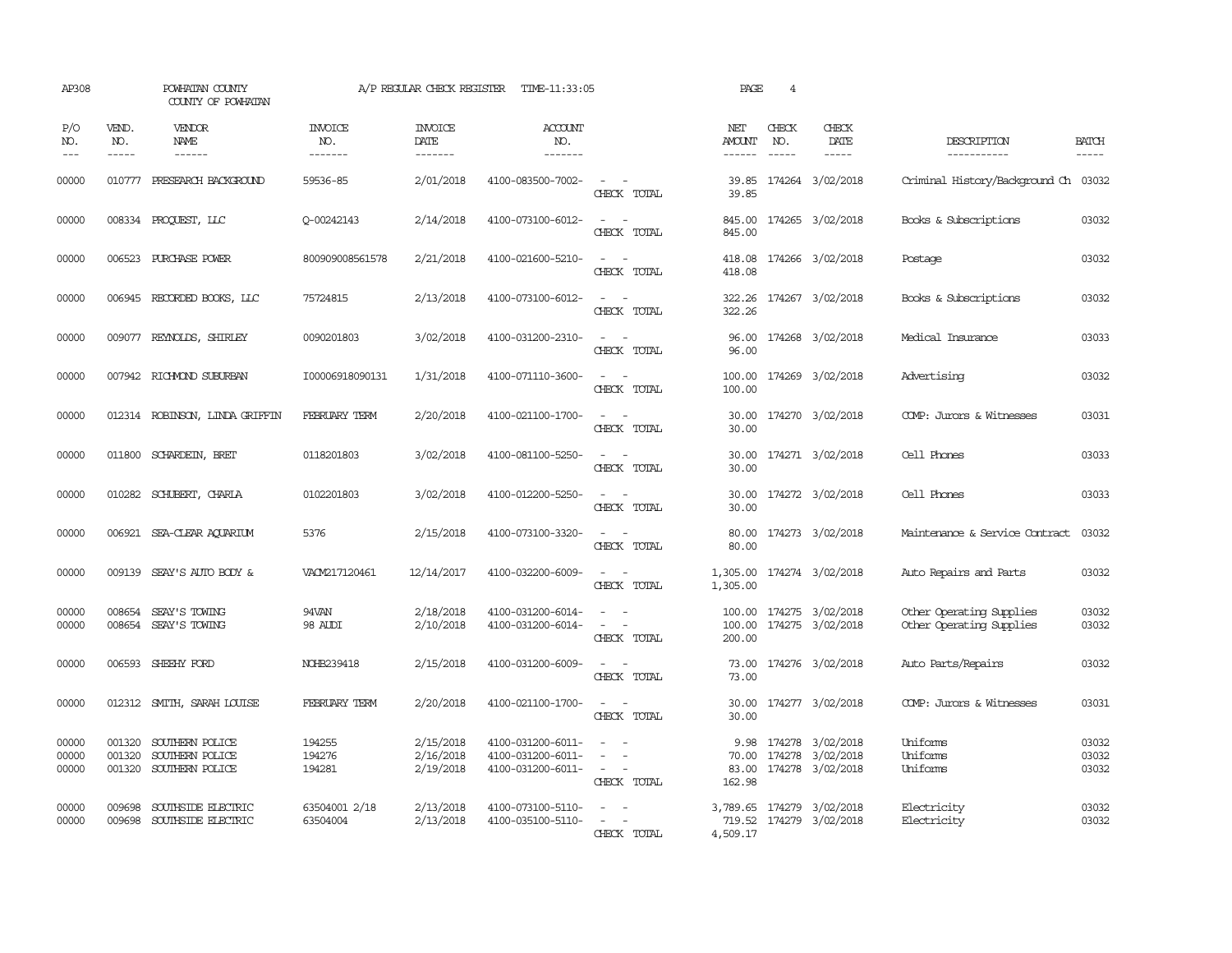| AP308                   |                             | POWHATAN COUNTY<br>COUNTY OF POWHATAN                 |                                  | A/P REGULAR CHECK REGISTER          | TIME-11:33:05                                               |                                                                                                                                                                                          | PAGE                             | $\overline{4}$              |                                                      |                                                      |                             |
|-------------------------|-----------------------------|-------------------------------------------------------|----------------------------------|-------------------------------------|-------------------------------------------------------------|------------------------------------------------------------------------------------------------------------------------------------------------------------------------------------------|----------------------------------|-----------------------------|------------------------------------------------------|------------------------------------------------------|-----------------------------|
| P/O<br>NO.<br>$---$     | VEND.<br>NO.<br>$- - - - -$ | <b>VENDOR</b><br>NAME<br>$- - - - - -$                | <b>INVOICE</b><br>NO.<br>------- | <b>INVOICE</b><br>DATE<br>-------   | <b>ACCOUNT</b><br>NO.<br>-------                            |                                                                                                                                                                                          | NET<br>AMOUNT<br>$- - - - - -$   | CHECK<br>NO.<br>$- - - - -$ | CHECK<br>DATE<br>$- - - - -$                         | DESCRIPTION<br>-----------                           | <b>BATCH</b><br>$- - - - -$ |
| 00000                   |                             | 010777 PRESEARCH BACKGROUND                           | 59536-85                         | 2/01/2018                           | 4100-083500-7002-                                           | $\sim$ 10 $\sim$ $\sim$<br>CHECK TOTAL                                                                                                                                                   | 39.85<br>39.85                   |                             | 174264 3/02/2018                                     | Criminal History/Background Ch 03032                 |                             |
| 00000                   |                             | 008334 PROQUEST, LLC                                  | 0-00242143                       | 2/14/2018                           | 4100-073100-6012-                                           | $\sim$ $\sim$<br>CHECK TOTAL                                                                                                                                                             | 845.00<br>845.00                 |                             | 174265 3/02/2018                                     | Books & Subscriptions                                | 03032                       |
| 00000                   |                             | 006523 PURCHASE POWER                                 | 800909008561578                  | 2/21/2018                           | 4100-021600-5210-                                           | $\sim$ $\sim$<br>CHECK TOTAL                                                                                                                                                             | 418.08<br>418.08                 |                             | 174266 3/02/2018                                     | Postage                                              | 03032                       |
| 00000                   |                             | 006945 RECORDED BOOKS, LLC                            | 75724815                         | 2/13/2018                           | 4100-073100-6012-                                           | $\sim$ 100 $\sim$<br>CHECK TOTAL                                                                                                                                                         | 322.26<br>322.26                 |                             | 174267 3/02/2018                                     | Books & Subscriptions                                | 03032                       |
| 00000                   |                             | 009077 REYNOLDS, SHIRLEY                              | 0090201803                       | 3/02/2018                           | 4100-031200-2310-                                           | $ -$<br>CHECK TOTAL                                                                                                                                                                      | 96.00<br>96.00                   |                             | 174268 3/02/2018                                     | Medical Insurance                                    | 03033                       |
| 00000                   |                             | 007942 RICHMOND SUBURBAN                              | I00006918090131                  | 1/31/2018                           | 4100-071110-3600-                                           | $\sim$<br>$\sim$<br>CHECK TOTAL                                                                                                                                                          | 100.00<br>100.00                 |                             | 174269 3/02/2018                                     | Advertising                                          | 03032                       |
| 00000                   |                             | 012314 ROBINSON, LINDA GRIFFIN                        | FEBRUARY TERM                    | 2/20/2018                           | 4100-021100-1700-                                           | $\overline{\phantom{a}}$<br>$\sim$<br>CHECK TOTAL                                                                                                                                        | 30.00<br>30.00                   |                             | 174270 3/02/2018                                     | COMP: Jurors & Witnesses                             | 03031                       |
| 00000                   |                             | 011800 SCHARDEIN, BRET                                | 0118201803                       | 3/02/2018                           | 4100-081100-5250-                                           | CHECK TOTAL                                                                                                                                                                              | 30.00<br>30.00                   |                             | 174271 3/02/2018                                     | Cell Phones                                          | 03033                       |
| 00000                   |                             | 010282 SCHUBERT, CHARLA                               | 0102201803                       | 3/02/2018                           | 4100-012200-5250-                                           | $\frac{1}{2} \left( \frac{1}{2} \right) \left( \frac{1}{2} \right) = \frac{1}{2} \left( \frac{1}{2} \right)$<br>CHECK TOTAL                                                              | 30.00<br>30.00                   |                             | 174272 3/02/2018                                     | Cell Phones                                          | 03033                       |
| 00000                   |                             | 006921 SEA-CLEAR AQUARIUM                             | 5376                             | 2/15/2018                           | 4100-073100-3320-                                           | $\frac{1}{2} \left( \frac{1}{2} \right) \left( \frac{1}{2} \right) \left( \frac{1}{2} \right)$<br>CHECK TOTAL                                                                            | 80.00<br>80.00                   |                             | 174273 3/02/2018                                     | Maintenance & Service Contract                       | 03032                       |
| 00000                   | 009139                      | SEAY'S AUTO BODY &                                    | VACM217120461                    | 12/14/2017                          | 4100-032200-6009-                                           | $\sim$<br>CHECK TOTAL                                                                                                                                                                    | 1,305.00                         |                             | 1,305.00 174274 3/02/2018                            | Auto Repairs and Parts                               | 03032                       |
| 00000<br>00000          | 008654                      | SEAY'S TOWING<br>008654 SEAY'S TOWING                 | 94VAN<br>98 AUDI                 | 2/18/2018<br>2/10/2018              | 4100-031200-6014-<br>4100-031200-6014-                      | $\sim$<br>$\sim$<br>$\sim$ $ -$<br>CHECK TOTAL                                                                                                                                           | 100.00<br>200.00                 |                             | 174275 3/02/2018<br>100.00 174275 3/02/2018          | Other Operating Supplies<br>Other Operating Supplies | 03032<br>03032              |
| 00000                   |                             | 006593 SHEEHY FORD                                    | NOHB239418                       | 2/15/2018                           | 4100-031200-6009-                                           | $\equiv$<br>CHECK TOTAL                                                                                                                                                                  | 73.00<br>73.00                   |                             | 174276 3/02/2018                                     | Auto Parts/Repairs                                   | 03032                       |
| 00000                   |                             | 012312 SMITH, SARAH LOUISE                            | FEBRUARY TERM                    | 2/20/2018                           | 4100-021100-1700-                                           | $\sim$<br>$\sim$<br>CHECK TOTAL                                                                                                                                                          | 30.00<br>30.00                   |                             | 174277 3/02/2018                                     | COMP: Jurors & Witnesses                             | 03031                       |
| 00000<br>00000<br>00000 | 001320<br>001320<br>001320  | SOUTHERN POLICE<br>SOUTHERN POLICE<br>SOUTHERN POLICE | 194255<br>194276<br>194281       | 2/15/2018<br>2/16/2018<br>2/19/2018 | 4100-031200-6011-<br>4100-031200-6011-<br>4100-031200-6011- | $\frac{1}{2} \left( \frac{1}{2} \right) \left( \frac{1}{2} \right) \left( \frac{1}{2} \right)$<br>$\overline{\phantom{a}}$<br>$\omega_{\rm{max}}$ and $\omega_{\rm{max}}$<br>CHECK TOTAL | 9.98<br>70.00<br>83.00<br>162.98 | 174278                      | 174278 3/02/2018<br>3/02/2018<br>174278 3/02/2018    | Uniforms<br>Uniforms<br>Uniforms                     | 03032<br>03032<br>03032     |
| 00000<br>00000          | 009698<br>009698            | SOUTHSIDE ELECTRIC<br>SOUTHSIDE ELECTRIC              | 63504001 2/18<br>63504004        | 2/13/2018<br>2/13/2018              | 4100-073100-5110-<br>4100-035100-5110-                      | $\sim$<br>CHECK TOTAL                                                                                                                                                                    | 4,509.17                         |                             | 3,789.65 174279 3/02/2018<br>719.52 174279 3/02/2018 | Electricity<br>Electricity                           | 03032<br>03032              |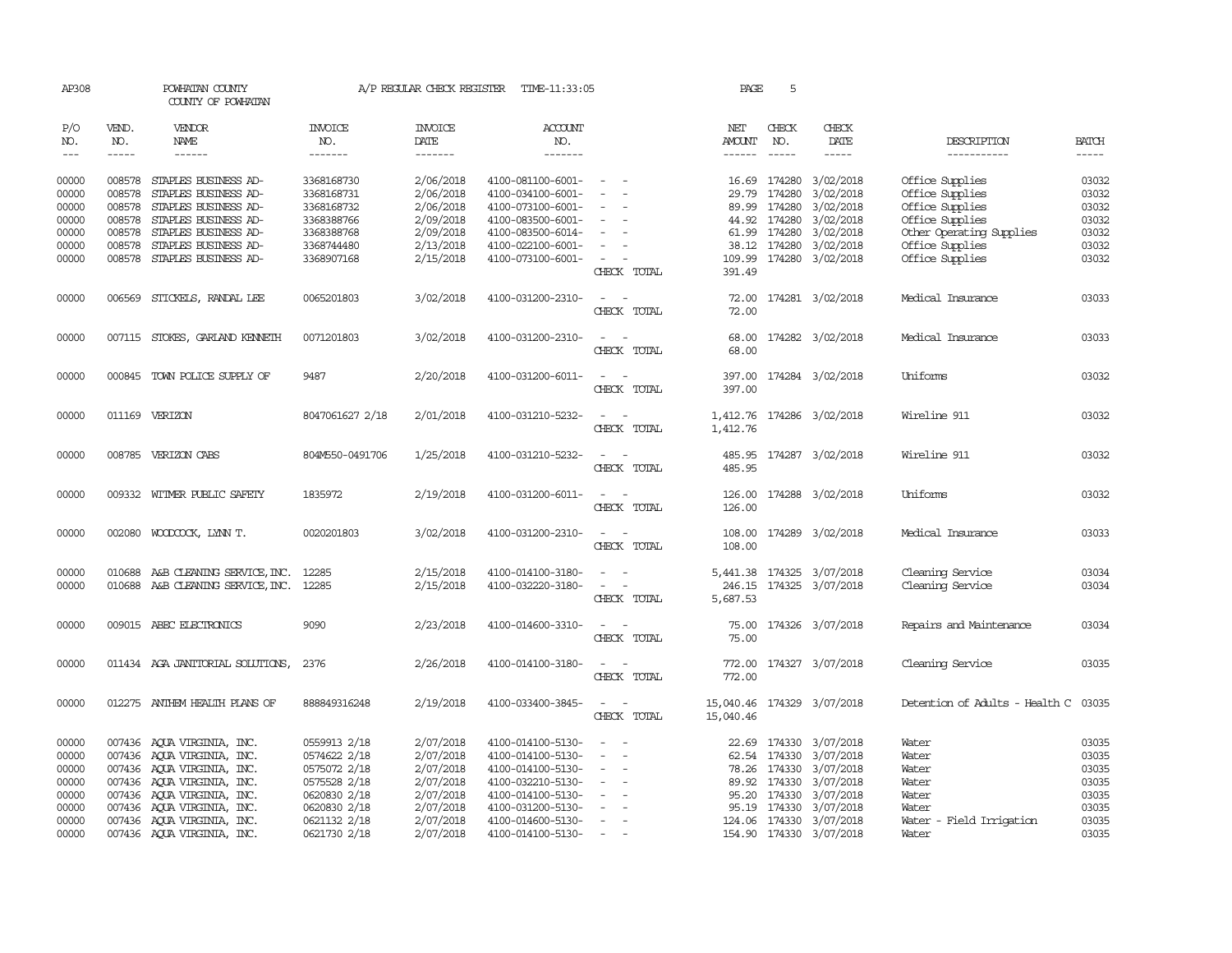| AP308               |                  | POWHATAN COUNTY<br>COUNTY OF POWHATAN        |                          |                        | A/P REGULAR CHECK REGISTER TIME-11:33:05 |                                                      | PAGE                       | 5                      |                           |                                      |                |
|---------------------|------------------|----------------------------------------------|--------------------------|------------------------|------------------------------------------|------------------------------------------------------|----------------------------|------------------------|---------------------------|--------------------------------------|----------------|
| P/O<br>NO.          | VEND.<br>NO.     | VENDOR<br>NAME                               | <b>INVOICE</b><br>NO.    | <b>INVOICE</b><br>DATE | <b>ACCOUNT</b><br>NO.                    |                                                      | NET<br>AMOUNT              | CHECK<br>NO.           | CHECK<br>DATE             | DESCRIPTION                          | <b>BATCH</b>   |
| $\qquad \qquad - -$ | $\cdots$         | ------                                       | -------                  | -------                | -------                                  |                                                      | $- - - - - -$              | $- - - - -$            | -----                     | -----------                          | $- - - - -$    |
| 00000<br>00000      | 008578<br>008578 | STAPLES BUSINESS AD-<br>STAPLES BUSINESS AD- | 3368168730<br>3368168731 | 2/06/2018<br>2/06/2018 | 4100-081100-6001-<br>4100-034100-6001-   |                                                      | 29.79                      | 16.69 174280<br>174280 | 3/02/2018<br>3/02/2018    | Office Supplies<br>Office Supplies   | 03032<br>03032 |
| 00000               | 008578           | STAPLES BUSINESS AD-                         | 3368168732               | 2/06/2018              | 4100-073100-6001-                        |                                                      |                            | 89.99 174280           | 3/02/2018                 | Office Supplies                      | 03032          |
| 00000               | 008578           | STAPLES BUSINESS AD-                         | 3368388766               | 2/09/2018              | 4100-083500-6001-                        |                                                      |                            | 44.92 174280           | 3/02/2018                 | Office Supplies                      | 03032          |
| 00000               | 008578           | STAPLES BUSINESS AD-                         | 3368388768               | 2/09/2018              | 4100-083500-6014-                        |                                                      |                            | 61.99 174280           | 3/02/2018                 | Other Operating Supplies             | 03032          |
| 00000               | 008578           | STAPLES BUSINESS AD-                         | 3368744480               | 2/13/2018              | 4100-022100-6001-                        |                                                      | 38.12                      | 174280                 | 3/02/2018                 | Office Supplies                      | 03032          |
| 00000               | 008578           | STAPLES BUSINESS AD-                         | 3368907168               | 2/15/2018              | 4100-073100-6001-                        |                                                      |                            |                        | 109.99 174280 3/02/2018   | Office Supplies                      | 03032          |
|                     |                  |                                              |                          |                        |                                          | CHECK TOTAL                                          | 391.49                     |                        |                           |                                      |                |
| 00000               | 006569           | STICKELS, RANDAL LEE                         | 0065201803               | 3/02/2018              | 4100-031200-2310-                        | $\sim$ $ \sim$                                       |                            |                        | 72.00 174281 3/02/2018    | Medical Insurance                    | 03033          |
|                     |                  |                                              |                          |                        |                                          | CHECK TOTAL                                          | 72.00                      |                        |                           |                                      |                |
| 00000               |                  | 007115 STOKES, GARLAND KENNETH               | 0071201803               | 3/02/2018              | 4100-031200-2310-                        | $\sim$                                               | 68.00                      |                        | 174282 3/02/2018          | Medical Insurance                    | 03033          |
|                     |                  |                                              |                          |                        |                                          | CHECK TOTAL                                          | 68.00                      |                        |                           |                                      |                |
| 00000               | 000845           | TOWN POLICE SUPPLY OF                        | 9487                     | 2/20/2018              | 4100-031200-6011-                        | $\overline{\phantom{a}}$<br>. —                      | 397.00                     |                        | 174284 3/02/2018          | Uniforms                             | 03032          |
|                     |                  |                                              |                          |                        |                                          | CHECK TOTAL                                          | 397.00                     |                        |                           |                                      |                |
| 00000               |                  | 011169 VERIZON                               | 8047061627 2/18          | 2/01/2018              | 4100-031210-5232-                        |                                                      | 1,412.76                   |                        | 174286 3/02/2018          | Wireline 911                         | 03032          |
|                     |                  |                                              |                          |                        |                                          | CHECK TOTAL                                          | 1,412.76                   |                        |                           |                                      |                |
| 00000               |                  | 008785 VERIZON CABS                          | 804M550-0491706          | 1/25/2018              | 4100-031210-5232-                        |                                                      | 485.95                     |                        | 174287 3/02/2018          | Wireline 911                         | 03032          |
|                     |                  |                                              |                          |                        |                                          | CHECK TOTAL                                          | 485.95                     |                        |                           |                                      |                |
| 00000               |                  | 009332 WITMER PUBLIC SAFETY                  | 1835972                  | 2/19/2018              | 4100-031200-6011-                        | $\sim$                                               | 126.00                     |                        | 174288 3/02/2018          | Uniforms                             | 03032          |
|                     |                  |                                              |                          |                        |                                          | CHECK TOTAL                                          | 126.00                     |                        |                           |                                      |                |
| 00000               |                  | 002080 WOODCOCK, LYNN T.                     | 0020201803               | 3/02/2018              | 4100-031200-2310-                        | $\sim$                                               |                            |                        | 108.00 174289 3/02/2018   | Medical Insurance                    | 03033          |
|                     |                  |                                              |                          |                        |                                          | CHECK TOTAL                                          | 108.00                     |                        |                           |                                      |                |
| 00000               | 010688           | A&B CLEANING SERVICE, INC.                   | 12285                    | 2/15/2018              | 4100-014100-3180-                        | $\overline{\phantom{a}}$                             |                            |                        | 5,441.38 174325 3/07/2018 | Cleaning Service                     | 03034          |
| 00000               |                  | 010688 A&B CLEANING SERVICE, INC. 12285      |                          | 2/15/2018              | 4100-032220-3180-                        | $\sim$<br>$\overline{\phantom{a}}$                   |                            |                        | 246.15 174325 3/07/2018   | Cleaning Service                     | 03034          |
|                     |                  |                                              |                          |                        |                                          | CHECK TOTAL                                          | 5,687.53                   |                        |                           |                                      |                |
| 00000               |                  | 009015 ABEC ELECTRONICS                      | 9090                     | 2/23/2018              | 4100-014600-3310-                        | $\overline{\phantom{a}}$<br>$\overline{\phantom{a}}$ | 75.00                      |                        | 174326 3/07/2018          | Repairs and Maintenance              | 03034          |
|                     |                  |                                              |                          |                        |                                          | CHECK TOTAL                                          | 75.00                      |                        |                           |                                      |                |
| 00000               |                  | 011434 AGA JANITORIAL SOLUTIONS,             | 2376                     | 2/26/2018              | 4100-014100-3180-                        | $\sim$                                               |                            |                        | 772.00 174327 3/07/2018   | Cleaning Service                     | 03035          |
|                     |                  |                                              |                          |                        |                                          | CHECK TOTAL                                          | 772.00                     |                        |                           |                                      |                |
| 00000               |                  | 012275 ANTHEM HEALTH PLANS OF                | 888849316248             | 2/19/2018              | 4100-033400-3845-                        | $\sim$ $ \sim$                                       | 15,040.46 174329 3/07/2018 |                        |                           | Detention of Adults - Health C 03035 |                |
|                     |                  |                                              |                          |                        |                                          | CHECK TOTAL                                          | 15,040.46                  |                        |                           |                                      |                |
| 00000               |                  | 007436 AQUA VIRGINIA, INC.                   | 0559913 2/18             | 2/07/2018              | 4100-014100-5130-                        |                                                      |                            |                        | 22.69 174330 3/07/2018    | Water                                | 03035          |
| 00000               |                  | 007436 AQUA VIRGINIA, INC.                   | 0574622 2/18             | 2/07/2018              | 4100-014100-5130-                        |                                                      |                            | 62.54 174330           | 3/07/2018                 | Water                                | 03035          |
| 00000               |                  | 007436 AQUA VIRGINIA, INC.                   | 0575072 2/18             | 2/07/2018              | 4100-014100-5130-                        | $\overline{\phantom{a}}$                             |                            | 78.26 174330           | 3/07/2018                 | Water                                | 03035          |
| 00000               |                  | 007436 AQUA VIRGINIA, INC.                   | 0575528 2/18             | 2/07/2018              | 4100-032210-5130-                        |                                                      |                            | 89.92 174330           | 3/07/2018                 | Water                                | 03035          |
| 00000               |                  | 007436 AQUA VIRGINIA, INC.                   | 0620830 2/18             | 2/07/2018              | 4100-014100-5130-                        |                                                      |                            | 95.20 174330           | 3/07/2018                 | Water                                | 03035          |
| 00000               |                  | 007436 AQUA VIRGINIA, INC.                   | 0620830 2/18             | 2/07/2018              | 4100-031200-5130-                        | $\sim$                                               |                            | 95.19 174330           | 3/07/2018                 | Water                                | 03035          |
| 00000               |                  | 007436 AQUA VIRGINIA, INC.                   | 0621132 2/18             | 2/07/2018              | 4100-014600-5130-                        | $\sim$                                               |                            | 124.06 174330          | 3/07/2018                 | Water - Field Irrigation             | 03035          |
| 00000               |                  | 007436 AQUA VIRGINIA, INC.                   | 0621730 2/18             | 2/07/2018              | 4100-014100-5130-                        | $\overline{\phantom{a}}$                             |                            |                        | 154.90 174330 3/07/2018   | Water                                | 03035          |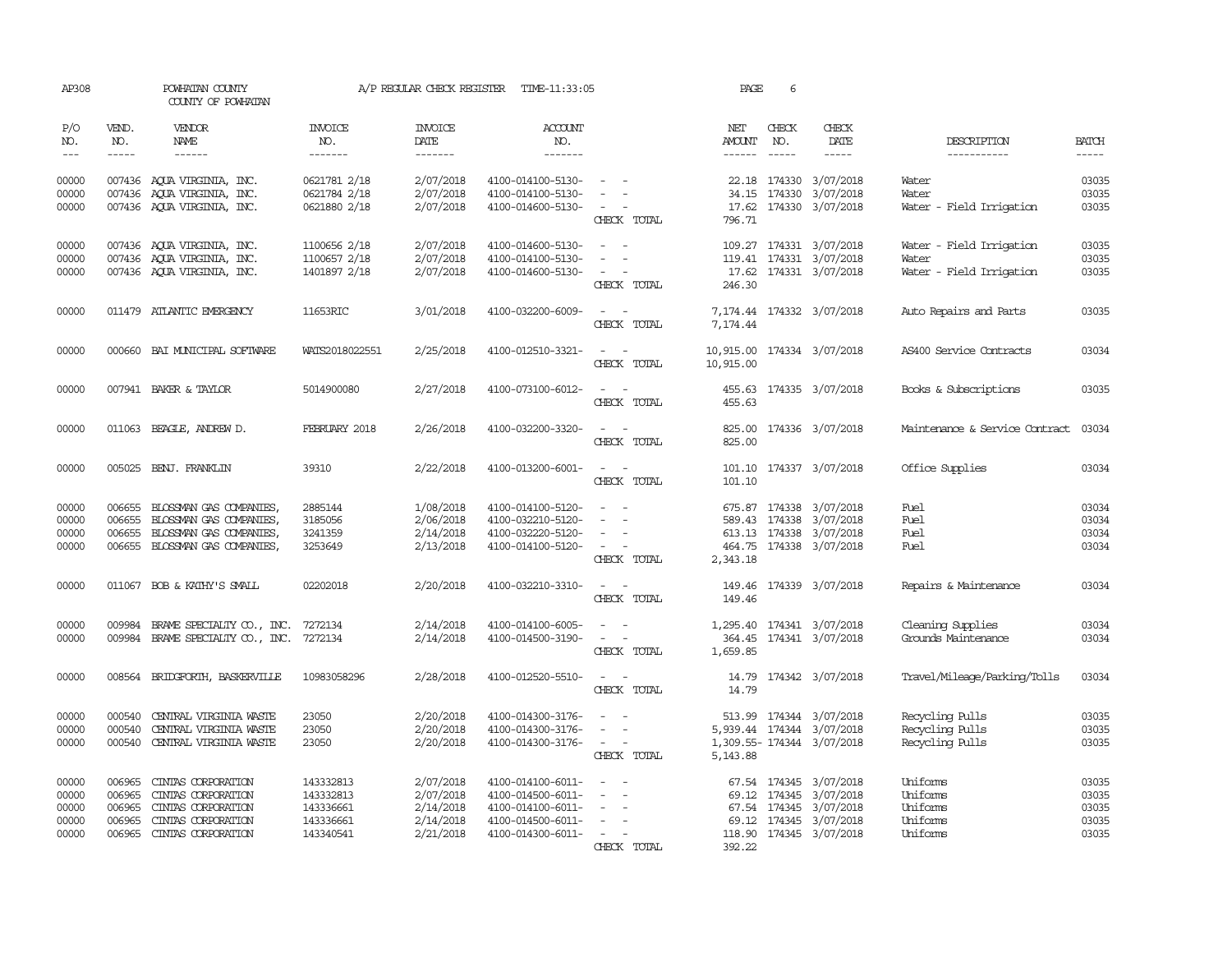| AP308                                     |                                      | POWHATAN COUNTY<br>COUNTY OF POWHATAN                                                                             |                                                               | A/P REGULAR CHECK REGISTER                                    | TIME-11:33:05                                                                                         |                                                                                                                                | PAGE                                    | 6                           |                                                                                                                           |                                                               |                                           |
|-------------------------------------------|--------------------------------------|-------------------------------------------------------------------------------------------------------------------|---------------------------------------------------------------|---------------------------------------------------------------|-------------------------------------------------------------------------------------------------------|--------------------------------------------------------------------------------------------------------------------------------|-----------------------------------------|-----------------------------|---------------------------------------------------------------------------------------------------------------------------|---------------------------------------------------------------|-------------------------------------------|
| P/O<br>NO.<br>$---$                       | VEND.<br>NO.<br>$- - - - -$          | <b>VENDOR</b><br><b>NAME</b><br>$- - - - - -$                                                                     | INVOICE<br>NO.<br>-------                                     | <b>INVOICE</b><br>DATE<br>-------                             | <b>ACCOUNT</b><br>NO.<br>-------                                                                      |                                                                                                                                | NET<br>AMOUNT<br>$- - - - - -$          | CHECK<br>NO.<br>$- - - - -$ | CHECK<br>DATE<br>$- - - - -$                                                                                              | DESCRIPTION<br>-----------                                    | <b>BATCH</b><br>$- - - - -$               |
| 00000<br>00000<br>00000                   |                                      | 007436 AQUA VIRGINIA, INC.<br>007436 AQUA VIRGINIA, INC.<br>007436 AQUA VIRGINIA, INC.                            | 0621781 2/18<br>0621784 2/18<br>0621880 2/18                  | 2/07/2018<br>2/07/2018<br>2/07/2018                           | 4100-014100-5130-<br>4100-014100-5130-<br>4100-014600-5130-                                           | $\sim$ $ \sim$<br>$\equiv$<br>$\sim$ 100 $\mu$<br>CHECK TOTAL                                                                  | 796.71                                  |                             | 22.18 174330 3/07/2018<br>34.15 174330 3/07/2018<br>17.62 174330 3/07/2018                                                | Water<br>Water<br>Water - Field Irrigation                    | 03035<br>03035<br>03035                   |
| 00000<br>00000<br>00000                   |                                      | 007436 AQUA VIRGINIA, INC.<br>007436 AQUA VIRGINIA, INC.<br>007436 AQUA VIRGINIA, INC.                            | 1100656 2/18<br>1100657 2/18<br>1401897 2/18                  | 2/07/2018<br>2/07/2018<br>2/07/2018                           | 4100-014600-5130-<br>4100-014100-5130-<br>4100-014600-5130-                                           | $\sim$<br>$\sim$<br>CHECK TOTAL                                                                                                | 246.30                                  |                             | 109.27 174331 3/07/2018<br>119.41 174331 3/07/2018<br>17.62 174331 3/07/2018                                              | Water - Field Irrigation<br>Water<br>Water - Field Irrigation | 03035<br>03035<br>03035                   |
| 00000                                     |                                      | 011479 ATLANTIC EMERGENCY                                                                                         | 11653RIC                                                      | 3/01/2018                                                     | 4100-032200-6009-                                                                                     | $\sim$ $ -$<br>CHECK TOTAL                                                                                                     | 7,174.44                                |                             | 7,174.44 174332 3/07/2018                                                                                                 | Auto Repairs and Parts                                        | 03035                                     |
| 00000                                     |                                      | 000660 BAI MUNICIPAL SOFTWARE                                                                                     | WATS2018022551                                                | 2/25/2018                                                     | 4100-012510-3321-                                                                                     | $\frac{1}{2} \left( \frac{1}{2} \right) \left( \frac{1}{2} \right) = \frac{1}{2} \left( \frac{1}{2} \right)$<br>CHECK TOTAL    | 10,915.00 174334 3/07/2018<br>10,915.00 |                             |                                                                                                                           | AS400 Service Contracts                                       | 03034                                     |
| 00000                                     |                                      | 007941 BAKER & TAYLOR                                                                                             | 5014900080                                                    | 2/27/2018                                                     | 4100-073100-6012-                                                                                     | $\sim$<br>CHECK TOTAL                                                                                                          | 455.63<br>455.63                        |                             | 174335 3/07/2018                                                                                                          | Books & Subscriptions                                         | 03035                                     |
| 00000                                     |                                      | 011063 BEAGLE, ANDREW D.                                                                                          | FEBRUARY 2018                                                 | 2/26/2018                                                     | 4100-032200-3320-                                                                                     | $\sim$<br>CHECK TOTAL                                                                                                          | 825.00<br>825.00                        |                             | 174336 3/07/2018                                                                                                          | Maintenance & Service Contract                                | 03034                                     |
| 00000                                     |                                      | 005025 BENJ. FRANKLIN                                                                                             | 39310                                                         | 2/22/2018                                                     | 4100-013200-6001-                                                                                     | $\sim$ $\sim$<br>CHECK TOTAL                                                                                                   | 101.10                                  |                             | 101.10 174337 3/07/2018                                                                                                   | Office Supplies                                               | 03034                                     |
| 00000<br>00000<br>00000<br>00000          | 006655<br>006655<br>006655           | BLOSSMAN GAS COMPANIES,<br>BLOSSMAN GAS COMPANIES,<br>BLOSSMAN GAS COMPANIES,<br>006655 BLOSSMAN GAS COMPANIES,   | 2885144<br>3185056<br>3241359<br>3253649                      | 1/08/2018<br>2/06/2018<br>2/14/2018<br>2/13/2018              | 4100-014100-5120-<br>4100-032210-5120-<br>4100-032220-5120-<br>4100-014100-5120-                      | $\equiv$<br>$\overline{\phantom{a}}$<br>$\overline{\phantom{a}}$<br>$\omega_{\rm{max}}$ and $\omega_{\rm{max}}$<br>CHECK TOTAL | 2,343.18                                |                             | 675.87 174338 3/07/2018<br>589.43 174338 3/07/2018<br>613.13 174338 3/07/2018<br>464.75 174338 3/07/2018                  | Fuel<br>Fuel<br>Fuel<br>Fuel                                  | 03034<br>03034<br>03034<br>03034          |
| 00000                                     |                                      | 011067 BOB & KATHY'S SMALL                                                                                        | 02202018                                                      | 2/20/2018                                                     | 4100-032210-3310-                                                                                     | $\sim$<br>CHECK TOTAL                                                                                                          | 149.46                                  |                             | 149.46 174339 3/07/2018                                                                                                   | Repairs & Maintenance                                         | 03034                                     |
| 00000<br>00000                            | 009984                               | BRAME SPECIALITY CO., INC.<br>009984 BRAME SPECIALITY CO., INC.                                                   | 7272134<br>7272134                                            | 2/14/2018<br>2/14/2018                                        | 4100-014100-6005-<br>4100-014500-3190-                                                                | $\overline{\phantom{a}}$<br>CHECK TOTAL                                                                                        | 1,659.85                                |                             | 1,295.40 174341 3/07/2018<br>364.45 174341 3/07/2018                                                                      | Cleaning Supplies<br>Grounds Maintenance                      | 03034<br>03034                            |
| 00000                                     |                                      | 008564 BRIDGFORTH, BASKERVILLE                                                                                    | 10983058296                                                   | 2/28/2018                                                     | 4100-012520-5510-                                                                                     | CHECK TOTAL                                                                                                                    | 14.79<br>14.79                          |                             | 174342 3/07/2018                                                                                                          | Travel/Mileage/Parking/Tolls                                  | 03034                                     |
| 00000<br>00000<br>00000                   | 000540<br>000540                     | CENTRAL VIRGINIA WASTE<br>CENTRAL VIRGINIA WASTE<br>000540 CENTRAL VIRGINIA WASTE                                 | 23050<br>23050<br>23050                                       | 2/20/2018<br>2/20/2018<br>2/20/2018                           | 4100-014300-3176-<br>4100-014300-3176-<br>4100-014300-3176-                                           | $\sim$ 100 $\mu$<br>CHECK TOTAL                                                                                                | 5,143.88                                |                             | 513.99 174344 3/07/2018<br>5,939.44 174344 3/07/2018<br>1,309.55-174344 3/07/2018                                         | Recycling Pulls<br>Recycling Pulls<br>Recycling Pulls         | 03035<br>03035<br>03035                   |
| 00000<br>00000<br>00000<br>00000<br>00000 | 006965<br>006965<br>006965<br>006965 | CINIAS CORPORATION<br>CINIAS CORPORATION<br>CINIAS CORPORATION<br>CINIAS CORPORATION<br>006965 CINTAS CORPORATION | 143332813<br>143332813<br>143336661<br>143336661<br>143340541 | 2/07/2018<br>2/07/2018<br>2/14/2018<br>2/14/2018<br>2/21/2018 | 4100-014100-6011-<br>4100-014500-6011-<br>4100-014100-6011-<br>4100-014500-6011-<br>4100-014300-6011- | $\overline{\phantom{a}}$<br>$\overline{\phantom{a}}$<br>$\overline{\phantom{a}}$<br>$\sim$<br>$\sim$<br>CHECK TOTAL            | 69.12<br>392.22                         |                             | 67.54 174345 3/07/2018<br>69.12 174345 3/07/2018<br>67.54 174345 3/07/2018<br>174345 3/07/2018<br>118.90 174345 3/07/2018 | Uniforms<br>Uniforms<br>Uniforms<br>Uniforms<br>Uniforms      | 03035<br>03035<br>03035<br>03035<br>03035 |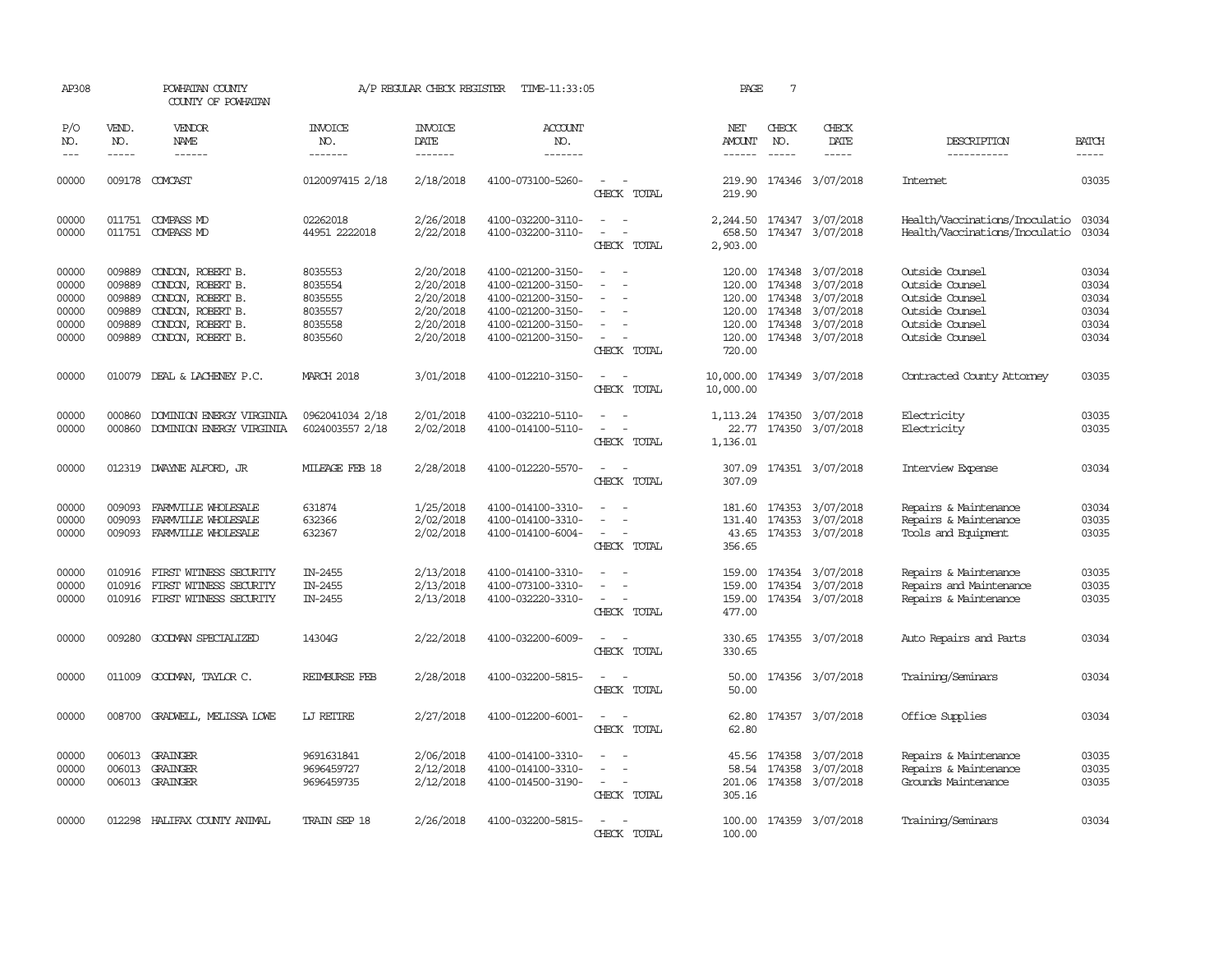| AP308                                              |                                                          | POWHATAN COUNTY<br>COUNTY OF POWHATAN                                                                                      |                                                                | A/P REGULAR CHECK REGISTER                                                 | TIME-11:33:05                                                                                                              |                                                                               | PAGE                                 | 7                                        |                                                                                                        |                                                                                                                |                                                    |
|----------------------------------------------------|----------------------------------------------------------|----------------------------------------------------------------------------------------------------------------------------|----------------------------------------------------------------|----------------------------------------------------------------------------|----------------------------------------------------------------------------------------------------------------------------|-------------------------------------------------------------------------------|--------------------------------------|------------------------------------------|--------------------------------------------------------------------------------------------------------|----------------------------------------------------------------------------------------------------------------|----------------------------------------------------|
| P/O<br>NO.<br>$---$                                | VEND.<br>NO.<br>$- - - - -$                              | VENDOR<br>NAME<br>------                                                                                                   | <b>INVOICE</b><br>NO.<br>-------                               | <b>INVOICE</b><br>DATE<br>-------                                          | <b>ACCOUNT</b><br>NO.<br>-------                                                                                           |                                                                               | NET<br>AMOUNT<br>$- - - - - -$       | CHECK<br>NO.                             | CHECK<br><b>DATE</b><br>-----                                                                          | DESCRIPTION<br>-----------                                                                                     | <b>BATCH</b><br>-----                              |
| 00000                                              |                                                          | 009178 COMCAST                                                                                                             | 0120097415 2/18                                                | 2/18/2018                                                                  | 4100-073100-5260-                                                                                                          | $\sim$<br>CHECK TOTAL                                                         | 219.90<br>219.90                     |                                          | 174346 3/07/2018                                                                                       | <b>Internet</b>                                                                                                | 03035                                              |
| 00000<br>00000                                     |                                                          | 011751 COMPASS MD<br>011751 COMPASS MD                                                                                     | 02262018<br>44951 2222018                                      | 2/26/2018<br>2/22/2018                                                     | 4100-032200-3110-<br>4100-032200-3110-                                                                                     | $\overline{\phantom{a}}$<br>$\sim$<br>$\overline{\phantom{a}}$<br>CHECK TOTAL | 658.50<br>2,903.00                   |                                          | 2, 244.50 174347 3/07/2018<br>174347 3/07/2018                                                         | Health/Vaccinations/Inoculatio<br>Health/Vaccinations/Inoculatio                                               | 03034<br>03034                                     |
| 00000<br>00000<br>00000<br>00000<br>00000<br>00000 | 009889<br>009889<br>009889<br>009889<br>009889<br>009889 | CONDON, ROBERT B.<br>CONDON, ROBERT B.<br>CONDON, ROBERT B.<br>CONDON, ROBERT B.<br>CONDON, ROBERT B.<br>CONDON, ROBERT B. | 8035553<br>8035554<br>8035555<br>8035557<br>8035558<br>8035560 | 2/20/2018<br>2/20/2018<br>2/20/2018<br>2/20/2018<br>2/20/2018<br>2/20/2018 | 4100-021200-3150-<br>4100-021200-3150-<br>4100-021200-3150-<br>4100-021200-3150-<br>4100-021200-3150-<br>4100-021200-3150- | CHECK TOTAL                                                                   | 120.00<br>120.00<br>120.00<br>720.00 | 174348<br>120.00 174348<br>120.00 174348 | 174348 3/07/2018<br>3/07/2018<br>3/07/2018<br>3/07/2018<br>120.00 174348 3/07/2018<br>174348 3/07/2018 | Outside Counsel<br>Outside Counsel<br>Outside Counsel<br>Outside Counsel<br>Outside Counsel<br>Outside Counsel | 03034<br>03034<br>03034<br>03034<br>03034<br>03034 |
| 00000                                              |                                                          | 010079 DEAL & LACHENEY P.C.                                                                                                | <b>MARCH 2018</b>                                              | 3/01/2018                                                                  | 4100-012210-3150-                                                                                                          | CHECK TOTAL                                                                   | 10,000.00<br>10,000.00               |                                          | 174349 3/07/2018                                                                                       | Contracted County Attorney                                                                                     | 03035                                              |
| 00000<br>00000                                     | 000860<br>000860                                         | DOMINION ENERGY VIRGINIA<br>DOMINION ENERGY VIRGINIA                                                                       | 0962041034 2/18<br>6024003557 2/18                             | 2/01/2018<br>2/02/2018                                                     | 4100-032210-5110-<br>4100-014100-5110-                                                                                     | CHECK TOTAL                                                                   | 22.77<br>1,136.01                    |                                          | 1, 113.24 174350 3/07/2018<br>174350 3/07/2018                                                         | Electricity<br>Electricity                                                                                     | 03035<br>03035                                     |
| 00000                                              | 012319                                                   | DWAYNE ALFORD, JR                                                                                                          | MILEAGE FEB 18                                                 | 2/28/2018                                                                  | 4100-012220-5570-                                                                                                          | CHECK TOTAL                                                                   | 307.09<br>307.09                     |                                          | 174351 3/07/2018                                                                                       | Interview Expense                                                                                              | 03034                                              |
| 00000<br>00000<br>00000                            | 009093<br>009093<br>009093                               | FARMVILLE WHOLESALE<br>FARMILLE WHOLESALE<br>FARMVILLE WHOLESALE                                                           | 631874<br>632366<br>632367                                     | 1/25/2018<br>2/02/2018<br>2/02/2018                                        | 4100-014100-3310-<br>4100-014100-3310-<br>4100-014100-6004-                                                                | $\sim$<br>CHECK TOTAL                                                         | 181.60<br>131.40<br>43.65<br>356.65  |                                          | 174353 3/07/2018<br>174353 3/07/2018<br>174353 3/07/2018                                               | Repairs & Maintenance<br>Repairs & Maintenance<br>Tools and Equipment                                          | 03034<br>03035<br>03035                            |
| 00000<br>00000<br>00000                            | 010916<br>010916                                         | FIRST WITNESS SECURITY<br>FIRST WITNESS SECURITY<br>010916 FIRST WITNESS SECURITY                                          | IN-2455<br>IN-2455<br>IN-2455                                  | 2/13/2018<br>2/13/2018<br>2/13/2018                                        | 4100-014100-3310-<br>4100-073100-3310-<br>4100-032220-3310-                                                                | $\equiv$<br>$\equiv$<br>CHECK TOTAL                                           | 159.00<br>159.00<br>477.00           |                                          | 174354 3/07/2018<br>174354 3/07/2018<br>159.00 174354 3/07/2018                                        | Repairs & Maintenance<br>Repairs and Maintenance<br>Repairs & Maintenance                                      | 03035<br>03035<br>03035                            |
| 00000                                              | 009280                                                   | GOODWAN SPECIALIZED                                                                                                        | 14304G                                                         | 2/22/2018                                                                  | 4100-032200-6009-                                                                                                          | CHECK TOTAL                                                                   | 330.65<br>330.65                     |                                          | 174355 3/07/2018                                                                                       | Auto Repairs and Parts                                                                                         | 03034                                              |
| 00000                                              | 011009                                                   | GOODMAN, TAYLOR C.                                                                                                         | REIMBURSE FEB                                                  | 2/28/2018                                                                  | 4100-032200-5815-                                                                                                          | CHECK TOTAL                                                                   | 50.00<br>50.00                       |                                          | 174356 3/07/2018                                                                                       | Training/Seminars                                                                                              | 03034                                              |
| 00000                                              | 008700                                                   | GRADWELL, MELISSA LOWE                                                                                                     | LJ RETIRE                                                      | 2/27/2018                                                                  | 4100-012200-6001-                                                                                                          | $\overline{\phantom{a}}$<br>CHECK TOTAL                                       | 62.80<br>62.80                       |                                          | 174357 3/07/2018                                                                                       | Office Supplies                                                                                                | 03034                                              |
| 00000<br>00000<br>00000                            |                                                          | 006013 GRAINGER<br>006013 GRAINGER<br>006013 GRAINGER                                                                      | 9691631841<br>9696459727<br>9696459735                         | 2/06/2018<br>2/12/2018<br>2/12/2018                                        | 4100-014100-3310-<br>4100-014100-3310-<br>4100-014500-3190-                                                                | $\sim$ 10 $\,$<br>CHECK TOTAL                                                 | 45.56<br>305.16                      | 58.54 174358                             | 174358 3/07/2018<br>3/07/2018<br>201.06 174358 3/07/2018                                               | Repairs & Maintenance<br>Repairs & Maintenance<br>Grounds Maintenance                                          | 03035<br>03035<br>03035                            |
| 00000                                              | 012298                                                   | HALIFAX COUNTY ANIMAL                                                                                                      | TRAIN SEP 18                                                   | 2/26/2018                                                                  | 4100-032200-5815-                                                                                                          | CHECK<br>TOTAL                                                                | 100.00                               |                                          | 100.00 174359 3/07/2018                                                                                | Training/Seminars                                                                                              | 03034                                              |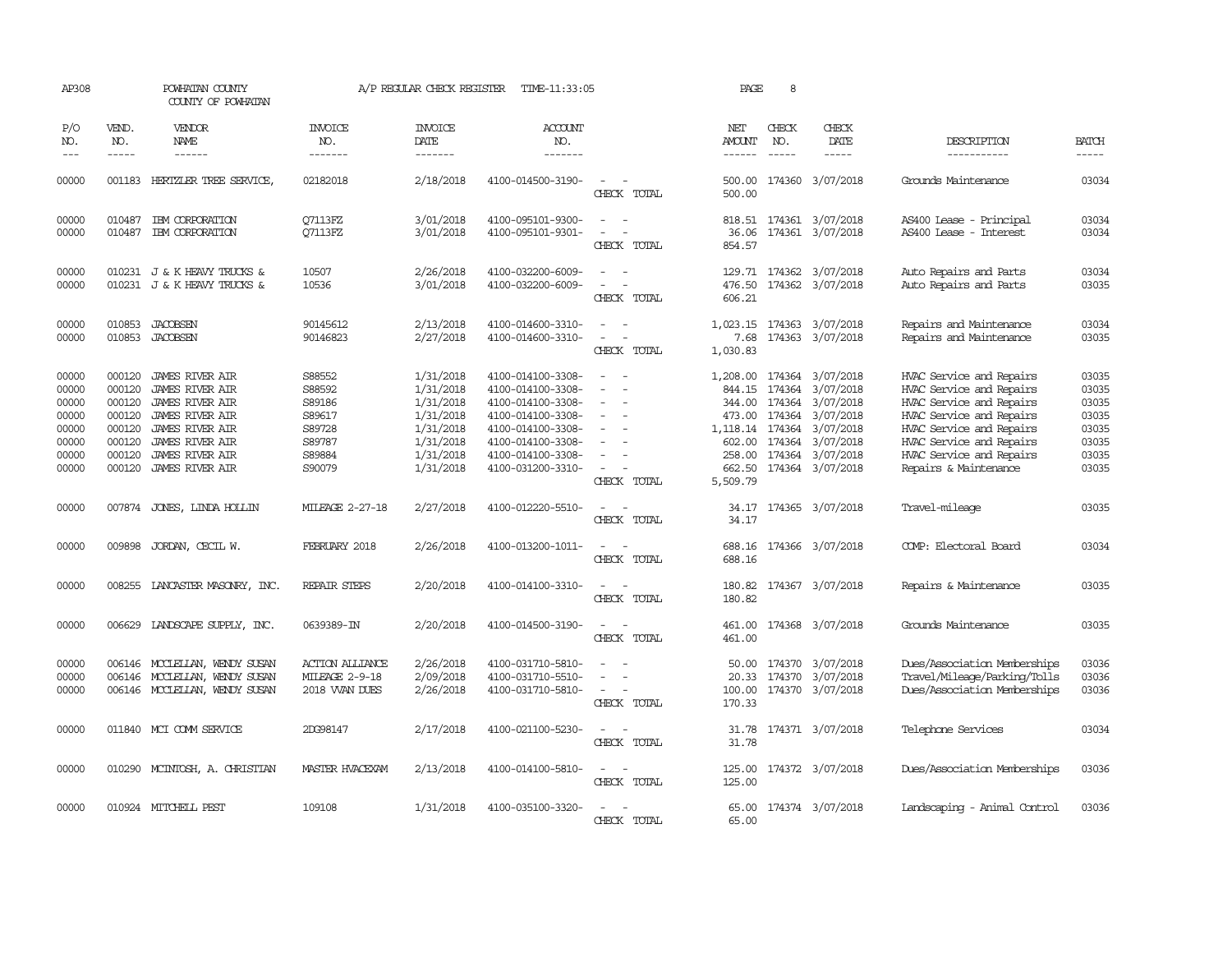| AP308                                                                |                                                                              | POWHATAN COUNTY<br>COUNTY OF POWHATAN                                                                                                                                                   |                                                                              | A/P REGULAR CHECK REGISTER                                                                           | TIME-11:33:05                                                                                                                                                        |                                                                                                                               | PAGE                                             | 8                           |                                                                                                                                                                                               |                                                                                                                                                                                                                           |                                                                      |
|----------------------------------------------------------------------|------------------------------------------------------------------------------|-----------------------------------------------------------------------------------------------------------------------------------------------------------------------------------------|------------------------------------------------------------------------------|------------------------------------------------------------------------------------------------------|----------------------------------------------------------------------------------------------------------------------------------------------------------------------|-------------------------------------------------------------------------------------------------------------------------------|--------------------------------------------------|-----------------------------|-----------------------------------------------------------------------------------------------------------------------------------------------------------------------------------------------|---------------------------------------------------------------------------------------------------------------------------------------------------------------------------------------------------------------------------|----------------------------------------------------------------------|
| P/O<br>NO.<br>$---$                                                  | VEND.<br>NO.<br>$- - - - -$                                                  | VENDOR<br>NAME<br>$- - - - - -$                                                                                                                                                         | <b>INVOICE</b><br>NO.<br>-------                                             | <b>INVOICE</b><br>DATE<br>-------                                                                    | ACCOUNT<br>NO.<br>-------                                                                                                                                            |                                                                                                                               | NET<br>AMOUNT<br>$- - - - - -$                   | CHECK<br>NO.<br>$- - - - -$ | CHECK<br>DATE<br>$- - - - -$                                                                                                                                                                  | DESCRIPTION<br>-----------                                                                                                                                                                                                | <b>BATCH</b><br>-----                                                |
| 00000                                                                | 001183                                                                       | HERTZLER TREE SERVICE,                                                                                                                                                                  | 02182018                                                                     | 2/18/2018                                                                                            | 4100-014500-3190-                                                                                                                                                    | $\overline{\phantom{a}}$<br>CHECK TOTAL                                                                                       | 500.00<br>500.00                                 |                             | 174360 3/07/2018                                                                                                                                                                              | Grounds Maintenance                                                                                                                                                                                                       | 03034                                                                |
| 00000<br>00000                                                       | 010487                                                                       | IBM CORPORATION<br>010487 IBM CORPORATION                                                                                                                                               | Q7113FZ<br><b>07113FZ</b>                                                    | 3/01/2018<br>3/01/2018                                                                               | 4100-095101-9300-<br>4100-095101-9301-                                                                                                                               | $\sim$<br>$\overline{\phantom{a}}$<br>CHECK TOTAL                                                                             | 36.06<br>854.57                                  |                             | 818.51 174361 3/07/2018<br>174361 3/07/2018                                                                                                                                                   | AS400 Lease - Principal<br>AS400 Lease - Interest                                                                                                                                                                         | 03034<br>03034                                                       |
| 00000<br>00000                                                       |                                                                              | 010231 J & K HEAVY TRUCKS &<br>010231 J & K HEAVY TRUCKS &                                                                                                                              | 10507<br>10536                                                               | 2/26/2018<br>3/01/2018                                                                               | 4100-032200-6009-<br>4100-032200-6009-                                                                                                                               | $\equiv$<br>CHECK TOTAL                                                                                                       | 476.50<br>606.21                                 |                             | 129.71 174362 3/07/2018<br>174362 3/07/2018                                                                                                                                                   | Auto Repairs and Parts<br>Auto Repairs and Parts                                                                                                                                                                          | 03034<br>03035                                                       |
| 00000<br>00000                                                       | 010853<br>010853                                                             | <b>JACOBSEN</b><br>JACOBSEN                                                                                                                                                             | 90145612<br>90146823                                                         | 2/13/2018<br>2/27/2018                                                                               | 4100-014600-3310-<br>4100-014600-3310-                                                                                                                               | $\equiv$<br>$\sim$<br>CHECK TOTAL                                                                                             | 1,023.15<br>7.68<br>1,030.83                     |                             | 174363 3/07/2018<br>174363 3/07/2018                                                                                                                                                          | Repairs and Maintenance<br>Repairs and Maintenance                                                                                                                                                                        | 03034<br>03035                                                       |
| 00000<br>00000<br>00000<br>00000<br>00000<br>00000<br>00000<br>00000 | 000120<br>000120<br>000120<br>000120<br>000120<br>000120<br>000120<br>000120 | JAMES RIVER AIR<br><b>JAMES RIVER AIR</b><br><b>JAMES RIVER AIR</b><br><b>JAMES RIVER AIR</b><br>JAMES RIVER AIR<br><b>JAMES RIVER AIR</b><br><b>JAMES RIVER AIR</b><br>JAMES RIVER AIR | S88552<br>S88592<br>S89186<br>S89617<br>S89728<br>S89787<br>S89884<br>S90079 | 1/31/2018<br>1/31/2018<br>1/31/2018<br>1/31/2018<br>1/31/2018<br>1/31/2018<br>1/31/2018<br>1/31/2018 | 4100-014100-3308-<br>4100-014100-3308-<br>4100-014100-3308-<br>4100-014100-3308-<br>4100-014100-3308-<br>4100-014100-3308-<br>4100-014100-3308-<br>4100-031200-3310- | $\overline{\phantom{a}}$<br>$\sim$<br>$\sim$<br>$\overline{\phantom{a}}$<br>$\overline{\phantom{a}}$<br>$\sim$<br>CHECK TOTAL | 844.15<br>344.00<br>602.00<br>662.50<br>5,509.79 |                             | 1,208.00 174364 3/07/2018<br>174364 3/07/2018<br>174364 3/07/2018<br>473.00 174364 3/07/2018<br>1, 118.14 174364 3/07/2018<br>174364 3/07/2018<br>258.00 174364 3/07/2018<br>174364 3/07/2018 | HVAC Service and Repairs<br>HVAC Service and Repairs<br>HVAC Service and Repairs<br>HVAC Service and Repairs<br>HVAC Service and Repairs<br>HVAC Service and Repairs<br>HVAC Service and Repairs<br>Repairs & Maintenance | 03035<br>03035<br>03035<br>03035<br>03035<br>03035<br>03035<br>03035 |
| 00000                                                                |                                                                              | 007874 JONES, LINDA HOLLIN                                                                                                                                                              | <b>MILEAGE 2-27-18</b>                                                       | 2/27/2018                                                                                            | 4100-012220-5510-                                                                                                                                                    | $\overline{\phantom{a}}$<br>CHECK TOTAL                                                                                       | 34.17<br>34.17                                   |                             | 174365 3/07/2018                                                                                                                                                                              | Travel-mileage                                                                                                                                                                                                            | 03035                                                                |
| 00000                                                                | 009898                                                                       | JORDAN, CECIL W.                                                                                                                                                                        | FEBRUARY 2018                                                                | 2/26/2018                                                                                            | 4100-013200-1011-                                                                                                                                                    | $\overline{\phantom{a}}$<br>CHECK TOTAL                                                                                       | 688.16<br>688.16                                 |                             | 174366 3/07/2018                                                                                                                                                                              | COMP: Electoral Board                                                                                                                                                                                                     | 03034                                                                |
| 00000                                                                |                                                                              | 008255 LANCASTER MASONRY, INC.                                                                                                                                                          | REPAIR STEPS                                                                 | 2/20/2018                                                                                            | 4100-014100-3310-                                                                                                                                                    | $\sim$<br>CHECK TOTAL                                                                                                         | 180.82<br>180.82                                 |                             | 174367 3/07/2018                                                                                                                                                                              | Repairs & Maintenance                                                                                                                                                                                                     | 03035                                                                |
| 00000                                                                |                                                                              | 006629 LANDSCAPE SUPPLY, INC.                                                                                                                                                           | 0639389-IN                                                                   | 2/20/2018                                                                                            | 4100-014500-3190-                                                                                                                                                    | $\overline{\phantom{a}}$<br>CHECK TOTAL                                                                                       | 461.00<br>461.00                                 |                             | 174368 3/07/2018                                                                                                                                                                              | Grounds Maintenance                                                                                                                                                                                                       | 03035                                                                |
| 00000<br>00000<br>00000                                              |                                                                              | 006146 MCCLELLAN, WENDY SUSAN<br>006146 MCCLELLAN, WENDY SUSAN<br>006146 MCCLELLAN, WENDY SUSAN                                                                                         | <b>ACTION ALLIANCE</b><br>MILEAGE 2-9-18<br>2018 WAN DUES                    | 2/26/2018<br>2/09/2018<br>2/26/2018                                                                  | 4100-031710-5810-<br>4100-031710-5510-<br>4100-031710-5810-                                                                                                          | $\equiv$<br>CHECK TOTAL                                                                                                       | 50.00<br>20.33<br>170.33                         | 174370                      | 174370 3/07/2018<br>3/07/2018<br>100.00 174370 3/07/2018                                                                                                                                      | Dues/Association Memberships<br>Travel/Mileage/Parking/Tolls<br>Dues/Association Memberships                                                                                                                              | 03036<br>03036<br>03036                                              |
| 00000                                                                |                                                                              | 011840 MCI COMM SERVICE                                                                                                                                                                 | 2DG98147                                                                     | 2/17/2018                                                                                            | 4100-021100-5230-                                                                                                                                                    | CHECK TOTAL                                                                                                                   | 31.78<br>31.78                                   |                             | 174371 3/07/2018                                                                                                                                                                              | Telephone Services                                                                                                                                                                                                        | 03034                                                                |
| 00000                                                                |                                                                              | 010290 MCINTOSH, A. CHRISTIAN                                                                                                                                                           | MASTER HVACEXAM                                                              | 2/13/2018                                                                                            | 4100-014100-5810-                                                                                                                                                    | CHECK TOTAL                                                                                                                   | 125.00                                           |                             | 125.00 174372 3/07/2018                                                                                                                                                                       | Dues/Association Memberships                                                                                                                                                                                              | 03036                                                                |
| 00000                                                                |                                                                              | 010924 MITCHELL PEST                                                                                                                                                                    | 109108                                                                       | 1/31/2018                                                                                            | 4100-035100-3320-                                                                                                                                                    | CHECK TOTAL                                                                                                                   | 65.00                                            |                             | 65.00 174374 3/07/2018                                                                                                                                                                        | Landscaping - Animal Control                                                                                                                                                                                              | 03036                                                                |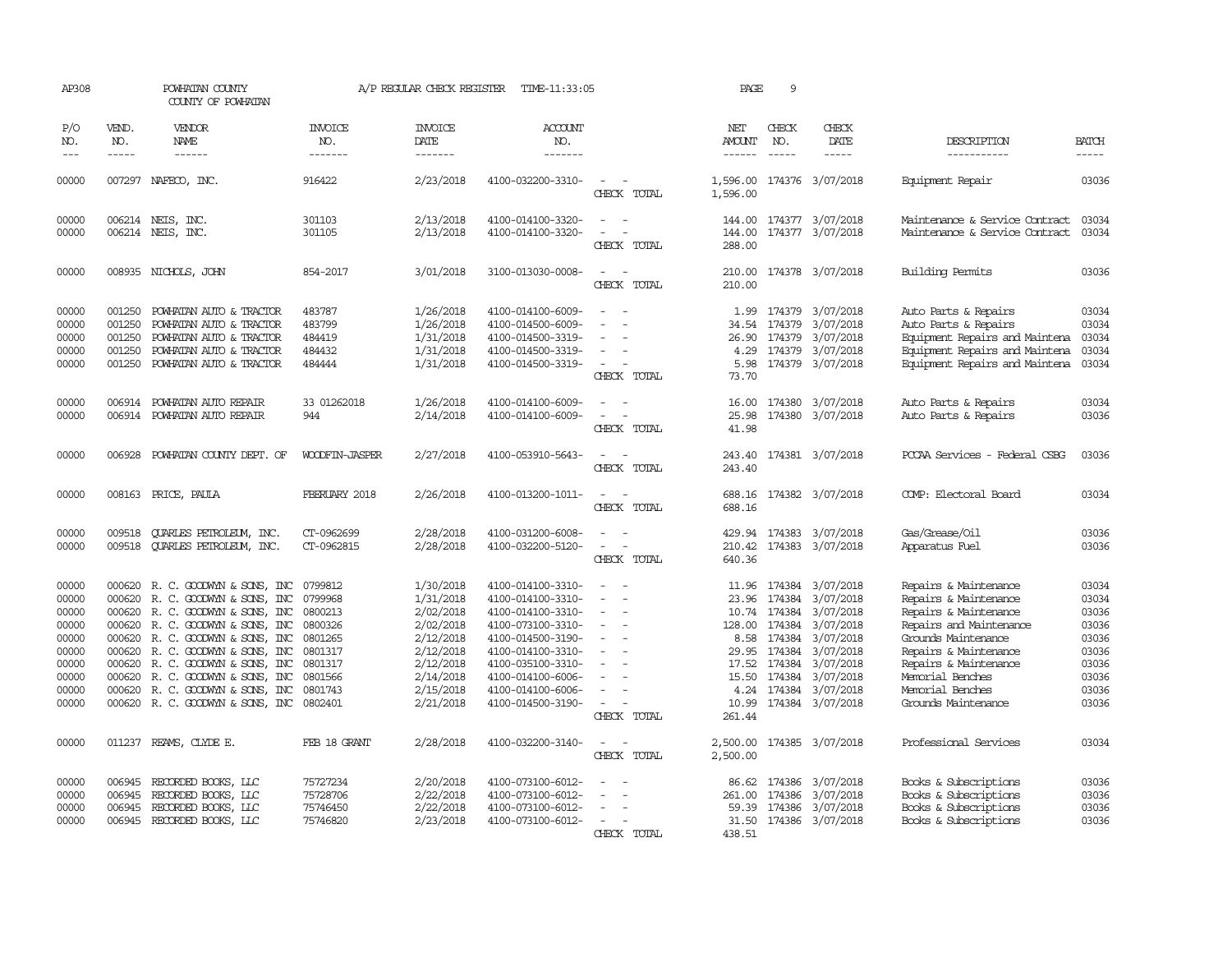| AP308               |                               | POWHATAN COUNTY<br>COUNTY OF POWHATAN                                                                                                                                                                                                                                                                                                                                                                                                                                                               |                                  | A/P REGULAR CHECK REGISTER         | TIME-11:33:05             |                                                                     | PAGE                           | 9                             |                           |                                |                               |
|---------------------|-------------------------------|-----------------------------------------------------------------------------------------------------------------------------------------------------------------------------------------------------------------------------------------------------------------------------------------------------------------------------------------------------------------------------------------------------------------------------------------------------------------------------------------------------|----------------------------------|------------------------------------|---------------------------|---------------------------------------------------------------------|--------------------------------|-------------------------------|---------------------------|--------------------------------|-------------------------------|
| P/O<br>NO.<br>$---$ | VEND.<br>NO.<br>$\frac{1}{2}$ | <b>VENDOR</b><br>NAME<br>$\frac{1}{2} \left( \frac{1}{2} \right) \left( \frac{1}{2} \right) \left( \frac{1}{2} \right) \left( \frac{1}{2} \right) \left( \frac{1}{2} \right) \left( \frac{1}{2} \right) \left( \frac{1}{2} \right) \left( \frac{1}{2} \right) \left( \frac{1}{2} \right) \left( \frac{1}{2} \right) \left( \frac{1}{2} \right) \left( \frac{1}{2} \right) \left( \frac{1}{2} \right) \left( \frac{1}{2} \right) \left( \frac{1}{2} \right) \left( \frac{1}{2} \right) \left( \frac$ | <b>INVOICE</b><br>NO.<br>------- | <b>INVOICE</b><br>DATE<br>-------- | ACCOUNT<br>NO.<br>------- |                                                                     | NET<br>AMOUNT<br>$- - - - - -$ | CHECK<br>NO.<br>$\frac{1}{2}$ | CHECK<br>DATE<br>-----    | DESCRIPTION<br>-----------     | <b>BATCH</b><br>$\frac{1}{2}$ |
|                     |                               |                                                                                                                                                                                                                                                                                                                                                                                                                                                                                                     |                                  |                                    |                           |                                                                     |                                |                               |                           |                                |                               |
| 00000               |                               | 007297 NAFECO, INC.                                                                                                                                                                                                                                                                                                                                                                                                                                                                                 | 916422                           | 2/23/2018                          | 4100-032200-3310-         | $\overline{\phantom{a}}$<br>CHECK TOTAL                             | 1,596.00                       |                               | 1,596.00 174376 3/07/2018 | Equipment Repair               | 03036                         |
| 00000               |                               | 006214 NEIS, INC.                                                                                                                                                                                                                                                                                                                                                                                                                                                                                   | 301103                           | 2/13/2018                          | 4100-014100-3320-         |                                                                     | 144.00                         |                               | 174377 3/07/2018          | Maintenance & Service Contract | 03034                         |
| 00000               |                               | 006214 NEIS, INC.                                                                                                                                                                                                                                                                                                                                                                                                                                                                                   | 301105                           | 2/13/2018                          | 4100-014100-3320-         | CHECK TOTAL                                                         | 144.00<br>288.00               |                               | 174377 3/07/2018          | Maintenance & Service Contract | 03034                         |
| 00000               |                               | 008935 NICHOLS, JOHN                                                                                                                                                                                                                                                                                                                                                                                                                                                                                | 854-2017                         | 3/01/2018                          | 3100-013030-0008-         | $\equiv$<br>CHECK TOTAL                                             | 210.00<br>210.00               |                               | 174378 3/07/2018          | Building Permits               | 03036                         |
|                     |                               |                                                                                                                                                                                                                                                                                                                                                                                                                                                                                                     |                                  |                                    |                           |                                                                     |                                |                               |                           |                                |                               |
| 00000               | 001250                        | POWHATAN AUTO & TRACTOR                                                                                                                                                                                                                                                                                                                                                                                                                                                                             | 483787                           | 1/26/2018                          | 4100-014100-6009-         |                                                                     | 1.99                           |                               | 174379 3/07/2018          | Auto Parts & Repairs           | 03034                         |
| 00000               | 001250                        | POWHATAN AUTO & TRACTOR                                                                                                                                                                                                                                                                                                                                                                                                                                                                             | 483799                           | 1/26/2018                          | 4100-014500-6009-         |                                                                     | 34.54                          |                               | 174379 3/07/2018          | Auto Parts & Repairs           | 03034                         |
| 00000               | 001250                        | POWHATAN AUTO & TRACTOR                                                                                                                                                                                                                                                                                                                                                                                                                                                                             | 484419                           | 1/31/2018                          | 4100-014500-3319-         |                                                                     | 26.90                          |                               | 174379 3/07/2018          | Equipment Repairs and Maintena | 03034                         |
| 00000               | 001250                        | POWHATAN AUTO & TRACTOR                                                                                                                                                                                                                                                                                                                                                                                                                                                                             | 484432                           | 1/31/2018                          | 4100-014500-3319-         |                                                                     | 4.29                           |                               | 174379 3/07/2018          | Equipment Repairs and Maintena | 03034                         |
| 00000               |                               | 001250 POWHATAN AUTO & TRACTOR                                                                                                                                                                                                                                                                                                                                                                                                                                                                      | 484444                           | 1/31/2018                          | 4100-014500-3319-         | $\sim$                                                              |                                |                               | 5.98 174379 3/07/2018     | Equipment Repairs and Maintena | 03034                         |
|                     |                               |                                                                                                                                                                                                                                                                                                                                                                                                                                                                                                     |                                  |                                    |                           | CHECK TOTAL                                                         | 73.70                          |                               |                           |                                |                               |
| 00000               |                               | 006914 POWHATAN AUTO REPAIR                                                                                                                                                                                                                                                                                                                                                                                                                                                                         | 33 01262018                      | 1/26/2018                          | 4100-014100-6009-         |                                                                     | 16.00                          |                               | 174380 3/07/2018          | Auto Parts & Repairs           | 03034                         |
| 00000               |                               | 006914 POWHATAN AUTO REPAIR                                                                                                                                                                                                                                                                                                                                                                                                                                                                         | 944                              | 2/14/2018                          | 4100-014100-6009-         |                                                                     | 25.98                          |                               | 174380 3/07/2018          | Auto Parts & Repairs           | 03036                         |
|                     |                               |                                                                                                                                                                                                                                                                                                                                                                                                                                                                                                     |                                  |                                    |                           | CHECK TOTAL                                                         | 41.98                          |                               |                           |                                |                               |
| 00000               |                               | 006928 POWHATAN COUNTY DEPT. OF                                                                                                                                                                                                                                                                                                                                                                                                                                                                     | WOODFIN-JASPER                   | 2/27/2018                          | 4100-053910-5643-         |                                                                     | 243.40                         |                               | 174381 3/07/2018          | PCCAA Services - Federal CSBG  | 03036                         |
|                     |                               |                                                                                                                                                                                                                                                                                                                                                                                                                                                                                                     |                                  |                                    |                           | CHECK TOTAL                                                         | 243.40                         |                               |                           |                                |                               |
| 00000               |                               | 008163 PRICE, PAULA                                                                                                                                                                                                                                                                                                                                                                                                                                                                                 | FBERUARY 2018                    | 2/26/2018                          | 4100-013200-1011-         | $\sim$                                                              | 688.16                         |                               | 174382 3/07/2018          | COMP: Electoral Board          | 03034                         |
|                     |                               |                                                                                                                                                                                                                                                                                                                                                                                                                                                                                                     |                                  |                                    |                           | CHECK TOTAL                                                         | 688.16                         |                               |                           |                                |                               |
| 00000               | 009518                        | <b>QUARLES PETROLEUM, INC.</b>                                                                                                                                                                                                                                                                                                                                                                                                                                                                      | CT-0962699                       | 2/28/2018                          | 4100-031200-6008-         |                                                                     | 429.94                         |                               | 174383 3/07/2018          | Gas/Grease/Oil                 | 03036                         |
| 00000               |                               | 009518 CUARLES PETROLEUM, INC.                                                                                                                                                                                                                                                                                                                                                                                                                                                                      | CT-0962815                       | 2/28/2018                          | 4100-032200-5120-         | $\sim$<br>$\overline{\phantom{a}}$                                  | 210.42                         |                               | 174383 3/07/2018          | Apparatus Fuel                 | 03036                         |
|                     |                               |                                                                                                                                                                                                                                                                                                                                                                                                                                                                                                     |                                  |                                    |                           | CHECK TOTAL                                                         | 640.36                         |                               |                           |                                |                               |
| 00000               |                               | 000620 R.C. GOODWYN & SONS, INC                                                                                                                                                                                                                                                                                                                                                                                                                                                                     | 0799812                          | 1/30/2018                          | 4100-014100-3310-         |                                                                     |                                |                               | 11.96 174384 3/07/2018    | Repairs & Maintenance          | 03034                         |
| 00000               | 000620                        | R. C. GOODWYN & SONS, INC                                                                                                                                                                                                                                                                                                                                                                                                                                                                           | 0799968                          | 1/31/2018                          | 4100-014100-3310-         | $\equiv$<br>$\overline{\phantom{a}}$                                | 23.96                          | 174384                        | 3/07/2018                 | Repairs & Maintenance          | 03034                         |
| 00000               |                               | 000620 R.C. GOODWYN & SONS, INC                                                                                                                                                                                                                                                                                                                                                                                                                                                                     | 0800213                          | 2/02/2018                          | 4100-014100-3310-         |                                                                     | 10.74                          | 174384                        | 3/07/2018                 | Repairs & Maintenance          | 03036                         |
| 00000               |                               | 000620 R. C. GOODWYN & SONS, INC                                                                                                                                                                                                                                                                                                                                                                                                                                                                    | 0800326                          | 2/02/2018                          | 4100-073100-3310-         |                                                                     | 128.00                         | 174384                        | 3/07/2018                 | Repairs and Maintenance        | 03036                         |
| 00000               |                               | 000620 R. C. GOODWYN & SONS, INC                                                                                                                                                                                                                                                                                                                                                                                                                                                                    | 0801265                          | 2/12/2018                          | 4100-014500-3190-         | $\equiv$                                                            | 8.58                           | 174384                        | 3/07/2018                 | Grounds Maintenance            | 03036                         |
| 00000               |                               | 000620 R. C. GOODWYN & SONS, INC                                                                                                                                                                                                                                                                                                                                                                                                                                                                    | 0801317                          | 2/12/2018                          | 4100-014100-3310-         |                                                                     | 29.95                          | 174384                        | 3/07/2018                 | Repairs & Maintenance          | 03036                         |
| 00000               |                               | 000620 R. C. GOODWYN & SONS, INC                                                                                                                                                                                                                                                                                                                                                                                                                                                                    | 0801317                          | 2/12/2018                          | 4100-035100-3310-         |                                                                     | 17.52                          | 174384                        | 3/07/2018                 | Repairs & Maintenance          | 03036                         |
| 00000               | 000620                        | R. C. GOODWYN & SONS, INC                                                                                                                                                                                                                                                                                                                                                                                                                                                                           | 0801566                          | 2/14/2018                          | 4100-014100-6006-         |                                                                     | 15.50                          | 174384                        | 3/07/2018                 | Memorial Benches               | 03036                         |
| 00000               | 000620                        | R. C. GOODWYN & SONS, INC                                                                                                                                                                                                                                                                                                                                                                                                                                                                           | 0801743                          | 2/15/2018                          | 4100-014100-6006-         | $\equiv$                                                            | 4.24                           | 174384                        | 3/07/2018                 | Memorial Benches               | 03036                         |
| 00000               |                               | 000620 R. C. GOODWYN & SONS, INC                                                                                                                                                                                                                                                                                                                                                                                                                                                                    | 0802401                          | 2/21/2018                          | 4100-014500-3190-         | $\overline{\phantom{a}}$<br>$\overline{\phantom{a}}$<br>CHECK TOTAL | 10.99<br>261.44                |                               | 174384 3/07/2018          | Grounds Maintenance            | 03036                         |
|                     |                               |                                                                                                                                                                                                                                                                                                                                                                                                                                                                                                     |                                  |                                    |                           |                                                                     |                                |                               |                           |                                |                               |
| 00000               |                               | 011237 REAMS, CLYDE E.                                                                                                                                                                                                                                                                                                                                                                                                                                                                              | FEB 18 GRANT                     | 2/28/2018                          | 4100-032200-3140-         |                                                                     | 2,500.00                       |                               | 174385 3/07/2018          | Professional Services          | 03034                         |
|                     |                               |                                                                                                                                                                                                                                                                                                                                                                                                                                                                                                     |                                  |                                    |                           | CHECK TOTAL                                                         | 2,500.00                       |                               |                           |                                |                               |
| 00000               | 006945                        | RECORDED BOOKS, LLC                                                                                                                                                                                                                                                                                                                                                                                                                                                                                 | 75727234                         | 2/20/2018                          | 4100-073100-6012-         |                                                                     | 86.62                          |                               | 174386 3/07/2018          | Books & Subscriptions          | 03036                         |
| 00000               | 006945                        | RECORDED BOOKS, LLC                                                                                                                                                                                                                                                                                                                                                                                                                                                                                 | 75728706                         | 2/22/2018                          | 4100-073100-6012-         |                                                                     | 261.00                         | 174386                        | 3/07/2018                 | Books & Subscriptions          | 03036                         |
| 00000               | 006945                        | RECORDED BOOKS, LLC                                                                                                                                                                                                                                                                                                                                                                                                                                                                                 | 75746450                         | 2/22/2018                          | 4100-073100-6012-         |                                                                     | 59.39                          | 174386                        | 3/07/2018                 | Books & Subscriptions          | 03036                         |
| 00000               |                               | 006945 RECORDED BOOKS, LLC                                                                                                                                                                                                                                                                                                                                                                                                                                                                          | 75746820                         | 2/23/2018                          | 4100-073100-6012-         |                                                                     |                                |                               | 31.50 174386 3/07/2018    | Books & Subscriptions          | 03036                         |
|                     |                               |                                                                                                                                                                                                                                                                                                                                                                                                                                                                                                     |                                  |                                    |                           | CHECK TOTAL                                                         | 438.51                         |                               |                           |                                |                               |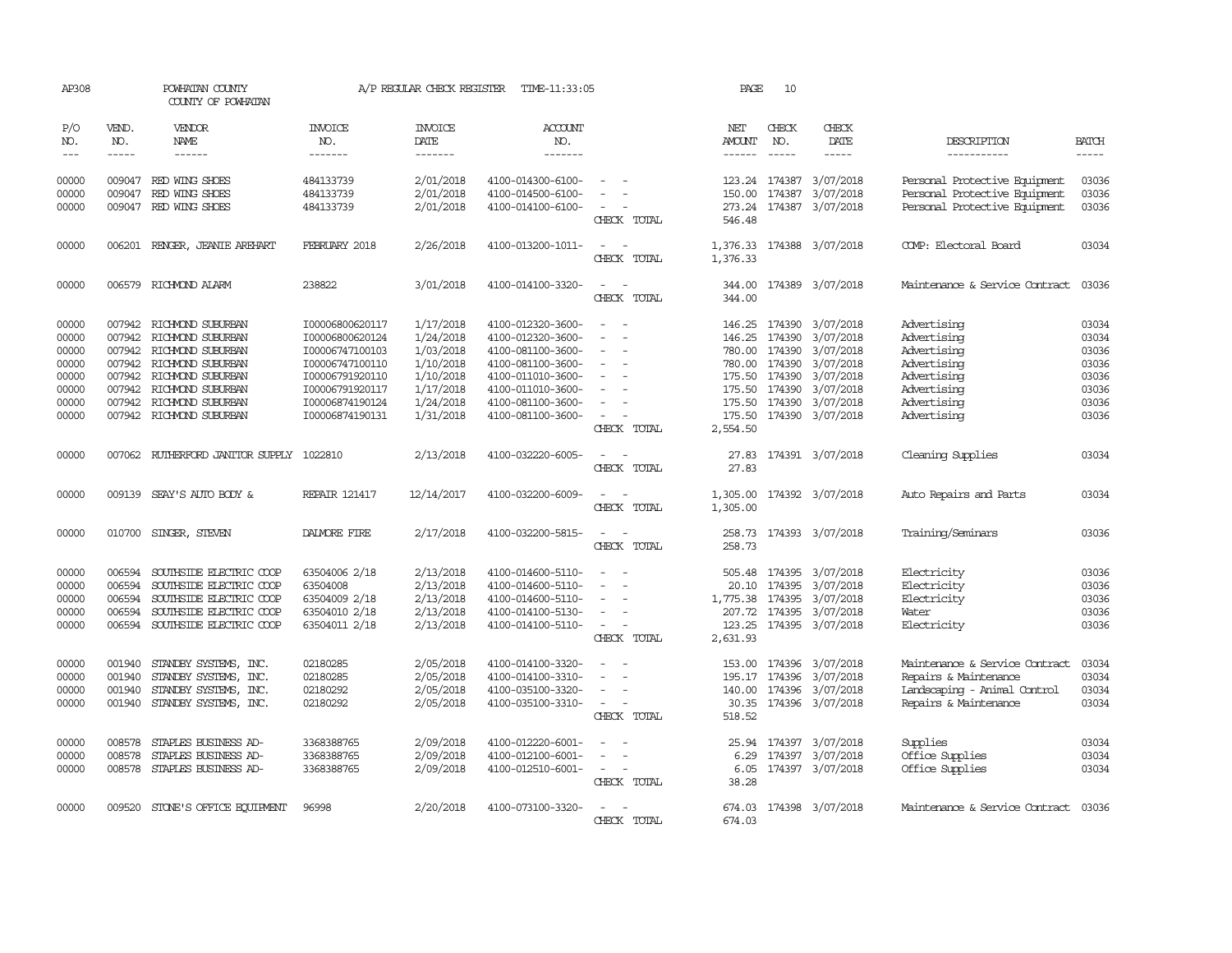| AP308                                                                |                                                                    | POWHATAN COUNTY<br>COUNTY OF POWHATAN                                                                                                                                       |                                                                                                                                                      | A/P REGULAR CHECK REGISTER                                                                           | TIME-11:33:05                                                                                                                                                        |                                                                                                                                                         | PAGE                           | 10                                                                  |                                                                                                                                                |                                                                                                                      |                                                                      |
|----------------------------------------------------------------------|--------------------------------------------------------------------|-----------------------------------------------------------------------------------------------------------------------------------------------------------------------------|------------------------------------------------------------------------------------------------------------------------------------------------------|------------------------------------------------------------------------------------------------------|----------------------------------------------------------------------------------------------------------------------------------------------------------------------|---------------------------------------------------------------------------------------------------------------------------------------------------------|--------------------------------|---------------------------------------------------------------------|------------------------------------------------------------------------------------------------------------------------------------------------|----------------------------------------------------------------------------------------------------------------------|----------------------------------------------------------------------|
| P/O<br>NO.<br>$\frac{1}{2}$                                          | VEND.<br>NO.<br>$- - - - -$                                        | VENDOR<br>NAME                                                                                                                                                              | <b>INVOICE</b><br>NO.<br>-------                                                                                                                     | <b>INVOICE</b><br>DATE<br>--------                                                                   | <b>ACCOUNT</b><br>NO.<br>-------                                                                                                                                     |                                                                                                                                                         | NET<br><b>AMOUNT</b><br>------ | CHECK<br>NO.<br>$- - - - -$                                         | CHECK<br>DATE                                                                                                                                  | DESCRIPTION<br>-----------                                                                                           | <b>BATCH</b><br>$- - - - -$                                          |
| 00000<br>00000<br>00000                                              | 009047<br>009047                                                   | RED WING SHOES<br>RED WING SHOES<br>009047 RED WING SHOES                                                                                                                   | 484133739<br>484133739<br>484133739                                                                                                                  | 2/01/2018<br>2/01/2018<br>2/01/2018                                                                  | 4100-014300-6100-<br>4100-014500-6100-<br>4100-014100-6100-                                                                                                          | $\sim$<br>CHECK TOTAL                                                                                                                                   | 150.00<br>273.24<br>546.48     |                                                                     | 123.24 174387 3/07/2018<br>174387 3/07/2018<br>174387 3/07/2018                                                                                | Personal Protective Equipment<br>Personal Protective Equipment<br>Personal Protective Equipment                      | 03036<br>03036<br>03036                                              |
| 00000                                                                |                                                                    | 006201 RENGER, JEANIE AREHART                                                                                                                                               | FEBRUARY 2018                                                                                                                                        | 2/26/2018                                                                                            | 4100-013200-1011-                                                                                                                                                    | $\frac{1}{2} \left( \frac{1}{2} \right) \left( \frac{1}{2} \right) = \frac{1}{2} \left( \frac{1}{2} \right)$<br>CHECK TOTAL                             | 1,376.33                       |                                                                     | 1,376.33 174388 3/07/2018                                                                                                                      | COMP: Electoral Board                                                                                                | 03034                                                                |
| 00000                                                                |                                                                    | 006579 RICHMOND ALARM                                                                                                                                                       | 238822                                                                                                                                               | 3/01/2018                                                                                            | 4100-014100-3320-                                                                                                                                                    | CHECK TOTAL                                                                                                                                             | 344.00                         |                                                                     | 344.00 174389 3/07/2018                                                                                                                        | Maintenance & Service Contract                                                                                       | 03036                                                                |
| 00000<br>00000<br>00000<br>00000<br>00000<br>00000<br>00000<br>00000 | 007942<br>007942<br>007942<br>007942<br>007942<br>007942<br>007942 | RICHMOND SUBURBAN<br>RICHMOND SUBURBAN<br>RICHMOND SUBURBAN<br>RICHMOND SUBURBAN<br>RICHMOND SUBURBAN<br>RICHMOND SUBURBAN<br>RICHMOND SUBURBAN<br>007942 RICHMOND SUBURBAN | I00006800620117<br>I00006800620124<br>I00006747100103<br>I00006747100110<br>I00006791920110<br>I00006791920117<br>I00006874190124<br>I00006874190131 | 1/17/2018<br>1/24/2018<br>1/03/2018<br>1/10/2018<br>1/10/2018<br>1/17/2018<br>1/24/2018<br>1/31/2018 | 4100-012320-3600-<br>4100-012320-3600-<br>4100-081100-3600-<br>4100-081100-3600-<br>4100-011010-3600-<br>4100-011010-3600-<br>4100-081100-3600-<br>4100-081100-3600- | $\overline{\phantom{a}}$<br>$\sim$<br>$\equiv$<br>$\overline{\phantom{a}}$<br>$\sim$<br>$\equiv$<br>$\equiv$<br>$\overline{\phantom{a}}$<br>CHECK TOTAL | 146.25<br>146.25<br>2,554.50   | 174390<br>174390<br>780.00 174390<br>175.50 174390<br>175.50 174390 | 3/07/2018<br>3/07/2018<br>780.00 174390 3/07/2018<br>3/07/2018<br>3/07/2018<br>3/07/2018<br>175.50 174390 3/07/2018<br>175.50 174390 3/07/2018 | Advertising<br>Advertising<br>Advertising<br>Advertising<br>Advertising<br>Advertising<br>Advertising<br>Advertising | 03034<br>03034<br>03036<br>03036<br>03036<br>03036<br>03036<br>03036 |
| 00000                                                                |                                                                    | 007062 RUIHERFORD JANITOR SUPPLY 1022810                                                                                                                                    |                                                                                                                                                      | 2/13/2018                                                                                            | 4100-032220-6005-                                                                                                                                                    | $\equiv$<br>CHECK TOTAL                                                                                                                                 | 27.83<br>27.83                 |                                                                     | 174391 3/07/2018                                                                                                                               | Cleaning Supplies                                                                                                    | 03034                                                                |
| 00000                                                                |                                                                    | 009139 SEAY'S AUTO BODY &                                                                                                                                                   | <b>REPAIR 121417</b>                                                                                                                                 | 12/14/2017                                                                                           | 4100-032200-6009-                                                                                                                                                    | $\sim$ $-$<br>CHECK TOTAL                                                                                                                               | 1,305.00                       |                                                                     | 1,305.00 174392 3/07/2018                                                                                                                      | Auto Repairs and Parts                                                                                               | 03034                                                                |
| 00000                                                                |                                                                    | 010700 SINGER, STEVEN                                                                                                                                                       | DALMORE FIRE                                                                                                                                         | 2/17/2018                                                                                            | 4100-032200-5815-                                                                                                                                                    | $\sim$ $-$<br>CHECK TOTAL                                                                                                                               | 258.73                         |                                                                     | 258.73 174393 3/07/2018                                                                                                                        | Training/Seminars                                                                                                    | 03036                                                                |
| 00000<br>00000<br>00000<br>00000<br>00000                            | 006594<br>006594<br>006594<br>006594                               | SOUTHSIDE ELECTRIC COOP<br>SOUTHSIDE ELECTRIC COOP<br>SOUTHSIDE ELECTRIC COOP<br>SOUTHSIDE ELECTRIC COOP<br>006594 SOUTHSIDE ELECTRIC COOP                                  | 63504006 2/18<br>63504008<br>63504009 2/18<br>63504010 2/18<br>63504011 2/18                                                                         | 2/13/2018<br>2/13/2018<br>2/13/2018<br>2/13/2018<br>2/13/2018                                        | 4100-014600-5110-<br>4100-014600-5110-<br>4100-014600-5110-<br>4100-014100-5130-<br>4100-014100-5110-                                                                | $\overline{\phantom{a}}$<br>$\equiv$<br>$\equiv$<br>$\sim$<br>CHECK TOTAL                                                                               | 20.10<br>123.25<br>2,631.93    |                                                                     | 505.48 174395 3/07/2018<br>174395 3/07/2018<br>1,775.38 174395 3/07/2018<br>207.72 174395 3/07/2018<br>174395 3/07/2018                        | Electricity<br>Electricity<br>Electricity<br>Water<br>Electricity                                                    | 03036<br>03036<br>03036<br>03036<br>03036                            |
| 00000<br>00000<br>00000<br>00000                                     | 001940<br>001940<br>001940                                         | STANDBY SYSTEMS, INC.<br>STANDBY SYSTEMS, INC.<br>STANDBY SYSTEMS, INC.<br>001940 STANDBY SYSTEMS, INC.                                                                     | 02180285<br>02180285<br>02180292<br>02180292                                                                                                         | 2/05/2018<br>2/05/2018<br>2/05/2018<br>2/05/2018                                                     | 4100-014100-3320-<br>4100-014100-3310-<br>4100-035100-3320-<br>4100-035100-3310-                                                                                     | $\sim$<br>CHECK TOTAL                                                                                                                                   | 153.00<br>518.52               |                                                                     | 174396 3/07/2018<br>195.17 174396 3/07/2018<br>140.00 174396 3/07/2018<br>30.35 174396 3/07/2018                                               | Maintenance & Service Contract<br>Repairs & Maintenance<br>Landscaping - Animal Control<br>Repairs & Maintenance     | 03034<br>03034<br>03034<br>03034                                     |
| 00000<br>00000<br>00000                                              | 008578<br>008578                                                   | STAPLES BUSINESS AD-<br>STAPLES BUSINESS AD-<br>008578 STAPLES BUSINESS AD-                                                                                                 | 3368388765<br>3368388765<br>3368388765                                                                                                               | 2/09/2018<br>2/09/2018<br>2/09/2018                                                                  | 4100-012220-6001-<br>4100-012100-6001-<br>4100-012510-6001-                                                                                                          | $\sim$ $-$<br>$\overline{\phantom{a}}$<br>$\sim$ $-$<br>CHECK TOTAL                                                                                     | 6.29<br>38.28                  |                                                                     | 25.94 174397 3/07/2018<br>174397 3/07/2018<br>6.05 174397 3/07/2018                                                                            | Supplies<br>Office Supplies<br>Office Supplies                                                                       | 03034<br>03034<br>03034                                              |
| 00000                                                                |                                                                    | 009520 STONE'S OFFICE EQUIPMENT                                                                                                                                             | 96998                                                                                                                                                | 2/20/2018                                                                                            | 4100-073100-3320-                                                                                                                                                    | $\equiv$<br>CHECK TOTAL                                                                                                                                 | 674.03                         |                                                                     | 674.03 174398 3/07/2018                                                                                                                        | Maintenance & Service Contract 03036                                                                                 |                                                                      |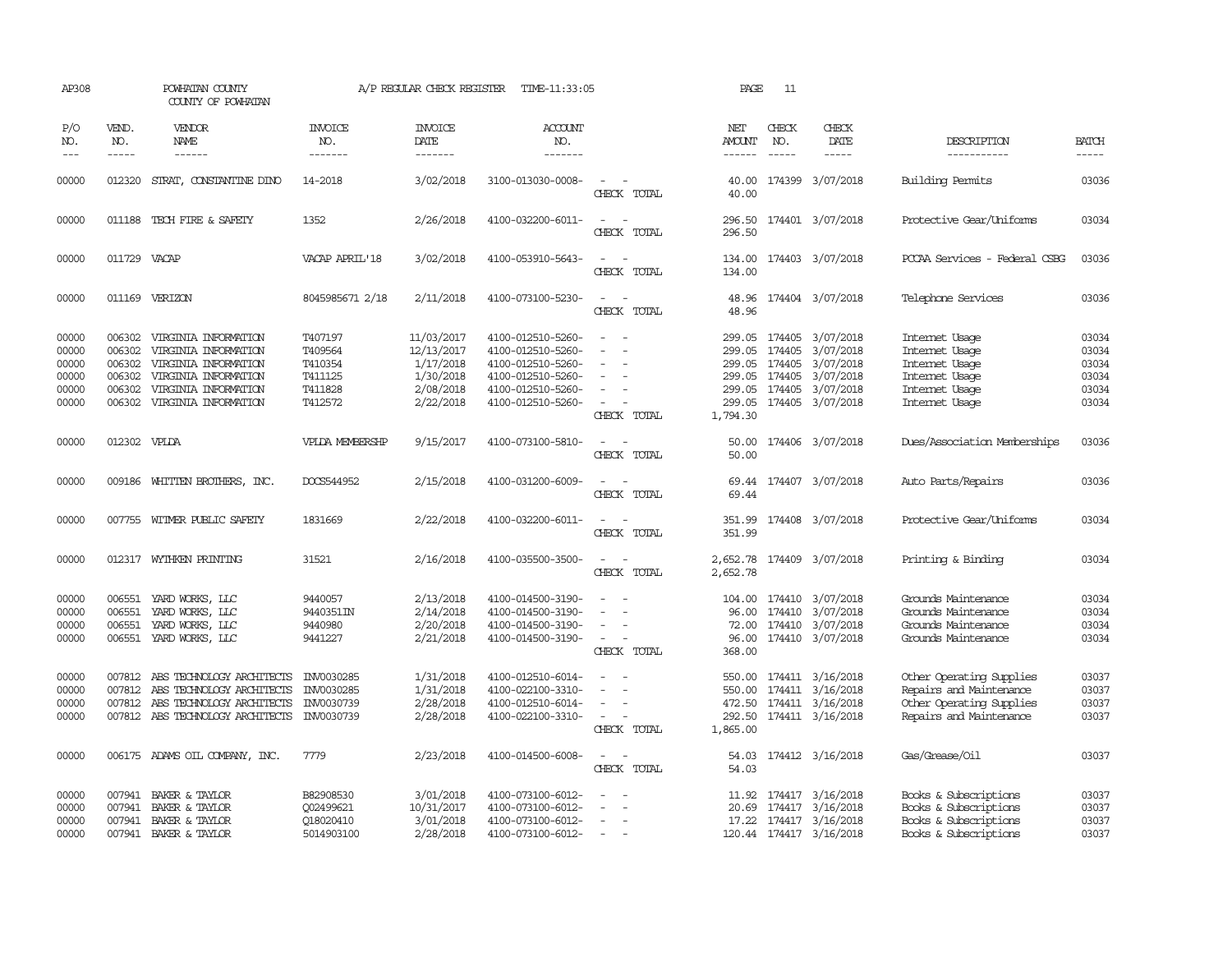| AP308                                              |                                                | POWHATAN COUNTY<br>COUNTY OF POWHATAN                                                                                                               |                                                                | A/P REGULAR CHECK REGISTER                                                   | TIME-11:33:05                                                                                                              |                                                     | PAGE                                                                 | 11                                   |                                                                                           |                                                                                                            |                                                    |
|----------------------------------------------------|------------------------------------------------|-----------------------------------------------------------------------------------------------------------------------------------------------------|----------------------------------------------------------------|------------------------------------------------------------------------------|----------------------------------------------------------------------------------------------------------------------------|-----------------------------------------------------|----------------------------------------------------------------------|--------------------------------------|-------------------------------------------------------------------------------------------|------------------------------------------------------------------------------------------------------------|----------------------------------------------------|
| P/O<br>NO.<br>$---$                                | VEND.<br>NO.<br>$\frac{1}{2}$                  | <b>VENDOR</b><br><b>NAME</b><br>$- - - - - -$                                                                                                       | <b>INVOICE</b><br>NO.<br>-------                               | <b>INVOICE</b><br><b>DATE</b><br>-------                                     | <b>ACCOUNT</b><br>NO.<br>-------                                                                                           |                                                     | NET<br>AMOUNT<br>------                                              | CHECK<br>NO.<br>$\frac{1}{2}$        | CHECK<br>DATE<br>$- - - - -$                                                              | DESCRIPTION<br>-----------                                                                                 | <b>BATCH</b><br>-----                              |
| 00000                                              |                                                | 012320 STRAT, CONSTANTINE DINO                                                                                                                      | 14-2018                                                        | 3/02/2018                                                                    | 3100-013030-0008-                                                                                                          | $\equiv$<br>CHECK TOTAL                             | 40.00<br>40.00                                                       |                                      | 174399 3/07/2018                                                                          | <b>Building Permits</b>                                                                                    | 03036                                              |
| 00000                                              |                                                | 011188 TECH FIRE & SAFEIY                                                                                                                           | 1352                                                           | 2/26/2018                                                                    | 4100-032200-6011-                                                                                                          | $\overline{\phantom{a}}$<br>CHECK TOTAL             | 296.50<br>296.50                                                     |                                      | 174401 3/07/2018                                                                          | Protective Gear/Uniforms                                                                                   | 03034                                              |
| 00000                                              | 011729 VACAP                                   |                                                                                                                                                     | VACAP APRIL'18                                                 | 3/02/2018                                                                    | 4100-053910-5643-                                                                                                          | $\sim$<br>CHECK TOTAL                               | 134.00<br>134.00                                                     |                                      | 174403 3/07/2018                                                                          | PCCAA Services - Federal CSBG                                                                              | 03036                                              |
| 00000                                              |                                                | 011169 VERIZON                                                                                                                                      | 8045985671 2/18                                                | 2/11/2018                                                                    | 4100-073100-5230-                                                                                                          | $\sim$ $\sim$<br>CHECK TOTAL                        | 48.96<br>48.96                                                       |                                      | 174404 3/07/2018                                                                          | Telephone Services                                                                                         | 03036                                              |
| 00000<br>00000<br>00000<br>00000<br>00000<br>00000 | 006302<br>006302<br>006302<br>006302<br>006302 | VIRGINIA INFORMATION<br>VIRGINIA INFORMATION<br>VIRGINIA INFORMATION<br>VIRGINIA INFORMATION<br>VIRGINIA INFORMATION<br>006302 VIRGINIA INFORMATION | T407197<br>T409564<br>T410354<br>T411125<br>T411828<br>T412572 | 11/03/2017<br>12/13/2017<br>1/17/2018<br>1/30/2018<br>2/08/2018<br>2/22/2018 | 4100-012510-5260-<br>4100-012510-5260-<br>4100-012510-5260-<br>4100-012510-5260-<br>4100-012510-5260-<br>4100-012510-5260- | $\overline{\phantom{a}}$<br>CHECK TOTAL             | 299.05<br>299.05<br>299.05<br>299.05<br>299.05<br>299.05<br>1,794.30 | 174405<br>174405<br>174405<br>174405 | 174405 3/07/2018<br>3/07/2018<br>3/07/2018<br>3/07/2018<br>3/07/2018<br>174405 3/07/2018  | Internet Usage<br>Internet Usage<br>Internet Usage<br>Internet Usage<br>Internet Usage<br>Internet Usage   | 03034<br>03034<br>03034<br>03034<br>03034<br>03034 |
| 00000                                              | 012302 VPLDA                                   |                                                                                                                                                     | <b>VPLDA MEMBERSHP</b>                                         | 9/15/2017                                                                    | 4100-073100-5810-                                                                                                          | CHECK TOTAL                                         | 50.00<br>50.00                                                       |                                      | 174406 3/07/2018                                                                          | Dues/Association Memberships                                                                               | 03036                                              |
| 00000                                              |                                                | 009186 WHITTEN BROTHERS, INC.                                                                                                                       | DOCS544952                                                     | 2/15/2018                                                                    | 4100-031200-6009-                                                                                                          | $\equiv$<br>CHECK TOTAL                             | 69.44<br>69.44                                                       |                                      | 174407 3/07/2018                                                                          | Auto Parts/Repairs                                                                                         | 03036                                              |
| 00000                                              |                                                | 007755 WITMER PUBLIC SAFETY                                                                                                                         | 1831669                                                        | 2/22/2018                                                                    | 4100-032200-6011-                                                                                                          | $ -$<br>CHECK TOTAL                                 | 351.99<br>351.99                                                     |                                      | 174408 3/07/2018                                                                          | Protective Gear/Uniforms                                                                                   | 03034                                              |
| 00000                                              |                                                | 012317 WYTHKEN PRINTING                                                                                                                             | 31521                                                          | 2/16/2018                                                                    | 4100-035500-3500-                                                                                                          | $\sim$<br>$\sim$<br>CHECK TOTAL                     | 2,652.78                                                             |                                      | 2,652.78 174409 3/07/2018                                                                 | Printing & Binding                                                                                         | 03034                                              |
| 00000<br>00000<br>00000<br>00000                   | 006551<br>006551<br>006551                     | YARD WORKS, LLC<br>YARD WORKS, LLC<br>YARD WORKS, LLC<br>006551 YARD WORKS, LLC                                                                     | 9440057<br>9440351IN<br>9440980<br>9441227                     | 2/13/2018<br>2/14/2018<br>2/20/2018<br>2/21/2018                             | 4100-014500-3190-<br>4100-014500-3190-<br>4100-014500-3190-<br>4100-014500-3190-                                           | $\equiv$<br>$\overline{\phantom{a}}$<br>CHECK TOTAL | 104.00<br>96.00<br>72.00<br>96.00<br>368.00                          | 174410                               | 174410 3/07/2018<br>3/07/2018<br>174410 3/07/2018<br>174410 3/07/2018                     | Grounds Maintenance<br>Grounds Maintenance<br>Grounds Maintenance<br>Grounds Maintenance                   | 03034<br>03034<br>03034<br>03034                   |
| 00000<br>00000<br>00000<br>00000                   | 007812<br>007812                               | 007812 ABS TECHNOLOGY ARCHITECTS<br>ABS TECHNOLOGY ARCHITECTS<br>ABS TECHNOLOGY ARCHITECTS<br>007812 ABS TECHNOLOGY ARCHITECTS                      | INV0030285<br>INV0030285<br>INV0030739<br>INV0030739           | 1/31/2018<br>1/31/2018<br>2/28/2018<br>2/28/2018                             | 4100-012510-6014-<br>4100-022100-3310-<br>4100-012510-6014-<br>4100-022100-3310-                                           | $\sim$<br>CHECK TOTAL                               | 550.00<br>550.00<br>472.50<br>292.50<br>1,865.00                     |                                      | 174411 3/16/2018<br>174411 3/16/2018<br>174411 3/16/2018<br>174411 3/16/2018              | Other Operating Supplies<br>Repairs and Maintenance<br>Other Operating Supplies<br>Repairs and Maintenance | 03037<br>03037<br>03037<br>03037                   |
| 00000                                              |                                                | 006175 ADAMS OIL COMPANY, INC.                                                                                                                      | 7779                                                           | 2/23/2018                                                                    | 4100-014500-6008-                                                                                                          | $\equiv$<br>CHECK TOTAL                             | 54.03<br>54.03                                                       |                                      | 174412 3/16/2018                                                                          | Gas/Grease/Oil                                                                                             | 03037                                              |
| 00000<br>00000<br>00000<br>00000                   | 007941<br>007941                               | BAKER & TAYLOR<br>BAKER & TAYLOR<br>007941 BAKER & TAYLOR<br>007941 BAKER & TAYLOR                                                                  | B82908530<br>002499621<br>018020410<br>5014903100              | 3/01/2018<br>10/31/2017<br>3/01/2018<br>2/28/2018                            | 4100-073100-6012-<br>4100-073100-6012-<br>4100-073100-6012-<br>4100-073100-6012-                                           | $\equiv$<br>$\sim$<br>$\sim$                        | 11.92<br>20.69                                                       |                                      | 174417 3/16/2018<br>174417 3/16/2018<br>17.22 174417 3/16/2018<br>120.44 174417 3/16/2018 | Books & Subscriptions<br>Books & Subscriptions<br>Books & Subscriptions<br>Books & Subscriptions           | 03037<br>03037<br>03037<br>03037                   |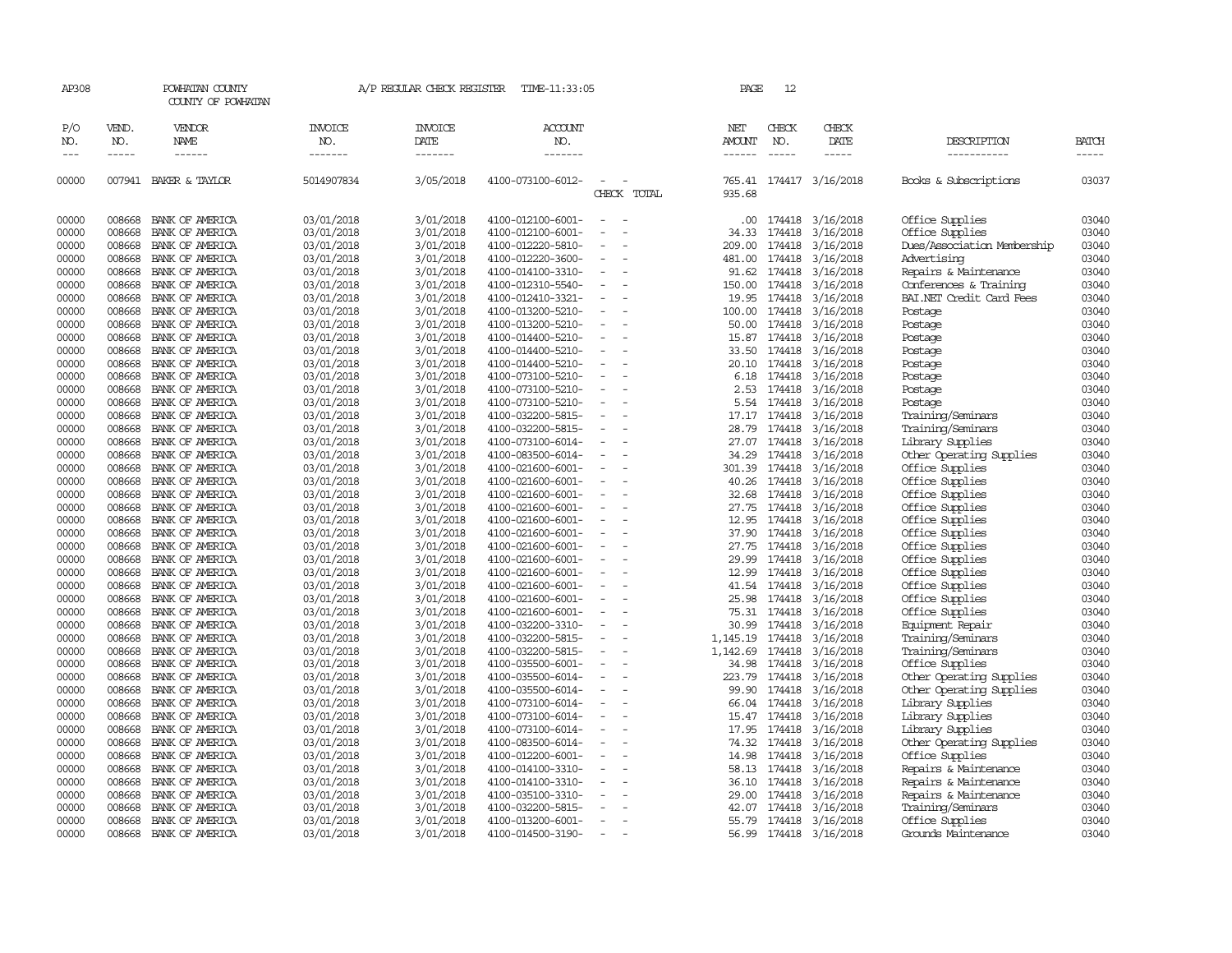| AP308               |                       | POWHATAN COUNTY<br>COUNTY OF POWHATAN  |                                  | A/P REGULAR CHECK REGISTER        | TIME-11:33:05                    |                                      | PAGE                                  | 12           |                         |                             |                       |
|---------------------|-----------------------|----------------------------------------|----------------------------------|-----------------------------------|----------------------------------|--------------------------------------|---------------------------------------|--------------|-------------------------|-----------------------------|-----------------------|
| P/O<br>NO.<br>$---$ | VEND.<br>NO.<br>----- | VENDOR<br><b>NAME</b><br>$- - - - - -$ | <b>INVOICE</b><br>NO.<br>------- | <b>INVOICE</b><br>DATE<br>------- | <b>ACCOUNT</b><br>NO.<br>------- |                                      | NET<br><b>AMOUNT</b><br>$- - - - - -$ | CHECK<br>NO. | CHECK<br>DATE<br>-----  | DESCRIPTION<br>-----------  | <b>BATCH</b><br>----- |
| 00000               |                       | 007941 BAKER & TAYLOR                  | 5014907834                       | 3/05/2018                         | 4100-073100-6012-                | CHECK TOTAL                          | 935.68                                |              | 765.41 174417 3/16/2018 | Books & Subscriptions       | 03037                 |
| 00000               | 008668                | BANK OF AMERICA                        | 03/01/2018                       | 3/01/2018                         | 4100-012100-6001-                |                                      | .00.                                  | 174418       | 3/16/2018               | Office Supplies             | 03040                 |
| 00000               | 008668                | BANK OF AMERICA                        | 03/01/2018                       | 3/01/2018                         | 4100-012100-6001-                |                                      | 34.33                                 | 174418       | 3/16/2018               | Office Supplies             | 03040                 |
| 00000               | 008668                | BANK OF AMERICA                        | 03/01/2018                       | 3/01/2018                         | 4100-012220-5810-                |                                      | 209.00                                | 174418       | 3/16/2018               | Dues/Association Membership | 03040                 |
| 00000               | 008668                | BANK OF AMERICA                        | 03/01/2018                       | 3/01/2018                         | 4100-012220-3600-                | $\sim$<br>$\overline{\phantom{a}}$   | 481.00                                | 174418       | 3/16/2018               | Advertising                 | 03040                 |
| 00000               | 008668                | BANK OF AMERICA                        | 03/01/2018                       | 3/01/2018                         | 4100-014100-3310-                |                                      | 91.62                                 | 174418       | 3/16/2018               | Repairs & Maintenance       | 03040                 |
| 00000               | 008668                | BANK OF AMERICA                        | 03/01/2018                       | 3/01/2018                         | 4100-012310-5540-                |                                      | 150.00                                | 174418       | 3/16/2018               | Conferences & Training      | 03040                 |
| 00000               | 008668                | BANK OF AMERICA                        | 03/01/2018                       | 3/01/2018                         | 4100-012410-3321-                | $\equiv$<br>$\overline{\phantom{a}}$ | 19.95                                 | 174418       | 3/16/2018               | BAI.NET Credit Card Fees    | 03040                 |
| 00000               | 008668                | BANK OF AMERICA                        | 03/01/2018                       | 3/01/2018                         | 4100-013200-5210-                | $\overline{\phantom{a}}$             | 100.00                                | 174418       | 3/16/2018               | Postage                     | 03040                 |
| 00000               | 008668                | BANK OF AMERICA                        | 03/01/2018                       | 3/01/2018                         | 4100-013200-5210-                |                                      | 50.00                                 | 174418       | 3/16/2018               | Postage                     | 03040                 |
| 00000               | 008668                | BANK OF AMERICA                        | 03/01/2018                       | 3/01/2018                         | 4100-014400-5210-                |                                      |                                       | 15.87 174418 | 3/16/2018               | Postage                     | 03040                 |
| 00000               | 008668                | BANK OF AMERICA                        | 03/01/2018                       | 3/01/2018                         | 4100-014400-5210-                | $\sim$<br>$\overline{\phantom{a}}$   |                                       | 33.50 174418 | 3/16/2018               | Postage                     | 03040                 |
| 00000               | 008668                | BANK OF AMERICA                        | 03/01/2018                       | 3/01/2018                         | 4100-014400-5210-                |                                      | 20.10                                 | 174418       | 3/16/2018               | Postage                     | 03040                 |
| 00000               | 008668                | BANK OF AMERICA                        | 03/01/2018                       | 3/01/2018                         | 4100-073100-5210-                |                                      | 6.18                                  | 174418       | 3/16/2018               | Postage                     | 03040                 |
| 00000               | 008668                | BANK OF AMERICA                        | 03/01/2018                       | 3/01/2018                         | 4100-073100-5210-                | $\equiv$                             | 2.53                                  | 174418       | 3/16/2018               | Postage                     | 03040                 |
| 00000               | 008668                | BANK OF AMERICA                        | 03/01/2018                       | 3/01/2018                         | 4100-073100-5210-                | $\overline{\phantom{a}}$             | 5.54                                  | 174418       | 3/16/2018               | Postage                     | 03040                 |
| 00000               | 008668                | BANK OF AMERICA                        | 03/01/2018                       | 3/01/2018                         | 4100-032200-5815-                |                                      | 17.17                                 | 174418       | 3/16/2018               | Training/Seminars           | 03040                 |
| 00000               | 008668                | BANK OF AMERICA                        | 03/01/2018                       | 3/01/2018                         | 4100-032200-5815-                |                                      | 28.79                                 | 174418       | 3/16/2018               | Training/Seminars           | 03040                 |
| 00000               | 008668                | BANK OF AMERICA                        | 03/01/2018                       | 3/01/2018                         | 4100-073100-6014-                | $\equiv$<br>$\overline{\phantom{a}}$ |                                       | 27.07 174418 | 3/16/2018               | Library Supplies            | 03040                 |
| 00000               | 008668                | BANK OF AMERICA                        | 03/01/2018                       | 3/01/2018                         | 4100-083500-6014-                |                                      | 34.29                                 | 174418       | 3/16/2018               | Other Operating Supplies    | 03040                 |
| 00000               | 008668                | BANK OF AMERICA                        | 03/01/2018                       | 3/01/2018                         | 4100-021600-6001-                |                                      | 301.39                                | 174418       | 3/16/2018               | Office Supplies             | 03040                 |
| 00000               | 008668                | BANK OF AMERICA                        | 03/01/2018                       | 3/01/2018                         | 4100-021600-6001-                | $\overline{\phantom{a}}$             | 40.26                                 | 174418       | 3/16/2018               | Office Supplies             | 03040                 |
| 00000               | 008668                | BANK OF AMERICA                        | 03/01/2018                       | 3/01/2018                         | 4100-021600-6001-                | $\overline{\phantom{a}}$             | 32.68                                 | 174418       | 3/16/2018               | Office Supplies             | 03040                 |
| 00000               | 008668                | BANK OF AMERICA                        | 03/01/2018                       | 3/01/2018                         | 4100-021600-6001-                |                                      | 27.75                                 | 174418       | 3/16/2018               | Office Supplies             | 03040                 |
| 00000               | 008668                | BANK OF AMERICA                        | 03/01/2018                       | 3/01/2018                         | 4100-021600-6001-                |                                      | 12.95                                 | 174418       | 3/16/2018               | Office Supplies             | 03040                 |
| 00000               | 008668                | BANK OF AMERICA                        | 03/01/2018                       | 3/01/2018                         | 4100-021600-6001-                | $\sim$                               |                                       | 37.90 174418 | 3/16/2018               | Office Supplies             | 03040                 |
| 00000               | 008668                | BANK OF AMERICA                        | 03/01/2018                       | 3/01/2018                         | 4100-021600-6001-                |                                      | 27.75                                 | 174418       | 3/16/2018               | Office Supplies             | 03040                 |
| 00000               | 008668                | BANK OF AMERICA                        | 03/01/2018                       | 3/01/2018                         | 4100-021600-6001-                |                                      |                                       | 29.99 174418 | 3/16/2018               | Office Supplies             | 03040                 |
| 00000               | 008668                | BANK OF AMERICA                        | 03/01/2018                       | 3/01/2018                         | 4100-021600-6001-                | $\overline{\phantom{a}}$             | 12.99                                 | 174418       | 3/16/2018               | Office Supplies             | 03040                 |
| 00000               | 008668                | BANK OF AMERICA                        | 03/01/2018                       | 3/01/2018                         | 4100-021600-6001-                |                                      | 41.54                                 | 174418       | 3/16/2018               | Office Supplies             | 03040                 |
| 00000               | 008668                | BANK OF AMERICA                        | 03/01/2018                       | 3/01/2018                         | 4100-021600-6001-                |                                      | 25.98                                 | 174418       | 3/16/2018               | Office Supplies             | 03040                 |
| 00000               | 008668                | BANK OF AMERICA                        | 03/01/2018                       | 3/01/2018                         | 4100-021600-6001-                |                                      | 75.31                                 | 174418       | 3/16/2018               | Office Supplies             | 03040                 |
| 00000               | 008668                | BANK OF AMERICA                        | 03/01/2018                       | 3/01/2018                         | 4100-032200-3310-                | $\sim$<br>$\overline{\phantom{a}}$   | 30.99                                 | 174418       | 3/16/2018               | Equipment Repair            | 03040                 |
| 00000               | 008668                | BANK OF AMERICA                        | 03/01/2018                       | 3/01/2018                         | 4100-032200-5815-                |                                      | 1,145.19                              | 174418       | 3/16/2018               | Training/Seminars           | 03040                 |
| 00000               | 008668                | BANK OF AMERICA                        | 03/01/2018                       | 3/01/2018                         | 4100-032200-5815-                |                                      | 1,142.69                              | 174418       | 3/16/2018               | Training/Seminars           | 03040                 |
| 00000               | 008668                | BANK OF AMERICA                        | 03/01/2018                       | 3/01/2018                         | 4100-035500-6001-                | $\overline{\phantom{a}}$             | 34.98                                 | 174418       | 3/16/2018               | Office Supplies             | 03040                 |
| 00000               | 008668                | BANK OF AMERICA                        | 03/01/2018                       | 3/01/2018                         | 4100-035500-6014-                |                                      | 223.79                                | 174418       | 3/16/2018               | Other Operating Supplies    | 03040                 |
| 00000               | 008668                | BANK OF AMERICA                        | 03/01/2018                       | 3/01/2018                         | 4100-035500-6014-                |                                      | 99.90                                 | 174418       | 3/16/2018               | Other Operating Supplies    | 03040                 |
| 00000               | 008668                | BANK OF AMERICA                        | 03/01/2018                       | 3/01/2018                         | 4100-073100-6014-                |                                      | 66.04                                 | 174418       | 3/16/2018               | Library Supplies            | 03040                 |
| 00000               | 008668                | BANK OF AMERICA                        | 03/01/2018                       | 3/01/2018                         | 4100-073100-6014-                | $\sim$<br>$\overline{\phantom{a}}$   |                                       | 15.47 174418 | 3/16/2018               | Library Supplies            | 03040                 |
| 00000               | 008668                | BANK OF AMERICA                        | 03/01/2018                       | 3/01/2018                         | 4100-073100-6014-                |                                      | 17.95                                 | 174418       | 3/16/2018               | Library Supplies            | 03040                 |
| 00000               | 008668                | BANK OF AMERICA                        | 03/01/2018                       | 3/01/2018                         | 4100-083500-6014-                |                                      |                                       | 74.32 174418 | 3/16/2018               | Other Operating Supplies    | 03040                 |
| 00000               | 008668                | BANK OF AMERICA                        | 03/01/2018                       | 3/01/2018                         | 4100-012200-6001-                | $\overline{\phantom{a}}$             | 14.98                                 | 174418       | 3/16/2018               | Office Supplies             | 03040                 |
| 00000               | 008668                | BANK OF AMERICA                        | 03/01/2018                       | 3/01/2018                         | 4100-014100-3310-                |                                      | 58.13                                 | 174418       | 3/16/2018               | Repairs & Maintenance       | 03040                 |
| 00000               | 008668                | BANK OF AMERICA                        | 03/01/2018                       | 3/01/2018                         | 4100-014100-3310-                |                                      | 36.10                                 | 174418       | 3/16/2018               | Repairs & Maintenance       | 03040                 |
| 00000               | 008668                | BANK OF AMERICA                        | 03/01/2018                       | 3/01/2018                         | 4100-035100-3310-                |                                      | 29.00                                 | 174418       | 3/16/2018               | Repairs & Maintenance       | 03040                 |
| 00000               | 008668                | BANK OF AMERICA                        | 03/01/2018                       | 3/01/2018                         | 4100-032200-5815-                |                                      |                                       | 42.07 174418 | 3/16/2018               | Training/Seminars           | 03040                 |
| 00000               | 008668                | BANK OF AMERICA                        | 03/01/2018                       | 3/01/2018                         | 4100-013200-6001-                |                                      | 55.79                                 | 174418       | 3/16/2018               | Office Supplies             | 03040                 |
| 00000               | 008668                | BANK OF AMERICA                        | 03/01/2018                       | 3/01/2018                         | 4100-014500-3190-                | $\overline{\phantom{a}}$             |                                       | 56.99 174418 | 3/16/2018               | Grounds Maintenance         | 03040                 |
|                     |                       |                                        |                                  |                                   |                                  |                                      |                                       |              |                         |                             |                       |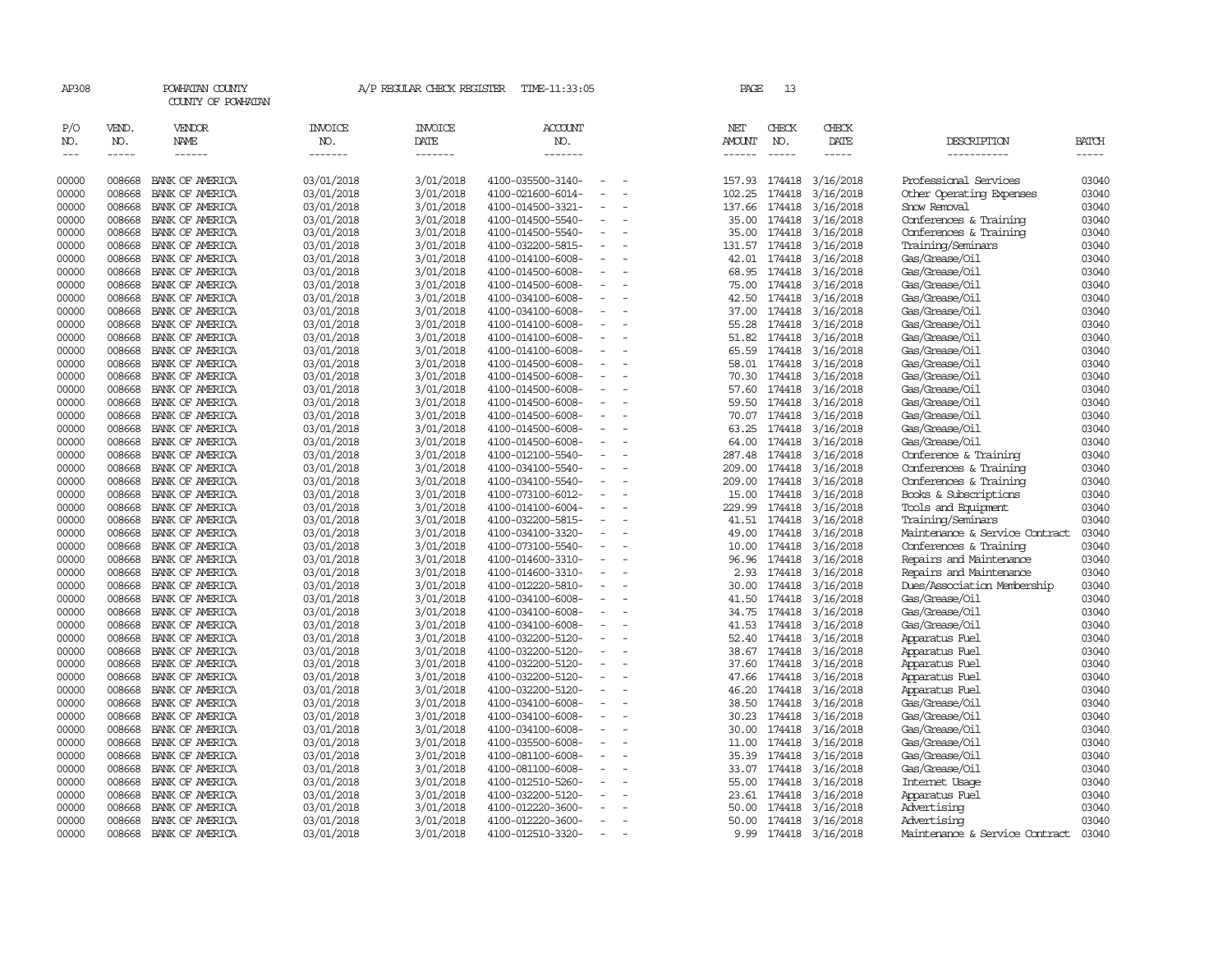| AP308                       |                             | POWHATAN COUNTY<br>COUNTY OF POWHATAN  |                                  | A/P REGULAR CHECK REGISTER        | TIME-11:33:05                    |                          | PAGE                                  | 13           |                               |                                |                |
|-----------------------------|-----------------------------|----------------------------------------|----------------------------------|-----------------------------------|----------------------------------|--------------------------|---------------------------------------|--------------|-------------------------------|--------------------------------|----------------|
| P/O<br>NO.<br>$\frac{1}{2}$ | VEND.<br>NO.<br>$- - - - -$ | VENDOR<br><b>NAME</b><br>$- - - - - -$ | <b>INVOICE</b><br>NO.<br>------- | <b>INVOICE</b><br>DATE<br>------- | <b>ACCOUNT</b><br>NO.<br>------- |                          | NET<br><b>AMOUNT</b><br>$- - - - - -$ | CHECK<br>NO. | CHECK<br><b>DATE</b><br>----- | DESCRIPTION<br>-----------     | BATCH<br>----- |
| 00000                       | 008668                      | BANK OF AMERICA                        | 03/01/2018                       | 3/01/2018                         | 4100-035500-3140-                | $\overline{\phantom{a}}$ | 157.93                                | 174418       | 3/16/2018                     | Professional Services          | 03040          |
| 00000                       | 008668                      | BANK OF AMERICA                        | 03/01/2018                       | 3/01/2018                         | 4100-021600-6014-                |                          | 102.25                                | 174418       | 3/16/2018                     | Other Operating Expenses       | 03040          |
| 00000                       | 008668                      | BANK OF AMERICA                        | 03/01/2018                       | 3/01/2018                         | 4100-014500-3321-                | $\overline{\phantom{a}}$ | 137.66                                | 174418       | 3/16/2018                     | Snow Removal                   | 03040          |
| 00000                       | 008668                      | BANK OF AMERICA                        | 03/01/2018                       | 3/01/2018                         | 4100-014500-5540-                | $\overline{\phantom{a}}$ | 35.00                                 | 174418       | 3/16/2018                     | Conferences & Training         | 03040          |
| 00000                       | 008668                      | BANK OF AMERICA                        | 03/01/2018                       | 3/01/2018                         | 4100-014500-5540-                | $\equiv$                 | 35.00                                 | 174418       | 3/16/2018                     | Conferences & Training         | 03040          |
| 00000                       | 008668                      | BANK OF AMERICA                        | 03/01/2018                       | 3/01/2018                         | 4100-032200-5815-                |                          | 131.57                                | 174418       | 3/16/2018                     | Training/Seminars              | 03040          |
| 00000                       | 008668                      | BANK OF AMERICA                        | 03/01/2018                       | 3/01/2018                         | 4100-014100-6008-                | $\equiv$                 | 42.01                                 | 174418       | 3/16/2018                     | Gas/Grease/Oil                 | 03040          |
| 00000                       | 008668                      | BANK OF AMERICA                        | 03/01/2018                       | 3/01/2018                         | 4100-014500-6008-                |                          | 68.95                                 | 174418       | 3/16/2018                     | Gas/Grease/Oil                 | 03040          |
| 00000                       | 008668                      | BANK OF AMERICA                        | 03/01/2018                       | 3/01/2018                         | 4100-014500-6008-                |                          | 75.00                                 | 174418       | 3/16/2018                     | Gas/Grease/Oil                 | 03040          |
| 00000                       | 008668                      | BANK OF AMERICA                        | 03/01/2018                       | 3/01/2018                         | 4100-034100-6008-                | $\overline{\phantom{a}}$ | 42.50                                 | 174418       | 3/16/2018                     | Gas/Grease/Oil                 | 03040          |
| 00000                       | 008668                      | BANK OF AMERICA                        | 03/01/2018                       | 3/01/2018                         | 4100-034100-6008-                |                          | 37.00                                 | 174418       | 3/16/2018                     | Gas/Grease/Oil                 | 03040          |
| 00000                       | 008668                      | BANK OF AMERICA                        | 03/01/2018                       | 3/01/2018                         | 4100-014100-6008-                | $\equiv$                 | 55.28                                 | 174418       | 3/16/2018                     | Gas/Grease/Oil                 | 03040          |
| 00000                       | 008668                      | BANK OF AMERICA                        | 03/01/2018                       | 3/01/2018                         | 4100-014100-6008-                |                          | 51.82                                 | 174418       | 3/16/2018                     | Gas/Grease/Oil                 | 03040          |
| 00000                       | 008668                      | BANK OF AMERICA                        | 03/01/2018                       | 3/01/2018                         | 4100-014100-6008-                | $\omega$                 | 65.59                                 | 174418       | 3/16/2018                     | Gas/Grease/Oil                 | 03040          |
| 00000                       | 008668                      | BANK OF AMERICA                        | 03/01/2018                       | 3/01/2018                         | 4100-014500-6008-                |                          | 58.01                                 | 174418       | 3/16/2018                     | Gas/Grease/Oil                 | 03040          |
| 00000                       | 008668                      | BANK OF AMERICA                        | 03/01/2018                       | 3/01/2018                         | 4100-014500-6008-                |                          | 70.30                                 | 174418       | 3/16/2018                     | Gas/Grease/Oil                 | 03040          |
| 00000                       | 008668                      | BANK OF AMERICA                        | 03/01/2018                       | 3/01/2018                         | 4100-014500-6008-                | $\equiv$                 | 57.60                                 | 174418       | 3/16/2018                     | Gas/Grease/Oil                 | 03040          |
| 00000                       | 008668                      | BANK OF AMERICA                        | 03/01/2018                       | 3/01/2018                         | 4100-014500-6008-                |                          | 59.50                                 | 174418       | 3/16/2018                     | Gas/Grease/Oil                 | 03040          |
| 00000                       | 008668                      | BANK OF AMERICA                        | 03/01/2018                       | 3/01/2018                         | 4100-014500-6008-                |                          | 70.07                                 | 174418       | 3/16/2018                     | Gas/Grease/Oil                 | 03040          |
| 00000                       | 008668                      | BANK OF AMERICA                        | 03/01/2018                       | 3/01/2018                         | 4100-014500-6008-                |                          | 63.25                                 | 174418       | 3/16/2018                     | Gas/Grease/Oil                 | 03040          |
| 00000                       | 008668                      | BANK OF AMERICA                        | 03/01/2018                       | 3/01/2018                         | 4100-014500-6008-                | $\overline{\phantom{a}}$ | 64.00                                 | 174418       | 3/16/2018                     | Gas/Grease/Oil                 | 03040          |
| 00000                       | 008668                      | BANK OF AMERICA                        | 03/01/2018                       | 3/01/2018                         | 4100-012100-5540-                | $\equiv$                 | 287.48                                | 174418       | 3/16/2018                     | Conference & Training          | 03040          |
| 00000                       | 008668                      | BANK OF AMERICA                        | 03/01/2018                       | 3/01/2018                         | 4100-034100-5540-                |                          | 209.00                                | 174418       | 3/16/2018                     | Conferences & Training         | 03040          |
| 00000                       | 008668                      | BANK OF AMERICA                        | 03/01/2018                       | 3/01/2018                         | 4100-034100-5540-                | $\equiv$                 | 209.00                                | 174418       | 3/16/2018                     | Conferences & Training         | 03040          |
| 00000                       | 008668                      | BANK OF AMERICA                        | 03/01/2018                       | 3/01/2018                         | 4100-073100-6012-                |                          | 15.00                                 | 174418       | 3/16/2018                     | Books & Subscriptions          | 03040          |
| 00000                       | 008668                      | BANK OF AMERICA                        | 03/01/2018                       | 3/01/2018                         | 4100-014100-6004-                | $\equiv$                 | 229.99                                | 174418       | 3/16/2018                     | Tools and Equipment            | 03040          |
| 00000                       | 008668                      | BANK OF AMERICA                        | 03/01/2018                       | 3/01/2018                         | 4100-032200-5815-                |                          | 41.51                                 | 174418       | 3/16/2018                     | Training/Seminars              | 03040          |
| 00000                       | 008668                      | BANK OF AMERICA                        | 03/01/2018                       | 3/01/2018                         | 4100-034100-3320-                | $\overline{\phantom{a}}$ | 49.00                                 | 174418       | 3/16/2018                     | Maintenance & Service Contract | 03040          |
| 00000                       | 008668                      | BANK OF AMERICA                        | 03/01/2018                       | 3/01/2018                         | 4100-073100-5540-                | $\overline{\phantom{a}}$ | 10.00                                 | 174418       | 3/16/2018                     | Conferences & Training         | 03040          |
| 00000                       | 008668                      | BANK OF AMERICA                        | 03/01/2018                       | 3/01/2018                         | 4100-014600-3310-                |                          | 96.96                                 | 174418       | 3/16/2018                     | Repairs and Maintenance        | 03040          |
| 00000                       | 008668                      | BANK OF AMERICA                        | 03/01/2018                       | 3/01/2018                         | 4100-014600-3310-                | $\equiv$                 | 2.93                                  | 174418       | 3/16/2018                     | Repairs and Maintenance        | 03040          |
| 00000                       | 008668                      | BANK OF AMERICA                        | 03/01/2018                       | 3/01/2018                         | 4100-012220-5810-                |                          | 30.00                                 | 174418       | 3/16/2018                     | Dues/Association Membership    | 03040          |
| 00000                       | 008668                      | BANK OF AMERICA                        | 03/01/2018                       | 3/01/2018                         | 4100-034100-6008-                |                          | 41.50                                 | 174418       | 3/16/2018                     | Gas/Grease/Oil                 | 03040          |
| 00000                       | 008668                      | BANK OF AMERICA                        | 03/01/2018                       | 3/01/2018                         | 4100-034100-6008-                |                          | 34.75                                 | 174418       | 3/16/2018                     | Gas/Grease/Oil                 | 03040          |
| 00000                       | 008668                      | BANK OF AMERICA                        | 03/01/2018                       | 3/01/2018                         | 4100-034100-6008-                | $\equiv$                 | 41.53                                 | 174418       | 3/16/2018                     | Gas/Grease/Oil                 | 03040          |
| 00000                       | 008668                      | BANK OF AMERICA                        | 03/01/2018                       | 3/01/2018                         | 4100-032200-5120-                | $\equiv$                 | 52.40                                 | 174418       | 3/16/2018                     | Apparatus Fuel                 | 03040          |
| 00000                       | 008668                      | BANK OF AMERICA                        | 03/01/2018                       | 3/01/2018                         | 4100-032200-5120-                |                          | 38.67                                 | 174418       | 3/16/2018                     | Apparatus Fuel                 | 03040          |
| 00000                       | 008668                      | BANK OF AMERICA                        | 03/01/2018                       | 3/01/2018                         | 4100-032200-5120-                | $\equiv$                 | 37.60                                 | 174418       | 3/16/2018                     | Apparatus Fuel                 | 03040          |
| 00000                       | 008668                      | BANK OF AMERICA                        | 03/01/2018                       | 3/01/2018                         | 4100-032200-5120-                |                          | 47.66                                 | 174418       | 3/16/2018                     | Apparatus Fuel                 | 03040          |
| 00000                       | 008668                      | BANK OF AMERICA                        | 03/01/2018                       | 3/01/2018                         | 4100-032200-5120-                |                          | 46.20                                 | 174418       | 3/16/2018                     | Apparatus Fuel                 | 03040          |
| 00000                       | 008668                      | BANK OF AMERICA                        | 03/01/2018                       | 3/01/2018                         | 4100-034100-6008-                | $\equiv$                 | 38.50                                 | 174418       | 3/16/2018                     | Gas/Grease/Oil                 | 03040          |
| 00000                       | 008668                      | BANK OF AMERICA                        | 03/01/2018                       | 3/01/2018                         | 4100-034100-6008-                | $\overline{\phantom{a}}$ | 30.23                                 | 174418       | 3/16/2018                     | Gas/Grease/Oil                 | 03040          |
| 00000                       | 008668                      | BANK OF AMERICA                        | 03/01/2018                       | 3/01/2018                         | 4100-034100-6008-                |                          | 30.00                                 | 174418       | 3/16/2018                     | Gas/Grease/Oil                 | 03040          |
| 00000                       | 008668                      | BANK OF AMERICA                        | 03/01/2018                       | 3/01/2018                         | 4100-035500-6008-                |                          | 11.00                                 | 174418       | 3/16/2018                     | Gas/Grease/Oil                 | 03040          |
| 00000                       | 008668                      | BANK OF AMERICA                        | 03/01/2018                       | 3/01/2018                         | 4100-081100-6008-                | $\equiv$                 | 35.39                                 | 174418       | 3/16/2018                     | Gas/Grease/Oil                 | 03040          |
| 00000                       | 008668                      | BANK OF AMERICA                        | 03/01/2018                       | 3/01/2018                         | 4100-081100-6008-                |                          | 33.07                                 | 174418       | 3/16/2018                     | Gas/Grease/Oil                 | 03040          |
| 00000                       | 008668                      | BANK OF AMERICA                        | 03/01/2018                       | 3/01/2018                         | 4100-012510-5260-                |                          | 55.00                                 | 174418       | 3/16/2018                     | Internet Usage                 | 03040          |
| 00000                       | 008668                      | BANK OF AMERICA                        | 03/01/2018                       | 3/01/2018                         | 4100-032200-5120-                | $\equiv$                 | 23.61                                 | 174418       | 3/16/2018                     | Apparatus Fuel                 | 03040          |
| 00000                       | 008668                      | BANK OF AMERICA                        | 03/01/2018                       | 3/01/2018                         | 4100-012220-3600-                |                          | 50.00                                 | 174418       | 3/16/2018                     | Advertising                    | 03040          |
| 00000                       | 008668                      | BANK OF AMERICA                        | 03/01/2018                       | 3/01/2018                         | 4100-012220-3600-                | $\equiv$                 | 50.00                                 | 174418       | 3/16/2018                     | Advertising                    | 03040          |
| 00000                       | 008668                      | BANK OF AMERICA                        | 03/01/2018                       | 3/01/2018                         | 4100-012510-3320-                | $\sim$                   | 9.99                                  |              | 174418 3/16/2018              | Maintenance & Service Contract | 03040          |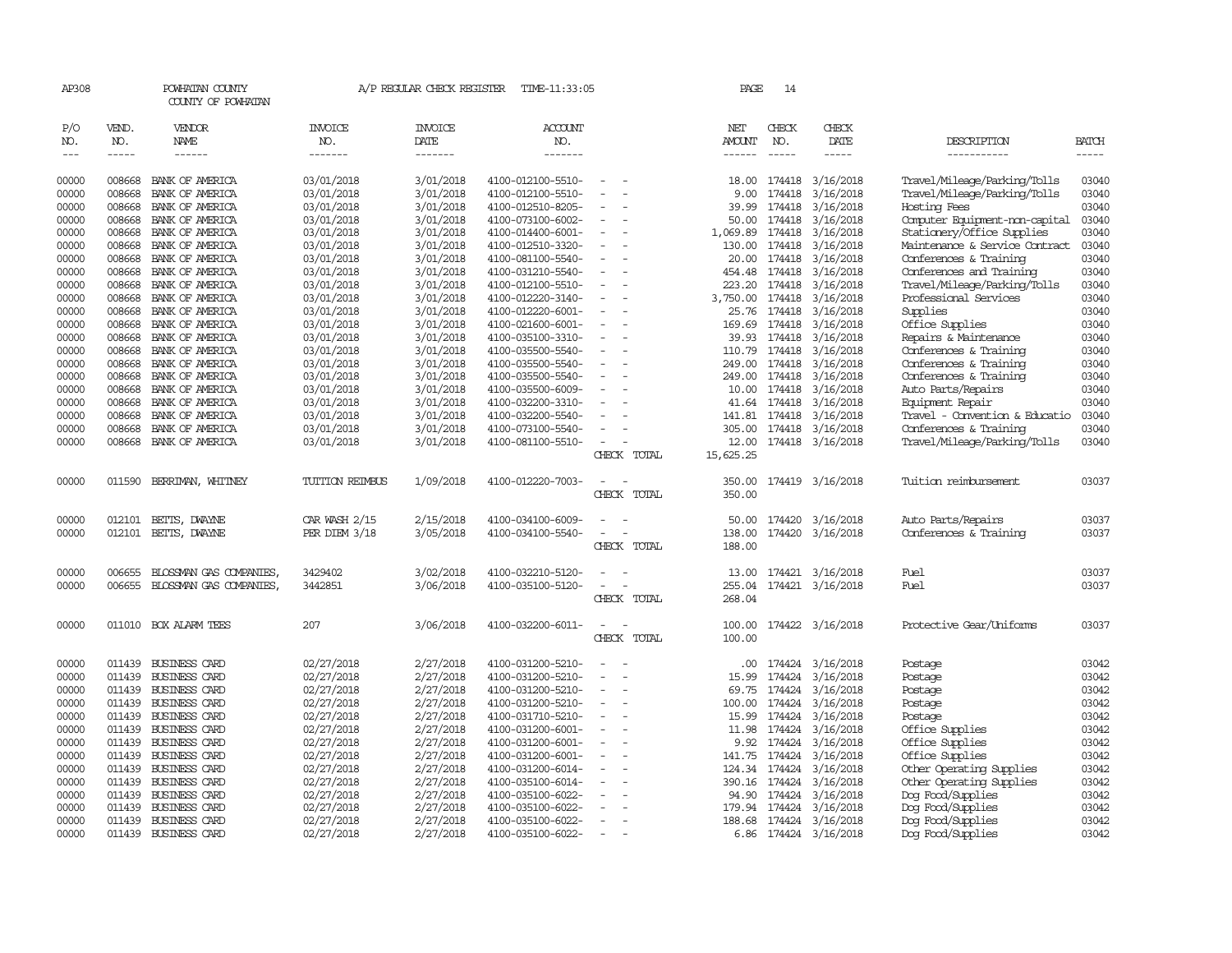| AP308      |                                                                                                                                                                                                                                                                                                                                                                                                                                                                                     | POWHATAN COUNTY<br>COUNTY OF POWHATAN |                       | A/P REGULAR CHECK REGISTER | TIME-11:33:05         |                                    | PAGE             | 14            |                         |                                |              |
|------------|-------------------------------------------------------------------------------------------------------------------------------------------------------------------------------------------------------------------------------------------------------------------------------------------------------------------------------------------------------------------------------------------------------------------------------------------------------------------------------------|---------------------------------------|-----------------------|----------------------------|-----------------------|------------------------------------|------------------|---------------|-------------------------|--------------------------------|--------------|
| P/O<br>NO. | VEND.<br>NO.                                                                                                                                                                                                                                                                                                                                                                                                                                                                        | VENDOR<br>NAME                        | <b>INVOICE</b><br>NO. | <b>INVOICE</b><br>DATE     | <b>ACCOUNT</b><br>NO. |                                    | NET<br>AMOUNT    | CHECK<br>NO.  | CHECK<br>DATE           | DESCRIPTION                    | <b>BATCH</b> |
| $---$      | $\begin{tabular}{ccccc} \multicolumn{2}{c}{} & \multicolumn{2}{c}{} & \multicolumn{2}{c}{} & \multicolumn{2}{c}{} & \multicolumn{2}{c}{} & \multicolumn{2}{c}{} & \multicolumn{2}{c}{} & \multicolumn{2}{c}{} & \multicolumn{2}{c}{} & \multicolumn{2}{c}{} & \multicolumn{2}{c}{} & \multicolumn{2}{c}{} & \multicolumn{2}{c}{} & \multicolumn{2}{c}{} & \multicolumn{2}{c}{} & \multicolumn{2}{c}{} & \multicolumn{2}{c}{} & \multicolumn{2}{c}{} & \multicolumn{2}{c}{} & \mult$ | $- - - - - -$                         | -------               | -------                    | -------               |                                    | ------           | $- - - - -$   | -----                   | -----------                    | $- - - - -$  |
| 00000      | 008668                                                                                                                                                                                                                                                                                                                                                                                                                                                                              | BANK OF AMERICA                       | 03/01/2018            | 3/01/2018                  | 4100-012100-5510-     | $\sim$                             |                  | 18.00 174418  | 3/16/2018               | Travel/Mileage/Parking/Tolls   | 03040        |
| 00000      | 008668                                                                                                                                                                                                                                                                                                                                                                                                                                                                              | BANK OF AMERICA                       | 03/01/2018            | 3/01/2018                  | 4100-012100-5510-     | $\equiv$                           | 9.00             | 174418        | 3/16/2018               | Travel/Mileage/Parking/Tolls   | 03040        |
| 00000      | 008668                                                                                                                                                                                                                                                                                                                                                                                                                                                                              | BANK OF AMERICA                       | 03/01/2018            | 3/01/2018                  | 4100-012510-8205-     |                                    | 39.99            | 174418        | 3/16/2018               | Hosting Fees                   | 03040        |
| 00000      | 008668                                                                                                                                                                                                                                                                                                                                                                                                                                                                              | BANK OF AMERICA                       | 03/01/2018            | 3/01/2018                  | 4100-073100-6002-     | $\overline{\phantom{a}}$           | 50.00            | 174418        | 3/16/2018               | Computer Equipment-non-capital | 03040        |
| 00000      | 008668                                                                                                                                                                                                                                                                                                                                                                                                                                                                              | BANK OF AMERICA                       | 03/01/2018            | 3/01/2018                  | 4100-014400-6001-     | $\overline{\phantom{a}}$           | 1,069.89         | 174418        | 3/16/2018               | Stationery/Office Supplies     | 03040        |
| 00000      | 008668                                                                                                                                                                                                                                                                                                                                                                                                                                                                              | BANK OF AMERICA                       | 03/01/2018            | 3/01/2018                  | 4100-012510-3320-     | $\equiv$                           | 130.00           | 174418        | 3/16/2018               | Maintenance & Service Contract | 03040        |
| 00000      | 008668                                                                                                                                                                                                                                                                                                                                                                                                                                                                              | BANK OF AMERICA                       | 03/01/2018            | 3/01/2018                  | 4100-081100-5540-     | $\overline{\phantom{a}}$           | 20.00            | 174418        | 3/16/2018               | Conferences & Training         | 03040        |
| 00000      | 008668                                                                                                                                                                                                                                                                                                                                                                                                                                                                              | BANK OF AMERICA                       | 03/01/2018            | 3/01/2018                  | 4100-031210-5540-     | $\sim$<br>$\sim$                   |                  | 454.48 174418 | 3/16/2018               | Conferences and Training       | 03040        |
| 00000      | 008668                                                                                                                                                                                                                                                                                                                                                                                                                                                                              | BANK OF AMERICA                       | 03/01/2018            | 3/01/2018                  | 4100-012100-5510-     | $\equiv$                           | 223.20           | 174418        | 3/16/2018               | Travel/Mileage/Parking/Tolls   | 03040        |
| 00000      | 008668                                                                                                                                                                                                                                                                                                                                                                                                                                                                              | BANK OF AMERICA                       | 03/01/2018            | 3/01/2018                  | 4100-012220-3140-     |                                    | 3,750.00         | 174418        | 3/16/2018               | Professional Services          | 03040        |
| 00000      | 008668                                                                                                                                                                                                                                                                                                                                                                                                                                                                              | BANK OF AMERICA                       | 03/01/2018            | 3/01/2018                  | 4100-012220-6001-     | $\sim$<br>$\sim$                   |                  | 25.76 174418  | 3/16/2018               | Supplies                       | 03040        |
| 00000      | 008668                                                                                                                                                                                                                                                                                                                                                                                                                                                                              | BANK OF AMERICA                       | 03/01/2018            | 3/01/2018                  | 4100-021600-6001-     | $\overline{\phantom{a}}$           | 169.69           | 174418        | 3/16/2018               | Office Supplies                | 03040        |
| 00000      | 008668                                                                                                                                                                                                                                                                                                                                                                                                                                                                              | BANK OF AMERICA                       | 03/01/2018            | 3/01/2018                  | 4100-035100-3310-     |                                    | 39.93            | 174418        | 3/16/2018               | Repairs & Maintenance          | 03040        |
| 00000      | 008668                                                                                                                                                                                                                                                                                                                                                                                                                                                                              | BANK OF AMERICA                       | 03/01/2018            | 3/01/2018                  | 4100-035500-5540-     | $\equiv$<br>$\sim$                 | 110.79           | 174418        | 3/16/2018               | Conferences & Training         | 03040        |
| 00000      |                                                                                                                                                                                                                                                                                                                                                                                                                                                                                     | 008668 BANK OF AMERICA                | 03/01/2018            | 3/01/2018                  | 4100-035500-5540-     | $\overline{\phantom{a}}$           |                  | 249.00 174418 | 3/16/2018               | Conferences & Training         | 03040        |
| 00000      | 008668                                                                                                                                                                                                                                                                                                                                                                                                                                                                              | BANK OF AMERICA                       | 03/01/2018            | 3/01/2018                  | 4100-035500-5540-     |                                    | 249.00           | 174418        | 3/16/2018               | Conferences & Training         | 03040        |
| 00000      | 008668                                                                                                                                                                                                                                                                                                                                                                                                                                                                              | BANK OF AMERICA                       | 03/01/2018            | 3/01/2018                  | 4100-035500-6009-     |                                    |                  | 10.00 174418  | 3/16/2018               | Auto Parts/Repairs             | 03040        |
| 00000      |                                                                                                                                                                                                                                                                                                                                                                                                                                                                                     | 008668 BANK OF AMERICA                | 03/01/2018            | 3/01/2018                  | 4100-032200-3310-     | $\sim$                             |                  | 41.64 174418  | 3/16/2018               | Equipment Repair               | 03040        |
| 00000      | 008668                                                                                                                                                                                                                                                                                                                                                                                                                                                                              | BANK OF AMERICA                       | 03/01/2018            | 3/01/2018                  | 4100-032200-5540-     |                                    | 141.81           | 174418        | 3/16/2018               | Travel - Convention & Educatio | 03040        |
| 00000      |                                                                                                                                                                                                                                                                                                                                                                                                                                                                                     | 008668 BANK OF AMERICA                | 03/01/2018            | 3/01/2018                  | 4100-073100-5540-     |                                    |                  | 305.00 174418 | 3/16/2018               | Conferences & Training         | 03040        |
| 00000      |                                                                                                                                                                                                                                                                                                                                                                                                                                                                                     | 008668 BANK OF AMERICA                | 03/01/2018            | 3/01/2018                  | 4100-081100-5510-     | $\overline{\phantom{a}}$           |                  |               | 12.00 174418 3/16/2018  | Travel/Mileage/Parking/Tolls   | 03040        |
|            |                                                                                                                                                                                                                                                                                                                                                                                                                                                                                     |                                       |                       |                            |                       | CHECK TOTAL                        | 15,625.25        |               |                         |                                |              |
| 00000      |                                                                                                                                                                                                                                                                                                                                                                                                                                                                                     | 011590 BERRIMAN, WHITNEY              | TUITION REIMBUS       | 1/09/2018                  | 4100-012220-7003-     | $\overline{\phantom{a}}$<br>$\sim$ | 350.00           |               | 174419 3/16/2018        | Tuition reimbursement          | 03037        |
|            |                                                                                                                                                                                                                                                                                                                                                                                                                                                                                     |                                       |                       |                            |                       | CHECK TOTAL                        | 350.00           |               |                         |                                |              |
|            |                                                                                                                                                                                                                                                                                                                                                                                                                                                                                     |                                       |                       |                            |                       |                                    |                  |               |                         |                                |              |
| 00000      | 012101                                                                                                                                                                                                                                                                                                                                                                                                                                                                              | BETTS, DWAYNE                         | CAR WASH 2/15         | 2/15/2018                  | 4100-034100-6009-     |                                    | 50.00            | 174420        | 3/16/2018               | Auto Parts/Repairs             | 03037        |
| 00000      |                                                                                                                                                                                                                                                                                                                                                                                                                                                                                     | 012101 BETTS, DWAYNE                  | PER DIEM 3/18         | 3/05/2018                  | 4100-034100-5540-     | CHECK TOTAL                        | 138.00<br>188.00 |               | 174420 3/16/2018        | Conferences & Training         | 03037        |
|            |                                                                                                                                                                                                                                                                                                                                                                                                                                                                                     |                                       |                       |                            |                       |                                    |                  |               |                         |                                |              |
| 00000      | 006655                                                                                                                                                                                                                                                                                                                                                                                                                                                                              | BLOSSMAN GAS COMPANIES                | 3429402               | 3/02/2018                  | 4100-032210-5120-     |                                    | 13.00            |               | 174421 3/16/2018        | Fuel                           | 03037        |
| 00000      | 006655                                                                                                                                                                                                                                                                                                                                                                                                                                                                              | BLOSSMAN GAS COMPANIES,               | 3442851               | 3/06/2018                  | 4100-035100-5120-     | $\overline{\phantom{a}}$           | 255.04           |               | 174421 3/16/2018        | Fuel                           | 03037        |
|            |                                                                                                                                                                                                                                                                                                                                                                                                                                                                                     |                                       |                       |                            |                       | CHECK TOTAL                        | 268.04           |               |                         |                                |              |
| 00000      |                                                                                                                                                                                                                                                                                                                                                                                                                                                                                     | 011010 BOX ALARM TEES                 | 207                   | 3/06/2018                  | 4100-032200-6011-     | $\equiv$                           |                  |               | 100.00 174422 3/16/2018 | Protective Gear/Uniforms       | 03037        |
|            |                                                                                                                                                                                                                                                                                                                                                                                                                                                                                     |                                       |                       |                            |                       | CHECK<br>TOTAL                     | 100.00           |               |                         |                                |              |
|            |                                                                                                                                                                                                                                                                                                                                                                                                                                                                                     |                                       |                       |                            |                       |                                    |                  |               |                         |                                |              |
| 00000      |                                                                                                                                                                                                                                                                                                                                                                                                                                                                                     | 011439 BUSINESS CARD                  | 02/27/2018            | 2/27/2018                  | 4100-031200-5210-     |                                    |                  | .00 174424    | 3/16/2018               | Postage                        | 03042        |
| 00000      |                                                                                                                                                                                                                                                                                                                                                                                                                                                                                     | 011439 BUSINESS CARD                  | 02/27/2018            | 2/27/2018                  | 4100-031200-5210-     |                                    | 15.99            | 174424        | 3/16/2018               | Postage                        | 03042        |
| 00000      |                                                                                                                                                                                                                                                                                                                                                                                                                                                                                     | 011439 BUSINESS CARD                  | 02/27/2018            | 2/27/2018                  | 4100-031200-5210-     | $\equiv$                           | 69.75            | 174424        | 3/16/2018               | Postage                        | 03042        |
| 00000      |                                                                                                                                                                                                                                                                                                                                                                                                                                                                                     | 011439 BUSINESS CARD                  | 02/27/2018            | 2/27/2018                  | 4100-031200-5210-     |                                    | 100.00           | 174424        | 3/16/2018               | Postage                        | 03042        |
| 00000      |                                                                                                                                                                                                                                                                                                                                                                                                                                                                                     | 011439 BUSINESS CARD                  | 02/27/2018            | 2/27/2018                  | 4100-031710-5210-     | $\overline{\phantom{a}}$           | 15.99            | 174424        | 3/16/2018               | Postage                        | 03042        |
| 00000      | 011439                                                                                                                                                                                                                                                                                                                                                                                                                                                                              | <b>BUSINESS CARD</b>                  | 02/27/2018            | 2/27/2018                  | 4100-031200-6001-     |                                    | 11.98            | 174424        | 3/16/2018               | Office Supplies                | 03042        |
| 00000      |                                                                                                                                                                                                                                                                                                                                                                                                                                                                                     | 011439 BUSINESS CARD                  | 02/27/2018            | 2/27/2018                  | 4100-031200-6001-     |                                    | 9.92             | 174424        | 3/16/2018               | Office Supplies                | 03042        |
| 00000      |                                                                                                                                                                                                                                                                                                                                                                                                                                                                                     | 011439 BUSINESS CARD                  | 02/27/2018            | 2/27/2018                  | 4100-031200-6001-     | $\sim$<br>$\overline{\phantom{a}}$ | 141.75           | 174424        | 3/16/2018               | Office Supplies                | 03042        |
| 00000      |                                                                                                                                                                                                                                                                                                                                                                                                                                                                                     | 011439 BUSINESS CARD                  | 02/27/2018            | 2/27/2018                  | 4100-031200-6014-     |                                    | 124.34           | 174424        | 3/16/2018               | Other Operating Supplies       | 03042        |
| 00000      |                                                                                                                                                                                                                                                                                                                                                                                                                                                                                     | 011439 BUSINESS CARD                  | 02/27/2018            | 2/27/2018                  | 4100-035100-6014-     |                                    |                  | 390.16 174424 | 3/16/2018               | Other Operating Supplies       | 03042        |
| 00000      | 011439                                                                                                                                                                                                                                                                                                                                                                                                                                                                              | <b>BUSINESS CARD</b>                  | 02/27/2018            | 2/27/2018                  | 4100-035100-6022-     |                                    | 94.90            | 174424        | 3/16/2018               | Dog Food/Supplies              | 03042        |
| 00000      |                                                                                                                                                                                                                                                                                                                                                                                                                                                                                     | 011439 BUSINESS CARD                  | 02/27/2018            | 2/27/2018                  | 4100-035100-6022-     |                                    | 179.94           | 174424        | 3/16/2018               | Dog Food/Supplies              | 03042        |
| 00000      |                                                                                                                                                                                                                                                                                                                                                                                                                                                                                     | 011439 BUSINESS CARD                  | 02/27/2018            | 2/27/2018                  | 4100-035100-6022-     | $\sim$                             |                  | 188.68 174424 | 3/16/2018               | Dog Food/Supplies              | 03042        |
| 00000      |                                                                                                                                                                                                                                                                                                                                                                                                                                                                                     | 011439 BUSINESS CARD                  | 02/27/2018            | 2/27/2018                  | 4100-035100-6022-     | $\sim$                             |                  |               | 6.86 174424 3/16/2018   | Dog Food/Supplies              | 03042        |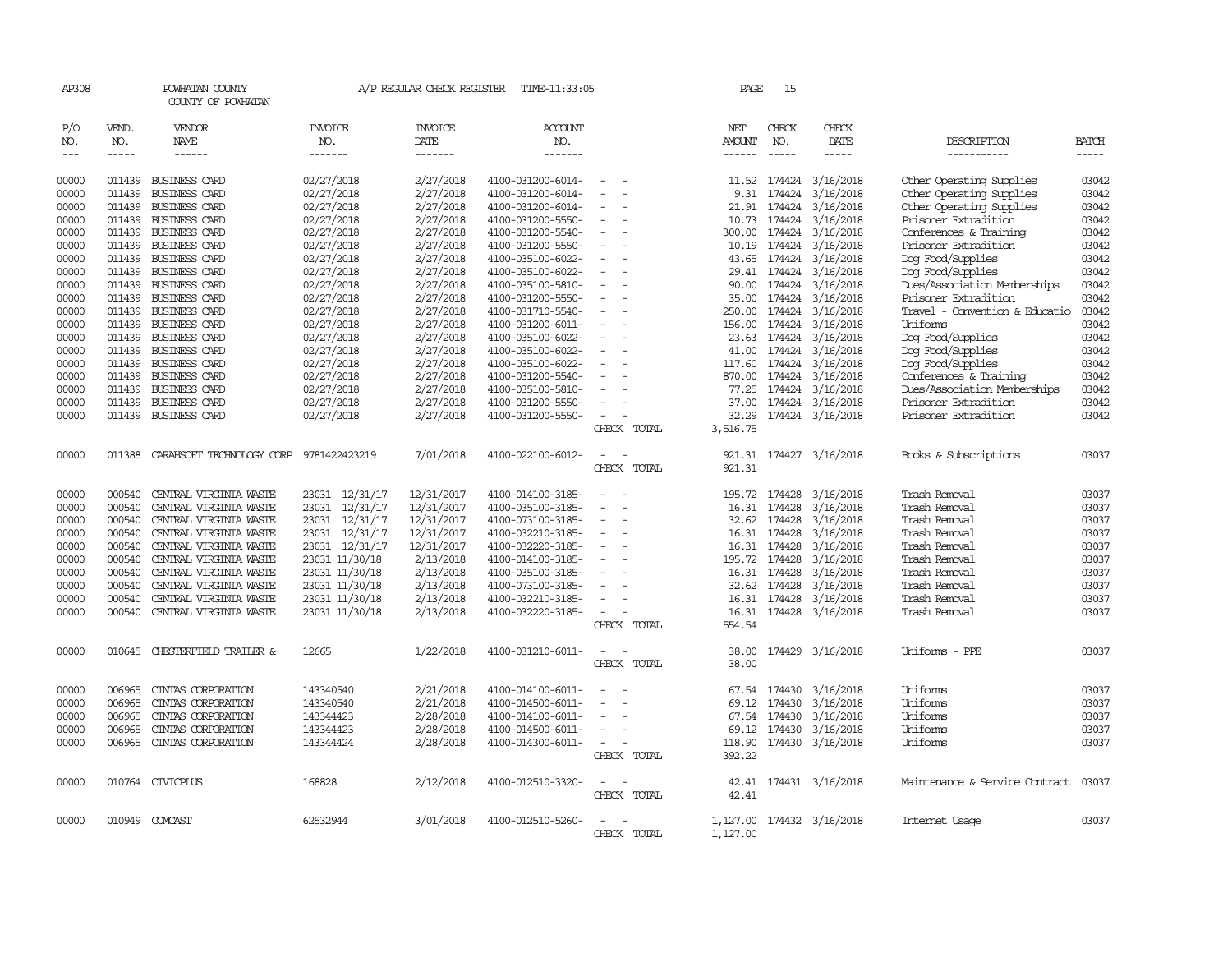| AP308                       |                       | POWHATAN COUNTY<br>COUNTY OF POWHATAN                                                                                                                                                                                                                                                                                                                                                                                                                                            |                           | A/P REGULAR CHECK REGISTER        | TIME-11:33:05                          |                          | PAGE                           | 15                            |                           |                                                        |                             |
|-----------------------------|-----------------------|----------------------------------------------------------------------------------------------------------------------------------------------------------------------------------------------------------------------------------------------------------------------------------------------------------------------------------------------------------------------------------------------------------------------------------------------------------------------------------|---------------------------|-----------------------------------|----------------------------------------|--------------------------|--------------------------------|-------------------------------|---------------------------|--------------------------------------------------------|-----------------------------|
| P/O<br>NO.<br>$\frac{1}{2}$ | VEND.<br>NO.<br>----- | VENDOR<br><b>NAME</b><br>$\begin{tabular}{ccccc} \multicolumn{2}{c }{\multicolumn{2}{c }{\multicolumn{2}{c }{\multicolumn{2}{c}}{\hspace{-2.2cm}}}} \multicolumn{2}{c }{\multicolumn{2}{c }{\hspace{-2.2cm}}\hline} \multicolumn{2}{c }{\hspace{-2.2cm}}\hline \multicolumn{2}{c }{\hspace{-2.2cm}}\hline \multicolumn{2}{c }{\hspace{-2.2cm}}\hline \multicolumn{2}{c }{\hspace{-2.2cm}}\hline \multicolumn{2}{c }{\hspace{-2.2cm}}\hline \multicolumn{2}{c }{\hspace{-2.2cm}}$ | INVOICE<br>NO.<br>------- | <b>INVOICE</b><br>DATE<br>------- | ACCOUNT<br>NO.<br>-------              |                          | NET<br>AMOUNT<br>$- - - - - -$ | CHECK<br>NO.<br>$\frac{1}{2}$ | CHECK<br>DATE<br>-----    | DESCRIPTION<br>-----------                             | <b>BATCH</b><br>$- - - - -$ |
|                             |                       |                                                                                                                                                                                                                                                                                                                                                                                                                                                                                  |                           |                                   |                                        |                          |                                |                               |                           |                                                        |                             |
| 00000                       | 011439                | <b>BUSINESS CARD</b>                                                                                                                                                                                                                                                                                                                                                                                                                                                             | 02/27/2018                | 2/27/2018                         | 4100-031200-6014-                      |                          | 11.52                          | 174424                        | 3/16/2018                 | Other Operating Supplies                               | 03042                       |
| 00000                       | 011439                | <b>BUSINESS CARD</b>                                                                                                                                                                                                                                                                                                                                                                                                                                                             | 02/27/2018                | 2/27/2018                         | 4100-031200-6014-                      | $\equiv$                 | 9.31                           | 174424                        | 3/16/2018                 | Other Operating Supplies                               | 03042                       |
| 00000                       | 011439                | <b>BUSINESS CARD</b>                                                                                                                                                                                                                                                                                                                                                                                                                                                             | 02/27/2018                | 2/27/2018                         | 4100-031200-6014-                      |                          | 21.91                          | 174424                        | 3/16/2018                 | Other Operating Supplies                               | 03042                       |
| 00000                       | 011439                | <b>BUSINESS CARD</b>                                                                                                                                                                                                                                                                                                                                                                                                                                                             | 02/27/2018                | 2/27/2018                         | 4100-031200-5550-                      |                          | 10.73                          | 174424                        | 3/16/2018                 | Prisoner Extradition                                   | 03042                       |
| 00000                       |                       | 011439 BUSINESS CARD                                                                                                                                                                                                                                                                                                                                                                                                                                                             | 02/27/2018                | 2/27/2018                         | 4100-031200-5540-                      |                          | 300.00                         | 174424                        | 3/16/2018                 | Conferences & Training                                 | 03042                       |
| 00000                       | 011439                | <b>BUSINESS CARD</b>                                                                                                                                                                                                                                                                                                                                                                                                                                                             | 02/27/2018                | 2/27/2018                         | 4100-031200-5550-                      |                          | 10.19                          | 174424                        | 3/16/2018                 | Prisoner Extradition                                   | 03042                       |
| 00000                       | 011439                | <b>BUSINESS CARD</b>                                                                                                                                                                                                                                                                                                                                                                                                                                                             | 02/27/2018                | 2/27/2018                         | 4100-035100-6022-                      |                          | 43.65                          | 174424                        | 3/16/2018                 | Dog Food/Supplies                                      | 03042                       |
| 00000                       | 011439                | <b>BUSINESS CARD</b>                                                                                                                                                                                                                                                                                                                                                                                                                                                             | 02/27/2018                | 2/27/2018                         | 4100-035100-6022-                      |                          | 29.41                          | 174424                        | 3/16/2018                 | Dog Food/Supplies                                      | 03042                       |
| 00000                       |                       | 011439 BUSINESS CARD                                                                                                                                                                                                                                                                                                                                                                                                                                                             | 02/27/2018                | 2/27/2018                         | 4100-035100-5810-                      | $\sim$                   | 90.00                          | 174424                        | 3/16/2018                 | Dues/Association Memberships                           | 03042                       |
| 00000                       | 011439                | BUSINESS CARD                                                                                                                                                                                                                                                                                                                                                                                                                                                                    | 02/27/2018                | 2/27/2018<br>2/27/2018            | 4100-031200-5550-                      |                          | 35.00                          | 174424<br>174424              | 3/16/2018                 | Prisoner Extradition<br>Travel - Convention & Educatio | 03042<br>03042              |
| 00000<br>00000              | 011439<br>011439      | BUSINESS CARD<br>BUSINESS CARD                                                                                                                                                                                                                                                                                                                                                                                                                                                   | 02/27/2018                | 2/27/2018                         | 4100-031710-5540-<br>4100-031200-6011- |                          | 250.00<br>156.00               | 174424                        | 3/16/2018<br>3/16/2018    | Uniforms                                               | 03042                       |
| 00000                       | 011439                | <b>BUSINESS CARD</b>                                                                                                                                                                                                                                                                                                                                                                                                                                                             | 02/27/2018                |                                   | 4100-035100-6022-                      |                          | 23.63                          | 174424                        |                           |                                                        | 03042                       |
| 00000                       | 011439                | BUSINESS CARD                                                                                                                                                                                                                                                                                                                                                                                                                                                                    | 02/27/2018                | 2/27/2018<br>2/27/2018            | 4100-035100-6022-                      |                          | 41.00                          | 174424                        | 3/16/2018<br>3/16/2018    | Dog Food/Supplies                                      | 03042                       |
| 00000                       | 011439                | <b>BUSINESS CARD</b>                                                                                                                                                                                                                                                                                                                                                                                                                                                             | 02/27/2018<br>02/27/2018  | 2/27/2018                         | 4100-035100-6022-                      |                          | 117.60                         | 174424                        | 3/16/2018                 | Dog Food/Supplies<br>Dog Food/Supplies                 | 03042                       |
| 00000                       | 011439                | <b>BUSINESS CARD</b>                                                                                                                                                                                                                                                                                                                                                                                                                                                             | 02/27/2018                | 2/27/2018                         | 4100-031200-5540-                      | $\sim$                   | 870.00                         | 174424                        | 3/16/2018                 | Conferences & Training                                 | 03042                       |
| 00000                       | 011439                | <b>BUSINESS CARD</b>                                                                                                                                                                                                                                                                                                                                                                                                                                                             | 02/27/2018                | 2/27/2018                         | 4100-035100-5810-                      |                          | 77.25                          | 174424                        | 3/16/2018                 | Dues/Association Memberships                           | 03042                       |
| 00000                       | 011439                | <b>BUSINESS CARD</b>                                                                                                                                                                                                                                                                                                                                                                                                                                                             | 02/27/2018                | 2/27/2018                         | 4100-031200-5550-                      |                          | 37.00                          | 174424                        | 3/16/2018                 | Prisoner Extradition                                   | 03042                       |
| 00000                       |                       | 011439 BUSINESS CARD                                                                                                                                                                                                                                                                                                                                                                                                                                                             | 02/27/2018                | 2/27/2018                         | 4100-031200-5550-                      | $\overline{\phantom{a}}$ | 32.29                          |                               | 174424 3/16/2018          | Prisoner Extradition                                   | 03042                       |
|                             |                       |                                                                                                                                                                                                                                                                                                                                                                                                                                                                                  |                           |                                   |                                        | CHECK TOTAL              | 3,516.75                       |                               |                           |                                                        |                             |
| 00000                       | 011388                | CARAHSOFT TECHNOLOGY CORP 9781422423219                                                                                                                                                                                                                                                                                                                                                                                                                                          |                           | 7/01/2018                         | 4100-022100-6012-                      |                          |                                |                               | 921.31 174427 3/16/2018   | Books & Subscriptions                                  | 03037                       |
|                             |                       |                                                                                                                                                                                                                                                                                                                                                                                                                                                                                  |                           |                                   |                                        | CHECK TOTAL              | 921.31                         |                               |                           |                                                        |                             |
| 00000                       | 000540                | CENTRAL VIRGINIA WASTE                                                                                                                                                                                                                                                                                                                                                                                                                                                           | 23031 12/31/17            | 12/31/2017                        | 4100-014100-3185-                      |                          | 195.72 174428                  |                               | 3/16/2018                 | Trash Removal                                          | 03037                       |
| 00000                       | 000540                | CENTRAL VIRGINIA WASTE                                                                                                                                                                                                                                                                                                                                                                                                                                                           | 23031 12/31/17            | 12/31/2017                        | 4100-035100-3185-                      |                          | 16.31                          | 174428                        | 3/16/2018                 | Trash Removal                                          | 03037                       |
| 00000                       | 000540                | CENTRAL VIRGINIA WASTE                                                                                                                                                                                                                                                                                                                                                                                                                                                           | 23031 12/31/17            | 12/31/2017                        | 4100-073100-3185-                      | $\overline{\phantom{a}}$ | 32.62                          | 174428                        | 3/16/2018                 | Trash Removal                                          | 03037                       |
| 00000                       | 000540                | CENTRAL VIRGINIA WASTE                                                                                                                                                                                                                                                                                                                                                                                                                                                           | 23031 12/31/17            | 12/31/2017                        | 4100-032210-3185-                      | $\overline{\phantom{a}}$ | 16.31                          | 174428                        | 3/16/2018                 | Trash Removal                                          | 03037                       |
| 00000                       | 000540                | CENTRAL VIRGINIA WASTE                                                                                                                                                                                                                                                                                                                                                                                                                                                           | 23031 12/31/17            | 12/31/2017                        | 4100-032220-3185-                      |                          | 16.31                          | 174428                        | 3/16/2018                 | Trash Removal                                          | 03037                       |
| 00000                       | 000540                | CENTRAL VIRGINIA WASTE                                                                                                                                                                                                                                                                                                                                                                                                                                                           | 23031 11/30/18            | 2/13/2018                         | 4100-014100-3185-                      | $\overline{\phantom{a}}$ | 195.72 174428                  |                               | 3/16/2018                 | Trash Removal                                          | 03037                       |
| 00000                       | 000540                | CENTRAL VIRGINIA WASTE                                                                                                                                                                                                                                                                                                                                                                                                                                                           | 23031 11/30/18            | 2/13/2018                         | 4100-035100-3185-                      |                          | 16.31                          | 174428                        | 3/16/2018                 | Trash Removal                                          | 03037                       |
| 00000                       | 000540                | CENTRAL VIRGINIA WASTE                                                                                                                                                                                                                                                                                                                                                                                                                                                           | 23031 11/30/18            | 2/13/2018                         | 4100-073100-3185-                      |                          | 32.62                          | 174428                        | 3/16/2018                 | Trash Removal                                          | 03037                       |
| 00000                       | 000540                | CENTRAL VIRGINIA WASTE                                                                                                                                                                                                                                                                                                                                                                                                                                                           | 23031 11/30/18            | 2/13/2018                         | 4100-032210-3185-                      |                          | 16.31                          | 174428                        | 3/16/2018                 | Trash Removal                                          | 03037                       |
| 00000                       | 000540                | CENTRAL VIRGINIA WASTE                                                                                                                                                                                                                                                                                                                                                                                                                                                           | 23031 11/30/18            | 2/13/2018                         | 4100-032220-3185-                      | $\sim$<br>CHECK TOTAL    | 16.31<br>554.54                | 174428                        | 3/16/2018                 | Trash Removal                                          | 03037                       |
| 00000                       | 010645                | CHESTERFIELD TRAILER &                                                                                                                                                                                                                                                                                                                                                                                                                                                           | 12665                     | 1/22/2018                         | 4100-031210-6011-                      |                          | 38.00                          |                               | 174429 3/16/2018          | Uniforms - PPE                                         | 03037                       |
|                             |                       |                                                                                                                                                                                                                                                                                                                                                                                                                                                                                  |                           |                                   |                                        | CHECK TOTAL              | 38.00                          |                               |                           |                                                        |                             |
| 00000                       | 006965                | CINIAS CORPORATION                                                                                                                                                                                                                                                                                                                                                                                                                                                               | 143340540                 | 2/21/2018                         | 4100-014100-6011-                      |                          |                                | 67.54 174430                  | 3/16/2018                 | Uniforms                                               | 03037                       |
| 00000                       | 006965                | CINIAS CORPORATION                                                                                                                                                                                                                                                                                                                                                                                                                                                               | 143340540                 | 2/21/2018                         | 4100-014500-6011-                      | $\sim$                   |                                | 69.12 174430                  | 3/16/2018                 | Uniforms                                               | 03037                       |
| 00000                       | 006965                | CINIAS CORPORATION                                                                                                                                                                                                                                                                                                                                                                                                                                                               | 143344423                 | 2/28/2018                         | 4100-014100-6011-                      |                          | 67.54                          | 174430                        | 3/16/2018                 | Uniforms                                               | 03037                       |
| 00000                       | 006965                | CINIAS CORPORATION                                                                                                                                                                                                                                                                                                                                                                                                                                                               | 143344423                 | 2/28/2018                         | 4100-014500-6011-                      |                          | 69.12                          | 174430                        | 3/16/2018                 | Uniforms                                               | 03037                       |
| 00000                       | 006965                | CINIAS CORPORATION                                                                                                                                                                                                                                                                                                                                                                                                                                                               | 143344424                 | 2/28/2018                         | 4100-014300-6011-                      | $\overline{\phantom{a}}$ | 118.90                         |                               | 174430 3/16/2018          | Uniforms                                               | 03037                       |
|                             |                       |                                                                                                                                                                                                                                                                                                                                                                                                                                                                                  |                           |                                   |                                        | CHECK TOTAL              | 392.22                         |                               |                           |                                                        |                             |
| 00000                       |                       | 010764 CIVICPLUS                                                                                                                                                                                                                                                                                                                                                                                                                                                                 | 168828                    | 2/12/2018                         | 4100-012510-3320-                      |                          | 42.41                          |                               | 174431 3/16/2018          | Maintenance & Service Contract                         | 03037                       |
|                             |                       |                                                                                                                                                                                                                                                                                                                                                                                                                                                                                  |                           |                                   |                                        | CHECK TOTAL              | 42.41                          |                               |                           |                                                        |                             |
| 00000                       |                       | 010949 COMCAST                                                                                                                                                                                                                                                                                                                                                                                                                                                                   | 62532944                  | 3/01/2018                         | 4100-012510-5260-                      |                          |                                |                               | 1,127.00 174432 3/16/2018 | Internet Usage                                         | 03037                       |
|                             |                       |                                                                                                                                                                                                                                                                                                                                                                                                                                                                                  |                           |                                   |                                        | CHECK TOTAL              | 1,127.00                       |                               |                           |                                                        |                             |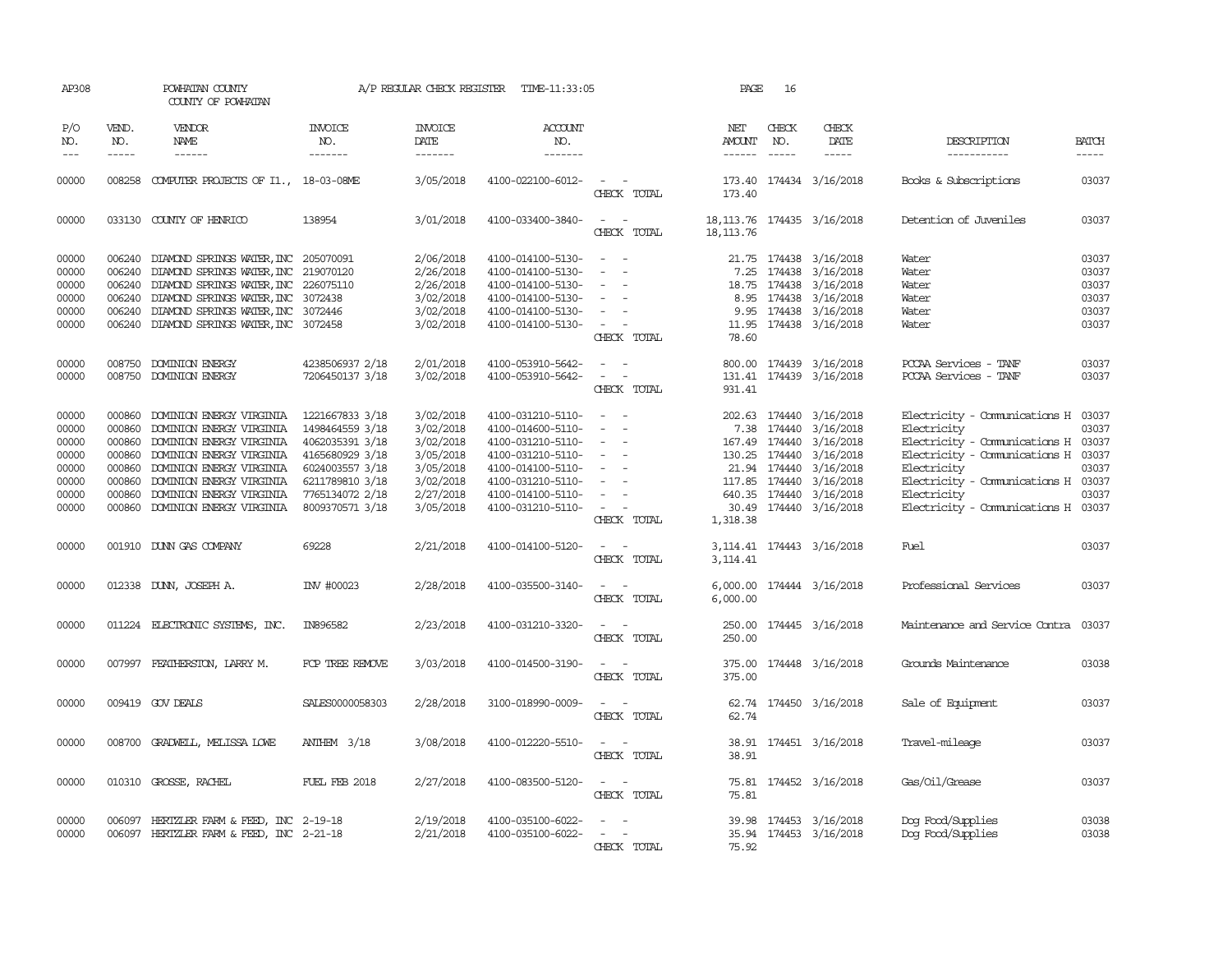| AP308                       |                             | POWHATAN COUNTY<br>COUNTY OF POWHATAN       |                           | A/P REGULAR CHECK REGISTER | TIME-11:33:05             |                                                                                                                             | PAGE                                      | 16                     |                            |                                      |                       |
|-----------------------------|-----------------------------|---------------------------------------------|---------------------------|----------------------------|---------------------------|-----------------------------------------------------------------------------------------------------------------------------|-------------------------------------------|------------------------|----------------------------|--------------------------------------|-----------------------|
| P/O<br>NO.<br>$\frac{1}{2}$ | VEND.<br>NO.<br>$- - - - -$ | VENDOR<br>NAME<br>$- - - - - -$             | INVOICE<br>NO.<br>------- | <b>INVOICE</b><br>DATE     | ACCOUNT<br>NO.<br>------- |                                                                                                                             | NET<br>AMOUNT NO.                         | CHECK<br>$\frac{1}{2}$ | CHECK<br>DATE              | DESCRIPTION                          | <b>BATCH</b><br>----- |
|                             |                             |                                             |                           | -------                    |                           |                                                                                                                             | ------                                    |                        | $- - - - -$                | -----------                          |                       |
| 00000                       |                             | 008258 COMPUTER PROJECTS OF I1., 18-03-08ME |                           | 3/05/2018                  | 4100-022100-6012-         | $\sim$ $\sim$<br>CHECK TOTAL                                                                                                | 173.40                                    |                        | 173.40 174434 3/16/2018    | Books & Subscriptions                | 03037                 |
| 00000                       |                             | 033130 COUNTY OF HENRICO                    | 138954                    | 3/01/2018                  | 4100-033400-3840-         | $\sim$ $ \sim$<br>CHECK TOTAL                                                                                               | 18, 113.76 174435 3/16/2018<br>18, 113.76 |                        |                            | Detention of Juveniles               | 03037                 |
| 00000                       |                             | 006240 DIAMOND SPRINGS WATER, INC 205070091 |                           | 2/06/2018                  | 4100-014100-5130-         | $\sim$                                                                                                                      |                                           |                        | 21.75 174438 3/16/2018     | Water                                | 03037                 |
| 00000                       |                             | 006240 DIAMOND SPRINGS WATER, INC           | 219070120                 | 2/26/2018                  | 4100-014100-5130-         | $\overline{\phantom{a}}$                                                                                                    | 7.25                                      |                        | 174438 3/16/2018           | Water                                | 03037                 |
| 00000                       |                             | 006240 DIAMOND SPRINGS WATER, INC           | 226075110                 | 2/26/2018                  | 4100-014100-5130-         | $\sim$                                                                                                                      |                                           |                        | 18.75 174438 3/16/2018     | Water                                | 03037                 |
| 00000                       |                             | 006240 DIAMOND SPRINGS WATER, INC           | 3072438                   | 3/02/2018                  | 4100-014100-5130-         | $\sim$                                                                                                                      |                                           |                        | 8.95 174438 3/16/2018      | Water                                | 03037                 |
| 00000                       |                             | 006240 DIAMOND SPRINGS WATER, INC           | 3072446                   | 3/02/2018                  | 4100-014100-5130-         | $\sim$                                                                                                                      |                                           |                        | 9.95 174438 3/16/2018      | Water                                | 03037                 |
| 00000                       |                             | 006240 DIAMOND SPRINGS WATER, INC 3072458   |                           | 3/02/2018                  | 4100-014100-5130-         | $\sim$<br>$\overline{\phantom{a}}$                                                                                          |                                           |                        | 11.95 174438 3/16/2018     | Water                                | 03037                 |
|                             |                             |                                             |                           |                            |                           | CHECK TOTAL                                                                                                                 | 78.60                                     |                        |                            |                                      |                       |
| 00000                       |                             | 008750 DOMINION ENERGY                      | 4238506937 2/18           | 2/01/2018                  | 4100-053910-5642-         | $\frac{1}{2} \left( \frac{1}{2} \right) \left( \frac{1}{2} \right) = \frac{1}{2} \left( \frac{1}{2} \right)$                |                                           |                        |                            | PCCAA Services - TANF                | 03037                 |
|                             |                             |                                             |                           |                            |                           | $\omega_{\rm{max}}$ and $\omega_{\rm{max}}$                                                                                 |                                           |                        | 800.00 174439 3/16/2018    | PCCAA Services - TANF                | 03037                 |
| 00000                       |                             | 008750 DOMINION ENERGY                      | 7206450137 3/18           | 3/02/2018                  | 4100-053910-5642-         | CHECK TOTAL                                                                                                                 |                                           |                        | 131.41 174439 3/16/2018    |                                      |                       |
|                             |                             |                                             |                           |                            |                           |                                                                                                                             | 931.41                                    |                        |                            |                                      |                       |
| 00000                       | 000860                      | DOMINION ENERGY VIRGINIA                    | 1221667833 3/18           | 3/02/2018                  | 4100-031210-5110-         | $\sim$ $\sim$                                                                                                               |                                           |                        | 202.63 174440 3/16/2018    | Electricity - Comunications H 03037  |                       |
| 00000                       |                             | 000860 DOMINION ENERGY VIRGINIA             | 1498464559 3/18           | 3/02/2018                  | 4100-014600-5110-         | $\sim$<br>$\sim$                                                                                                            |                                           |                        | 7.38 174440 3/16/2018      | Electricity                          | 03037                 |
| 00000                       |                             | 000860 DOMINION ENERGY VIRGINIA             | 4062035391 3/18           | 3/02/2018                  | 4100-031210-5110-         | $\sim$                                                                                                                      |                                           |                        | 167.49 174440 3/16/2018    | Electricity - Communications H 03037 |                       |
| 00000                       |                             | 000860 DOMINION ENERGY VIRGINIA             | 4165680929 3/18           | 3/05/2018                  | 4100-031210-5110-         | $\sim$ $ \sim$                                                                                                              |                                           |                        | 130.25 174440 3/16/2018    | Electricity - Communications H 03037 |                       |
| 00000                       | 000860                      | DOMINION ENERGY VIRGINIA                    | 6024003557 3/18           | 3/05/2018                  | 4100-014100-5110-         | $\sim$                                                                                                                      |                                           | 21.94 174440           | 3/16/2018                  | Electricity                          | 03037                 |
| 00000                       |                             | 000860 DOMINION ENERGY VIRGINIA             | 6211789810 3/18           | 3/02/2018                  | 4100-031210-5110-         | $\sim$                                                                                                                      |                                           |                        | 117.85 174440 3/16/2018    | Electricity - Comunications H 03037  |                       |
| 00000                       | 000860                      | DOMINION ENERGY VIRGINIA                    | 7765134072 2/18           | 2/27/2018                  | 4100-014100-5110-         | $\sim$<br>$\sim$                                                                                                            |                                           |                        | 640.35 174440 3/16/2018    | Electricity                          | 03037                 |
| 00000                       |                             | 000860 DOMINION ENERGY VIRGINIA             | 8009370571 3/18           | 3/05/2018                  | 4100-031210-5110-         | $\sim$ $ -$                                                                                                                 |                                           |                        | 30.49 174440 3/16/2018     | Electricity - Comunications H 03037  |                       |
|                             |                             |                                             |                           |                            |                           | CHECK TOTAL                                                                                                                 | 1,318.38                                  |                        |                            |                                      |                       |
| 00000                       |                             | 001910 DUNN GAS COMPANY                     | 69228                     | 2/21/2018                  | 4100-014100-5120-         | CHECK TOTAL                                                                                                                 | 3, 114.41                                 |                        | 3, 114.41 174443 3/16/2018 | Fuel                                 | 03037                 |
| 00000                       |                             | 012338 DUNN, JOSEPH A.                      | INV #00023                | 2/28/2018                  | 4100-035500-3140-         | $\sim$ $\sim$<br>CHECK TOTAL                                                                                                | 6,000.00<br>6,000.00                      |                        | 174444 3/16/2018           | Professional Services                | 03037                 |
| 00000                       |                             | 011224 ELECTRONIC SYSTEMS, INC.             | IN896582                  | 2/23/2018                  | 4100-031210-3320-         | $\sim$ $ \sim$                                                                                                              |                                           |                        | 250.00 174445 3/16/2018    | Maintenance and Service Contra 03037 |                       |
|                             |                             |                                             |                           |                            |                           | CHECK TOTAL                                                                                                                 | 250.00                                    |                        |                            |                                      |                       |
| 00000                       |                             | 007997 FEATHERSTON, LARRY M.                | FCP TREE REMOVE           | 3/03/2018                  | 4100-014500-3190-         | $\sim$ $ \sim$<br>CHECK TOTAL                                                                                               | 375.00<br>375.00                          |                        | 174448 3/16/2018           | Grounds Maintenance                  | 03038                 |
|                             |                             |                                             |                           |                            |                           |                                                                                                                             |                                           |                        |                            |                                      |                       |
| 00000                       |                             | 009419 GOV DEALS                            | SALES0000058303           | 2/28/2018                  | 3100-018990-0009-         | $\frac{1}{2} \left( \frac{1}{2} \right) \left( \frac{1}{2} \right) = \frac{1}{2} \left( \frac{1}{2} \right)$<br>CHECK TOTAL | 62.74                                     |                        | 62.74 174450 3/16/2018     | Sale of Equipment                    | 03037                 |
| 00000                       |                             | 008700 GRADWELL, MELISSA LOWE               | ANTHEM $3/18$             | 3/08/2018                  | 4100-012220-5510-         |                                                                                                                             |                                           |                        | 38.91 174451 3/16/2018     | Travel-mileage                       | 03037                 |
|                             |                             |                                             |                           |                            |                           | CHECK TOTAL                                                                                                                 | 38.91                                     |                        |                            |                                      |                       |
| 00000                       |                             | 010310 GROSSE, RACHEL                       | <b>FUEL FEB 2018</b>      | 2/27/2018                  | 4100-083500-5120-         |                                                                                                                             |                                           |                        | 75.81 174452 3/16/2018     | Gas/Oil/Grease                       | 03037                 |
|                             |                             |                                             |                           |                            |                           | CHECK TOTAL                                                                                                                 | 75.81                                     |                        |                            |                                      |                       |
| 00000                       |                             | 006097 HERTZLER FARM & FEED, INC 2-19-18    |                           | 2/19/2018                  | 4100-035100-6022-         | $\sim$                                                                                                                      |                                           |                        | 39.98 174453 3/16/2018     | Dog Food/Supplies                    | 03038                 |
| 00000                       |                             | 006097 HERTZLER FARM & FEED, INC 2-21-18    |                           | 2/21/2018                  | 4100-035100-6022-         | $\mathcal{L}_{\text{max}}$ , and $\mathcal{L}_{\text{max}}$                                                                 |                                           |                        | 35.94 174453 3/16/2018     | Dog Food/Supplies                    | 03038                 |
|                             |                             |                                             |                           |                            |                           | CHECK TOTAL                                                                                                                 | 75.92                                     |                        |                            |                                      |                       |
|                             |                             |                                             |                           |                            |                           |                                                                                                                             |                                           |                        |                            |                                      |                       |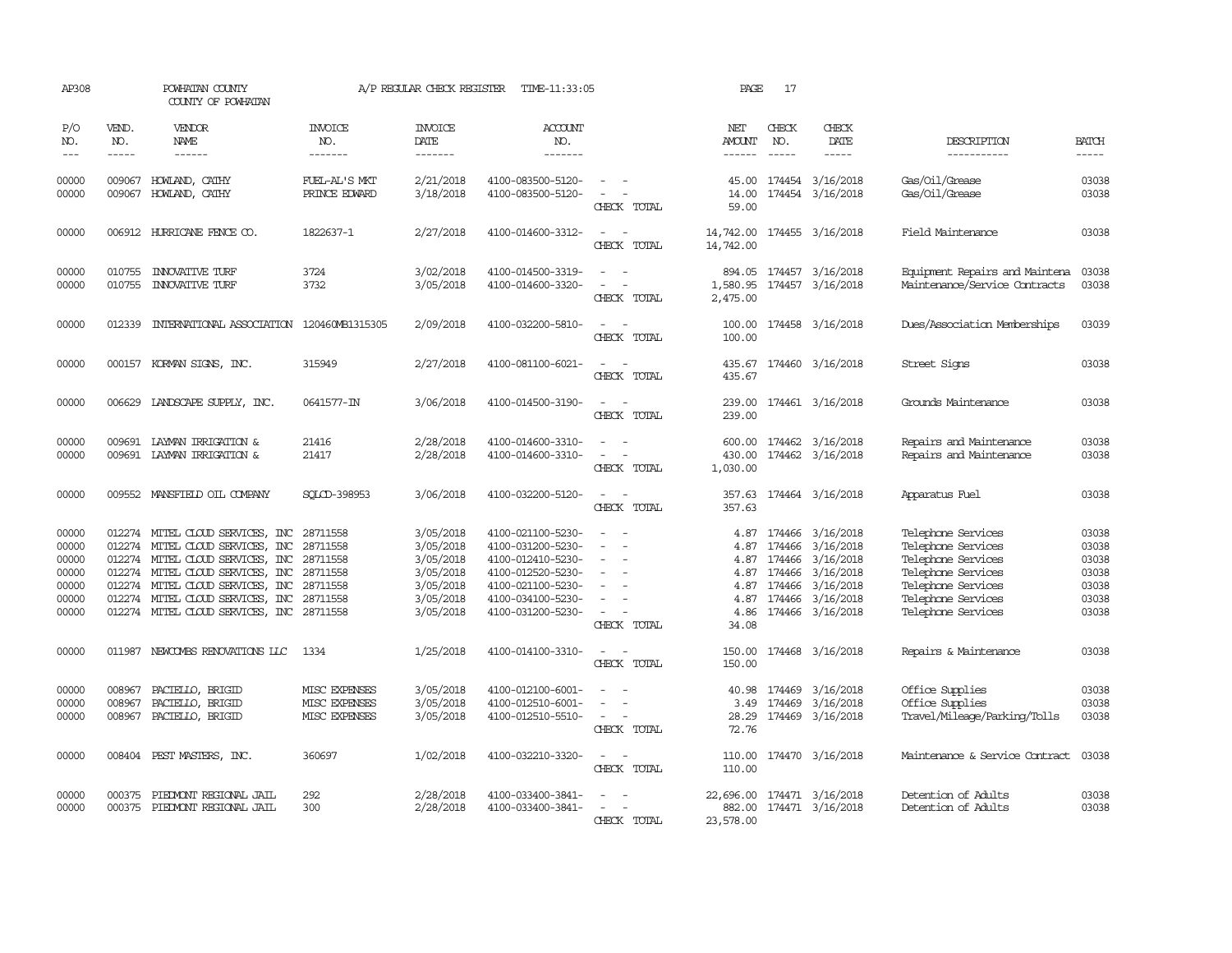| AP308                                                       |                             | POWHATAN COUNTY<br>COUNTY OF POWHATAN                                                                                                                                                                                                                                                 |                                                        | A/P REGULAR CHECK REGISTER                                                              | TIME-11:33:05                                                                                                                                   |                                                                                                                             | PAGE                                                          | 17                                   |                                                                                                              |                                                                                                                                                        |                                                             |
|-------------------------------------------------------------|-----------------------------|---------------------------------------------------------------------------------------------------------------------------------------------------------------------------------------------------------------------------------------------------------------------------------------|--------------------------------------------------------|-----------------------------------------------------------------------------------------|-------------------------------------------------------------------------------------------------------------------------------------------------|-----------------------------------------------------------------------------------------------------------------------------|---------------------------------------------------------------|--------------------------------------|--------------------------------------------------------------------------------------------------------------|--------------------------------------------------------------------------------------------------------------------------------------------------------|-------------------------------------------------------------|
| P/O<br>NO.<br>$\frac{1}{2}$                                 | VEND.<br>NO.<br>$- - - - -$ | VENDOR<br>NAME<br>$- - - - - -$                                                                                                                                                                                                                                                       | <b>INVOICE</b><br>NO.<br>-------                       | <b>INVOICE</b><br>DATE<br>-------                                                       | ACCOUNT<br>NO.<br>$- - - - - - -$                                                                                                               |                                                                                                                             | NET<br><b>AMOUNT</b><br>------                                | CHECK<br>NO.<br>$\frac{1}{2}$        | CHECK<br>DATE                                                                                                | DESCRIPTION<br>-----------                                                                                                                             | <b>BATCH</b><br>-----                                       |
| 00000<br>00000                                              | 009067<br>009067            | HOWLAND, CATHY<br>HOWLAND, CATHY                                                                                                                                                                                                                                                      | FUEL-AL'S MKT<br>PRINCE EDWARD                         | 2/21/2018<br>3/18/2018                                                                  | 4100-083500-5120-<br>4100-083500-5120-                                                                                                          | CHECK TOTAL                                                                                                                 | 14.00<br>59.00                                                |                                      | 45.00 174454 3/16/2018<br>174454 3/16/2018                                                                   | Gas/Oil/Grease<br>Gas/Oil/Grease                                                                                                                       | 03038<br>03038                                              |
| 00000                                                       |                             | 006912 HURRICANE FENCE CO.                                                                                                                                                                                                                                                            | 1822637-1                                              | 2/27/2018                                                                               | 4100-014600-3312-                                                                                                                               | $\frac{1}{2} \left( \frac{1}{2} \right) \left( \frac{1}{2} \right) = \frac{1}{2} \left( \frac{1}{2} \right)$<br>CHECK TOTAL | 14,742.00<br>14,742.00                                        |                                      | 174455 3/16/2018                                                                                             | Field Maintenance                                                                                                                                      | 03038                                                       |
| 00000<br>00000                                              | 010755<br>010755            | <b>INXXATIVE TURF</b><br><b>INNOVATIVE TURF</b>                                                                                                                                                                                                                                       | 3724<br>3732                                           | 3/02/2018<br>3/05/2018                                                                  | 4100-014500-3319-<br>4100-014600-3320-                                                                                                          | CHECK TOTAL                                                                                                                 | 894.05<br>1,580.95<br>2,475.00                                |                                      | 174457 3/16/2018<br>174457 3/16/2018                                                                         | Equipment Repairs and Maintena<br>Maintenance/Service Contracts                                                                                        | 03038<br>03038                                              |
| 00000                                                       | 012339                      | INTERNATIONAL ASSOCIATION                                                                                                                                                                                                                                                             | 120460MB1315305                                        | 2/09/2018                                                                               | 4100-032200-5810-                                                                                                                               | $\overline{a}$<br>CHECK TOTAL                                                                                               | 100.00<br>100.00                                              |                                      | 174458 3/16/2018                                                                                             | Dues/Association Memberships                                                                                                                           | 03039                                                       |
| 00000                                                       |                             | 000157 KORMAN SIGNS, INC.                                                                                                                                                                                                                                                             | 315949                                                 | 2/27/2018                                                                               | 4100-081100-6021-                                                                                                                               | CHECK TOTAL                                                                                                                 | 435.67<br>435.67                                              |                                      | 174460 3/16/2018                                                                                             | Street Signs                                                                                                                                           | 03038                                                       |
| 00000                                                       | 006629                      | LANDSCAPE SUPPLY, INC.                                                                                                                                                                                                                                                                | 0641577-IN                                             | 3/06/2018                                                                               | 4100-014500-3190-                                                                                                                               | CHECK TOTAL                                                                                                                 | 239.00<br>239.00                                              |                                      | 174461 3/16/2018                                                                                             | Grounds Maintenance                                                                                                                                    | 03038                                                       |
| 00000<br>00000                                              | 009691                      | LAYMAN IRRIGATION &<br>009691 LAYMAN IRRIGATION &                                                                                                                                                                                                                                     | 21416<br>21417                                         | 2/28/2018<br>2/28/2018                                                                  | 4100-014600-3310-<br>4100-014600-3310-                                                                                                          | $\sim$<br>CHECK TOTAL                                                                                                       | 600.00<br>430.00<br>1,030.00                                  |                                      | 174462 3/16/2018<br>174462 3/16/2018                                                                         | Repairs and Maintenance<br>Repairs and Maintenance                                                                                                     | 03038<br>03038                                              |
| 00000                                                       |                             | 009552 MANSFIELD OIL COMPANY                                                                                                                                                                                                                                                          | SOLCD-398953                                           | 3/06/2018                                                                               | 4100-032200-5120-                                                                                                                               | $\sim$<br>$\sim$<br>CHECK TOTAL                                                                                             | 357.63                                                        |                                      | 357.63 174464 3/16/2018                                                                                      | Apparatus Fuel                                                                                                                                         | 03038                                                       |
| 00000<br>00000<br>00000<br>00000<br>00000<br>00000<br>00000 | 012274                      | 012274 MITEL CLOUD SERVICES, INC<br>012274 MITEL CLOUD SERVICES, INC<br>012274 MITEL CLOUD SERVICES, INC 28711558<br>012274 MITEL CLOUD SERVICES, INC<br>012274 MITEL CLOUD SERVICES, INC 28711558<br>MITEL CLOUD SERVICES, INC 28711558<br>012274 MITEL CLOUD SERVICES, INC 28711558 | 28711558<br>28711558<br>28711558                       | 3/05/2018<br>3/05/2018<br>3/05/2018<br>3/05/2018<br>3/05/2018<br>3/05/2018<br>3/05/2018 | 4100-021100-5230-<br>4100-031200-5230-<br>4100-012410-5230-<br>4100-012520-5230-<br>4100-021100-5230-<br>4100-034100-5230-<br>4100-031200-5230- | $\overline{\phantom{a}}$<br>$\overline{\phantom{a}}$<br>$\overline{\phantom{a}}$<br>CHECK TOTAL                             | 4.87<br>4.87<br>4.87<br>4.87<br>4.87<br>4.87<br>4.86<br>34.08 | 174466<br>174466<br>174466<br>174466 | 174466 3/16/2018<br>3/16/2018<br>3/16/2018<br>3/16/2018<br>3/16/2018<br>174466 3/16/2018<br>174466 3/16/2018 | Telephone Services<br>Telephone Services<br>Telephone Services<br>Telephone Services<br>Telephone Services<br>Telephone Services<br>Telephone Services | 03038<br>03038<br>03038<br>03038<br>03038<br>03038<br>03038 |
| 00000                                                       |                             | 011987 NEWCOMBS RENOVATIONS LLC                                                                                                                                                                                                                                                       | 1334                                                   | 1/25/2018                                                                               | 4100-014100-3310-                                                                                                                               | $\sim$ $ \sim$<br>CHECK TOTAL                                                                                               | 150.00<br>150.00                                              |                                      | 174468 3/16/2018                                                                                             | Repairs & Maintenance                                                                                                                                  | 03038                                                       |
| 00000<br>00000<br>00000                                     | 008967<br>008967<br>008967  | PACIELLO, BRIGID<br>PACIELLO, BRIGID<br>PACIELLO, BRIGID                                                                                                                                                                                                                              | MISC EXPENSES<br><b>MISC EXPENSES</b><br>MISC EXPENSES | 3/05/2018<br>3/05/2018<br>3/05/2018                                                     | 4100-012100-6001-<br>4100-012510-6001-<br>4100-012510-5510-                                                                                     | CHECK TOTAL                                                                                                                 | 40.98<br>3.49<br>28.29<br>72.76                               |                                      | 174469 3/16/2018<br>174469 3/16/2018<br>174469 3/16/2018                                                     | Office Supplies<br>Office Supplies<br>Travel/Mileage/Parking/Tolls                                                                                     | 03038<br>03038<br>03038                                     |
| 00000                                                       | 008404                      | PEST MASTERS, INC.                                                                                                                                                                                                                                                                    | 360697                                                 | 1/02/2018                                                                               | 4100-032210-3320-                                                                                                                               | $\overline{\phantom{a}}$<br>CHECK TOTAL                                                                                     | 110.00<br>110.00                                              |                                      | 174470 3/16/2018                                                                                             | Maintenance & Service Contract                                                                                                                         | 03038                                                       |
| 00000<br>00000                                              | 000375<br>000375            | PIEDMONT REGIONAL JAIL<br>PIEDMONT REGIONAL JAIL                                                                                                                                                                                                                                      | 292<br>300                                             | 2/28/2018<br>2/28/2018                                                                  | 4100-033400-3841-<br>4100-033400-3841-                                                                                                          | $\overline{\phantom{a}}$<br>$\overline{\phantom{a}}$<br>CHECK TOTAL                                                         | 22,696.00<br>882.00<br>23,578.00                              |                                      | 174471 3/16/2018<br>174471 3/16/2018                                                                         | Detention of Adults<br>Detention of Adults                                                                                                             | 03038<br>03038                                              |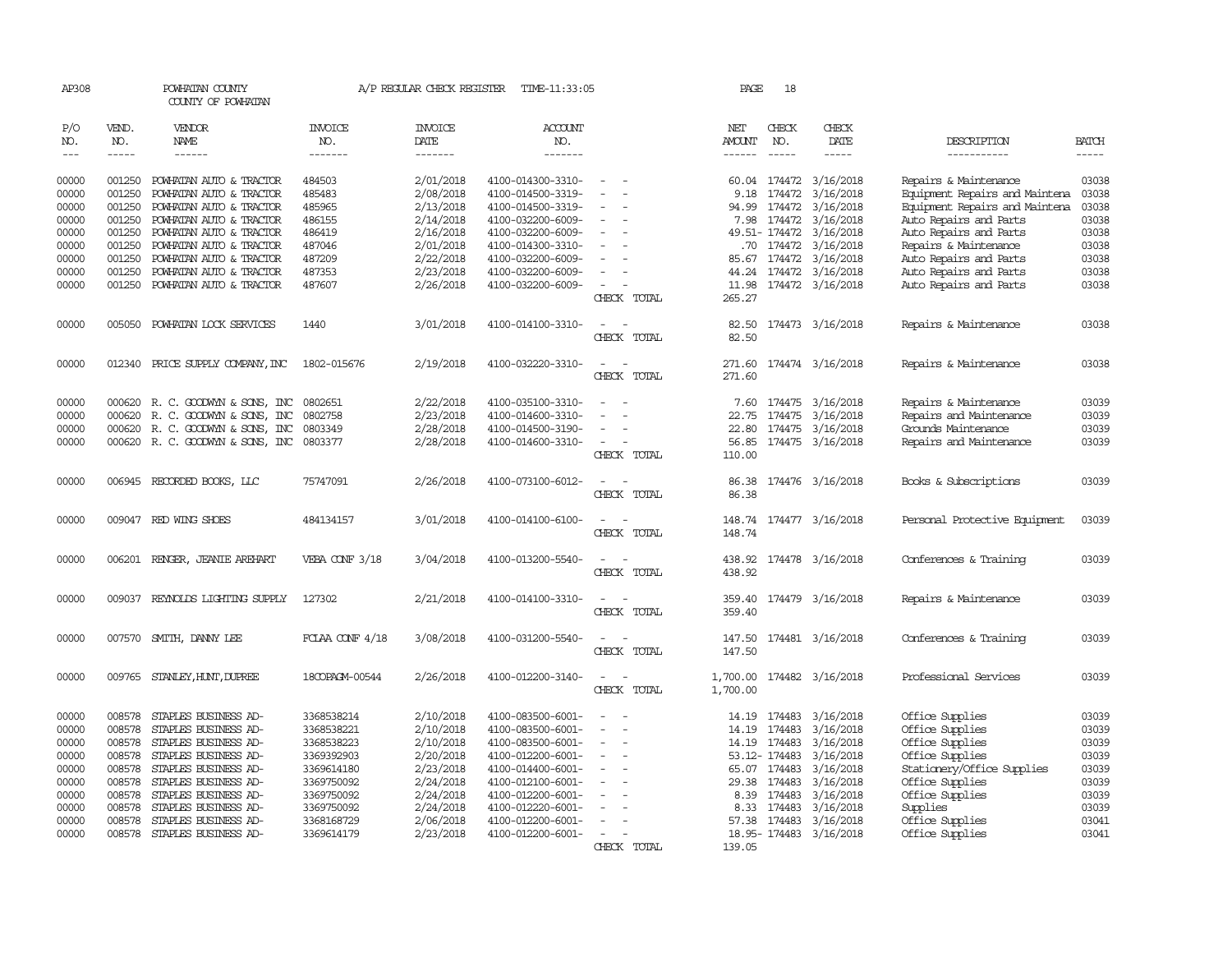| AP308 |               | POWHATAN COUNTY<br>COUNTY OF POWHATAN |                 | A/P REGULAR CHECK REGISTER | TIME-11:33:05     |                                                             | PAGE          | 18           |                         |                                |               |
|-------|---------------|---------------------------------------|-----------------|----------------------------|-------------------|-------------------------------------------------------------|---------------|--------------|-------------------------|--------------------------------|---------------|
| P/O   | VEND.         | VENDOR                                | INVOICE         | <b>INVOICE</b>             | <b>ACCOUNT</b>    |                                                             | NET           | CHECK        | CHECK                   |                                |               |
| NO.   | NO.           | NAME                                  | NO.             | DATE                       | NO.               |                                                             | AMOUNT        | NO.          | DATE                    | DESCRIPTION                    | <b>BATCH</b>  |
| $---$ | $\frac{1}{2}$ | $- - - - - -$                         | -------         | $- - - - - - -$            | -------           |                                                             | $- - - - - -$ | $- - - - -$  | $- - - - -$             | -----------                    | $\frac{1}{2}$ |
| 00000 | 001250        | POWHATAN AUTO & TRACTOR               | 484503          | 2/01/2018                  | 4100-014300-3310- | $\hspace{0.1mm}-\hspace{0.1mm}$                             |               |              | 60.04 174472 3/16/2018  | Repairs & Maintenance          | 03038         |
| 00000 | 001250        | POWHATAN AUTO & TRACTOR               | 485483          | 2/08/2018                  | 4100-014500-3319- | $\hspace{0.1mm}-\hspace{0.1mm}$<br>$\overline{\phantom{a}}$ | 9.18          | 174472       | 3/16/2018               | Equipment Repairs and Maintena | 03038         |
| 00000 | 001250        | POWHATAN AUTO & TRACTOR               | 485965          | 2/13/2018                  | 4100-014500-3319- |                                                             | 94.99         | 174472       | 3/16/2018               | Equipment Repairs and Maintena | 03038         |
| 00000 | 001250        | POWHATAN AUTO & TRACTOR               | 486155          | 2/14/2018                  | 4100-032200-6009- |                                                             |               |              | 7.98 174472 3/16/2018   | Auto Repairs and Parts         | 03038         |
| 00000 |               | 001250 POWHATAN AUTO & TRACTOR        | 486419          | 2/16/2018                  | 4100-032200-6009- | $\overline{\phantom{a}}$                                    |               |              | 49.51-174472 3/16/2018  | Auto Repairs and Parts         | 03038         |
| 00000 | 001250        | POWHATAN AUTO & TRACTOR               | 487046          | 2/01/2018                  | 4100-014300-3310- | $\sim$                                                      |               |              | .70 174472 3/16/2018    | Repairs & Maintenance          | 03038         |
| 00000 | 001250        | POWHATAN AUTO & TRACTOR               | 487209          | 2/22/2018                  | 4100-032200-6009- |                                                             |               |              | 85.67 174472 3/16/2018  | Auto Repairs and Parts         | 03038         |
| 00000 | 001250        | POWHATAN AUTO & TRACTOR               | 487353          | 2/23/2018                  | 4100-032200-6009- |                                                             | 44.24         |              | 174472 3/16/2018        | Auto Repairs and Parts         | 03038         |
| 00000 |               | 001250 POWHATAN AUTO & TRACTOR        | 487607          | 2/26/2018                  | 4100-032200-6009- | $\sim$                                                      |               |              | 11.98 174472 3/16/2018  | Auto Repairs and Parts         | 03038         |
|       |               |                                       |                 |                            |                   | CHECK TOTAL                                                 | 265.27        |              |                         |                                |               |
| 00000 | 005050        | POWHATAN LOCK SERVICES                | 1440            | 3/01/2018                  | 4100-014100-3310- | $\overline{\phantom{a}}$<br>$\sim$                          |               |              | 82.50 174473 3/16/2018  | Repairs & Maintenance          | 03038         |
|       |               |                                       |                 |                            |                   | CHECK TOTAL                                                 | 82.50         |              |                         |                                |               |
| 00000 |               | 012340 PRICE SUPPLY COMPANY, INC      | 1802-015676     | 2/19/2018                  | 4100-032220-3310- | $\sim$                                                      |               |              | 271.60 174474 3/16/2018 | Repairs & Maintenance          | 03038         |
|       |               |                                       |                 |                            |                   | CHECK TOTAL                                                 | 271.60        |              |                         |                                |               |
|       |               |                                       |                 |                            |                   |                                                             |               |              |                         |                                |               |
| 00000 |               | 000620 R. C. GOODWYN & SONS, INC      | 0802651         | 2/22/2018                  | 4100-035100-3310- |                                                             |               |              | 7.60 174475 3/16/2018   | Repairs & Maintenance          | 03039         |
| 00000 | 000620        | R. C. GOODWYN & SONS, INC             | 0802758         | 2/23/2018                  | 4100-014600-3310- |                                                             | 22.75         |              | 174475 3/16/2018        | Repairs and Maintenance        | 03039         |
| 00000 |               | 000620 R. C. GOODWYN & SONS, INC      | 0803349         | 2/28/2018                  | 4100-014500-3190- | $\overline{\phantom{a}}$                                    |               |              | 22.80 174475 3/16/2018  | Grounds Maintenance            | 03039         |
| 00000 |               | 000620 R. C. GOODWYN & SONS, INC      | 0803377         | 2/28/2018                  | 4100-014600-3310- | $\overline{\phantom{a}}$                                    |               |              | 56.85 174475 3/16/2018  | Repairs and Maintenance        | 03039         |
|       |               |                                       |                 |                            |                   | CHECK TOTAL                                                 | 110.00        |              |                         |                                |               |
| 00000 |               | 006945 RECORDED BOOKS, LLC            | 75747091        | 2/26/2018                  | 4100-073100-6012- | $\sim$                                                      | 86.38         |              | 174476 3/16/2018        | Books & Subscriptions          | 03039         |
|       |               |                                       |                 |                            |                   | CHECK TOTAL                                                 | 86.38         |              |                         |                                |               |
| 00000 |               | 009047 RED WING SHOES                 | 484134157       | 3/01/2018                  | 4100-014100-6100- | $\overline{\phantom{a}}$<br>$\overline{\phantom{a}}$        |               |              | 148.74 174477 3/16/2018 | Personal Protective Equipment  | 03039         |
|       |               |                                       |                 |                            |                   | CHECK TOTAL                                                 | 148.74        |              |                         |                                |               |
| 00000 |               | 006201 RENGER, JEANIE AREHART         | VEBA CONF 3/18  | 3/04/2018                  | 4100-013200-5540- |                                                             | 438.92        |              | 174478 3/16/2018        | Conferences & Training         | 03039         |
|       |               |                                       |                 |                            |                   | CHECK TOTAL                                                 | 438.92        |              |                         |                                |               |
|       |               |                                       |                 |                            |                   |                                                             |               |              |                         |                                |               |
| 00000 |               | 009037 REYNOLDS LIGHTING SUPPLY       | 127302          | 2/21/2018                  | 4100-014100-3310- | $\sim$                                                      | 359.40        |              | 174479 3/16/2018        | Repairs & Maintenance          | 03039         |
|       |               |                                       |                 |                            |                   | CHECK TOTAL                                                 | 359.40        |              |                         |                                |               |
| 00000 | 007570        | SMITH, DANNY LEE                      | FCLAA CONF 4/18 | 3/08/2018                  | 4100-031200-5540- |                                                             | 147.50        |              | 174481 3/16/2018        | Conferences & Training         | 03039         |
|       |               |                                       |                 |                            |                   | CHECK TOTAL                                                 | 147.50        |              |                         |                                |               |
|       |               |                                       |                 |                            |                   |                                                             |               |              |                         |                                |               |
| 00000 | 009765        | STANLEY, HUNT, DUPREE                 | 18COPAGM-00544  | 2/26/2018                  | 4100-012200-3140- |                                                             | 1,700.00      |              | 174482 3/16/2018        | Professional Services          | 03039         |
|       |               |                                       |                 |                            |                   | CHECK TOTAL                                                 | 1,700.00      |              |                         |                                |               |
| 00000 | 008578        | STAPLES BUSINESS AD-                  | 3368538214      | 2/10/2018                  | 4100-083500-6001- |                                                             |               | 14.19 174483 | 3/16/2018               | Office Supplies                | 03039         |
| 00000 | 008578        | STAPLES BUSINESS AD-                  | 3368538221      | 2/10/2018                  | 4100-083500-6001- |                                                             | 14.19 174483  |              | 3/16/2018               | Office Supplies                | 03039         |
| 00000 | 008578        | STAPLES BUSINESS AD-                  | 3368538223      | 2/10/2018                  | 4100-083500-6001- |                                                             | 14.19 174483  |              | 3/16/2018               | Office Supplies                | 03039         |
| 00000 |               | 008578 STAPLES BUSINESS AD-           | 3369392903      | 2/20/2018                  | 4100-012200-6001- | $\sim$<br>$\overline{\phantom{a}}$                          |               | 53.12-174483 | 3/16/2018               | Office Supplies                | 03039         |
| 00000 | 008578        | STAPLES BUSINESS AD-                  | 3369614180      | 2/23/2018                  | 4100-014400-6001- |                                                             |               | 65.07 174483 | 3/16/2018               | Stationery/Office Supplies     | 03039         |
| 00000 | 008578        | STAPLES BUSINESS AD-                  | 3369750092      | 2/24/2018                  | 4100-012100-6001- |                                                             |               | 29.38 174483 | 3/16/2018               | Office Supplies                | 03039         |
| 00000 | 008578        | STAPLES BUSINESS AD-                  | 3369750092      | 2/24/2018                  | 4100-012200-6001- |                                                             |               | 8.39 174483  | 3/16/2018               | Office Supplies                | 03039         |
| 00000 | 008578        | STAPLES BUSINESS AD-                  | 3369750092      | 2/24/2018                  | 4100-012220-6001- | $\overline{\phantom{a}}$                                    | 8.33          | 174483       | 3/16/2018               | Supplies                       | 03039         |
| 00000 | 008578        | STAPLES BUSINESS AD-                  | 3368168729      | 2/06/2018                  | 4100-012200-6001- |                                                             |               | 57.38 174483 | 3/16/2018               | Office Supplies                | 03041         |
| 00000 |               | 008578 STAPLES BUSINESS AD-           | 3369614179      | 2/23/2018                  | 4100-012200-6001- | CHECK<br>TOTAL                                              | 139.05        |              | 18.95-174483 3/16/2018  | Office Supplies                | 03041         |
|       |               |                                       |                 |                            |                   |                                                             |               |              |                         |                                |               |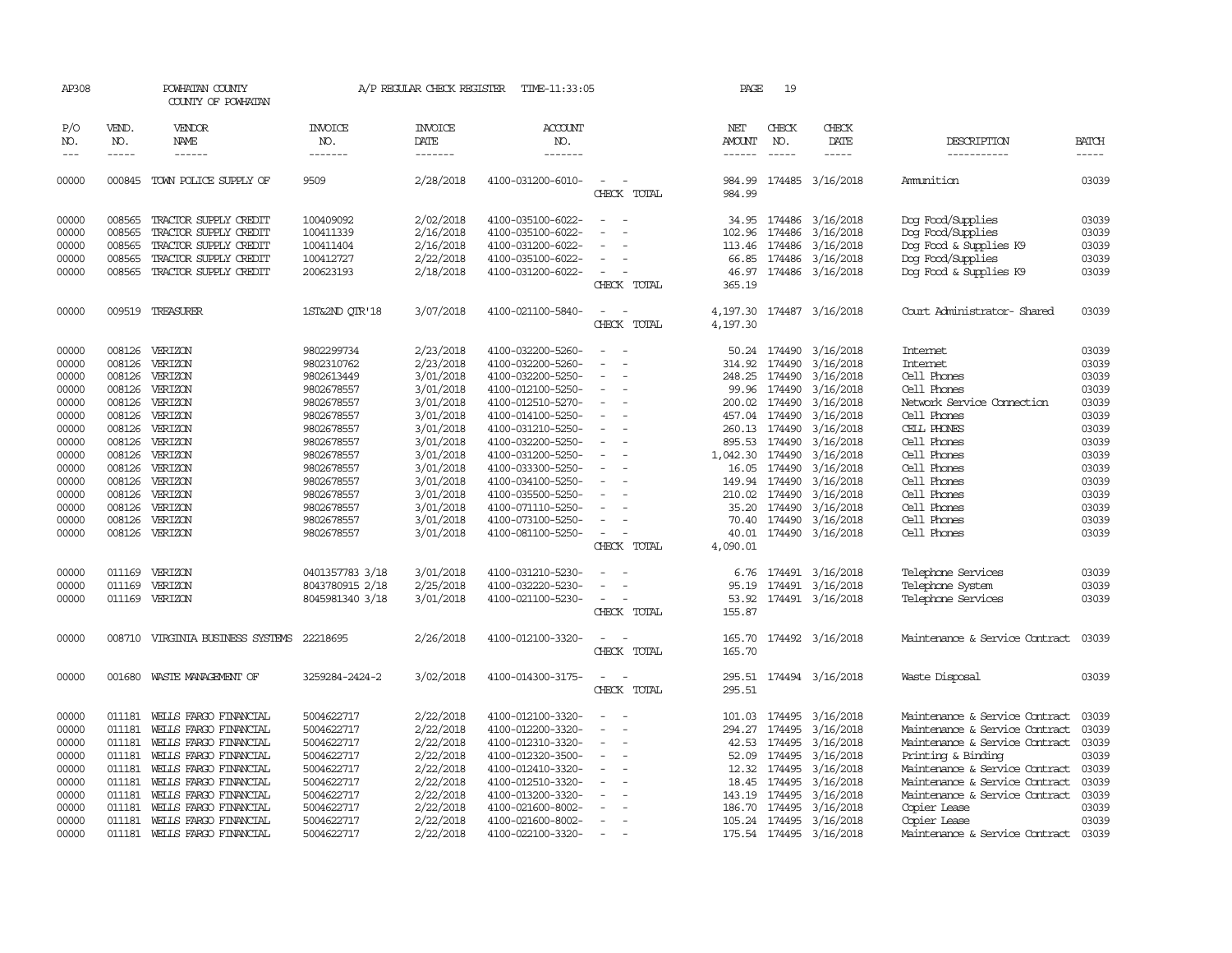| AP308      |              | POWHATAN COUNTY<br>COUNTY OF POWHATAN |                       | A/P REGULAR CHECK REGISTER | TIME-11:33:05     |                          | PAGE                 | 19            |                         |                                |              |
|------------|--------------|---------------------------------------|-----------------------|----------------------------|-------------------|--------------------------|----------------------|---------------|-------------------------|--------------------------------|--------------|
| P/O<br>NO. | VEND.<br>NO. | VENDOR<br>NAME                        | <b>INVOICE</b><br>NO. | <b>INVOICE</b><br>DATE     | ACCOUNT<br>NO.    |                          | NET<br>AMOUNT        | CHECK<br>NO.  | CHECK<br>DATE           | DESCRIPTION                    | <b>BATCH</b> |
| $---$      | $- - - - -$  | $- - - - - -$                         | --------              | --------                   | -------           |                          | $- - - - - -$        | $- - - - -$   | -----                   | -----------                    | $- - - - -$  |
| 00000      | 000845       | TOWN POLICE SUPPLY OF                 | 9509                  | 2/28/2018                  | 4100-031200-6010- | $\equiv$<br>CHECK TOTAL  | 984.99<br>984.99     |               | 174485 3/16/2018        | Ammition                       | 03039        |
| 00000      | 008565       | TRACTOR SUPPLY CREDIT                 | 100409092             | 2/02/2018                  | 4100-035100-6022- |                          |                      |               | 34.95 174486 3/16/2018  | Dog Food/Supplies              | 03039        |
| 00000      | 008565       | TRACTOR SUPPLY CREDIT                 | 100411339             | 2/16/2018                  | 4100-035100-6022- |                          | 102.96               | 174486        | 3/16/2018               | Dog Food/Supplies              | 03039        |
| 00000      | 008565       | TRACTOR SUPPLY CREDIT                 | 100411404             | 2/16/2018                  | 4100-031200-6022- |                          | 113.46               | 174486        | 3/16/2018               | Dog Food & Supplies K9         | 03039        |
| 00000      | 008565       | TRACTOR SUPPLY CREDIT                 | 100412727             | 2/22/2018                  | 4100-035100-6022- |                          | 66.85                | 174486        | 3/16/2018               | Dog Food/Supplies              | 03039        |
| 00000      | 008565       | TRACTOR SUPPLY CREDIT                 | 200623193             | 2/18/2018                  | 4100-031200-6022- |                          | 46.97                |               | 174486 3/16/2018        | Dog Food & Supplies K9         | 03039        |
|            |              |                                       |                       |                            |                   | CHECK TOTAL              | 365.19               |               |                         |                                |              |
| 00000      |              | 009519 TREASURER                      | 1ST&2ND OTR'18        | 3/07/2018                  | 4100-021100-5840- | CHECK TOTAL              | 4,197.30<br>4,197.30 |               | 174487 3/16/2018        | Court Administrator- Shared    | 03039        |
| 00000      | 008126       | VERIZON                               | 9802299734            | 2/23/2018                  | 4100-032200-5260- |                          | 50.24                | 174490        | 3/16/2018               | <b>Internet</b>                | 03039        |
| 00000      | 008126       | VERIZON                               | 9802310762            | 2/23/2018                  | 4100-032200-5260- |                          | 314.92               | 174490        | 3/16/2018               | <b>Internet</b>                | 03039        |
| 00000      | 008126       | VERIZON                               | 9802613449            | 3/01/2018                  | 4100-032200-5250- |                          | 248.25               | 174490        | 3/16/2018               | Cell Phones                    | 03039        |
| 00000      | 008126       | VERIZON                               | 9802678557            | 3/01/2018                  | 4100-012100-5250- |                          | 99.96                | 174490        | 3/16/2018               | Cell Phones                    | 03039        |
| 00000      | 008126       | VERIZON                               | 9802678557            | 3/01/2018                  | 4100-012510-5270- |                          | 200.02               | 174490        | 3/16/2018               | Network Service Connection     | 03039        |
| 00000      | 008126       | VERIZON                               | 9802678557            | 3/01/2018                  | 4100-014100-5250- |                          | 457.04               | 174490        | 3/16/2018               | Cell Phones                    | 03039        |
| 00000      | 008126       | VERIZON                               | 9802678557            | 3/01/2018                  | 4100-031210-5250- |                          | 260.13               | 174490        | 3/16/2018               | CELL PHONES                    | 03039        |
| 00000      | 008126       | VERIZON                               | 9802678557            | 3/01/2018                  | 4100-032200-5250- | $\sim$                   |                      | 895.53 174490 | 3/16/2018               | Cell Phones                    | 03039        |
| 00000      |              | 008126 VERIZON                        | 9802678557            | 3/01/2018                  | 4100-031200-5250- |                          | 1,042.30             | 174490        | 3/16/2018               | Cell Phones                    | 03039        |
| 00000      | 008126       | VERIZON                               | 9802678557            | 3/01/2018                  | 4100-033300-5250- |                          | 16.05                | 174490        | 3/16/2018               | Cell Phones                    | 03039        |
| 00000      | 008126       | VERIZON                               | 9802678557            | 3/01/2018                  | 4100-034100-5250- |                          | 149.94               | 174490        | 3/16/2018               | Cell Phones                    | 03039        |
| 00000      | 008126       | VERIZON                               | 9802678557            | 3/01/2018                  | 4100-035500-5250- |                          | 210.02               | 174490        | 3/16/2018               | Cell Phones                    | 03039        |
| 00000      | 008126       | VERIZON                               | 9802678557            | 3/01/2018                  | 4100-071110-5250- |                          | 35.20                | 174490        | 3/16/2018               | Cell Phones                    | 03039        |
| 00000      | 008126       | VERIZON                               | 9802678557            | 3/01/2018                  | 4100-073100-5250- |                          | 70.40                | 174490        | 3/16/2018               | Cell Phones                    | 03039        |
| 00000      |              | 008126 VERIZON                        | 9802678557            | 3/01/2018                  | 4100-081100-5250- | $\overline{a}$           | 40.01                |               | 174490 3/16/2018        | Cell Phones                    | 03039        |
|            |              |                                       |                       |                            |                   | CHECK TOTAL              | 4,090.01             |               |                         |                                |              |
| 00000      | 011169       | VERIZON                               | 0401357783 3/18       | 3/01/2018                  | 4100-031210-5230- |                          | 6.76                 |               | 174491 3/16/2018        | Telephone Services             | 03039        |
| 00000      | 011169       | VERIZON                               | 8043780915 2/18       | 2/25/2018                  | 4100-032220-5230- |                          | 95.19                |               | 174491 3/16/2018        | Telephone System               | 03039        |
| 00000      |              | 011169 VERIZON                        | 8045981340 3/18       | 3/01/2018                  | 4100-021100-5230- | $\sim$                   |                      |               | 53.92 174491 3/16/2018  | Telephone Services             | 03039        |
|            |              |                                       |                       |                            |                   | CHECK TOTAL              | 155.87               |               |                         |                                |              |
| 00000      |              | 008710 VIRGINIA BUSINESS SYSTEMS      | 22218695              | 2/26/2018                  | 4100-012100-3320- | CHECK TOTAL              | 165.70<br>165.70     |               | 174492 3/16/2018        | Maintenance & Service Contract | 03039        |
| 00000      |              | 001680 WASTE MANAGEMENT OF            | 3259284-2424-2        | 3/02/2018                  | 4100-014300-3175- | CHECK TOTAL              | 295.51<br>295.51     |               | 174494 3/16/2018        | Waste Disposal                 | 03039        |
| 00000      | 011181       | WELLS FARGO FINANCIAL                 | 5004622717            | 2/22/2018                  | 4100-012100-3320- |                          | 101.03               | 174495        | 3/16/2018               | Maintenance & Service Contract | 03039        |
| 00000      | 011181       | WELLS FARGO FINANCIAL                 | 5004622717            | 2/22/2018                  | 4100-012200-3320- |                          | 294.27               | 174495        | 3/16/2018               | Maintenance & Service Contract | 03039        |
| 00000      | 011181       | WELLS FARGO FINANCIAL                 | 5004622717            | 2/22/2018                  | 4100-012310-3320- |                          | 42.53                | 174495        | 3/16/2018               | Maintenance & Service Contract | 03039        |
| 00000      | 011181       | WELLS FARGO FINANCIAL                 | 5004622717            | 2/22/2018                  | 4100-012320-3500- | $\overline{\phantom{a}}$ | 52.09                | 174495        | 3/16/2018               | Printing & Binding             | 03039        |
| 00000      | 011181       | WEILS FARGO FINANCIAL                 | 5004622717            | 2/22/2018                  | 4100-012410-3320- |                          | 12.32                | 174495        | 3/16/2018               | Maintenance & Service Contract | 03039        |
| 00000      | 011181       | WELLS FARGO FINANCIAL                 | 5004622717            | 2/22/2018                  | 4100-012510-3320- |                          | 18.45                | 174495        | 3/16/2018               | Maintenance & Service Contract | 03039        |
| 00000      | 011181       | WELLS FARGO FINANCIAL                 | 5004622717            | 2/22/2018                  | 4100-013200-3320- |                          | 143.19               | 174495        | 3/16/2018               | Maintenance & Service Contract | 03039        |
| 00000      | 011181       | WELLS FARGO FINANCIAL                 | 5004622717            | 2/22/2018                  | 4100-021600-8002- |                          | 186.70               | 174495        | 3/16/2018               | Copier Lease                   | 03039        |
| 00000      | 011181       | WELLS FARGO FINANCIAL                 | 5004622717            | 2/22/2018                  | 4100-021600-8002- |                          |                      | 105.24 174495 | 3/16/2018               | Copier Lease                   | 03039        |
| 00000      | 011181       | WEILS FARGO FINANCIAL                 | 5004622717            | 2/22/2018                  | 4100-022100-3320- |                          |                      |               | 175.54 174495 3/16/2018 | Maintenance & Service Contract | 03039        |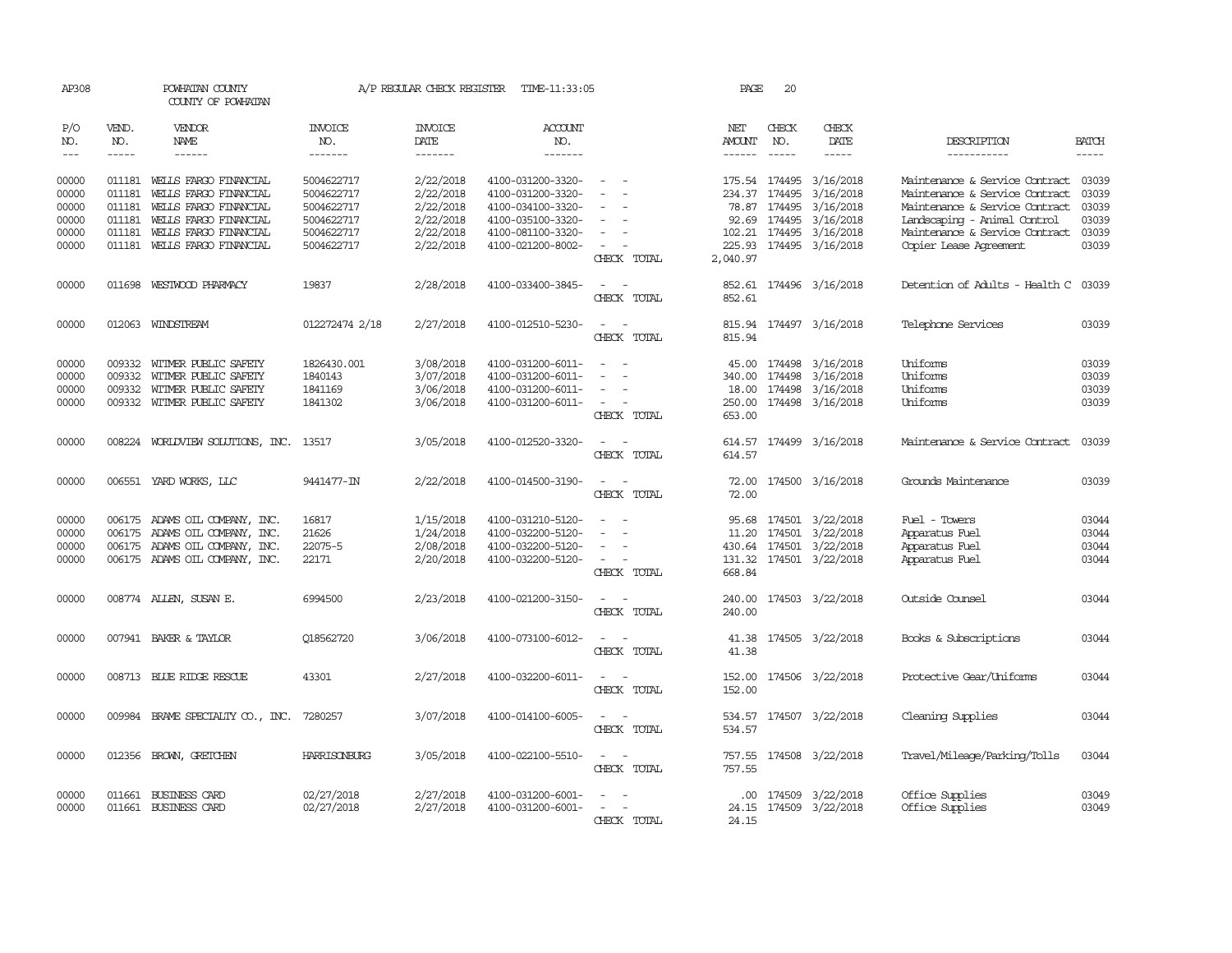| AP308          |                  | POWHATAN COUNTY<br>COUNTY OF POWHATAN                            |                          | A/P REGULAR CHECK REGISTER | TIME-11:33:05                          |                                         | PAGE                 | 20           |                                                    |                                                                  |                |
|----------------|------------------|------------------------------------------------------------------|--------------------------|----------------------------|----------------------------------------|-----------------------------------------|----------------------|--------------|----------------------------------------------------|------------------------------------------------------------------|----------------|
| P/O<br>NO.     | VEND.<br>NO.     | VENDOR<br><b>NAME</b>                                            | <b>INVOICE</b><br>NO.    | <b>INVOICE</b><br>DATE     | <b>ACCOUNT</b><br>NO.                  |                                         | NET<br><b>AMOUNT</b> | CHECK<br>NO. | CHECK<br>DATE                                      | DESCRIPTION                                                      | <b>BATCH</b>   |
| $---$          |                  | $- - - - - -$                                                    | -------                  | $- - - - - - -$            | -------                                |                                         | ------               | $- - - - -$  | $- - - - -$                                        | -----------                                                      | -----          |
| 00000<br>00000 | 011181           | 011181 WELLS FARGO FINANCIAL<br>WELLS FARGO FINANCIAL            | 5004622717<br>5004622717 | 2/22/2018<br>2/22/2018     | 4100-031200-3320-<br>4100-031200-3320- |                                         |                      |              | 175.54 174495 3/16/2018<br>234.37 174495 3/16/2018 | Maintenance & Service Contract<br>Maintenance & Service Contract | 03039<br>03039 |
| 00000<br>00000 | 011181<br>011181 | WEILS FARGO FINANCIAL<br>WELLS FARGO FINANCIAL                   | 5004622717<br>5004622717 | 2/22/2018<br>2/22/2018     | 4100-034100-3320-<br>4100-035100-3320- | $\sim$                                  | 92.69                |              | 78.87 174495 3/16/2018<br>174495 3/16/2018         | Maintenance & Service Contract<br>Landscaping - Animal Control   | 03039<br>03039 |
| 00000          | 011181           | WEILS FARGO FINANCIAL                                            | 5004622717               | 2/22/2018                  | 4100-081100-3320-                      |                                         |                      |              | 102.21 174495 3/16/2018                            | Maintenance & Service Contract                                   | 03039          |
| 00000          |                  | 011181 WELLS FARGO FINANCIAL                                     | 5004622717               | 2/22/2018                  | 4100-021200-8002-                      | $\sim$<br>CHECK TOTAL                   | 2,040.97             |              | 225.93 174495 3/16/2018                            | <b>Copier Lease Agreement</b>                                    | 03039          |
| 00000          |                  | 011698 WESTWOOD PHARMACY                                         | 19837                    | 2/28/2018                  | 4100-033400-3845-                      | $\sim$<br>CHECK TOTAL                   | 852.61               |              | 852.61 174496 3/16/2018                            | Detention of Adults - Health C                                   | 03039          |
| 00000          |                  | 012063 WINDSTREAM                                                | 012272474 2/18           | 2/27/2018                  | 4100-012510-5230-                      | $\overline{\phantom{a}}$<br>CHECK TOTAL | 815.94               |              | 815.94 174497 3/16/2018                            | Telephone Services                                               | 03039          |
| 00000<br>00000 | 009332<br>009332 | WITMER PUBLIC SAFETY<br>WITMER PUBLIC SAFETY                     | 1826430.001<br>1840143   | 3/08/2018<br>3/07/2018     | 4100-031200-6011-<br>4100-031200-6011- |                                         | 45.00<br>340.00      |              | 174498 3/16/2018<br>174498 3/16/2018               | Uniforms<br>Uniforms<br>Uniforms                                 | 03039<br>03039 |
| 00000<br>00000 | 009332           | WITMER PUBLIC SAFETY<br>009332 WITMER PUBLIC SAFETY              | 1841169<br>1841302       | 3/06/2018<br>3/06/2018     | 4100-031200-6011-<br>4100-031200-6011- | CHECK TOTAL                             | 250.00<br>653.00     |              | 18.00 174498 3/16/2018<br>174498 3/16/2018         | Uniforms                                                         | 03039<br>03039 |
| 00000          |                  | 008224 WORLDVIEW SOLUTIONS, INC. 13517                           |                          | 3/05/2018                  | 4100-012520-3320-                      | CHECK TOTAL                             | 614.57<br>614.57     |              | 174499 3/16/2018                                   | Maintenance & Service Contract                                   | 03039          |
| 00000          |                  | 006551 YARD WORKS, LLC                                           | 9441477-IN               | 2/22/2018                  | 4100-014500-3190-                      | CHECK TOTAL                             | 72.00<br>72.00       |              | 174500 3/16/2018                                   | Grounds Maintenance                                              | 03039          |
| 00000<br>00000 |                  | 006175 ADAMS OIL COMPANY, INC.<br>006175 ADAMS OIL COMPANY, INC. | 16817<br>21626           | 1/15/2018<br>1/24/2018     | 4100-031210-5120-<br>4100-032200-5120- | $\sim$                                  | 95.68                |              | 174501 3/22/2018<br>11.20 174501 3/22/2018         | Fuel - Towers<br>Apparatus Fuel                                  | 03044<br>03044 |
| 00000          |                  | 006175 ADAMS OIL COMPANY, INC.                                   | 22075-5                  | 2/08/2018                  | 4100-032200-5120-                      |                                         |                      |              | 430.64 174501 3/22/2018                            | Apparatus Fuel                                                   | 03044          |
| 00000          |                  | 006175 ADAMS OIL COMPANY, INC.                                   | 22171                    | 2/20/2018                  | 4100-032200-5120-                      | CHECK TOTAL                             | 668.84               |              | 131.32 174501 3/22/2018                            | Apparatus Fuel                                                   | 03044          |
| 00000          |                  | 008774 ALLEN, SUSAN E.                                           | 6994500                  | 2/23/2018                  | 4100-021200-3150-                      | CHECK TOTAL                             | 240.00<br>240.00     |              | 174503 3/22/2018                                   | Outside Counsel                                                  | 03044          |
| 00000          |                  | 007941 BAKER & TAYLOR                                            | 018562720                | 3/06/2018                  | 4100-073100-6012-                      | CHECK TOTAL                             | 41.38<br>41.38       |              | 174505 3/22/2018                                   | Books & Subscriptions                                            | 03044          |
| 00000          |                  | 008713 BLUE RIDGE RESCUE                                         | 43301                    | 2/27/2018                  | 4100-032200-6011-                      | CHECK TOTAL                             | 152.00<br>152.00     |              | 174506 3/22/2018                                   | Protective Gear/Uniforms                                         | 03044          |
| 00000          | 009984           | BRAME SPECIALITY CO., INC.                                       | 7280257                  | 3/07/2018                  | 4100-014100-6005-                      | CHECK TOTAL                             | 534.57<br>534.57     |              | 174507 3/22/2018                                   | Cleaning Supplies                                                | 03044          |
| 00000          | 012356           | BROWN, GRETCHEN                                                  | <b>HARRISONBURG</b>      | 3/05/2018                  | 4100-022100-5510-                      | CHECK TOTAL                             | 757.55<br>757.55     |              | 174508 3/22/2018                                   | Travel/Mileage/Parking/Tolls                                     | 03044          |
| 00000<br>00000 | 011661           | <b>BUSINESS CARD</b><br>011661 BUSINESS CARD                     | 02/27/2018<br>02/27/2018 | 2/27/2018<br>2/27/2018     | 4100-031200-6001-<br>4100-031200-6001- | CHECK<br><b>TOTAL</b>                   | .00<br>24.15         |              | 174509 3/22/2018<br>24.15 174509 3/22/2018         | Office Supplies<br>Office Supplies                               | 03049<br>03049 |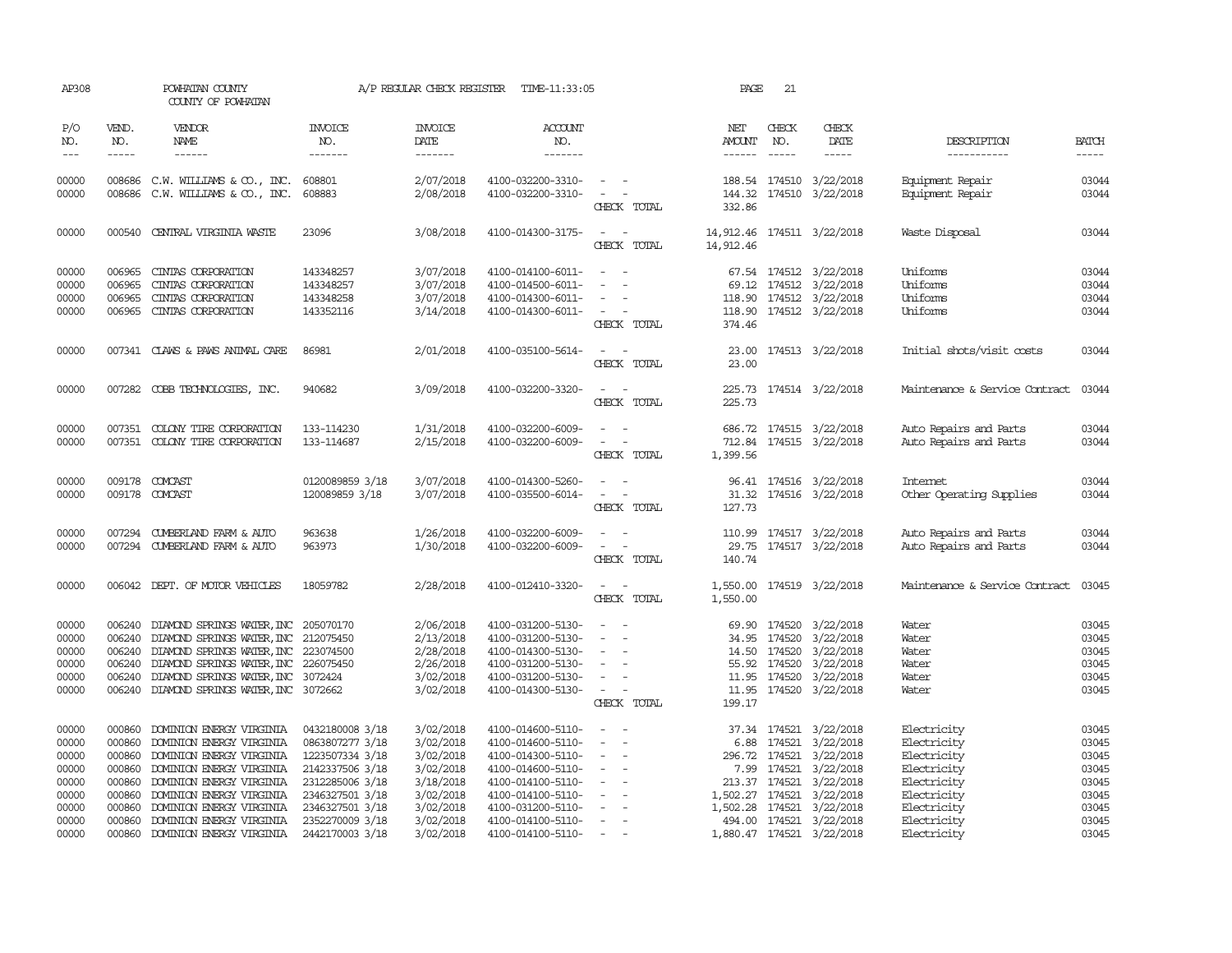| AP308                 |                             | POWHATAN COUNTY<br>COUNTY OF POWHATAN                                                                                                                                                                                                                                                                                                                                                                                                     |                           |                                   | A/P REGULAR CHECK REGISTER TIME-11:33:05 |                                                                           | PAGE                                                                                                                                                                                                                                                                                                                                                                                                                                                                                                               | 21                          |                                                                                                                                                                                                                                                                                                                                                                                                                                                                                                      |                                      |                                                                                                                                                                                                                                                                                                                                                                                                                                                                                                     |
|-----------------------|-----------------------------|-------------------------------------------------------------------------------------------------------------------------------------------------------------------------------------------------------------------------------------------------------------------------------------------------------------------------------------------------------------------------------------------------------------------------------------------|---------------------------|-----------------------------------|------------------------------------------|---------------------------------------------------------------------------|--------------------------------------------------------------------------------------------------------------------------------------------------------------------------------------------------------------------------------------------------------------------------------------------------------------------------------------------------------------------------------------------------------------------------------------------------------------------------------------------------------------------|-----------------------------|------------------------------------------------------------------------------------------------------------------------------------------------------------------------------------------------------------------------------------------------------------------------------------------------------------------------------------------------------------------------------------------------------------------------------------------------------------------------------------------------------|--------------------------------------|-----------------------------------------------------------------------------------------------------------------------------------------------------------------------------------------------------------------------------------------------------------------------------------------------------------------------------------------------------------------------------------------------------------------------------------------------------------------------------------------------------|
| P/O<br>NO.<br>$- - -$ | VEND.<br>NO.<br>$- - - - -$ | VENDOR<br>NAME<br>$\begin{tabular}{ccccc} \multicolumn{2}{c }{\multicolumn{2}{c }{\multicolumn{2}{c }{\multicolumn{2}{c}}}{\multicolumn{2}{c }{\multicolumn{2}{c}}}\end{tabular} \end{tabular} \begin{tabular}{c c }{\multicolumn{2}{c }{\multicolumn{2}{c }{\multicolumn{2}{c}}}{\multicolumn{2}{c }{\multicolumn{2}{c}}}{\multicolumn{2}{c }{\multicolumn{2}{c}}}{\multicolumn{2}{c }{\multicolumn{2}{c}}}{\end{tabular} \end{tabular}$ | INVOICE<br>NO.<br>------- | <b>INVOICE</b><br>DATE<br>------- | <b>ACCOUNT</b><br>NO.<br>-------         |                                                                           | NET<br><b>AMOUNT</b><br>$\begin{tabular}{ccccc} \multicolumn{2}{c} {\textbf{1}} & \multicolumn{2}{c} {\textbf{2}} & \multicolumn{2}{c} {\textbf{3}} & \multicolumn{2}{c} {\textbf{4}} & \multicolumn{2}{c} {\textbf{5}} & \multicolumn{2}{c} {\textbf{6}} & \multicolumn{2}{c} {\textbf{7}} & \multicolumn{2}{c} {\textbf{8}} & \multicolumn{2}{c} {\textbf{9}} & \multicolumn{2}{c} {\textbf{1}} & \multicolumn{2}{c} {\textbf{1}} & \multicolumn{2}{c} {\textbf{1}} & \multicolumn{2}{c} {\textbf{1}} & \multic$ | CHECK<br>NO.<br>$- - - - -$ | CHECK<br>DATE<br>$\begin{tabular}{ccccc} \multicolumn{2}{c}{} & \multicolumn{2}{c}{} & \multicolumn{2}{c}{} & \multicolumn{2}{c}{} & \multicolumn{2}{c}{} & \multicolumn{2}{c}{} & \multicolumn{2}{c}{} & \multicolumn{2}{c}{} & \multicolumn{2}{c}{} & \multicolumn{2}{c}{} & \multicolumn{2}{c}{} & \multicolumn{2}{c}{} & \multicolumn{2}{c}{} & \multicolumn{2}{c}{} & \multicolumn{2}{c}{} & \multicolumn{2}{c}{} & \multicolumn{2}{c}{} & \multicolumn{2}{c}{} & \multicolumn{2}{c}{} & \mult$ | DESCRIPTION<br>-----------           | <b>BATCH</b><br>$\begin{tabular}{ccccc} \multicolumn{2}{c}{} & \multicolumn{2}{c}{} & \multicolumn{2}{c}{} & \multicolumn{2}{c}{} & \multicolumn{2}{c}{} & \multicolumn{2}{c}{} & \multicolumn{2}{c}{} & \multicolumn{2}{c}{} & \multicolumn{2}{c}{} & \multicolumn{2}{c}{} & \multicolumn{2}{c}{} & \multicolumn{2}{c}{} & \multicolumn{2}{c}{} & \multicolumn{2}{c}{} & \multicolumn{2}{c}{} & \multicolumn{2}{c}{} & \multicolumn{2}{c}{} & \multicolumn{2}{c}{} & \multicolumn{2}{c}{} & \mult$ |
|                       |                             |                                                                                                                                                                                                                                                                                                                                                                                                                                           |                           |                                   |                                          |                                                                           |                                                                                                                                                                                                                                                                                                                                                                                                                                                                                                                    |                             |                                                                                                                                                                                                                                                                                                                                                                                                                                                                                                      |                                      |                                                                                                                                                                                                                                                                                                                                                                                                                                                                                                     |
| 00000<br>00000        | 008686                      | 008686 C.W. WILLIAMS & CO., INC.<br>C.W. WILLIAMS & CO., INC.                                                                                                                                                                                                                                                                                                                                                                             | 608801<br>608883          | 2/07/2018<br>2/08/2018            | 4100-032200-3310-<br>4100-032200-3310-   | $\sim$ $ -$<br>$\omega_{\rm{max}}$ and $\omega_{\rm{max}}$<br>CHECK TOTAL | 144.32<br>332.86                                                                                                                                                                                                                                                                                                                                                                                                                                                                                                   |                             | 188.54 174510 3/22/2018<br>174510 3/22/2018                                                                                                                                                                                                                                                                                                                                                                                                                                                          | Equipment Repair<br>Equipment Repair | 03044<br>03044                                                                                                                                                                                                                                                                                                                                                                                                                                                                                      |
| 00000                 | 000540                      | CENTRAL VIRGINIA WASTE                                                                                                                                                                                                                                                                                                                                                                                                                    | 23096                     | 3/08/2018                         | 4100-014300-3175-                        | $\overline{\phantom{a}}$<br>CHECK TOTAL                                   | 14,912.46<br>14,912.46                                                                                                                                                                                                                                                                                                                                                                                                                                                                                             |                             | 174511 3/22/2018                                                                                                                                                                                                                                                                                                                                                                                                                                                                                     | Waste Disposal                       | 03044                                                                                                                                                                                                                                                                                                                                                                                                                                                                                               |
| 00000                 | 006965                      | CINIAS CORPORATION                                                                                                                                                                                                                                                                                                                                                                                                                        | 143348257                 | 3/07/2018                         | 4100-014100-6011-                        | $\overline{\phantom{a}}$                                                  |                                                                                                                                                                                                                                                                                                                                                                                                                                                                                                                    |                             | 67.54 174512 3/22/2018                                                                                                                                                                                                                                                                                                                                                                                                                                                                               | Uniforms                             | 03044                                                                                                                                                                                                                                                                                                                                                                                                                                                                                               |
| 00000                 | 006965                      | CINIAS CORPORATION                                                                                                                                                                                                                                                                                                                                                                                                                        | 143348257                 | 3/07/2018                         | 4100-014500-6011-                        |                                                                           | 69.12                                                                                                                                                                                                                                                                                                                                                                                                                                                                                                              |                             | 174512 3/22/2018                                                                                                                                                                                                                                                                                                                                                                                                                                                                                     | Uniforms                             | 03044                                                                                                                                                                                                                                                                                                                                                                                                                                                                                               |
| 00000                 | 006965                      | CINIAS CORPORATION                                                                                                                                                                                                                                                                                                                                                                                                                        | 143348258                 | 3/07/2018                         | 4100-014300-6011-                        |                                                                           |                                                                                                                                                                                                                                                                                                                                                                                                                                                                                                                    |                             | 118.90 174512 3/22/2018                                                                                                                                                                                                                                                                                                                                                                                                                                                                              | Uniforms                             | 03044                                                                                                                                                                                                                                                                                                                                                                                                                                                                                               |
| 00000                 |                             | 006965 CINIAS CORPORATION                                                                                                                                                                                                                                                                                                                                                                                                                 | 143352116                 | 3/14/2018                         | 4100-014300-6011-                        | $\sim$ $ -$<br>CHECK TOTAL                                                | 374.46                                                                                                                                                                                                                                                                                                                                                                                                                                                                                                             |                             | 118.90 174512 3/22/2018                                                                                                                                                                                                                                                                                                                                                                                                                                                                              | Uniforms                             | 03044                                                                                                                                                                                                                                                                                                                                                                                                                                                                                               |
| 00000                 |                             | 007341 CLAWS & PAWS ANIMAL CARE                                                                                                                                                                                                                                                                                                                                                                                                           | 86981                     | 2/01/2018                         | 4100-035100-5614-                        | $\sim$ $\sim$<br>CHECK TOTAL                                              | 23.00                                                                                                                                                                                                                                                                                                                                                                                                                                                                                                              |                             | 23.00 174513 3/22/2018                                                                                                                                                                                                                                                                                                                                                                                                                                                                               | Initial shots/visit costs            | 03044                                                                                                                                                                                                                                                                                                                                                                                                                                                                                               |
| 00000                 |                             | 007282 COBB TECHNOLOGIES, INC.                                                                                                                                                                                                                                                                                                                                                                                                            | 940682                    | 3/09/2018                         | 4100-032200-3320-                        | CHECK TOTAL                                                               | 225.73                                                                                                                                                                                                                                                                                                                                                                                                                                                                                                             |                             | 225.73 174514 3/22/2018                                                                                                                                                                                                                                                                                                                                                                                                                                                                              | Maintenance & Service Contract       | 03044                                                                                                                                                                                                                                                                                                                                                                                                                                                                                               |
| 00000                 |                             | 007351 COLONY TIRE CORPORATION                                                                                                                                                                                                                                                                                                                                                                                                            | 133-114230                | 1/31/2018                         | 4100-032200-6009-                        | $\overline{\phantom{a}}$                                                  |                                                                                                                                                                                                                                                                                                                                                                                                                                                                                                                    |                             | 686.72 174515 3/22/2018                                                                                                                                                                                                                                                                                                                                                                                                                                                                              | Auto Repairs and Parts               | 03044                                                                                                                                                                                                                                                                                                                                                                                                                                                                                               |
| 00000                 |                             | 007351 COLONY TIRE CORPORATION                                                                                                                                                                                                                                                                                                                                                                                                            | 133-114687                | 2/15/2018                         | 4100-032200-6009-                        | $\sim$<br>$\sim$                                                          |                                                                                                                                                                                                                                                                                                                                                                                                                                                                                                                    |                             | 712.84 174515 3/22/2018                                                                                                                                                                                                                                                                                                                                                                                                                                                                              | Auto Repairs and Parts               | 03044                                                                                                                                                                                                                                                                                                                                                                                                                                                                                               |
|                       |                             |                                                                                                                                                                                                                                                                                                                                                                                                                                           |                           |                                   |                                          | CHECK TOTAL                                                               | 1,399.56                                                                                                                                                                                                                                                                                                                                                                                                                                                                                                           |                             |                                                                                                                                                                                                                                                                                                                                                                                                                                                                                                      |                                      |                                                                                                                                                                                                                                                                                                                                                                                                                                                                                                     |
| 00000                 |                             | 009178 COMCAST                                                                                                                                                                                                                                                                                                                                                                                                                            | 0120089859 3/18           | 3/07/2018                         | 4100-014300-5260-                        | $ -$                                                                      |                                                                                                                                                                                                                                                                                                                                                                                                                                                                                                                    |                             | 96.41 174516 3/22/2018                                                                                                                                                                                                                                                                                                                                                                                                                                                                               | <b>Internet</b>                      | 03044                                                                                                                                                                                                                                                                                                                                                                                                                                                                                               |
| 00000                 |                             | 009178 COMCAST                                                                                                                                                                                                                                                                                                                                                                                                                            | 120089859 3/18            | 3/07/2018                         | 4100-035500-6014-                        | $\sim$<br>$\overline{\phantom{a}}$                                        |                                                                                                                                                                                                                                                                                                                                                                                                                                                                                                                    |                             | 31.32 174516 3/22/2018                                                                                                                                                                                                                                                                                                                                                                                                                                                                               | Other Operating Supplies             | 03044                                                                                                                                                                                                                                                                                                                                                                                                                                                                                               |
|                       |                             |                                                                                                                                                                                                                                                                                                                                                                                                                                           |                           |                                   |                                          | CHECK TOTAL                                                               | 127.73                                                                                                                                                                                                                                                                                                                                                                                                                                                                                                             |                             |                                                                                                                                                                                                                                                                                                                                                                                                                                                                                                      |                                      |                                                                                                                                                                                                                                                                                                                                                                                                                                                                                                     |
| 00000                 |                             | 007294 CUMBERLAND FARM & AUTO                                                                                                                                                                                                                                                                                                                                                                                                             | 963638                    | 1/26/2018                         | 4100-032200-6009-                        | $\sim$<br>$\sim$                                                          | 110.99                                                                                                                                                                                                                                                                                                                                                                                                                                                                                                             |                             | 174517 3/22/2018                                                                                                                                                                                                                                                                                                                                                                                                                                                                                     | Auto Repairs and Parts               | 03044                                                                                                                                                                                                                                                                                                                                                                                                                                                                                               |
| 00000                 |                             | 007294 CUMBERLAND FARM & AUTO                                                                                                                                                                                                                                                                                                                                                                                                             | 963973                    | 1/30/2018                         | 4100-032200-6009-                        | $\sim$<br>$\sim$<br>CHECK TOTAL                                           | 29.75<br>140.74                                                                                                                                                                                                                                                                                                                                                                                                                                                                                                    |                             | 174517 3/22/2018                                                                                                                                                                                                                                                                                                                                                                                                                                                                                     | Auto Repairs and Parts               | 03044                                                                                                                                                                                                                                                                                                                                                                                                                                                                                               |
| 00000                 |                             | 006042 DEPT. OF MOTOR VEHICLES                                                                                                                                                                                                                                                                                                                                                                                                            | 18059782                  | 2/28/2018                         | 4100-012410-3320-                        | $\sim$ $ \sim$                                                            |                                                                                                                                                                                                                                                                                                                                                                                                                                                                                                                    |                             | 1,550.00 174519 3/22/2018                                                                                                                                                                                                                                                                                                                                                                                                                                                                            | Maintenance & Service Contract       | 03045                                                                                                                                                                                                                                                                                                                                                                                                                                                                                               |
|                       |                             |                                                                                                                                                                                                                                                                                                                                                                                                                                           |                           |                                   |                                          | CHECK TOTAL                                                               | 1,550.00                                                                                                                                                                                                                                                                                                                                                                                                                                                                                                           |                             |                                                                                                                                                                                                                                                                                                                                                                                                                                                                                                      |                                      |                                                                                                                                                                                                                                                                                                                                                                                                                                                                                                     |
| 00000                 |                             | 006240 DIAMOND SPRINGS WATER, INC 205070170                                                                                                                                                                                                                                                                                                                                                                                               |                           | 2/06/2018                         | 4100-031200-5130-                        | $\sim$<br>$\sim$                                                          |                                                                                                                                                                                                                                                                                                                                                                                                                                                                                                                    |                             | 69.90 174520 3/22/2018                                                                                                                                                                                                                                                                                                                                                                                                                                                                               | Water                                | 03045                                                                                                                                                                                                                                                                                                                                                                                                                                                                                               |
| 00000                 | 006240                      | DIAMOND SPRINGS WATER, INC                                                                                                                                                                                                                                                                                                                                                                                                                | 212075450                 | 2/13/2018                         | 4100-031200-5130-                        | $\overline{\phantom{a}}$                                                  | 34.95                                                                                                                                                                                                                                                                                                                                                                                                                                                                                                              | 174520                      | 3/22/2018                                                                                                                                                                                                                                                                                                                                                                                                                                                                                            | Water                                | 03045                                                                                                                                                                                                                                                                                                                                                                                                                                                                                               |
| 00000                 |                             | 006240 DIAMOND SPRINGS WATER, INC 223074500                                                                                                                                                                                                                                                                                                                                                                                               |                           | 2/28/2018                         | 4100-014300-5130-                        | $\overline{\phantom{a}}$                                                  |                                                                                                                                                                                                                                                                                                                                                                                                                                                                                                                    | 14.50 174520                | 3/22/2018                                                                                                                                                                                                                                                                                                                                                                                                                                                                                            | Water                                | 03045                                                                                                                                                                                                                                                                                                                                                                                                                                                                                               |
| 00000                 | 006240                      | DIAMOND SPRINGS WATER, INC 226075450                                                                                                                                                                                                                                                                                                                                                                                                      |                           | 2/26/2018                         | 4100-031200-5130-                        | $\overline{\phantom{a}}$                                                  |                                                                                                                                                                                                                                                                                                                                                                                                                                                                                                                    | 55.92 174520                | 3/22/2018                                                                                                                                                                                                                                                                                                                                                                                                                                                                                            | Water                                | 03045                                                                                                                                                                                                                                                                                                                                                                                                                                                                                               |
| 00000                 |                             | 006240 DIAMOND SPRINGS WATER, INC 3072424                                                                                                                                                                                                                                                                                                                                                                                                 |                           | 3/02/2018                         | 4100-031200-5130-                        | $\overline{\phantom{a}}$                                                  |                                                                                                                                                                                                                                                                                                                                                                                                                                                                                                                    |                             | 11.95 174520 3/22/2018                                                                                                                                                                                                                                                                                                                                                                                                                                                                               | Water                                | 03045                                                                                                                                                                                                                                                                                                                                                                                                                                                                                               |
| 00000                 |                             | 006240 DIAMOND SPRINGS WATER, INC 3072662                                                                                                                                                                                                                                                                                                                                                                                                 |                           | 3/02/2018                         | 4100-014300-5130-                        | $\sim$<br>CHECK TOTAL                                                     | 199.17                                                                                                                                                                                                                                                                                                                                                                                                                                                                                                             |                             | 11.95 174520 3/22/2018                                                                                                                                                                                                                                                                                                                                                                                                                                                                               | Water                                | 03045                                                                                                                                                                                                                                                                                                                                                                                                                                                                                               |
| 00000                 | 000860                      | DOMINION ENERGY VIRGINIA                                                                                                                                                                                                                                                                                                                                                                                                                  | 0432180008 3/18           | 3/02/2018                         | 4100-014600-5110-                        |                                                                           |                                                                                                                                                                                                                                                                                                                                                                                                                                                                                                                    |                             | 37.34 174521 3/22/2018                                                                                                                                                                                                                                                                                                                                                                                                                                                                               | Electricity                          | 03045                                                                                                                                                                                                                                                                                                                                                                                                                                                                                               |
| 00000                 | 000860                      | DOMINION ENERGY VIRGINIA                                                                                                                                                                                                                                                                                                                                                                                                                  | 0863807277 3/18           | 3/02/2018                         | 4100-014600-5110-                        | $\overline{\phantom{a}}$                                                  | 6.88                                                                                                                                                                                                                                                                                                                                                                                                                                                                                                               | 174521                      | 3/22/2018                                                                                                                                                                                                                                                                                                                                                                                                                                                                                            | Electricity                          | 03045                                                                                                                                                                                                                                                                                                                                                                                                                                                                                               |
| 00000                 | 000860                      | DOMINION ENERGY VIRGINIA                                                                                                                                                                                                                                                                                                                                                                                                                  | 1223507334 3/18           | 3/02/2018                         | 4100-014300-5110-                        | $\sim$                                                                    |                                                                                                                                                                                                                                                                                                                                                                                                                                                                                                                    | 296.72 174521               | 3/22/2018                                                                                                                                                                                                                                                                                                                                                                                                                                                                                            | Electricity                          | 03045                                                                                                                                                                                                                                                                                                                                                                                                                                                                                               |
| 00000                 | 000860                      | DOMINION ENERGY VIRGINIA                                                                                                                                                                                                                                                                                                                                                                                                                  | 2142337506 3/18           | 3/02/2018                         | 4100-014600-5110-                        | $\sim$                                                                    |                                                                                                                                                                                                                                                                                                                                                                                                                                                                                                                    | 7.99 174521                 | 3/22/2018                                                                                                                                                                                                                                                                                                                                                                                                                                                                                            | Electricity                          | 03045                                                                                                                                                                                                                                                                                                                                                                                                                                                                                               |
| 00000                 | 000860                      | DOMINION ENERGY VIRGINIA                                                                                                                                                                                                                                                                                                                                                                                                                  | 2312285006 3/18           | 3/18/2018                         | 4100-014100-5110-                        | $\sim$                                                                    |                                                                                                                                                                                                                                                                                                                                                                                                                                                                                                                    | 213.37 174521               | 3/22/2018                                                                                                                                                                                                                                                                                                                                                                                                                                                                                            | Electricity                          | 03045                                                                                                                                                                                                                                                                                                                                                                                                                                                                                               |
| 00000                 | 000860                      | DOMINION ENERGY VIRGINIA                                                                                                                                                                                                                                                                                                                                                                                                                  | 2346327501 3/18           | 3/02/2018                         | 4100-014100-5110-                        | $\overline{\phantom{a}}$                                                  | 1,502.27 174521                                                                                                                                                                                                                                                                                                                                                                                                                                                                                                    |                             | 3/22/2018                                                                                                                                                                                                                                                                                                                                                                                                                                                                                            | Electricity                          | 03045                                                                                                                                                                                                                                                                                                                                                                                                                                                                                               |
| 00000                 | 000860                      | DOMINION ENERGY VIRGINIA                                                                                                                                                                                                                                                                                                                                                                                                                  | 2346327501 3/18           | 3/02/2018                         | 4100-031200-5110-                        | $\overline{\phantom{a}}$                                                  | 1,502.28 174521                                                                                                                                                                                                                                                                                                                                                                                                                                                                                                    |                             | 3/22/2018                                                                                                                                                                                                                                                                                                                                                                                                                                                                                            | Electricity                          | 03045                                                                                                                                                                                                                                                                                                                                                                                                                                                                                               |
| 00000                 | 000860                      | DOMINION ENERGY VIRGINIA                                                                                                                                                                                                                                                                                                                                                                                                                  | 2352270009 3/18           | 3/02/2018                         | 4100-014100-5110-                        | $\sim$                                                                    |                                                                                                                                                                                                                                                                                                                                                                                                                                                                                                                    |                             | 494.00 174521 3/22/2018                                                                                                                                                                                                                                                                                                                                                                                                                                                                              | Electricity                          | 03045                                                                                                                                                                                                                                                                                                                                                                                                                                                                                               |
| 00000                 | 000860                      | DOMINION ENERGY VIRGINIA                                                                                                                                                                                                                                                                                                                                                                                                                  | 2442170003 3/18           | 3/02/2018                         | 4100-014100-5110-                        | $\sim$                                                                    |                                                                                                                                                                                                                                                                                                                                                                                                                                                                                                                    |                             | 1,880.47 174521 3/22/2018                                                                                                                                                                                                                                                                                                                                                                                                                                                                            | Electricity                          | 03045                                                                                                                                                                                                                                                                                                                                                                                                                                                                                               |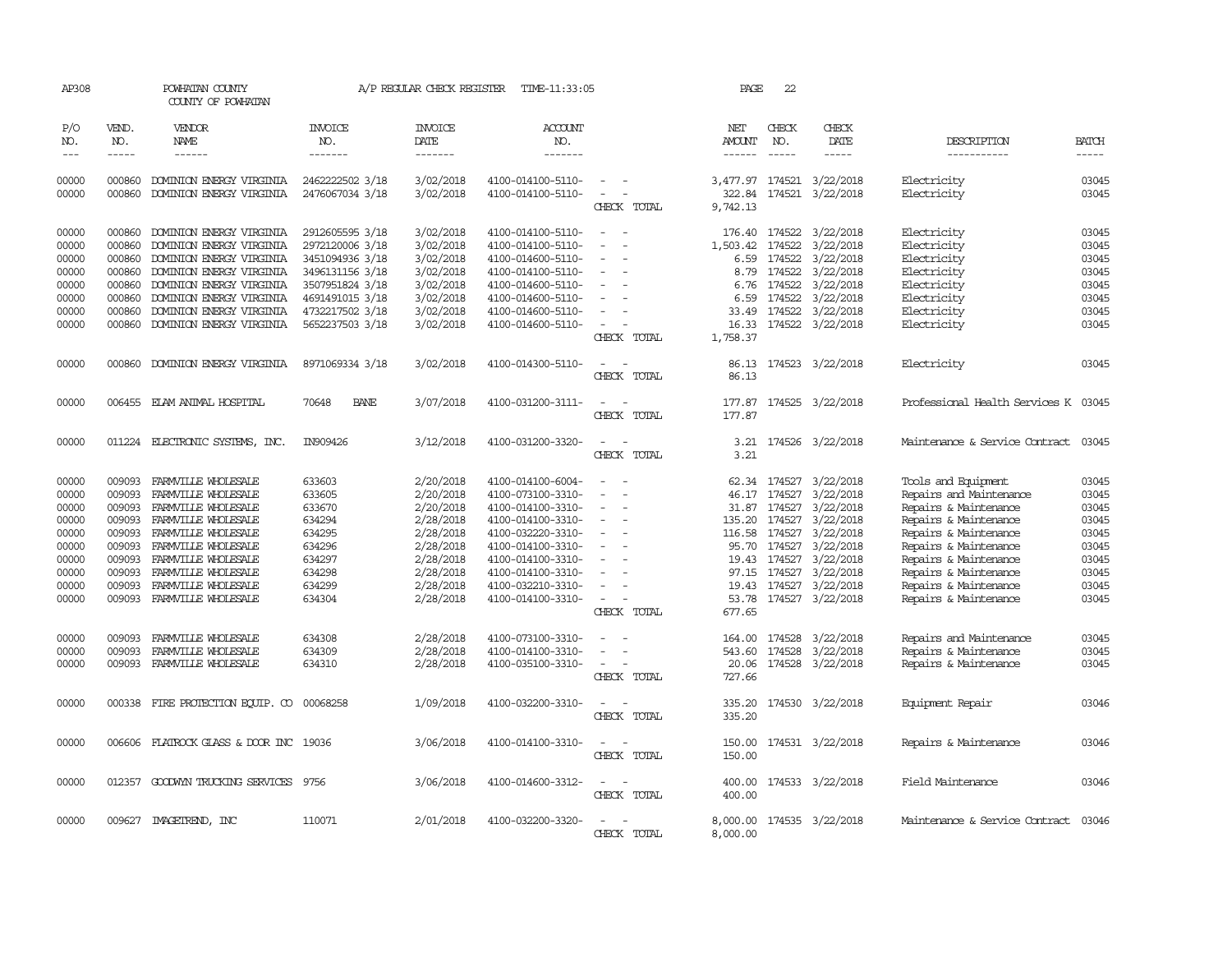| AP308                       |                       | POWHATAN COUNTY<br>COUNTY OF POWHATAN     |                                  | A/P REGULAR CHECK REGISTER        | TIME-11:33:05                    |                              | PAGE                           | 22                            |                           |                                      |                             |
|-----------------------------|-----------------------|-------------------------------------------|----------------------------------|-----------------------------------|----------------------------------|------------------------------|--------------------------------|-------------------------------|---------------------------|--------------------------------------|-----------------------------|
| P/O<br>NO.<br>$\frac{1}{2}$ | VEND.<br>NO.<br>----- | <b>VENDOR</b><br>NAME<br>$- - - - - -$    | <b>INVOICE</b><br>NO.<br>------- | <b>INVOICE</b><br>DATE<br>------- | <b>ACCOUNT</b><br>NO.<br>------- |                              | NET<br>AMOUNT<br>$- - - - - -$ | CHECK<br>NO.<br>$\frac{1}{2}$ | CHECK<br>DATE<br>-----    | DESCRIPTION<br>-----------           | <b>BATCH</b><br>$- - - - -$ |
| 00000                       | 000860                | DOMINION ENERGY VIRGINIA                  | 2462222502 3/18                  | 3/02/2018                         | 4100-014100-5110-                | $\sim$ 100 $\mu$             | 3,477.97                       |                               | 174521 3/22/2018          | Electricity                          | 03045                       |
| 00000                       | 000860                | DOMINION ENERGY VIRGINIA                  | 2476067034 3/18                  | 3/02/2018                         | 4100-014100-5110-                | $\sim$<br>CHECK TOTAL        | 9,742.13                       |                               | 322.84 174521 3/22/2018   | Electricity                          | 03045                       |
| 00000                       | 000860                | DOMINION ENERGY VIRGINIA                  | 2912605595 3/18                  | 3/02/2018                         | 4100-014100-5110-                |                              | 176.40                         | 174522                        | 3/22/2018                 | Electricity                          | 03045                       |
| 00000                       | 000860                | DOMINION ENERGY VIRGINIA                  | 2972120006 3/18                  | 3/02/2018                         | 4100-014100-5110-                |                              | 1,503.42                       | 174522                        | 3/22/2018                 | Electricity                          | 03045                       |
| 00000                       | 000860                | DOMINION ENERGY VIRGINIA                  | 3451094936 3/18                  | 3/02/2018                         | 4100-014600-5110-                | $\equiv$                     | 6.59                           | 174522                        | 3/22/2018                 | Electricity                          | 03045                       |
| 00000                       | 000860                | DOMINION ENERGY VIRGINIA                  | 3496131156 3/18                  | 3/02/2018                         | 4100-014100-5110-                |                              | 8.79                           | 174522                        | 3/22/2018                 | Electricity                          | 03045                       |
| 00000                       | 000860                | DOMINION ENERGY VIRGINIA                  | 3507951824 3/18                  | 3/02/2018                         | 4100-014600-5110-                |                              | 6.76                           | 174522                        | 3/22/2018                 | Electricity                          | 03045                       |
| 00000                       | 000860                | DOMINION ENERGY VIRGINIA                  | 4691491015 3/18                  | 3/02/2018                         | 4100-014600-5110-                |                              | 6.59                           | 174522                        | 3/22/2018                 | Electricity                          | 03045                       |
| 00000                       | 000860                | DOMINION ENERGY VIRGINIA                  | 4732217502 3/18                  | 3/02/2018                         | 4100-014600-5110-                |                              | 33.49                          |                               | 174522 3/22/2018          | Electricity                          | 03045                       |
| 00000                       | 000860                | DOMINION ENERGY VIRGINIA                  | 5652237503 3/18                  | 3/02/2018                         | 4100-014600-5110-                |                              | 16.33                          |                               | 174522 3/22/2018          | Electricity                          | 03045                       |
|                             |                       |                                           |                                  |                                   |                                  | CHECK TOTAL                  | 1,758.37                       |                               |                           |                                      |                             |
| 00000                       | 000860                | DOMINION ENERGY VIRGINIA                  | 8971069334 3/18                  | 3/02/2018                         | 4100-014300-5110-                |                              | 86.13                          |                               | 174523 3/22/2018          | Electricity                          | 03045                       |
|                             |                       |                                           |                                  |                                   |                                  | CHECK TOTAL                  | 86.13                          |                               |                           |                                      |                             |
| 00000                       |                       | 006455 ELAM ANIMAL HOSPITAL               | 70648<br><b>BANE</b>             | 3/07/2018                         | 4100-031200-3111-                |                              | 177.87                         |                               | 174525 3/22/2018          | Professional Health Services K 03045 |                             |
|                             |                       |                                           |                                  |                                   |                                  | CHECK TOTAL                  | 177.87                         |                               |                           |                                      |                             |
| 00000                       |                       | 011224 ELECTRONIC SYSTEMS, INC.           | IN909426                         | 3/12/2018                         | 4100-031200-3320-                | $\equiv$<br>CHECK TOTAL      | 3.21<br>3.21                   |                               | 174526 3/22/2018          | Maintenance & Service Contract       | 03045                       |
| 00000                       | 009093                | FARMVILLE WHOLESALE                       | 633603                           | 2/20/2018                         | 4100-014100-6004-                |                              |                                |                               | 62.34 174527 3/22/2018    | Tools and Equipment                  | 03045                       |
| 00000                       | 009093                | FARMVILLE WHOLESALE                       | 633605                           | 2/20/2018                         | 4100-073100-3310-                |                              | 46.17                          |                               | 174527 3/22/2018          | Repairs and Maintenance              | 03045                       |
| 00000                       | 009093                | FARMVILLE WHOLESALE                       | 633670                           | 2/20/2018                         | 4100-014100-3310-                |                              |                                | 31.87 174527                  | 3/22/2018                 | Repairs & Maintenance                | 03045                       |
| 00000                       | 009093                | FARMVILLE WHOLESALE                       | 634294                           | 2/28/2018                         | 4100-014100-3310-                |                              | 135.20                         |                               | 174527 3/22/2018          | Repairs & Maintenance                | 03045                       |
| 00000                       | 009093                | FARMVILLE WHOLESALE                       | 634295                           | 2/28/2018                         | 4100-032220-3310-                |                              | 116.58                         | 174527                        | 3/22/2018                 | Repairs & Maintenance                | 03045                       |
| 00000                       | 009093                | FARMVILLE WHOLESALE                       | 634296                           | 2/28/2018                         | 4100-014100-3310-                |                              | 95.70                          | 174527                        | 3/22/2018                 | Repairs & Maintenance                | 03045                       |
| 00000                       | 009093                | FARMVILLE WHOLESALE                       | 634297                           | 2/28/2018                         | 4100-014100-3310-                |                              | 19.43                          |                               | 174527 3/22/2018          | Repairs & Maintenance                | 03045                       |
| 00000                       | 009093                | FARMVILLE WHOLESALE                       | 634298                           | 2/28/2018                         | 4100-014100-3310-                |                              | 97.15                          | 174527                        | 3/22/2018                 | Repairs & Maintenance                | 03045                       |
| 00000                       | 009093                | FARMILLE WHOLESALE                        | 634299                           | 2/28/2018                         | 4100-032210-3310-                |                              | 19.43                          | 174527                        | 3/22/2018                 | Repairs & Maintenance                | 03045                       |
| 00000                       | 009093                | FARMVILLE WHOLESALE                       | 634304                           | 2/28/2018                         | 4100-014100-3310-                | $\sim$                       |                                |                               | 53.78 174527 3/22/2018    | Repairs & Maintenance                | 03045                       |
|                             |                       |                                           |                                  |                                   |                                  | CHECK TOTAL                  | 677.65                         |                               |                           |                                      |                             |
| 00000                       | 009093                | FARMVILLE WHOLESALE                       | 634308                           | 2/28/2018                         | 4100-073100-3310-                |                              | 164.00                         | 174528                        | 3/22/2018                 | Repairs and Maintenance              | 03045                       |
| 00000                       | 009093                | FARMVILLE WHOLESALE                       | 634309                           | 2/28/2018                         | 4100-014100-3310-                |                              | 543.60                         | 174528                        | 3/22/2018                 | Repairs & Maintenance                | 03045                       |
| 00000                       | 009093                | FARMVILLE WHOLESALE                       | 634310                           | 2/28/2018                         | 4100-035100-3310-                | $\equiv$                     | 20.06                          |                               | 174528 3/22/2018          | Repairs & Maintenance                | 03045                       |
|                             |                       |                                           |                                  |                                   |                                  | CHECK TOTAL                  | 727.66                         |                               |                           |                                      |                             |
| 00000                       |                       | 000338 FIRE PROTECTION EQUIP. CO 00068258 |                                  | 1/09/2018                         | 4100-032200-3310-                | CHECK TOTAL                  | 335.20<br>335.20               |                               | 174530 3/22/2018          | Equipment Repair                     | 03046                       |
|                             |                       |                                           |                                  |                                   |                                  |                              |                                |                               |                           |                                      |                             |
| 00000                       |                       | 006606 FLATROCK GLASS & DOOR INC 19036    |                                  | 3/06/2018                         | 4100-014100-3310-                | $\sim$ $\sim$<br>CHECK TOTAL | 150.00<br>150.00               |                               | 174531 3/22/2018          | Repairs & Maintenance                | 03046                       |
| 00000                       |                       | 012357 GOODWIN TRUCKING SERVICES 9756     |                                  | 3/06/2018                         | 4100-014600-3312-                | $\sim$<br>$\sim$             | 400.00                         |                               | 174533 3/22/2018          | Field Maintenance                    | 03046                       |
|                             |                       |                                           |                                  |                                   |                                  | CHECK TOTAL                  | 400.00                         |                               |                           |                                      |                             |
| 00000                       |                       | 009627 IMAGETREND, INC                    | 110071                           | 2/01/2018                         | 4100-032200-3320-                |                              |                                |                               | 8,000.00 174535 3/22/2018 | Maintenance & Service Contract       | 03046                       |
|                             |                       |                                           |                                  |                                   |                                  | CHECK TOTAL                  | 8,000.00                       |                               |                           |                                      |                             |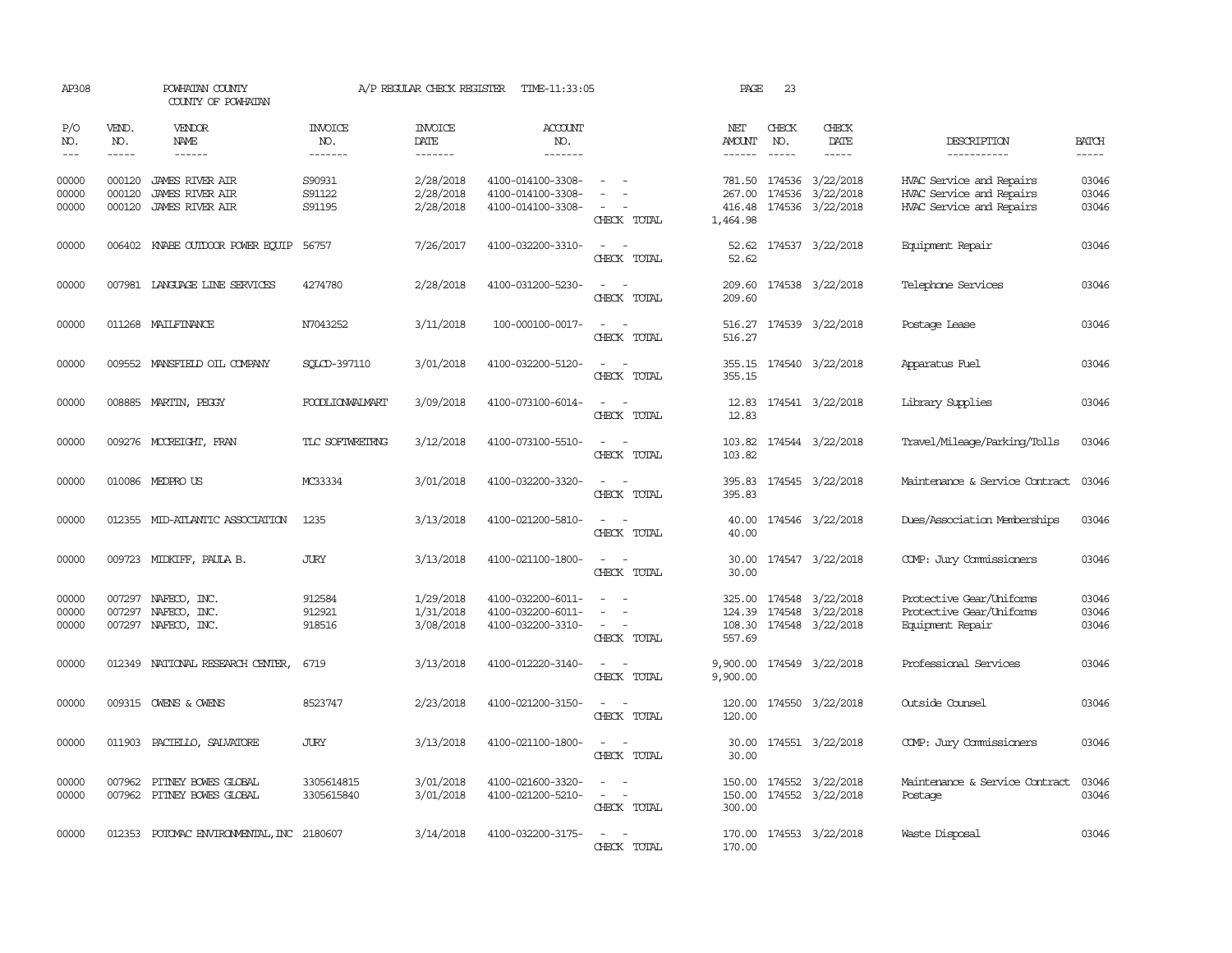| AP308                   |                             | POWHATAN COUNTY<br>COUNTY OF POWHATAN                                      |                                   | A/P REGULAR CHECK REGISTER          | TIME-11:33:05                                               |                                                                                                                             | PAGE                                 | 23                          |                                                                 |                                                                                  |                         |
|-------------------------|-----------------------------|----------------------------------------------------------------------------|-----------------------------------|-------------------------------------|-------------------------------------------------------------|-----------------------------------------------------------------------------------------------------------------------------|--------------------------------------|-----------------------------|-----------------------------------------------------------------|----------------------------------------------------------------------------------|-------------------------|
| P/O<br>NO.<br>$---$     | VEND.<br>NO.<br>$- - - - -$ | VENDOR<br>NAME<br>$- - - - - -$                                            | <b>INVOICE</b><br>NO.<br>-------- | <b>INVOICE</b><br>DATE<br>--------  | <b>ACCOUNT</b><br>NO.<br>-------                            |                                                                                                                             | NET<br>AMOUNT<br>$- - - - - -$       | CHECK<br>NO.<br>$- - - - -$ | CHECK<br>DATE<br>$- - - - -$                                    | DESCRIPTION<br>-----------                                                       | <b>BATCH</b><br>-----   |
| 00000<br>00000<br>00000 | 000120<br>000120<br>000120  | <b>JAMES RIVER AIR</b><br><b>JAMES RIVER AIR</b><br><b>JAMES RIVER AIR</b> | S90931<br>S91122<br>S91195        | 2/28/2018<br>2/28/2018<br>2/28/2018 | 4100-014100-3308-<br>4100-014100-3308-<br>4100-014100-3308- | $\overline{\phantom{a}}$<br>CHECK TOTAL                                                                                     | 267.00<br>416.48<br>1,464.98         |                             | 781.50 174536 3/22/2018<br>174536 3/22/2018<br>174536 3/22/2018 | HVAC Service and Repairs<br>HVAC Service and Repairs<br>HVAC Service and Repairs | 03046<br>03046<br>03046 |
| 00000                   | 006402                      | KNABE OUIDOOR POWER EQUIP                                                  | 56757                             | 7/26/2017                           | 4100-032200-3310-                                           | CHECK TOTAL                                                                                                                 | 52.62                                |                             | 52.62 174537 3/22/2018                                          | Equipment Repair                                                                 | 03046                   |
| 00000                   |                             | 007981 LANGUAGE LINE SERVICES                                              | 4274780                           | 2/28/2018                           | 4100-031200-5230-                                           | $\overline{\phantom{a}}$<br>CHECK TOTAL                                                                                     | 209.60<br>209.60                     |                             | 174538 3/22/2018                                                | Telephone Services                                                               | 03046                   |
| 00000                   |                             | 011268 MAILFINANCE                                                         | N7043252                          | 3/11/2018                           | 100-000100-0017-                                            | $\sim$<br>$\sim$<br>CHECK TOTAL                                                                                             | 516.27                               |                             | 516.27 174539 3/22/2018                                         | Postage Lease                                                                    | 03046                   |
| 00000                   |                             | 009552 MANSFIELD OIL COMPANY                                               | SOLCD-397110                      | 3/01/2018                           | 4100-032200-5120-                                           | CHECK TOTAL                                                                                                                 | 355.15                               |                             | 355.15 174540 3/22/2018                                         | Apparatus Fuel                                                                   | 03046                   |
| 00000                   |                             | 008885 MARTIN, PEGGY                                                       | FOODLIONWALMART                   | 3/09/2018                           | 4100-073100-6014-                                           | $\sim$ $\sim$<br>CHECK TOTAL                                                                                                | 12.83<br>12.83                       |                             | 174541 3/22/2018                                                | Library Supplies                                                                 | 03046                   |
| 00000                   |                             | 009276 MCCREIGHT, FRAN                                                     | TLC SOFTWRETRNG                   | 3/12/2018                           | 4100-073100-5510-                                           | $\sim$<br>$\sim$<br>CHECK TOTAL                                                                                             | 103.82                               |                             | 103.82 174544 3/22/2018                                         | Travel/Mileage/Parking/Tolls                                                     | 03046                   |
| 00000                   |                             | 010086 MEDPROUS                                                            | MC33334                           | 3/01/2018                           | 4100-032200-3320-                                           | CHECK TOTAL                                                                                                                 | 395.83<br>395.83                     |                             | 174545 3/22/2018                                                | Maintenance & Service Contract                                                   | 03046                   |
| 00000                   |                             | 012355 MID-ATLANTIC ASSOCIATION                                            | 1235                              | 3/13/2018                           | 4100-021200-5810-                                           | $\overline{\phantom{a}}$<br>CHECK TOTAL                                                                                     | 40.00<br>40.00                       |                             | 174546 3/22/2018                                                | Dues/Association Memberships                                                     | 03046                   |
| 00000                   |                             | 009723 MIDKIFF, PAULA B.                                                   | <b>JURY</b>                       | 3/13/2018                           | 4100-021100-1800-                                           | $\sim$<br>CHECK TOTAL                                                                                                       | 30.00<br>30.00                       |                             | 174547 3/22/2018                                                | COMP: Jury Commissioners                                                         | 03046                   |
| 00000<br>00000<br>00000 | 007297<br>007297            | NAFECO, INC.<br>NAFECO, INC.<br>007297 NAFECO, INC.                        | 912584<br>912921<br>918516        | 1/29/2018<br>1/31/2018<br>3/08/2018 | 4100-032200-6011-<br>4100-032200-6011-<br>4100-032200-3310- | $\overline{\phantom{a}}$<br>$\overline{a}$<br>$\overline{\phantom{a}}$<br>CHECK TOTAL                                       | 325.00<br>124.39<br>108.30<br>557.69 | 174548                      | 174548 3/22/2018<br>3/22/2018<br>174548 3/22/2018               | Protective Gear/Uniforms<br>Protective Gear/Uniforms<br>Equipment Repair         | 03046<br>03046<br>03046 |
| 00000                   |                             | 012349 NATIONAL RESEARCH CENTER,                                           | 6719                              | 3/13/2018                           | 4100-012220-3140-                                           | $\sim$<br>CHECK TOTAL                                                                                                       | 9,900.00<br>9,900.00                 |                             | 174549 3/22/2018                                                | Professional Services                                                            | 03046                   |
| 00000                   |                             | 009315 OWENS & OWENS                                                       | 8523747                           | 2/23/2018                           | 4100-021200-3150-                                           | $ -$<br>CHECK TOTAL                                                                                                         | 120.00                               |                             | 120.00 174550 3/22/2018                                         | Outside Counsel                                                                  | 03046                   |
| 00000                   |                             | 011903 PACIELLO, SALVATORE                                                 | <b>JURY</b>                       | 3/13/2018                           | 4100-021100-1800-                                           | $\frac{1}{2} \left( \frac{1}{2} \right) \left( \frac{1}{2} \right) = \frac{1}{2} \left( \frac{1}{2} \right)$<br>CHECK TOTAL | 30.00<br>30.00                       |                             | 174551 3/22/2018                                                | COMP: Jury Commissioners                                                         | 03046                   |
| 00000<br>00000          | 007962                      | PITNEY BOWES GLOBAL<br>007962 PITNEY BOWES GLOBAL                          | 3305614815<br>3305615840          | 3/01/2018<br>3/01/2018              | 4100-021600-3320-<br>4100-021200-5210-                      | $\sim$<br>$\overline{\phantom{a}}$<br>CHECK TOTAL                                                                           | 150.00<br>300.00                     |                             | 174552 3/22/2018<br>150.00 174552 3/22/2018                     | Maintenance & Service Contract<br>Postage                                        | 03046<br>03046          |
| 00000                   |                             | 012353 POTOMAC ENVIRONMENTAL, INC 2180607                                  |                                   | 3/14/2018                           | 4100-032200-3175-                                           | CHECK<br><b>TOTAL</b>                                                                                                       | 170.00                               |                             | 170.00 174553 3/22/2018                                         | Waste Disposal                                                                   | 03046                   |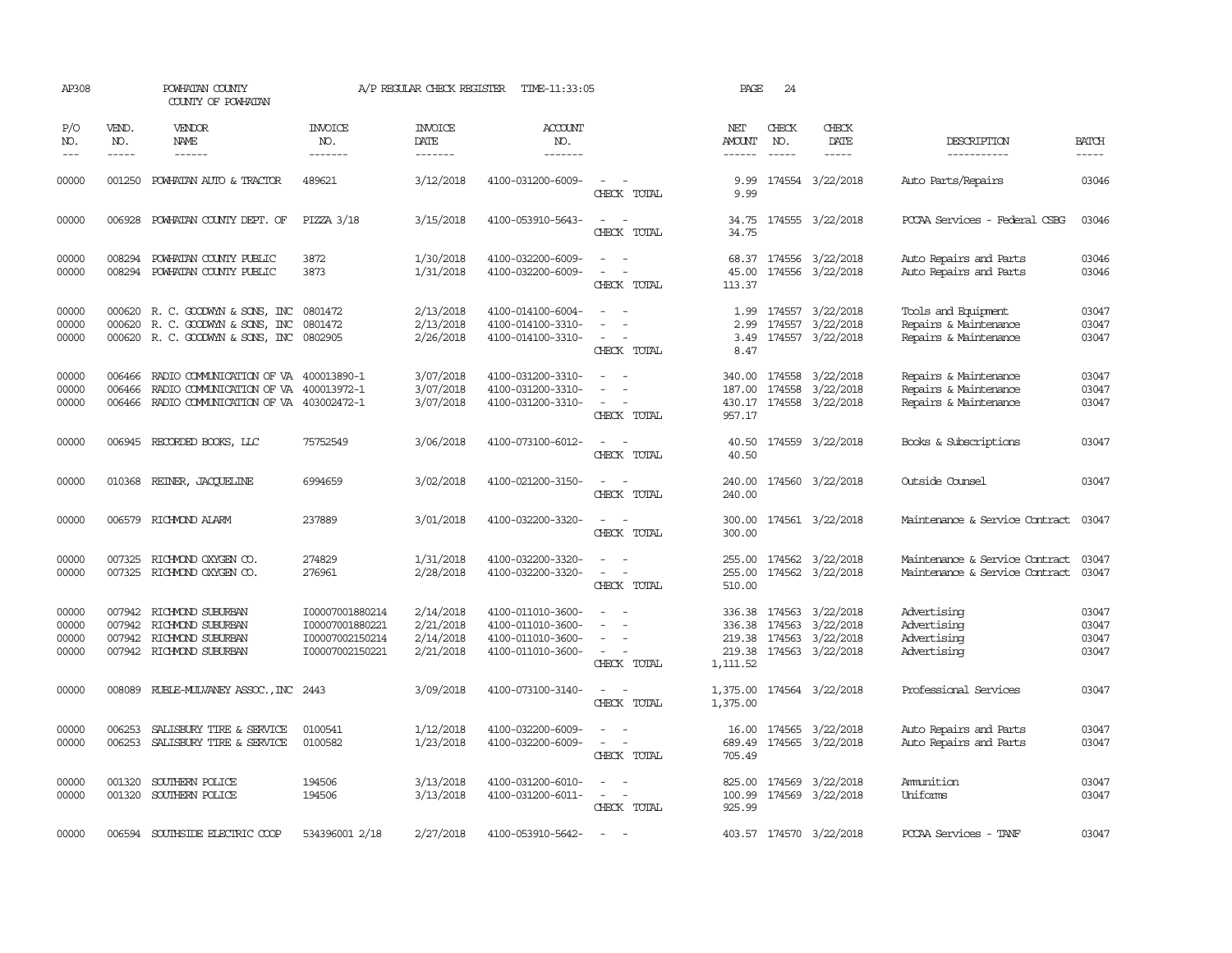| AP308                             |                             | POWHATAN COUNTY<br>COUNTY OF POWHATAN                                                                                   |                                                                          | A/P REGULAR CHECK REGISTER                       | TIME-11:33:05                                                                    |                                                                                                                             | PAGE                         | 24                            |                                                                                            |                                                                         |                                  |
|-----------------------------------|-----------------------------|-------------------------------------------------------------------------------------------------------------------------|--------------------------------------------------------------------------|--------------------------------------------------|----------------------------------------------------------------------------------|-----------------------------------------------------------------------------------------------------------------------------|------------------------------|-------------------------------|--------------------------------------------------------------------------------------------|-------------------------------------------------------------------------|----------------------------------|
| P/O<br>NO.<br>$\qquad \qquad - -$ | VEND.<br>NO.<br>$- - - - -$ | <b>VENDOR</b><br>NAME<br>------                                                                                         | <b>INVOICE</b><br>NO.<br>-------                                         | <b>INVOICE</b><br>DATE<br>-------                | <b>ACCOUNT</b><br>NO.<br>-------                                                 |                                                                                                                             | NET<br>AMOUNT                | CHECK<br>NO.<br>$\frac{1}{2}$ | CHECK<br>DATE                                                                              | DESCRIPTION<br>-----------                                              | <b>BATCH</b><br>-----            |
| 00000                             | 001250                      | POWHATAN AUTO & TRACTOR                                                                                                 | 489621                                                                   | 3/12/2018                                        | 4100-031200-6009-                                                                | $\equiv$<br>CHECK TOTAL                                                                                                     | 9.99<br>9.99                 |                               | 174554 3/22/2018                                                                           | Auto Parts/Repairs                                                      | 03046                            |
| 00000                             | 006928                      | POWHATAN COUNTY DEPT. OF                                                                                                | PIZZA 3/18                                                               | 3/15/2018                                        | 4100-053910-5643-                                                                | $\overline{\phantom{a}}$<br>CHECK TOTAL                                                                                     | 34.75<br>34.75               |                               | 174555 3/22/2018                                                                           | PCCAA Services - Federal CSBG                                           | 03046                            |
| 00000<br>00000                    | 008294<br>008294            | POWHATAN COUNTY PUBLIC<br>POWHATAN COUNTY PUBLIC                                                                        | 3872<br>3873                                                             | 1/30/2018<br>1/31/2018                           | 4100-032200-6009-<br>4100-032200-6009-                                           | CHECK TOTAL                                                                                                                 | 45.00<br>113.37              |                               | 68.37 174556 3/22/2018<br>174556 3/22/2018                                                 | Auto Repairs and Parts<br>Auto Repairs and Parts                        | 03046<br>03046                   |
| 00000<br>00000<br>00000           | 000620<br>000620            | R. C. GOODWYN & SONS, INC<br>R. C. GOODWYN & SONS, INC<br>000620 R. C. GOODWYN & SONS, INC                              | 0801472<br>0801472<br>0802905                                            | 2/13/2018<br>2/13/2018<br>2/26/2018              | 4100-014100-6004-<br>4100-014100-3310-<br>4100-014100-3310-                      | $\overline{\phantom{a}}$<br>$\equiv$<br>$\overline{\phantom{a}}$<br>CHECK TOTAL                                             | 1.99<br>2.99<br>3.49<br>8.47 |                               | 174557 3/22/2018<br>174557 3/22/2018<br>174557 3/22/2018                                   | Tools and Equipment<br>Repairs & Maintenance<br>Repairs & Maintenance   | 03047<br>03047<br>03047          |
| 00000<br>00000<br>00000           | 006466<br>006466<br>006466  | RADIO COMMUNICATION OF VA 400013890-1<br>RADIO COMMUNICATION OF VA 400013972-1<br>RADIO COMMUNICATION OF VA 403002472-1 |                                                                          | 3/07/2018<br>3/07/2018<br>3/07/2018              | 4100-031200-3310-<br>4100-031200-3310-<br>4100-031200-3310-                      | $\overline{\phantom{a}}$<br>CHECK TOTAL                                                                                     | 340.00<br>187.00<br>957.17   |                               | 174558 3/22/2018<br>174558 3/22/2018<br>430.17 174558 3/22/2018                            | Repairs & Maintenance<br>Repairs & Maintenance<br>Repairs & Maintenance | 03047<br>03047<br>03047          |
| 00000                             |                             | 006945 RECORDED BOOKS, LLC                                                                                              | 75752549                                                                 | 3/06/2018                                        | 4100-073100-6012-                                                                | $\equiv$<br>CHECK TOTAL                                                                                                     | 40.50<br>40.50               |                               | 174559 3/22/2018                                                                           | Books & Subscriptions                                                   | 03047                            |
| 00000                             |                             | 010368 REINER, JACQUELINE                                                                                               | 6994659                                                                  | 3/02/2018                                        | 4100-021200-3150-                                                                | $\frac{1}{2} \left( \frac{1}{2} \right) \left( \frac{1}{2} \right) = \frac{1}{2} \left( \frac{1}{2} \right)$<br>CHECK TOTAL | 240.00<br>240.00             |                               | 174560 3/22/2018                                                                           | Outside Counsel                                                         | 03047                            |
| 00000                             |                             | 006579 RICHMOND ALARM                                                                                                   | 237889                                                                   | 3/01/2018                                        | 4100-032200-3320-                                                                | $\sim$ $\sim$<br>CHECK TOTAL                                                                                                | 300.00<br>300.00             |                               | 174561 3/22/2018                                                                           | Maintenance & Service Contract                                          | 03047                            |
| 00000<br>00000                    |                             | 007325 RICHMOND OXYGEN CO.<br>007325 RICHMOND OXYGEN CO.                                                                | 274829<br>276961                                                         | 1/31/2018<br>2/28/2018                           | 4100-032200-3320-<br>4100-032200-3320-                                           | CHECK TOTAL                                                                                                                 | 255.00<br>255.00<br>510.00   |                               | 174562 3/22/2018<br>174562 3/22/2018                                                       | Maintenance & Service Contract<br>Maintenance & Service Contract        | 03047<br>03047                   |
| 00000<br>00000<br>00000<br>00000  | 007942<br>007942<br>007942  | RICHMOND SUBURBAN<br>RICHMOND SUBURBAN<br>RICHMOND SUBURBAN<br>007942 RICHMOND SUBURBAN                                 | I00007001880214<br>I00007001880221<br>I00007002150214<br>I00007002150221 | 2/14/2018<br>2/21/2018<br>2/14/2018<br>2/21/2018 | 4100-011010-3600-<br>4100-011010-3600-<br>4100-011010-3600-<br>4100-011010-3600- | $\overline{\phantom{a}}$<br>CHECK TOTAL                                                                                     | 336.38<br>219.38<br>1,111.52 |                               | 174563 3/22/2018<br>336.38 174563 3/22/2018<br>174563 3/22/2018<br>219.38 174563 3/22/2018 | Advertising<br>Advertising<br>Advertising<br>Advertising                | 03047<br>03047<br>03047<br>03047 |
| 00000                             | 008089                      | RUBLE-MULVANEY ASSOC., INC 2443                                                                                         |                                                                          | 3/09/2018                                        | 4100-073100-3140-                                                                | CHECK TOTAL                                                                                                                 | 1,375.00<br>1,375.00         |                               | 174564 3/22/2018                                                                           | Professional Services                                                   | 03047                            |
| 00000<br>00000                    | 006253<br>006253            | SALISBURY TIRE & SERVICE<br>SALISBURY TIRE & SERVICE                                                                    | 0100541<br>0100582                                                       | 1/12/2018<br>1/23/2018                           | 4100-032200-6009-<br>4100-032200-6009-                                           | $\overline{\phantom{a}}$<br>CHECK TOTAL                                                                                     | 16.00<br>689.49<br>705.49    |                               | 174565 3/22/2018<br>174565 3/22/2018                                                       | Auto Repairs and Parts<br>Auto Repairs and Parts                        | 03047<br>03047                   |
| 00000<br>00000                    | 001320                      | SOUTHERN POLICE<br>001320 SOUTHERN POLICE                                                                               | 194506<br>194506                                                         | 3/13/2018<br>3/13/2018                           | 4100-031200-6010-<br>4100-031200-6011-                                           | $\sim$<br>$\overline{\phantom{a}}$<br>CHECK TOTAL                                                                           | 100.99<br>925.99             |                               | 825.00 174569 3/22/2018<br>174569 3/22/2018                                                | Amunition<br>Uniforms                                                   | 03047<br>03047                   |
| 00000                             | 006594                      | SOUTHSIDE ELECTRIC COOP                                                                                                 | 534396001 2/18                                                           | 2/27/2018                                        | 4100-053910-5642-                                                                |                                                                                                                             |                              |                               | 403.57 174570 3/22/2018                                                                    | PCCAA Services - TANF                                                   | 03047                            |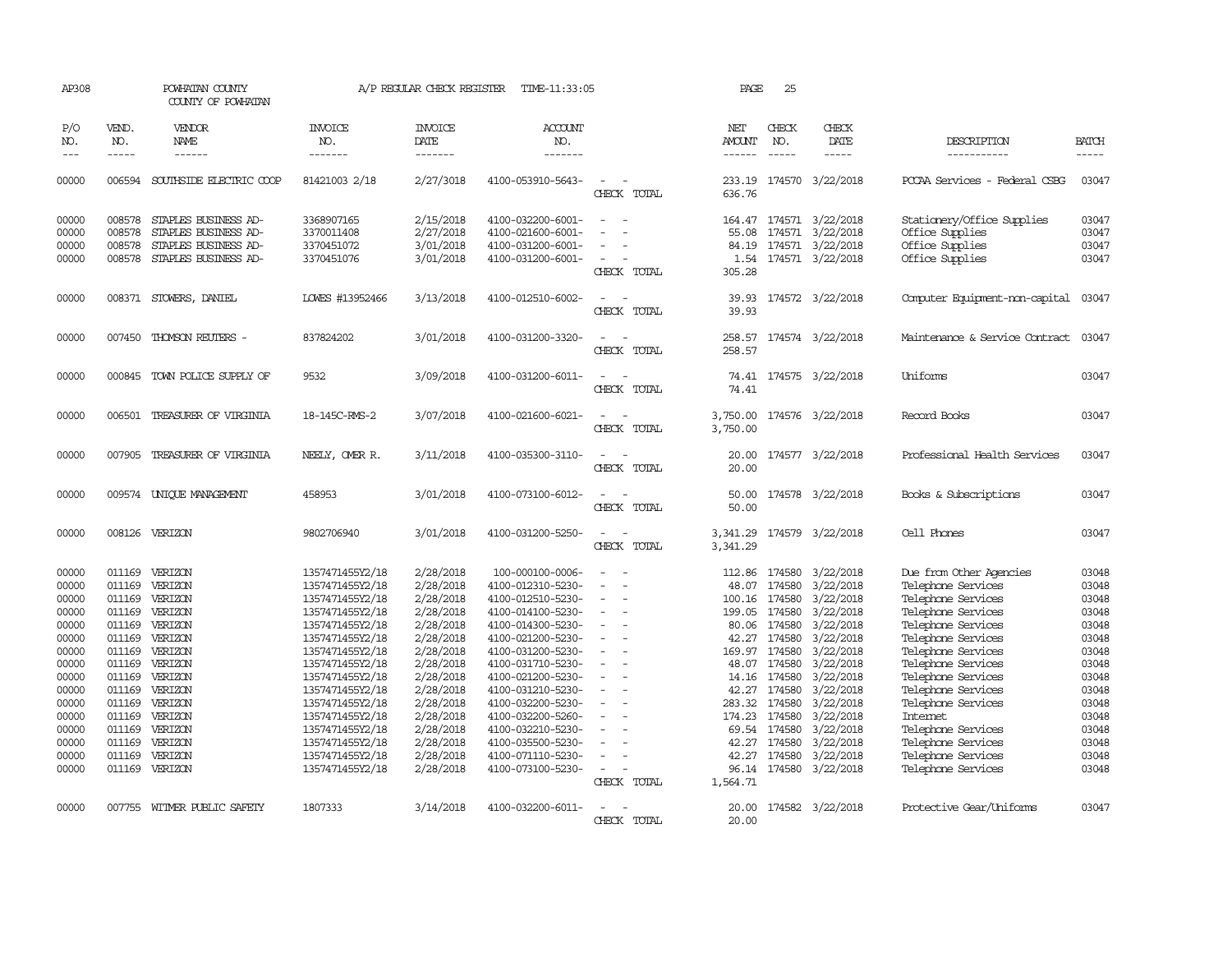| AP308                                                                                                                                                                                                                                                                                                                                                                                                      |                             | POWHATAN COUNTY<br>COUNTY OF POWHATAN |                                    | A/P REGULAR CHECK REGISTER        | TIME-11:33:05                          |                          | PAGE                           | 25                          |                               |                                          |                             |
|------------------------------------------------------------------------------------------------------------------------------------------------------------------------------------------------------------------------------------------------------------------------------------------------------------------------------------------------------------------------------------------------------------|-----------------------------|---------------------------------------|------------------------------------|-----------------------------------|----------------------------------------|--------------------------|--------------------------------|-----------------------------|-------------------------------|------------------------------------------|-----------------------------|
| P/O<br>NO.<br>$\frac{1}{2} \frac{1}{2} \frac{1}{2} \frac{1}{2} \frac{1}{2} \frac{1}{2} \frac{1}{2} \frac{1}{2} \frac{1}{2} \frac{1}{2} \frac{1}{2} \frac{1}{2} \frac{1}{2} \frac{1}{2} \frac{1}{2} \frac{1}{2} \frac{1}{2} \frac{1}{2} \frac{1}{2} \frac{1}{2} \frac{1}{2} \frac{1}{2} \frac{1}{2} \frac{1}{2} \frac{1}{2} \frac{1}{2} \frac{1}{2} \frac{1}{2} \frac{1}{2} \frac{1}{2} \frac{1}{2} \frac{$ | VEND.<br>NO.<br>$- - - - -$ | VENDOR<br>NAME<br>------              | <b>INVOICE</b><br>NO.<br>-------   | <b>INVOICE</b><br>DATE<br>------- | <b>ACCOUNT</b><br>NO.<br>-------       |                          | NET<br>AMOUNT<br>$- - - - - -$ | CHECK<br>NO.<br>$- - - - -$ | CHECK<br><b>DATE</b><br>----- | DESCRIPTION<br>-----------               | <b>BATCH</b><br>$- - - - -$ |
| 00000                                                                                                                                                                                                                                                                                                                                                                                                      | 006594                      | SOUTHSIDE ELECTRIC COOP               | 81421003 2/18                      | 2/27/3018                         | 4100-053910-5643-                      |                          | 233.19                         |                             | 174570 3/22/2018              | PCCAA Services - Federal CSBG            | 03047                       |
|                                                                                                                                                                                                                                                                                                                                                                                                            |                             |                                       |                                    |                                   |                                        | CHECK TOTAL              | 636.76                         |                             |                               |                                          |                             |
| 00000                                                                                                                                                                                                                                                                                                                                                                                                      | 008578                      | STAPLES BUSINESS AD-                  | 3368907165                         | 2/15/2018                         | 4100-032200-6001-                      |                          | 164.47                         |                             | 174571 3/22/2018              | Stationery/Office Supplies               | 03047                       |
| 00000                                                                                                                                                                                                                                                                                                                                                                                                      | 008578                      | STAPLES BUSINESS AD-                  | 3370011408                         | 2/27/2018                         | 4100-021600-6001-                      |                          | 55.08                          |                             | 174571 3/22/2018              | Office Supplies                          | 03047                       |
| 00000                                                                                                                                                                                                                                                                                                                                                                                                      | 008578                      | STAPLES BUSINESS AD-                  | 3370451072                         | 3/01/2018                         | 4100-031200-6001-                      | $\equiv$                 | 84.19                          |                             | 174571 3/22/2018              | Office Supplies                          | 03047                       |
| 00000                                                                                                                                                                                                                                                                                                                                                                                                      | 008578                      | STAPLES BUSINESS AD-                  | 3370451076                         | 3/01/2018                         | 4100-031200-6001-                      | CHECK TOTAL              | 1.54<br>305.28                 |                             | 174571 3/22/2018              | Office Supplies                          | 03047                       |
| 00000                                                                                                                                                                                                                                                                                                                                                                                                      |                             | 008371 STOWERS, DANIEL                | LOWES #13952466                    | 3/13/2018                         | 4100-012510-6002-                      | $\equiv$                 | 39.93                          |                             | 174572 3/22/2018              | Computer Equipment-non-capital           | 03047                       |
|                                                                                                                                                                                                                                                                                                                                                                                                            |                             |                                       |                                    |                                   |                                        | CHECK TOTAL              | 39.93                          |                             |                               |                                          |                             |
| 00000                                                                                                                                                                                                                                                                                                                                                                                                      |                             | 007450 THOMSON REUTERS -              | 837824202                          | 3/01/2018                         | 4100-031200-3320-                      | $\sim$                   | 258.57                         |                             | 174574 3/22/2018              | Maintenance & Service Contract           | 03047                       |
|                                                                                                                                                                                                                                                                                                                                                                                                            |                             |                                       |                                    |                                   |                                        | CHECK TOTAL              | 258.57                         |                             |                               |                                          |                             |
| 00000                                                                                                                                                                                                                                                                                                                                                                                                      |                             | 000845 TOWN POLICE SUPPLY OF          | 9532                               | 3/09/2018                         | 4100-031200-6011-                      | $\equiv$                 |                                |                             | 74.41 174575 3/22/2018        | Uniforms                                 | 03047                       |
|                                                                                                                                                                                                                                                                                                                                                                                                            |                             |                                       |                                    |                                   |                                        | CHECK TOTAL              | 74.41                          |                             |                               |                                          |                             |
| 00000                                                                                                                                                                                                                                                                                                                                                                                                      |                             | 006501 TREASURER OF VIRGINIA          | 18-145C-RMS-2                      | 3/07/2018                         | 4100-021600-6021-                      |                          | 3,750.00                       |                             | 174576 3/22/2018              | Record Books                             | 03047                       |
|                                                                                                                                                                                                                                                                                                                                                                                                            |                             |                                       |                                    |                                   |                                        | CHECK TOTAL              | 3,750.00                       |                             |                               |                                          |                             |
| 00000                                                                                                                                                                                                                                                                                                                                                                                                      |                             | 007905 TREASURER OF VIRGINIA          | NEELY, OMER R.                     | 3/11/2018                         | 4100-035300-3110-                      |                          | 20.00                          |                             | 174577 3/22/2018              | Professional Health Services             | 03047                       |
|                                                                                                                                                                                                                                                                                                                                                                                                            |                             |                                       |                                    |                                   |                                        | CHECK TOTAL              | 20.00                          |                             |                               |                                          |                             |
| 00000                                                                                                                                                                                                                                                                                                                                                                                                      |                             | 009574 UNIQUE MANAGEMENT              | 458953                             | 3/01/2018                         | 4100-073100-6012-                      |                          | 50.00                          |                             | 174578 3/22/2018              | Books & Subscriptions                    | 03047                       |
|                                                                                                                                                                                                                                                                                                                                                                                                            |                             |                                       |                                    |                                   |                                        | CHECK TOTAL              | 50.00                          |                             |                               |                                          |                             |
| 00000                                                                                                                                                                                                                                                                                                                                                                                                      |                             | 008126 VERIZON                        | 9802706940                         | 3/01/2018                         | 4100-031200-5250-                      | $\equiv$                 | 3,341.29                       |                             | 174579 3/22/2018              | Cell Phones                              | 03047                       |
|                                                                                                                                                                                                                                                                                                                                                                                                            |                             |                                       |                                    |                                   |                                        | CHECK TOTAL              | 3,341.29                       |                             |                               |                                          |                             |
| 00000                                                                                                                                                                                                                                                                                                                                                                                                      |                             | 011169 VERIZON                        | 1357471455Y2/18                    | 2/28/2018                         | 100-000100-0006-                       |                          | 112.86                         | 174580                      | 3/22/2018                     | Due from Other Agencies                  | 03048                       |
| 00000                                                                                                                                                                                                                                                                                                                                                                                                      | 011169                      | VERIZON                               | 1357471455Y2/18                    | 2/28/2018                         | 4100-012310-5230-                      | $\sim$                   | 48.07                          | 174580                      | 3/22/2018                     | Telephone Services                       | 03048                       |
| 00000                                                                                                                                                                                                                                                                                                                                                                                                      |                             | 011169 VERIZON                        | 1357471455Y2/18                    | 2/28/2018                         | 4100-012510-5230-                      |                          |                                | 100.16 174580               | 3/22/2018                     | Telephone Services                       | 03048                       |
| 00000                                                                                                                                                                                                                                                                                                                                                                                                      |                             | 011169 VERIZON                        | 1357471455Y2/18                    | 2/28/2018                         | 4100-014100-5230-                      |                          | 199.05                         | 174580                      | 3/22/2018                     | Telephone Services                       | 03048                       |
| 00000                                                                                                                                                                                                                                                                                                                                                                                                      |                             | 011169 VERIZON                        | 1357471455Y2/18                    | 2/28/2018                         | 4100-014300-5230-                      | $\overline{\phantom{a}}$ | 80.06                          | 174580                      | 3/22/2018                     | Telephone Services                       | 03048                       |
| 00000                                                                                                                                                                                                                                                                                                                                                                                                      | 011169                      | VERIZON                               | 1357471455Y2/18                    | 2/28/2018                         | 4100-021200-5230-                      |                          | 42.27                          | 174580                      | 3/22/2018                     | Telephone Services                       | 03048                       |
| 00000                                                                                                                                                                                                                                                                                                                                                                                                      |                             | 011169 VERIZON<br>011169 VERIZON      | 1357471455Y2/18<br>1357471455Y2/18 | 2/28/2018<br>2/28/2018            | 4100-031200-5230-<br>4100-031710-5230- | $\overline{\phantom{a}}$ | 169.97                         | 174580<br>48.07 174580      | 3/22/2018<br>3/22/2018        | Telephone Services<br>Telephone Services | 03048<br>03048              |
| 00000<br>00000                                                                                                                                                                                                                                                                                                                                                                                             | 011169                      | VERIZON                               | 1357471455Y2/18                    | 2/28/2018                         | 4100-021200-5230-                      | $\equiv$                 | 14.16                          | 174580                      | 3/22/2018                     | Telephone Services                       | 03048                       |
| 00000                                                                                                                                                                                                                                                                                                                                                                                                      | 011169                      | VERIZON                               | 1357471455Y2/18                    | 2/28/2018                         | 4100-031210-5230-                      |                          | 42.27                          | 174580                      | 3/22/2018                     | Telephone Services                       | 03048                       |
| 00000                                                                                                                                                                                                                                                                                                                                                                                                      |                             | 011169 VERIZON                        | 1357471455Y2/18                    | 2/28/2018                         | 4100-032200-5230-                      |                          | 283.32                         | 174580                      | 3/22/2018                     | Telephone Services                       | 03048                       |
| 00000                                                                                                                                                                                                                                                                                                                                                                                                      |                             | 011169 VERIZON                        | 1357471455Y2/18                    | 2/28/2018                         | 4100-032200-5260-                      |                          | 174.23                         | 174580                      | 3/22/2018                     | Internet                                 | 03048                       |
| 00000                                                                                                                                                                                                                                                                                                                                                                                                      | 011169                      | VERIZON                               | 1357471455Y2/18                    | 2/28/2018                         | 4100-032210-5230-                      |                          | 69.54                          | 174580                      | 3/22/2018                     | Telephone Services                       | 03048                       |
| 00000                                                                                                                                                                                                                                                                                                                                                                                                      | 011169                      | VERIZON                               | 1357471455Y2/18                    | 2/28/2018                         | 4100-035500-5230-                      |                          | 42.27                          | 174580                      | 3/22/2018                     | Telephone Services                       | 03048                       |
| 00000                                                                                                                                                                                                                                                                                                                                                                                                      | 011169                      | VERIZON                               | 1357471455Y2/18                    | 2/28/2018                         | 4100-071110-5230-                      | $\equiv$                 | 42.27                          | 174580                      | 3/22/2018                     | Telephone Services                       | 03048                       |
| 00000                                                                                                                                                                                                                                                                                                                                                                                                      |                             | 011169 VERIZON                        | 1357471455Y2/18                    | 2/28/2018                         | 4100-073100-5230-                      | $\sim$                   |                                |                             | 96.14 174580 3/22/2018        | Telephone Services                       | 03048                       |
|                                                                                                                                                                                                                                                                                                                                                                                                            |                             |                                       |                                    |                                   |                                        | CHECK TOTAL              | 1,564.71                       |                             |                               |                                          |                             |
| 00000                                                                                                                                                                                                                                                                                                                                                                                                      |                             | 007755 WITMER PUBLIC SAFETY           | 1807333                            | 3/14/2018                         | 4100-032200-6011-                      |                          |                                |                             | 20.00 174582 3/22/2018        | Protective Gear/Uniforms                 | 03047                       |
|                                                                                                                                                                                                                                                                                                                                                                                                            |                             |                                       |                                    |                                   |                                        | CHECK TOTAL              | 20.00                          |                             |                               |                                          |                             |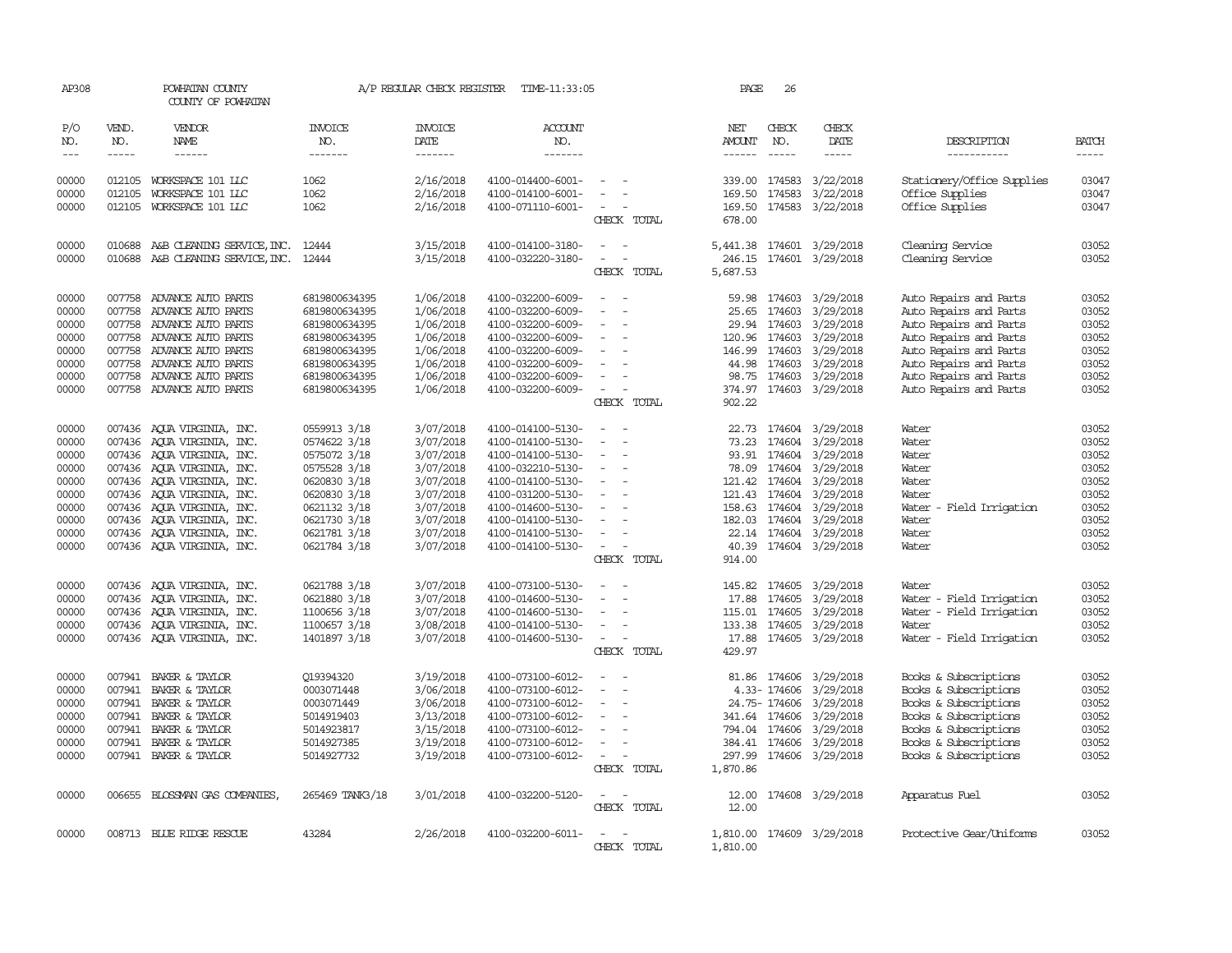| AP308      |              | POWHATAN COUNTY<br>COUNTY OF POWHATAN   |                 | A/P REGULAR CHECK REGISTER | TIME-11:33:05         |                                         | PAGE             | 26            |                           |                             |                |
|------------|--------------|-----------------------------------------|-----------------|----------------------------|-----------------------|-----------------------------------------|------------------|---------------|---------------------------|-----------------------------|----------------|
| P/O<br>NO. | VEND.<br>NO. | VENDOR<br>NAME                          | INVOICE<br>NO.  | INVOICE<br>DATE            | <b>ACCOUNT</b><br>NO. |                                         | NET<br>AMOUNT    | CHECK<br>NO.  | CHECK<br>DATE             | DESCRIPTION                 | <b>BATCH</b>   |
| $---$      | $- - - - -$  | $- - - - - -$                           | -------         | -------                    | -------               |                                         |                  | $- - - - -$   | $- - - - -$               | -----------                 | -----          |
|            | 012105       |                                         | 1062            |                            |                       | $\equiv$                                |                  | 174583        |                           |                             |                |
| 00000      |              | WORKSPACE 101 LLC                       |                 | 2/16/2018                  | 4100-014400-6001-     |                                         | 339.00           |               | 3/22/2018                 | Stationery/Office Supplies  | 03047          |
| 00000      | 012105       | WORKSPACE 101 LLC                       | 1062            | 2/16/2018                  | 4100-014100-6001-     | $\equiv$                                | 169.50           | 174583        | 3/22/2018                 | Office Supplies             | 03047          |
| 00000      | 012105       | WORKSPACE 101 LLC                       | 1062            | 2/16/2018                  | 4100-071110-6001-     | $\overline{\phantom{a}}$<br>CHECK TOTAL | 169.50<br>678.00 |               | 174583 3/22/2018          | Office Supplies             | 03047          |
| 00000      |              | 010688 A&B CLEANING SERVICE, INC. 12444 |                 | 3/15/2018                  | 4100-014100-3180-     | $\sim$ $ \sim$                          |                  |               | 5,441.38 174601 3/29/2018 | Cleaning Service            | 03052          |
| 00000      |              | 010688 A&B CLEANING SERVICE, INC. 12444 |                 | 3/15/2018                  | 4100-032220-3180-     | $\overline{\phantom{a}}$                | 246.15           |               | 174601 3/29/2018          | Cleaning Service            | 03052          |
|            |              |                                         |                 |                            |                       | CHECK TOTAL                             | 5,687.53         |               |                           |                             |                |
| 00000      | 007758       | ADVANCE AUTO PARTS                      | 6819800634395   | 1/06/2018                  | 4100-032200-6009-     | $\overline{\phantom{a}}$                | 59.98            | 174603        | 3/29/2018                 | Auto Repairs and Parts      | 03052          |
| 00000      | 007758       | ADVANCE AUTO PARTS                      | 6819800634395   | 1/06/2018                  | 4100-032200-6009-     |                                         | 25.65            | 174603        | 3/29/2018                 | Auto Repairs and Parts      | 03052          |
| 00000      | 007758       | ADVANCE AUTO PARTS                      | 6819800634395   | 1/06/2018                  | 4100-032200-6009-     |                                         |                  | 29.94 174603  | 3/29/2018                 | Auto Repairs and Parts      | 03052          |
| 00000      |              | 007758 ADVANCE AUTO PARTS               | 6819800634395   | 1/06/2018                  | 4100-032200-6009-     | $\equiv$                                | 120.96 174603    |               | 3/29/2018                 | Auto Repairs and Parts      | 03052          |
| 00000      | 007758       | ADVANCE AUTO PARTS                      | 6819800634395   | 1/06/2018                  | 4100-032200-6009-     | $\equiv$                                | 146.99           | 174603        | 3/29/2018                 | Auto Repairs and Parts      | 03052          |
| 00000      |              | 007758 ADVANCE AUTO PARTS               | 6819800634395   | 1/06/2018                  | 4100-032200-6009-     |                                         |                  | 44.98 174603  | 3/29/2018                 | Auto Repairs and Parts      | 03052          |
| 00000      | 007758       | ADVANCE AUTO PARTS                      | 6819800634395   | 1/06/2018                  | 4100-032200-6009-     | $\overline{\phantom{a}}$                | 98.75            | 174603        | 3/29/2018                 | Auto Repairs and Parts      | 03052          |
| 00000      |              | 007758 ADVANCE AUTO PARTS               | 6819800634395   | 1/06/2018                  | 4100-032200-6009-     | $\overline{\phantom{a}}$                |                  |               | 374.97 174603 3/29/2018   | Auto Repairs and Parts      | 03052          |
|            |              |                                         |                 |                            |                       | CHECK TOTAL                             | 902.22           |               |                           |                             |                |
| 00000      |              | 007436 AQUA VIRGINIA, INC.              | 0559913 3/18    | 3/07/2018                  | 4100-014100-5130-     | $\sim$                                  |                  |               | 22.73 174604 3/29/2018    | Water                       | 03052          |
| 00000      | 007436       | AQUA VIRGINIA, INC.                     | 0574622 3/18    | 3/07/2018                  | 4100-014100-5130-     | $\overline{\phantom{a}}$                | 73.23            |               | 174604 3/29/2018          | Water                       | 03052          |
| 00000      |              | 007436 AQUA VIRGINIA, INC.              | 0575072 3/18    | 3/07/2018                  | 4100-014100-5130-     | $\overline{\phantom{a}}$                |                  |               | 93.91 174604 3/29/2018    | Water                       | 03052          |
| 00000      |              | 007436 AOUA VIRGINIA, INC.              | 0575528 3/18    | 3/07/2018                  | 4100-032210-5130-     | $\overline{\phantom{a}}$                |                  |               | 78.09 174604 3/29/2018    | Water                       | 03052          |
| 00000      |              | 007436 AQUA VIRGINIA, INC.              | 0620830 3/18    | 3/07/2018                  | 4100-014100-5130-     | $\overline{\phantom{a}}$                |                  |               | 121.42 174604 3/29/2018   | Water                       | 03052          |
| 00000      |              | 007436 AQUA VIRGINIA, INC.              | 0620830 3/18    | 3/07/2018                  | 4100-031200-5130-     | $\overline{\phantom{a}}$                | 121.43           | 174604        | 3/29/2018                 | Water                       | 03052          |
| 00000      |              | 007436 AOUA VIRGINIA, INC.              | 0621132 3/18    | 3/07/2018                  | 4100-014600-5130-     |                                         |                  |               | 158.63 174604 3/29/2018   | Water<br>- Field Irrigation | 03052          |
|            |              |                                         | 0621730 3/18    | 3/07/2018                  |                       |                                         |                  |               |                           |                             | 03052          |
| 00000      |              | 007436 AQUA VIRGINIA, INC.              |                 |                            | 4100-014100-5130-     |                                         | 182.03           |               | 174604 3/29/2018          | Water                       |                |
| 00000      |              | 007436 AQUA VIRGINIA, INC.              | 0621781 3/18    | 3/07/2018                  | 4100-014100-5130-     | $\overline{\phantom{a}}$                |                  |               | 22.14 174604 3/29/2018    | Water                       | 03052<br>03052 |
| 00000      |              | 007436 AOUA VIRGINIA, INC.              | 0621784 3/18    | 3/07/2018                  | 4100-014100-5130-     | $\sim$<br>CHECK TOTAL                   | 40.39<br>914.00  |               | 174604 3/29/2018          | Water                       |                |
| 00000      |              | 007436 AQUA VIRGINIA, INC.              | 0621788 3/18    | 3/07/2018                  | 4100-073100-5130-     | $\equiv$                                |                  |               | 145.82 174605 3/29/2018   | Water                       | 03052          |
| 00000      |              | 007436 AQUA VIRGINIA, INC.              | 0621880 3/18    | 3/07/2018                  | 4100-014600-5130-     | $\equiv$                                | 17.88            | 174605        | 3/29/2018                 | Water - Field Irrigation    | 03052          |
| 00000      | 007436       | AQUA VIRGINIA, INC.                     | 1100656 3/18    | 3/07/2018                  | 4100-014600-5130-     |                                         | 115.01           | 174605        | 3/29/2018                 | Water - Field Irrigation    | 03052          |
| 00000      |              | 007436 AQUA VIRGINIA, INC.              | 1100657 3/18    | 3/08/2018                  | 4100-014100-5130-     | $\equiv$                                |                  |               | 133.38 174605 3/29/2018   | Water                       | 03052          |
| 00000      |              | 007436 AQUA VIRGINIA, INC.              | 1401897 3/18    | 3/07/2018                  |                       | $\overline{\phantom{a}}$                |                  |               | 174605 3/29/2018          |                             | 03052          |
|            |              |                                         |                 |                            | 4100-014600-5130-     | CHECK TOTAL                             | 17.88<br>429.97  |               |                           | Water - Field Irrigation    |                |
| 00000      | 007941       | BAKER & TAYLOR                          | Q19394320       | 3/19/2018                  | 4100-073100-6012-     | $\overline{\phantom{a}}$                |                  |               | 81.86 174606 3/29/2018    | Books & Subscriptions       | 03052          |
| 00000      | 007941       | BAKER & TAYLOR                          | 0003071448      | 3/06/2018                  | 4100-073100-6012-     |                                         |                  | 4.33-174606   | 3/29/2018                 | Books & Subscriptions       | 03052          |
| 00000      | 007941       | BAKER & TAYLOR                          | 0003071449      | 3/06/2018                  | 4100-073100-6012-     |                                         |                  | 24.75- 174606 | 3/29/2018                 | Books & Subscriptions       | 03052          |
| 00000      |              | 007941 BAKER & TAYLOR                   | 5014919403      | 3/13/2018                  | 4100-073100-6012-     |                                         | 341.64 174606    |               | 3/29/2018                 | Books & Subscriptions       | 03052          |
| 00000      |              | 007941 BAKER & TAYLOR                   | 5014923817      | 3/15/2018                  | 4100-073100-6012-     | $\equiv$                                | 794.04 174606    |               | 3/29/2018                 | Books & Subscriptions       | 03052          |
| 00000      |              | 007941 BAKER & TAYLOR                   | 5014927385      |                            | 4100-073100-6012-     | $\equiv$                                | 384.41 174606    |               |                           |                             | 03052          |
|            |              |                                         |                 | 3/19/2018                  |                       |                                         |                  |               | 3/29/2018                 | Books & Subscriptions       |                |
| 00000      |              | 007941 BAKER & TAYLOR                   | 5014927732      | 3/19/2018                  | 4100-073100-6012-     | $\sim$ $-$<br>CHECK TOTAL               | 1,870.86         |               | 297.99 174606 3/29/2018   | Books & Subscriptions       | 03052          |
| 00000      |              | 006655 BLOSSMAN GAS COMPANIES           | 265469 TANK3/18 | 3/01/2018                  | 4100-032200-5120-     | $ -$                                    |                  |               | 12.00 174608 3/29/2018    | Apparatus Fuel              | 03052          |
|            |              |                                         |                 |                            |                       | CHECK TOTAL                             | 12.00            |               |                           |                             |                |
| 00000      |              | 008713 BLUE RIDGE RESCUE                | 43284           | 2/26/2018                  | 4100-032200-6011-     | $\overline{\phantom{a}}$                | 1,810.00         |               | 174609 3/29/2018          | Protective Gear/Uniforms    | 03052          |
|            |              |                                         |                 |                            |                       | CHECK TOTAL                             | 1,810.00         |               |                           |                             |                |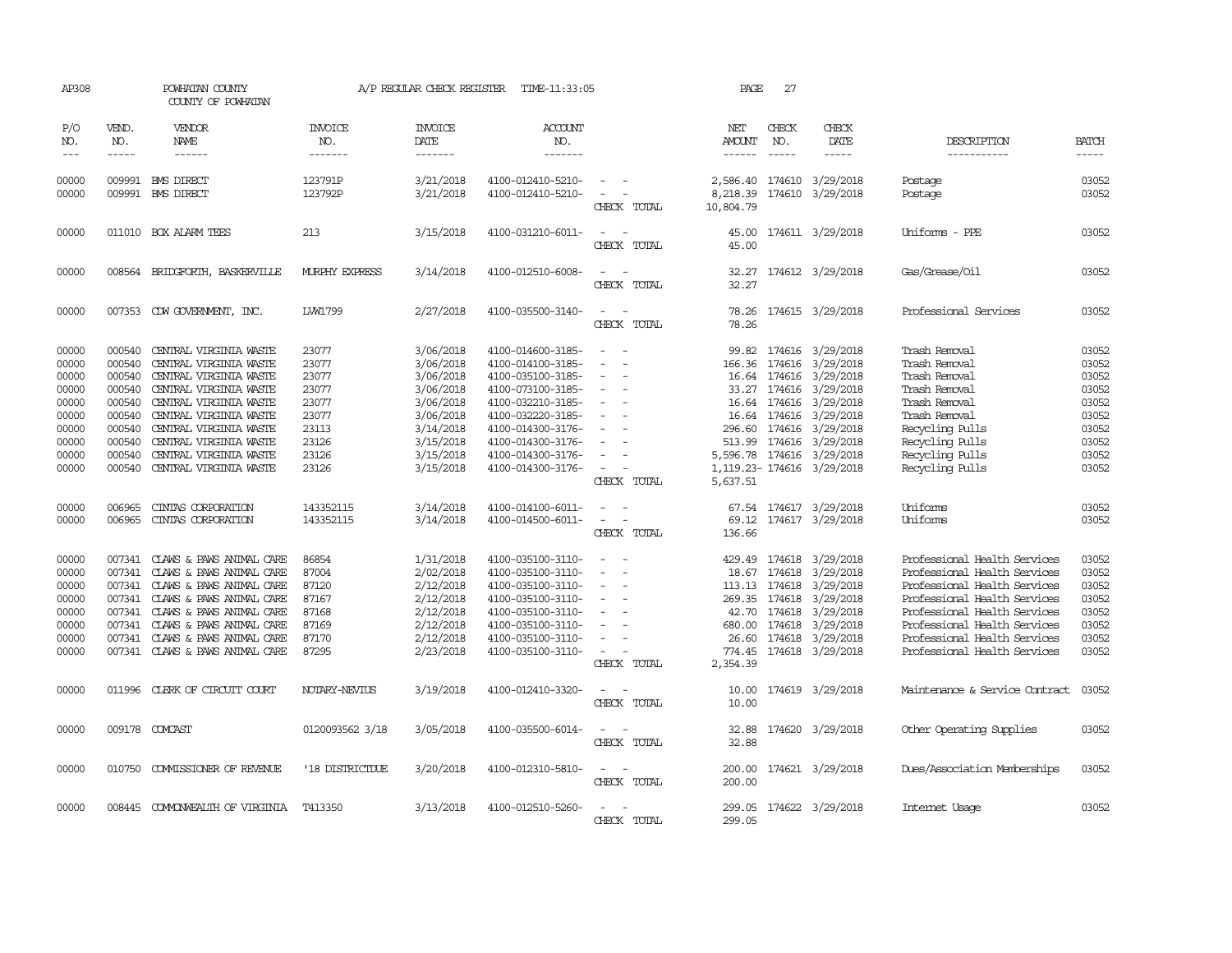| AP308                                                                                  |                                                                                                  | POWHATAN COUNTY<br>COUNTY OF POWHATAN                                                                                                                                                                                                                            |                                                                                        | A/P REGULAR CHECK REGISTER                                                                                                     | TIME-11:33:05                                                                                                                                                                                                  |                                                                       | PAGE                                                      | 27                                                                                      |                                                                                                                                                                                    |                                                                                                                                                                                                                                                              |                                                                                        |
|----------------------------------------------------------------------------------------|--------------------------------------------------------------------------------------------------|------------------------------------------------------------------------------------------------------------------------------------------------------------------------------------------------------------------------------------------------------------------|----------------------------------------------------------------------------------------|--------------------------------------------------------------------------------------------------------------------------------|----------------------------------------------------------------------------------------------------------------------------------------------------------------------------------------------------------------|-----------------------------------------------------------------------|-----------------------------------------------------------|-----------------------------------------------------------------------------------------|------------------------------------------------------------------------------------------------------------------------------------------------------------------------------------|--------------------------------------------------------------------------------------------------------------------------------------------------------------------------------------------------------------------------------------------------------------|----------------------------------------------------------------------------------------|
| P/O<br>NO.<br>$- - -$                                                                  | VEND.<br>NO.<br>$\frac{1}{2}$                                                                    | VENDOR<br><b>NAME</b><br>------                                                                                                                                                                                                                                  | <b>INVOICE</b><br>NO.<br>-------                                                       | <b>INVOICE</b><br>DATE<br>-------                                                                                              | ACCOUNT<br>NO.<br>--------                                                                                                                                                                                     |                                                                       | NET<br><b>AMOUNT</b><br>$- - - - - -$                     | CHECK<br>NO.<br>$\frac{1}{2}$                                                           | CHECK<br>DATE<br>$- - - - -$                                                                                                                                                       | DESCRIPTION<br>-----------                                                                                                                                                                                                                                   | <b>BATCH</b><br>-----                                                                  |
| 00000<br>00000                                                                         | 009991<br>009991                                                                                 | <b>EMS DIRECT</b><br><b>EMS DIRECT</b>                                                                                                                                                                                                                           | 123791P<br>123792P                                                                     | 3/21/2018<br>3/21/2018                                                                                                         | 4100-012410-5210-<br>4100-012410-5210-                                                                                                                                                                         | CHECK TOTAL                                                           | 2,586.40<br>8,218.39<br>10,804.79                         |                                                                                         | 174610 3/29/2018<br>174610 3/29/2018                                                                                                                                               | Postage<br>Postage                                                                                                                                                                                                                                           | 03052<br>03052                                                                         |
| 00000                                                                                  |                                                                                                  | 011010 BOX ALARM TEES                                                                                                                                                                                                                                            | 213                                                                                    | 3/15/2018                                                                                                                      | 4100-031210-6011-                                                                                                                                                                                              | $\equiv$<br>CHECK TOTAL                                               | 45.00<br>45.00                                            |                                                                                         | 174611 3/29/2018                                                                                                                                                                   | Uniforms - PPE                                                                                                                                                                                                                                               | 03052                                                                                  |
| 00000                                                                                  | 008564                                                                                           | BRIDGFORTH, BASKERVILLE                                                                                                                                                                                                                                          | <b>MURPHY EXPRESS</b>                                                                  | 3/14/2018                                                                                                                      | 4100-012510-6008-                                                                                                                                                                                              | $\equiv$<br>CHECK TOTAL                                               | 32.27<br>32.27                                            |                                                                                         | 174612 3/29/2018                                                                                                                                                                   | Gas/Grease/Oil                                                                                                                                                                                                                                               | 03052                                                                                  |
| 00000                                                                                  |                                                                                                  | 007353 CDW GOVERNMENT, INC.                                                                                                                                                                                                                                      | LW1799                                                                                 | 2/27/2018                                                                                                                      | 4100-035500-3140-                                                                                                                                                                                              | $\equiv$<br>CHECK TOTAL                                               | 78.26<br>78.26                                            |                                                                                         | 174615 3/29/2018                                                                                                                                                                   | Professional Services                                                                                                                                                                                                                                        | 03052                                                                                  |
| 00000<br>00000<br>00000<br>00000<br>00000<br>00000<br>00000<br>00000<br>00000<br>00000 | 000540<br>000540<br>000540<br>000540<br>000540<br>000540<br>000540<br>000540<br>000540<br>000540 | CENTRAL VIRGINIA WASTE<br>CENTRAL VIRGINIA WASTE<br>CENTRAL VIRGINIA WASTE<br>CENTRAL VIRGINIA WASTE<br>CENTRAL VIRGINIA WASTE<br>CENTRAL VIRGINIA WASTE<br>CENTRAL VIRGINIA WASTE<br>CENTRAL VIRGINIA WASTE<br>CENTRAL VIRGINIA WASTE<br>CENIRAL VIRGINIA WASTE | 23077<br>23077<br>23077<br>23077<br>23077<br>23077<br>23113<br>23126<br>23126<br>23126 | 3/06/2018<br>3/06/2018<br>3/06/2018<br>3/06/2018<br>3/06/2018<br>3/06/2018<br>3/14/2018<br>3/15/2018<br>3/15/2018<br>3/15/2018 | 4100-014600-3185-<br>4100-014100-3185-<br>4100-035100-3185-<br>4100-073100-3185-<br>4100-032210-3185-<br>4100-032220-3185-<br>4100-014300-3176-<br>4100-014300-3176-<br>4100-014300-3176-<br>4100-014300-3176- | $\sim$<br>$\sim$<br>$\sim$<br>$\overline{\phantom{a}}$<br>CHECK TOTAL | 166.36<br>296.60<br>513.99<br>5,596.78 174616<br>5,637.51 | 16.64 174616<br>33.27 174616<br>16.64 174616<br>174616<br>174616                        | 99.82 174616 3/29/2018<br>174616 3/29/2018<br>3/29/2018<br>3/29/2018<br>16.64 174616 3/29/2018<br>3/29/2018<br>3/29/2018<br>3/29/2018<br>3/29/2018<br>1, 119.23 - 174616 3/29/2018 | Trash Removal<br>Trash Removal<br>Trash Removal<br>Trash Removal<br>Trash Removal<br>Trash Removal<br>Recycling Pulls<br>Recycling Pulls<br>Recycling Pulls<br>Recycling Pulls                                                                               | 03052<br>03052<br>03052<br>03052<br>03052<br>03052<br>03052<br>03052<br>03052<br>03052 |
| 00000<br>00000                                                                         | 006965<br>006965                                                                                 | CINIAS CORPORATION<br>CINIAS CORPORATION                                                                                                                                                                                                                         | 143352115<br>143352115                                                                 | 3/14/2018<br>3/14/2018                                                                                                         | 4100-014100-6011-<br>4100-014500-6011-                                                                                                                                                                         | CHECK TOTAL                                                           | 67.54<br>69.12<br>136.66                                  |                                                                                         | 174617 3/29/2018<br>174617 3/29/2018                                                                                                                                               | Uniforms<br>Uniforms                                                                                                                                                                                                                                         | 03052<br>03052                                                                         |
| 00000<br>00000<br>00000<br>00000<br>00000<br>00000<br>00000<br>00000                   | 007341<br>007341<br>007341<br>007341<br>007341<br>007341                                         | CLAWS & PAWS ANIMAL CARE<br>CLAWS & PAWS ANIMAL CARE<br>CLAWS & PAWS ANIMAL CARE<br>CLAWS & PAWS ANIMAL CARE<br>007341 CLAWS & PAWS ANIMAL CARE<br>CLAWS & PAWS ANIMAL CARE<br>CLAWS & PAWS ANIMAL CARE<br>007341 CLAWS & PAWS ANIMAL CARE                       | 86854<br>87004<br>87120<br>87167<br>87168<br>87169<br>87170<br>87295                   | 1/31/2018<br>2/02/2018<br>2/12/2018<br>2/12/2018<br>2/12/2018<br>2/12/2018<br>2/12/2018<br>2/23/2018                           | 4100-035100-3110-<br>4100-035100-3110-<br>4100-035100-3110-<br>4100-035100-3110-<br>4100-035100-3110-<br>4100-035100-3110-<br>4100-035100-3110-<br>4100-035100-3110-                                           | $\overline{\phantom{a}}$<br>$\overline{\phantom{a}}$<br>CHECK TOTAL   | 18.67<br>42.70<br>680.00<br>26.60<br>774.45<br>2,354.39   | 429.49 174618<br>174618<br>113.13 174618<br>269.35 174618<br>174618<br>174618<br>174618 | 3/29/2018<br>3/29/2018<br>3/29/2018<br>3/29/2018<br>3/29/2018<br>3/29/2018<br>3/29/2018<br>174618 3/29/2018                                                                        | Professional Health Services<br>Professional Health Services<br>Professional Health Services<br>Professional Health Services<br>Professional Health Services<br>Professional Health Services<br>Professional Health Services<br>Professional Health Services | 03052<br>03052<br>03052<br>03052<br>03052<br>03052<br>03052<br>03052                   |
| 00000                                                                                  | 011996                                                                                           | CLERK OF CIRCUIT COURT                                                                                                                                                                                                                                           | NOTARY-NEVIUS                                                                          | 3/19/2018                                                                                                                      | 4100-012410-3320-                                                                                                                                                                                              | $\overline{\phantom{a}}$<br>CHECK TOTAL                               | 10.00<br>10.00                                            |                                                                                         | 174619 3/29/2018                                                                                                                                                                   | Maintenance & Service Contract                                                                                                                                                                                                                               | 03052                                                                                  |
| 00000                                                                                  |                                                                                                  | 009178 COMCAST                                                                                                                                                                                                                                                   | 0120093562 3/18                                                                        | 3/05/2018                                                                                                                      | 4100-035500-6014-                                                                                                                                                                                              | $\equiv$<br>CHECK TOTAL                                               | 32.88<br>32.88                                            |                                                                                         | 174620 3/29/2018                                                                                                                                                                   | Other Operating Supplies                                                                                                                                                                                                                                     | 03052                                                                                  |
| 00000                                                                                  |                                                                                                  | 010750 COMMISSIONER OF REVENUE                                                                                                                                                                                                                                   | '18 DISTRICIDUE                                                                        | 3/20/2018                                                                                                                      | 4100-012310-5810-                                                                                                                                                                                              | $\sim$<br>CHECK TOTAL                                                 | 200.00<br>200.00                                          |                                                                                         | 174621 3/29/2018                                                                                                                                                                   | Dues/Association Memberships                                                                                                                                                                                                                                 | 03052                                                                                  |
| 00000                                                                                  | 008445                                                                                           | COMMONWEALTH OF VIRGINIA                                                                                                                                                                                                                                         | T413350                                                                                | 3/13/2018                                                                                                                      | 4100-012510-5260-                                                                                                                                                                                              | CHECK TOTAL                                                           | 299.05<br>299.05                                          |                                                                                         | 174622 3/29/2018                                                                                                                                                                   | Internet Usage                                                                                                                                                                                                                                               | 03052                                                                                  |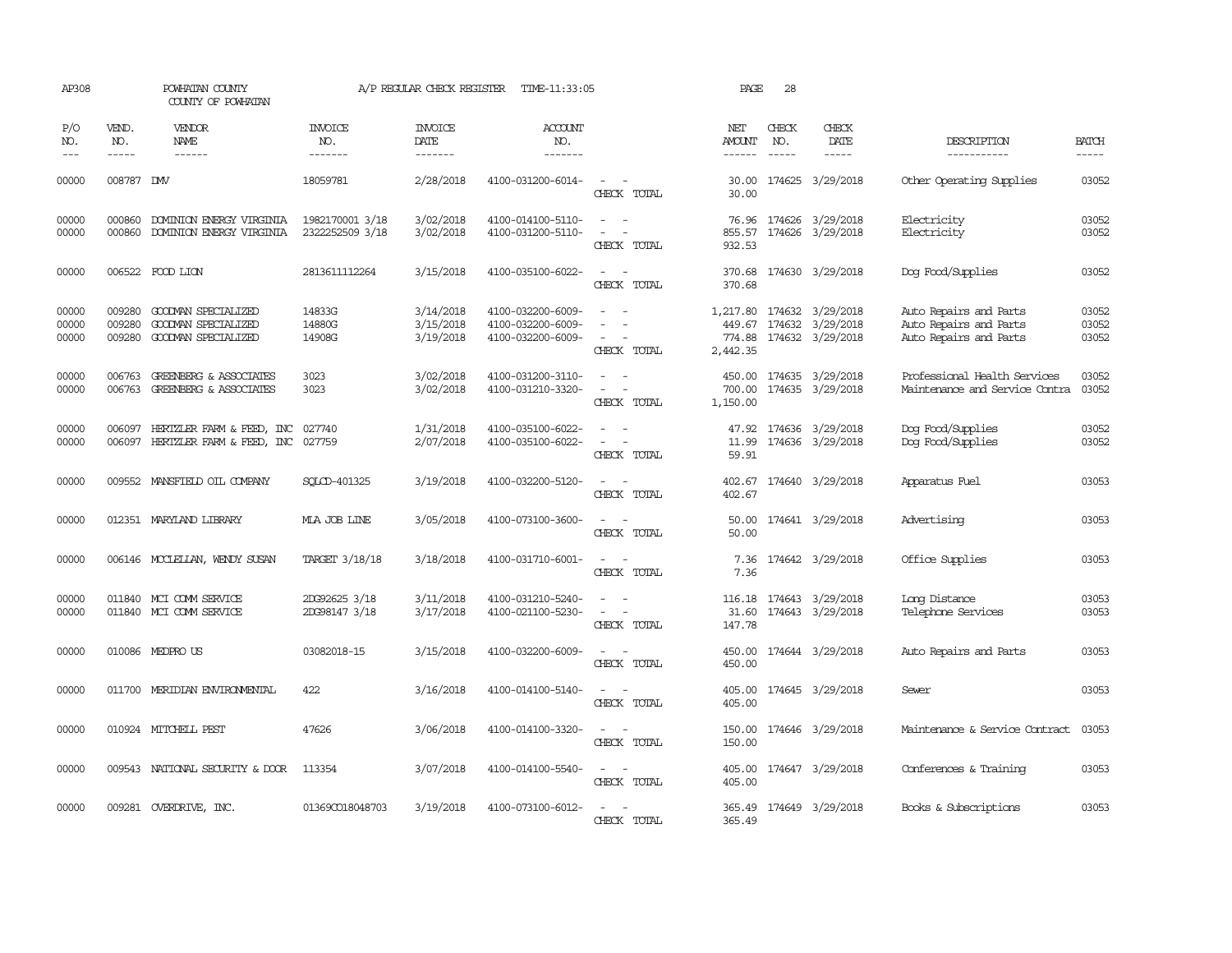| AP308                   |                               | POWHATAN COUNTY<br>COUNTY OF POWHATAN                                    |                                    | A/P REGULAR CHECK REGISTER          | TIME-11:33:05                                               |                                                                                                                                          | PAGE                           | 28                            |                                                                 |                                                                            |                         |
|-------------------------|-------------------------------|--------------------------------------------------------------------------|------------------------------------|-------------------------------------|-------------------------------------------------------------|------------------------------------------------------------------------------------------------------------------------------------------|--------------------------------|-------------------------------|-----------------------------------------------------------------|----------------------------------------------------------------------------|-------------------------|
| P/O<br>NO.<br>$---$     | VEND.<br>NO.<br>$\frac{1}{2}$ | VENDOR<br>NAME<br>$- - - - - -$                                          | <b>INVOICE</b><br>NO.<br>-------   | <b>INVOICE</b><br>DATE<br>-------   | <b>ACCOUNT</b><br>NO.<br>-------                            |                                                                                                                                          | NET<br>AMOUNT<br>------        | CHECK<br>NO.<br>$\frac{1}{2}$ | CHECK<br>DATE<br>$- - - - -$                                    | DESCRIPTION<br>-----------                                                 | <b>BATCH</b><br>-----   |
| 00000                   | 008787 DMV                    |                                                                          | 18059781                           | 2/28/2018                           | 4100-031200-6014-                                           | $\sim$<br>$\sim$<br>CHECK TOTAL                                                                                                          | 30.00<br>30.00                 |                               | 174625 3/29/2018                                                | Other Operating Supplies                                                   | 03052                   |
| 00000<br>00000          | 000860<br>000860              | DOMINION ENERGY VIRGINIA<br>DOMINION ENERGY VIRGINIA                     | 1982170001 3/18<br>2322252509 3/18 | 3/02/2018<br>3/02/2018              | 4100-014100-5110-<br>4100-031200-5110-                      | $\omega_{\rm{max}}$ and $\omega_{\rm{max}}$<br>$\sim$<br>$\overline{\phantom{a}}$<br>CHECK TOTAL                                         | 932.53                         |                               | 76.96 174626 3/29/2018<br>855.57 174626 3/29/2018               | Electricity<br>Electricity                                                 | 03052<br>03052          |
| 00000                   |                               | 006522 FOOD LION                                                         | 2813611112264                      | 3/15/2018                           | 4100-035100-6022-                                           | $\overline{\phantom{a}}$<br>$\sim$<br>CHECK TOTAL                                                                                        | 370.68<br>370.68               |                               | 174630 3/29/2018                                                | Dog Food/Supplies                                                          | 03052                   |
| 00000<br>00000<br>00000 | 009280<br>009280              | GOODWAN SPECIALIZED<br>GOODMAN SPECIALIZED<br>009280 GOODWAN SPECIALIZED | 14833G<br>14880G<br>14908G         | 3/14/2018<br>3/15/2018<br>3/19/2018 | 4100-032200-6009-<br>4100-032200-6009-<br>4100-032200-6009- | $\sim$<br>CHECK TOTAL                                                                                                                    | 1,217.80<br>774.88<br>2,442.35 |                               | 174632 3/29/2018<br>449.67 174632 3/29/2018<br>174632 3/29/2018 | Auto Repairs and Parts<br>Auto Repairs and Parts<br>Auto Repairs and Parts | 03052<br>03052<br>03052 |
| 00000<br>00000          | 006763<br>006763              | GREENBERG & ASSOCIATES<br>GREENBERG & ASSOCIATES                         | 3023<br>3023                       | 3/02/2018<br>3/02/2018              | 4100-031200-3110-<br>4100-031210-3320-                      | $\sim$<br>$\sim$<br>$\overline{\phantom{a}}$<br>CHECK TOTAL                                                                              | 450.00<br>700.00<br>1,150.00   |                               | 174635 3/29/2018<br>174635 3/29/2018                            | Professional Health Services<br>Maintenance and Service Contra             | 03052<br>03052          |
| 00000<br>00000          | 006097                        | HERTZLER FARM & FEED, INC<br>006097 HERTZLER FARM & FEED, INC            | 027740<br>027759                   | 1/31/2018<br>2/07/2018              | 4100-035100-6022-<br>4100-035100-6022-                      | $\equiv$<br>CHECK TOTAL                                                                                                                  | 47.92<br>11.99<br>59.91        |                               | 174636 3/29/2018<br>174636 3/29/2018                            | Dog Food/Supplies<br>Dog Food/Supplies                                     | 03052<br>03052          |
| 00000                   |                               | 009552 MANSFIELD OIL COMPANY                                             | SOLCD-401325                       | 3/19/2018                           | 4100-032200-5120-                                           | $\overline{\phantom{a}}$<br>CHECK TOTAL                                                                                                  | 402.67<br>402.67               |                               | 174640 3/29/2018                                                | Apparatus Fuel                                                             | 03053                   |
| 00000                   |                               | 012351 MARYLAND LIBRARY                                                  | MLA JOB LINE                       | 3/05/2018                           | 4100-073100-3600-                                           | CHECK TOTAL                                                                                                                              | 50.00<br>50.00                 |                               | 174641 3/29/2018                                                | Advertising                                                                | 03053                   |
| 00000                   |                               | 006146 MCCLELLAN, WENDY SUSAN                                            | TARGET 3/18/18                     | 3/18/2018                           | 4100-031710-6001-                                           | $\sim$<br>$\overline{\phantom{a}}$<br>CHECK TOTAL                                                                                        | 7.36<br>7.36                   |                               | 174642 3/29/2018                                                | Office Supplies                                                            | 03053                   |
| 00000<br>00000          |                               | 011840 MCI COMM SERVICE<br>011840 MCI COMM SERVICE                       | 2DG92625 3/18<br>2DG98147 3/18     | 3/11/2018<br>3/17/2018              | 4100-031210-5240-<br>4100-021100-5230-                      | $\omega_{\rm{max}}$ and $\omega_{\rm{max}}$<br>$\sim$<br>$\sim$<br>CHECK TOTAL                                                           | 31.60<br>147.78                |                               | 116.18 174643 3/29/2018<br>174643 3/29/2018                     | Long Distance<br>Telephone Services                                        | 03053<br>03053          |
| 00000                   |                               | 010086 MEDPROUS                                                          | 03082018-15                        | 3/15/2018                           | 4100-032200-6009-                                           | $\sim$ $ \sim$<br>CHECK TOTAL                                                                                                            | 450.00<br>450.00               |                               | 174644 3/29/2018                                                | Auto Repairs and Parts                                                     | 03053                   |
| 00000                   |                               | 011700 MERIDIAN ENVIRONMENTAL                                            | 422                                | 3/16/2018                           | 4100-014100-5140-                                           | $\sim$ $ \sim$<br>CHECK TOTAL                                                                                                            | 405.00<br>405.00               |                               | 174645 3/29/2018                                                | Sewer                                                                      | 03053                   |
| 00000                   |                               | 010924 MITCHELL PEST                                                     | 47626                              | 3/06/2018                           | 4100-014100-3320-                                           | $\frac{1}{2} \left( \frac{1}{2} \right) \left( \frac{1}{2} \right) \left( \frac{1}{2} \right) \left( \frac{1}{2} \right)$<br>CHECK TOTAL | 150.00<br>150.00               |                               | 174646 3/29/2018                                                | Maintenance & Service Contract                                             | 03053                   |
| 00000                   |                               | 009543 NATIONAL SECURITY & DOOR                                          | 113354                             | 3/07/2018                           | 4100-014100-5540-                                           | $\frac{1}{2} \left( \frac{1}{2} \right) \left( \frac{1}{2} \right) = \frac{1}{2} \left( \frac{1}{2} \right)$<br>CHECK TOTAL              | 405.00<br>405.00               |                               | 174647 3/29/2018                                                | Conferences & Training                                                     | 03053                   |
| 00000                   |                               | 009281 OVERDRIVE, INC.                                                   | 013690018048703                    | 3/19/2018                           | 4100-073100-6012-                                           | $\equiv$<br>$\overline{\phantom{a}}$<br>CHECK TOTAL                                                                                      | 365.49<br>365.49               |                               | 174649 3/29/2018                                                | Books & Subscriptions                                                      | 03053                   |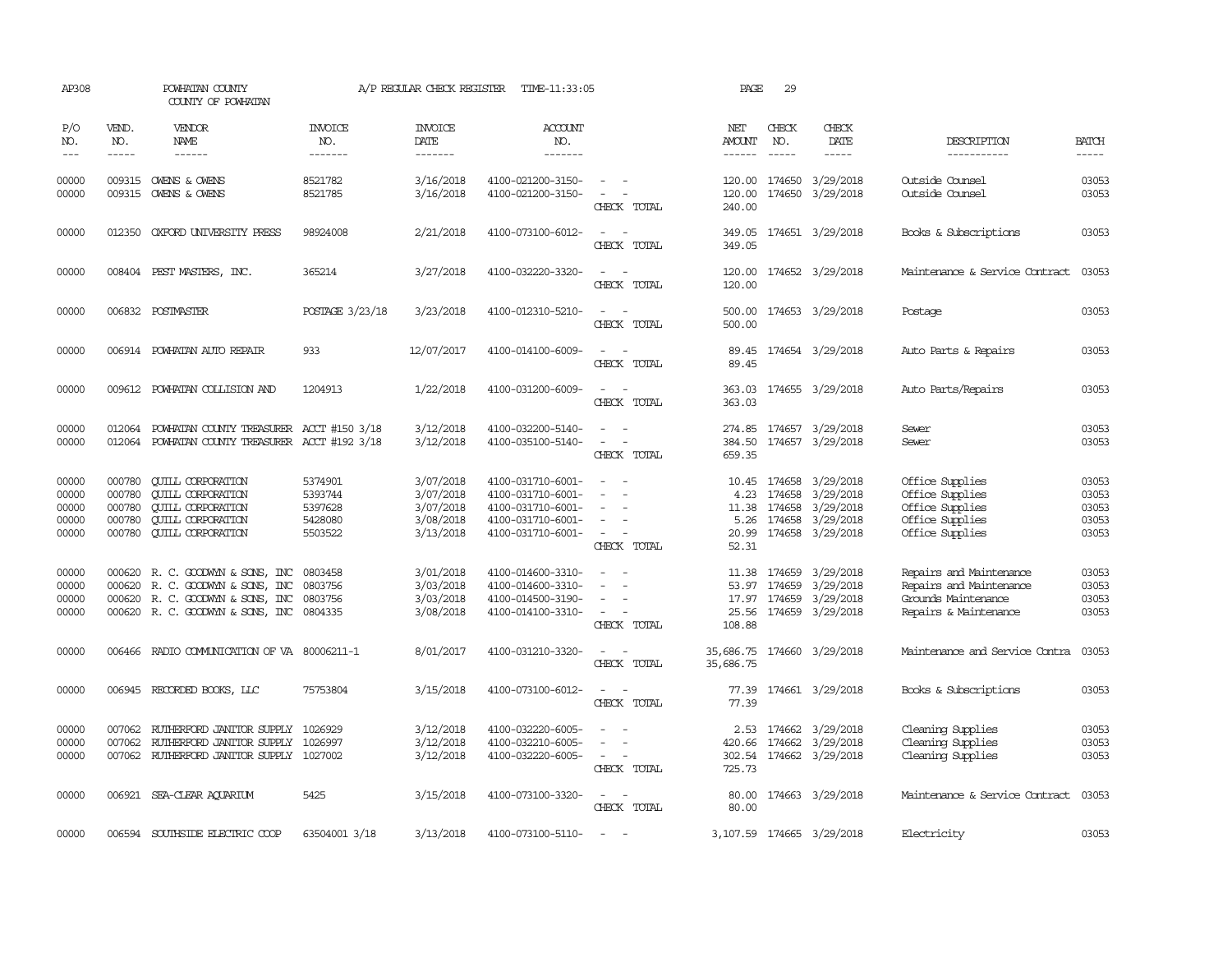| AP308                                     |                                                | POWHATAN COUNTY<br>COUNTY OF POWHATAN                                                                                                    |                                                     | A/P REGULAR CHECK REGISTER                                    | TIME-11:33:05                                                                                         |                                                                                                                                                         | PAGE                                    | 29                                         |                                                                      |                                                                                                    |                                           |
|-------------------------------------------|------------------------------------------------|------------------------------------------------------------------------------------------------------------------------------------------|-----------------------------------------------------|---------------------------------------------------------------|-------------------------------------------------------------------------------------------------------|---------------------------------------------------------------------------------------------------------------------------------------------------------|-----------------------------------------|--------------------------------------------|----------------------------------------------------------------------|----------------------------------------------------------------------------------------------------|-------------------------------------------|
| P/O<br>NO.<br>$---$                       | VEND.<br>NO.<br>$- - - - -$                    | VENDOR<br><b>NAME</b>                                                                                                                    | <b>INVOICE</b><br>NO.<br>-------                    | <b>INVOICE</b><br>DATE<br>-------                             | ACCOUNT<br>NO.<br>-------                                                                             |                                                                                                                                                         | NET<br><b>AMOUNT</b><br>------          | CHECK<br>NO.<br>$\frac{1}{2}$              | CHECK<br>DATE<br>-----                                               | DESCRIPTION<br>-----------                                                                         | <b>BATCH</b><br>-----                     |
| 00000<br>00000                            |                                                | 009315 OWENS & OWENS<br>009315 OWENS & OWENS                                                                                             | 8521782<br>8521785                                  | 3/16/2018<br>3/16/2018                                        | 4100-021200-3150-<br>4100-021200-3150-                                                                | $\sim$<br>$\sim$<br>CHECK TOTAL                                                                                                                         | 120.00<br>120.00<br>240.00              | 174650<br>174650                           | 3/29/2018<br>3/29/2018                                               | Outside Counsel<br>Outside Counsel                                                                 | 03053<br>03053                            |
| 00000                                     | 012350                                         | OXFORD UNIVERSITY PRESS                                                                                                                  | 98924008                                            | 2/21/2018                                                     | 4100-073100-6012-                                                                                     | $\sim$<br>$\sim$<br>CHECK TOTAL                                                                                                                         | 349.05<br>349.05                        |                                            | 174651 3/29/2018                                                     | Books & Subscriptions                                                                              | 03053                                     |
| 00000                                     |                                                | 008404 PEST MASTERS, INC.                                                                                                                | 365214                                              | 3/27/2018                                                     | 4100-032220-3320-                                                                                     | $\sim$<br>$\overline{\phantom{a}}$<br>CHECK TOTAL                                                                                                       | 120.00<br>120.00                        |                                            | 174652 3/29/2018                                                     | Maintenance & Service Contract                                                                     | 03053                                     |
| 00000                                     |                                                | 006832 POSTMASTER                                                                                                                        | POSTAGE 3/23/18                                     | 3/23/2018                                                     | 4100-012310-5210-                                                                                     | $\overline{\phantom{a}}$<br>CHECK TOTAL                                                                                                                 | 500.00<br>500.00                        |                                            | 174653 3/29/2018                                                     | Postage                                                                                            | 03053                                     |
| 00000                                     |                                                | 006914 POWHATAN AUTO REPAIR                                                                                                              | 933                                                 | 12/07/2017                                                    | 4100-014100-6009-                                                                                     | $\sim$<br>$\sim$<br>CHECK TOTAL                                                                                                                         | 89.45<br>89.45                          |                                            | 174654 3/29/2018                                                     | Auto Parts & Repairs                                                                               | 03053                                     |
| 00000                                     | 009612                                         | POWHATAN COLLISION AND                                                                                                                   | 1204913                                             | 1/22/2018                                                     | 4100-031200-6009-                                                                                     | $\sim$<br>$\overline{\phantom{a}}$<br>CHECK TOTAL                                                                                                       | 363.03<br>363.03                        |                                            | 174655 3/29/2018                                                     | Auto Parts/Repairs                                                                                 | 03053                                     |
| 00000<br>00000                            | 012064                                         | POWHATAN COUNTY TREASURER<br>012064 POWHATAN COUNTY TREASURER ACCT #192 3/18                                                             | ACCT #150 3/18                                      | 3/12/2018<br>3/12/2018                                        | 4100-032200-5140-<br>4100-035100-5140-                                                                | $\sim$<br>$\sim$<br>CHECK TOTAL                                                                                                                         | 384.50<br>659.35                        |                                            | 274.85 174657 3/29/2018<br>174657 3/29/2018                          | Sewer<br>Sewer                                                                                     | 03053<br>03053                            |
| 00000<br>00000<br>00000<br>00000<br>00000 | 000780<br>000780<br>000780<br>000780<br>000780 | <b>CUILL CORPORATION</b><br><b>CUILL CORPORATION</b><br><b>CUILL CORPORATION</b><br><b>QUILL CORPORATION</b><br><b>QUILL CORPORATION</b> | 5374901<br>5393744<br>5397628<br>5428080<br>5503522 | 3/07/2018<br>3/07/2018<br>3/07/2018<br>3/08/2018<br>3/13/2018 | 4100-031710-6001-<br>4100-031710-6001-<br>4100-031710-6001-<br>4100-031710-6001-<br>4100-031710-6001- | $\sim$<br>$\overline{\phantom{a}}$<br>$\sim$<br>$\equiv$<br>$\sim$<br>CHECK TOTAL                                                                       | 4.23<br>11.38<br>5.26<br>20.99<br>52.31 | 10.45 174658<br>174658<br>174658<br>174658 | 3/29/2018<br>3/29/2018<br>3/29/2018<br>3/29/2018<br>174658 3/29/2018 | Office Supplies<br>Office Supplies<br>Office Supplies<br>Office Supplies<br>Office Supplies        | 03053<br>03053<br>03053<br>03053<br>03053 |
| 00000<br>00000<br>00000<br>00000          | 000620                                         | 000620 R. C. GOODWYN & SONS, INC<br>R. C. GOODWYN & SONS, INC<br>000620 R. C. GOODWYN & SONS, INC<br>000620 R. C. GOODWYN & SONS, INC    | 0803458<br>0803756<br>0803756<br>0804335            | 3/01/2018<br>3/03/2018<br>3/03/2018<br>3/08/2018              | 4100-014600-3310-<br>4100-014600-3310-<br>4100-014500-3190-<br>4100-014100-3310-                      | $\overline{\phantom{a}}$<br>$\overline{\phantom{a}}$<br>$\overline{a}$<br>$\overline{\phantom{a}}$<br>$\sim$<br>$\overline{\phantom{a}}$<br>CHECK TOTAL | 11.38<br>53.97<br>25.56<br>108.88       | 174659<br>174659<br>174659                 | 3/29/2018<br>3/29/2018<br>17.97 174659 3/29/2018<br>3/29/2018        | Repairs and Maintenance<br>Repairs and Maintenance<br>Grounds Maintenance<br>Repairs & Maintenance | 03053<br>03053<br>03053<br>03053          |
| 00000                                     | 006466                                         | RADIO COMMUNICATION OF VA 80006211-1                                                                                                     |                                                     | 8/01/2017                                                     | 4100-031210-3320-                                                                                     | $\sim$<br>$\overline{\phantom{a}}$<br>CHECK TOTAL                                                                                                       | 35,686.75<br>35,686.75                  |                                            | 174660 3/29/2018                                                     | Maintenance and Service Contra                                                                     | 03053                                     |
| 00000                                     |                                                | 006945 RECORDED BOOKS, LLC                                                                                                               | 75753804                                            | 3/15/2018                                                     | 4100-073100-6012-                                                                                     | $\sim$<br>$\overline{\phantom{a}}$<br>CHECK TOTAL                                                                                                       | 77.39                                   |                                            | 77.39 174661 3/29/2018                                               | Books & Subscriptions                                                                              | 03053                                     |
| 00000<br>00000<br>00000                   | 007062<br>007062<br>007062                     | RUTHERFORD JANITOR SUPPLY<br>RUTHERFORD JANITOR SUPPLY<br>RUTHERFORD JANITOR SUPPLY                                                      | 1026929<br>1026997<br>1027002                       | 3/12/2018<br>3/12/2018<br>3/12/2018                           | 4100-032220-6005-<br>4100-032210-6005-<br>4100-032220-6005-                                           | $\equiv$<br>$\overline{\phantom{a}}$<br>CHECK TOTAL                                                                                                     | 420.66<br>302.54<br>725.73              | 2.53 174662<br>174662<br>174662            | 3/29/2018<br>3/29/2018<br>3/29/2018                                  | Cleaning Supplies<br>Cleaning Supplies<br>Cleaning Supplies                                        | 03053<br>03053<br>03053                   |
| 00000                                     | 006921                                         | SEA-CLEAR AQUARIUM                                                                                                                       | 5425                                                | 3/15/2018                                                     | 4100-073100-3320-                                                                                     | $\sim$<br>$\sim$<br>CHECK TOTAL                                                                                                                         | 80.00<br>80.00                          |                                            | 174663 3/29/2018                                                     | Maintenance & Service Contract                                                                     | 03053                                     |
| 00000                                     |                                                | 006594 SOUTHSIDE ELECTRIC COOP                                                                                                           | 63504001 3/18                                       | 3/13/2018                                                     | 4100-073100-5110-                                                                                     | $\sim$<br>$\sim$                                                                                                                                        |                                         |                                            | 3, 107.59 174665 3/29/2018                                           | Electricity                                                                                        | 03053                                     |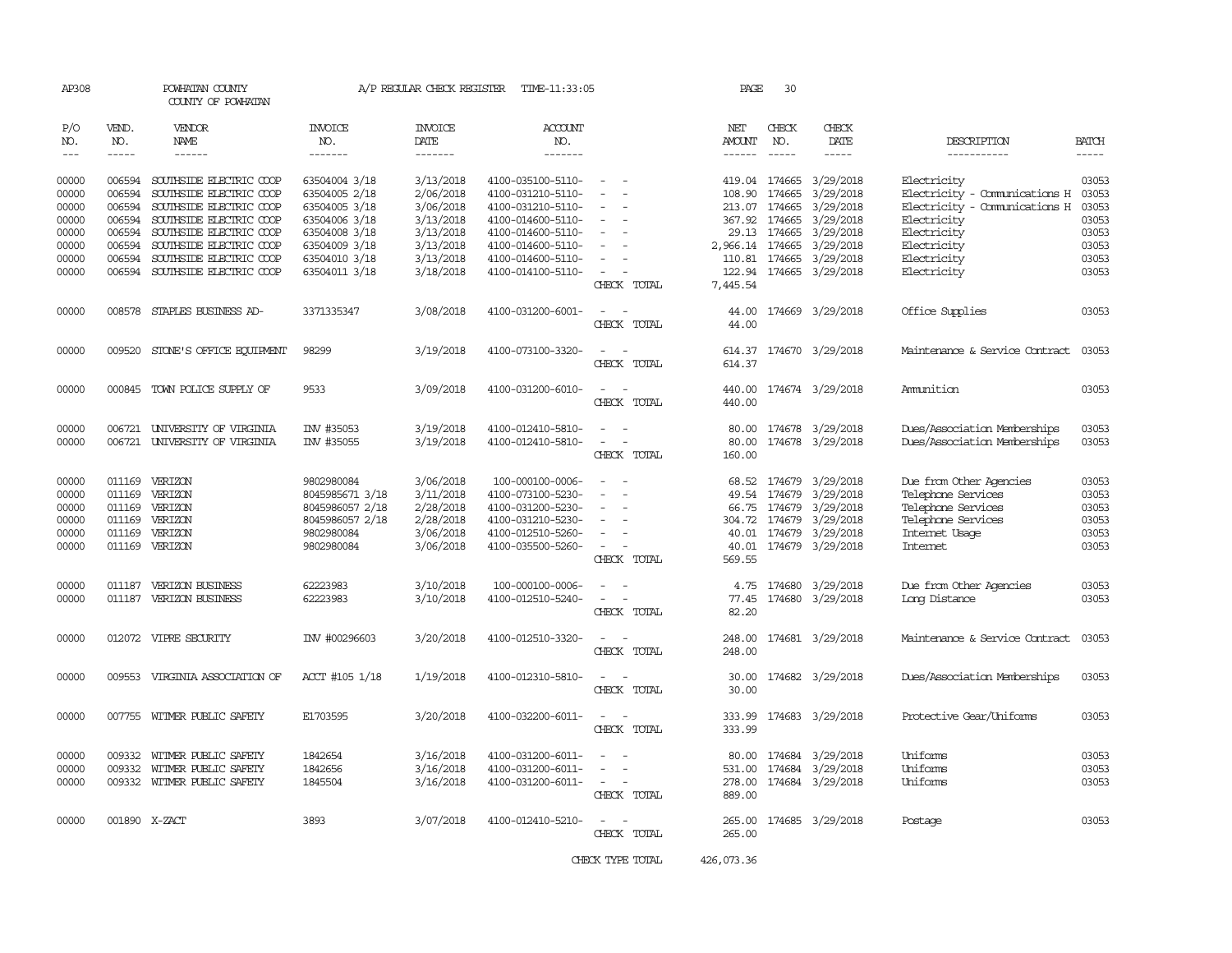| AP308          |                  | POWHATAN COUNTY<br>COUNTY OF POWHATAN                     |                                | A/P REGULAR CHECK REGISTER | TIME-11:33:05                          |                                                                                                                             | PAGE                 | 30                            |                         |                                               |                |
|----------------|------------------|-----------------------------------------------------------|--------------------------------|----------------------------|----------------------------------------|-----------------------------------------------------------------------------------------------------------------------------|----------------------|-------------------------------|-------------------------|-----------------------------------------------|----------------|
| P/O<br>NO.     | VEND.<br>NO.     | <b>VENDOR</b><br><b>NAME</b>                              | <b>INVOICE</b><br>NO.          | <b>INVOICE</b><br>DATE     | <b>ACCOUNT</b><br>NO.                  |                                                                                                                             | NET<br><b>AMOUNT</b> | CHECK<br>NO.                  | CHECK<br>DATE           | DESCRIPTION                                   | <b>BATCH</b>   |
| $---$          | $- - - - -$      | ------                                                    | -------                        | -------                    | -------                                |                                                                                                                             | $- - - - - -$        | $- - - - -$                   | -----                   | -----------                                   | $- - - - -$    |
| 00000<br>00000 | 006594           | 006594 SOUTHSIDE ELECTRIC COOP<br>SOUTHSIDE ELECTRIC COOP | 63504004 3/18<br>63504005 2/18 | 3/13/2018<br>2/06/2018     | 4100-035100-5110-<br>4100-031210-5110- | $\sim$<br>$\sim$                                                                                                            | 108.90               | 419.04 174665<br>174665       | 3/29/2018<br>3/29/2018  | Electricity<br>Electricity - Comunications H  | 03053<br>03053 |
| 00000          | 006594           | SOUTHSIDE ELECTRIC COOP                                   | 63504005 3/18                  | 3/06/2018                  | 4100-031210-5110-                      |                                                                                                                             |                      | 213.07 174665                 | 3/29/2018               | Electricity - Comunications H                 | 03053          |
| 00000          | 006594<br>006594 | SOUTHSIDE ELECTRIC COOP                                   | 63504006 3/18                  | 3/13/2018<br>3/13/2018     | 4100-014600-5110-                      | $\sim$<br>$\sim$                                                                                                            |                      | 367.92 174665<br>29.13 174665 | 3/29/2018<br>3/29/2018  | Electricity                                   | 03053<br>03053 |
| 00000<br>00000 | 006594           | SOUTHSIDE ELECTRIC COOP<br>SOUTHSIDE ELECTRIC COOP        | 63504008 3/18<br>63504009 3/18 | 3/13/2018                  | 4100-014600-5110-<br>4100-014600-5110- | $\overline{\phantom{a}}$                                                                                                    | 2,966.14             | 174665                        | 3/29/2018               | Electricity<br>Electricity                    | 03053          |
| 00000          | 006594           | SOUTHSIDE ELECTRIC COOP                                   | 63504010 3/18                  | 3/13/2018                  | 4100-014600-5110-                      |                                                                                                                             | 110.81               | 174665                        | 3/29/2018               | Electricity                                   | 03053          |
| 00000          |                  | 006594 SOUTHSIDE ELECTRIC COOP                            | 63504011 3/18                  | 3/18/2018                  | 4100-014100-5110-                      | $\sim$                                                                                                                      | 122.94               |                               | 174665 3/29/2018        | Electricity                                   | 03053          |
|                |                  |                                                           |                                |                            |                                        | CHECK TOTAL                                                                                                                 | 7,445.54             |                               |                         |                                               |                |
| 00000          |                  | 008578 STAPLES BUSINESS AD-                               | 3371335347                     | 3/08/2018                  | 4100-031200-6001-                      | $\frac{1}{2} \left( \frac{1}{2} \right) \left( \frac{1}{2} \right) = \frac{1}{2} \left( \frac{1}{2} \right)$<br>CHECK TOTAL | 44.00<br>44.00       |                               | 174669 3/29/2018        | Office Supplies                               | 03053          |
| 00000          |                  | 009520 STONE'S OFFICE EQUIPMENT                           | 98299                          | 3/19/2018                  | 4100-073100-3320-                      | CHECK TOTAL                                                                                                                 | 614.37               |                               | 614.37 174670 3/29/2018 | Maintenance & Service Contract                | 03053          |
| 00000          | 000845           | TOWN POLICE SUPPLY OF                                     | 9533                           | 3/09/2018                  | 4100-031200-6010-                      | $\overline{\phantom{a}}$<br>$\sim$<br>CHECK TOTAL                                                                           | 440.00<br>440.00     |                               | 174674 3/29/2018        | Ammunition                                    | 03053          |
| 00000          |                  | 006721 UNIVERSITY OF VIRGINIA                             | INV #35053                     | 3/19/2018                  | 4100-012410-5810-                      | $\overline{\phantom{a}}$<br>$\sim$                                                                                          | 80.00                |                               | 174678 3/29/2018        | Dues/Association Memberships                  | 03053          |
| 00000          |                  | 006721 UNIVERSITY OF VIRGINIA                             | INV #35055                     | 3/19/2018                  | 4100-012410-5810-                      | $\sim$<br>$\overline{\phantom{a}}$<br>CHECK TOTAL                                                                           | 80.00<br>160.00      |                               | 174678 3/29/2018        | Dues/Association Memberships                  | 03053          |
| 00000<br>00000 |                  | 011169 VERIZON<br>011169 VERIZON                          | 9802980084<br>8045985671 3/18  | 3/06/2018<br>3/11/2018     | 100-000100-0006-<br>4100-073100-5230-  | $\sim$                                                                                                                      | 68.52<br>49.54       | 174679<br>174679              | 3/29/2018<br>3/29/2018  | Due from Other Agencies<br>Telephone Services | 03053<br>03053 |
| 00000          | 011169           | VERIZON                                                   | 8045986057 2/18                | 2/28/2018                  | 4100-031200-5230-                      |                                                                                                                             | 66.75                | 174679                        | 3/29/2018               | Telephone Services                            | 03053          |
| 00000          |                  | 011169 VERIZON                                            | 8045986057 2/18                | 2/28/2018                  | 4100-031210-5230-                      | $\sim$                                                                                                                      |                      | 304.72 174679                 | 3/29/2018               | Telephone Services                            | 03053          |
| 00000          | 011169           | VERIZON                                                   | 9802980084                     | 3/06/2018                  | 4100-012510-5260-                      | $\sim$                                                                                                                      | 40.01                | 174679                        | 3/29/2018               | Internet Usage                                | 03053          |
| 00000          | 011169           | VERIZON                                                   | 9802980084                     | 3/06/2018                  | 4100-035500-5260-                      | $\sim$<br>CHECK TOTAL                                                                                                       | 40.01<br>569.55      |                               | 174679 3/29/2018        | <b>Internet</b>                               | 03053          |
| 00000          | 011187           | <b>VERIZON BUSINESS</b>                                   | 62223983                       | 3/10/2018                  | 100-000100-0006-                       |                                                                                                                             | 4.75                 | 174680                        | 3/29/2018               | Due from Other Agencies                       | 03053          |
| 00000          | 011187           | <b>VERIZON BUSINESS</b>                                   | 62223983                       | 3/10/2018                  | 4100-012510-5240-                      | $\sim$<br>$\overline{\phantom{a}}$                                                                                          | 77.45                |                               | 174680 3/29/2018        | Long Distance                                 | 03053          |
|                |                  |                                                           |                                |                            |                                        | CHECK TOTAL                                                                                                                 | 82.20                |                               |                         |                                               |                |
| 00000          |                  | 012072 VIPRE SECURITY                                     | INV #00296603                  | 3/20/2018                  | 4100-012510-3320-                      | $\sim$<br>CHECK TOTAL                                                                                                       | 248.00<br>248.00     |                               | 174681 3/29/2018        | Maintenance & Service Contract                | 03053          |
| 00000          |                  | 009553 VIRGINIA ASSOCIATION OF                            | ACCT #105 1/18                 | 1/19/2018                  | 4100-012310-5810-                      | CHECK TOTAL                                                                                                                 | 30.00<br>30.00       |                               | 174682 3/29/2018        | Dues/Association Memberships                  | 03053          |
| 00000          |                  | 007755 WITMER PUBLIC SAFETY                               | E1703595                       | 3/20/2018                  | 4100-032200-6011-                      | $\equiv$<br>CHECK TOTAL                                                                                                     | 333.99<br>333.99     |                               | 174683 3/29/2018        | Protective Gear/Uniforms                      | 03053          |
| 00000          |                  | 009332 WITMER PUBLIC SAFETY                               | 1842654                        | 3/16/2018                  | 4100-031200-6011-                      | $\equiv$<br>$\overline{\phantom{a}}$                                                                                        |                      |                               | 80.00 174684 3/29/2018  | Uniforms                                      | 03053          |
| 00000          | 009332           | WITMER PUBLIC SAFETY                                      | 1842656                        | 3/16/2018                  | 4100-031200-6011-                      | $\sim$                                                                                                                      | 531.00               |                               | 174684 3/29/2018        | Uniforms                                      | 03053          |
| 00000          |                  | 009332 WITMER PUBLIC SAFETY                               | 1845504                        | 3/16/2018                  | 4100-031200-6011-                      | $\overline{\phantom{a}}$<br>$\overline{\phantom{a}}$<br>CHECK TOTAL                                                         | 889.00               |                               | 278.00 174684 3/29/2018 | Uniforms                                      | 03053          |
| 00000          |                  | 001890 X-ZACT                                             | 3893                           | 3/07/2018                  | 4100-012410-5210-                      | CHECK TOTAL                                                                                                                 | 265.00<br>265.00     |                               | 174685 3/29/2018        | Postage                                       | 03053          |
|                |                  |                                                           |                                |                            |                                        |                                                                                                                             |                      |                               |                         |                                               |                |

CHECK TYPE TOTAL 426,073.36

$$
426,073.3
$$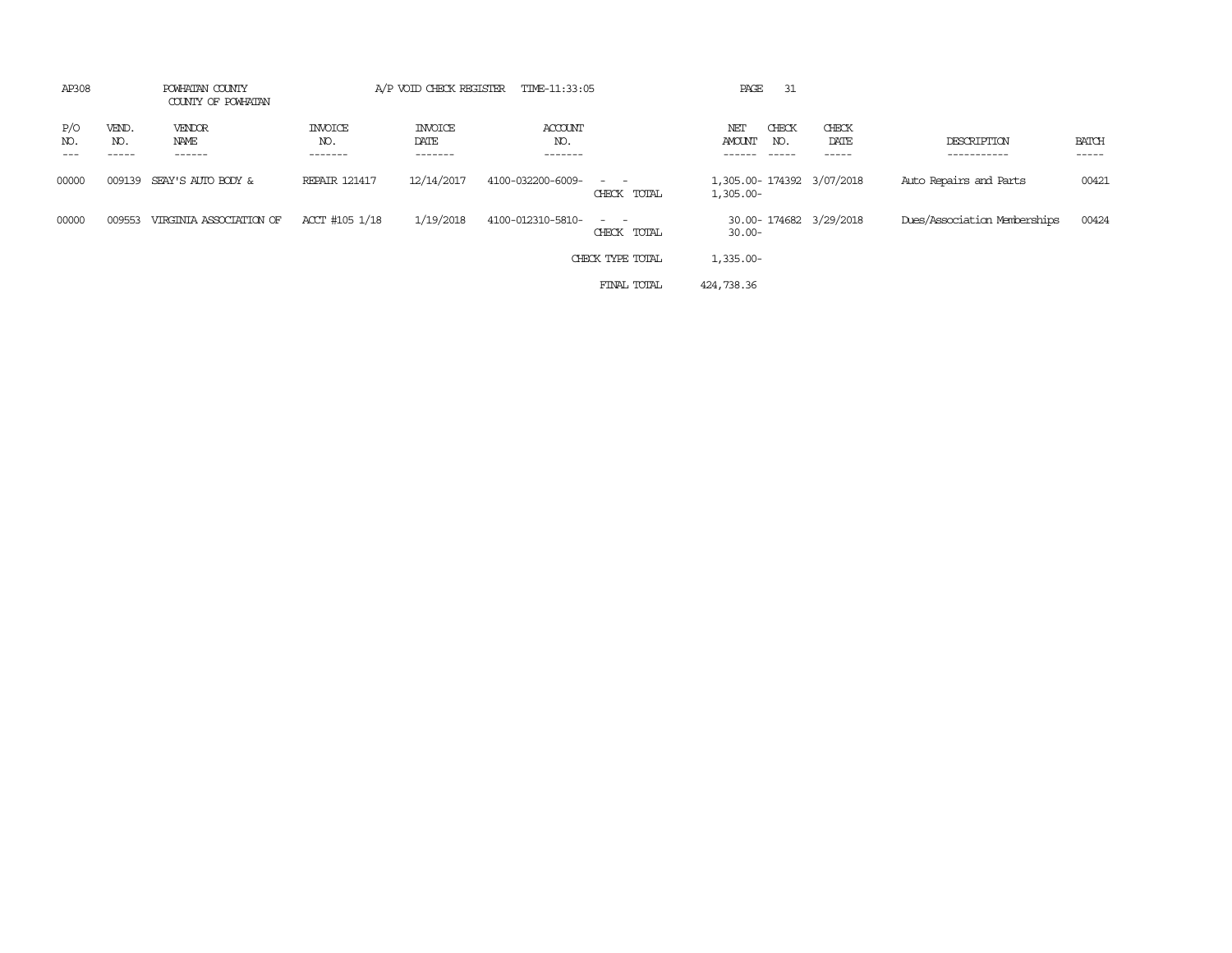| AP308      |                       | POWHATAN COUNTY<br>COUNTY OF POWHATAN |                                  | A/P VOID CHECK REGISTER           | TIME-11:33:05             |                                                                                                                                          | PAGE<br>-31                                  |                         |                              |                       |
|------------|-----------------------|---------------------------------------|----------------------------------|-----------------------------------|---------------------------|------------------------------------------------------------------------------------------------------------------------------------------|----------------------------------------------|-------------------------|------------------------------|-----------------------|
| P/O<br>NO. | VEND.<br>NO.<br>----- | VENDOR<br>NAME<br>------              | <b>INVOICE</b><br>NO.<br>------- | <b>INVOICE</b><br>DATE<br>------- | ACCOUNT<br>NO.<br>------- |                                                                                                                                          | CHECK<br>NET<br>AMOUNT<br>NO.<br>$- - - - -$ | CHECK<br>DATE<br>------ | DESCRIPTION<br>-----------   | <b>BATCH</b><br>----- |
| 00000      | 009139                | SEAY'S AUTO BODY &                    | <b>REPAIR 121417</b>             | 12/14/2017                        | 4100-032200-6009-         | $\frac{1}{2} \left( \frac{1}{2} \right) \left( \frac{1}{2} \right) \left( \frac{1}{2} \right) \left( \frac{1}{2} \right)$<br>CHECK TOTAL | 1,305.00-174392 3/07/2018<br>$1,305.00 -$    |                         | Auto Repairs and Parts       | 00421                 |
| 00000      | 009553                | VIRGINIA ASSOCIATION OF               | ACCT #105 1/18                   | 1/19/2018                         | 4100-012310-5810-         | $\frac{1}{2} \left( \frac{1}{2} \right) \left( \frac{1}{2} \right) \left( \frac{1}{2} \right) \left( \frac{1}{2} \right)$<br>CHECK TOTAL | 30.00-174682 3/29/2018<br>$30.00 -$          |                         | Dues/Association Memberships | 00424                 |
|            |                       |                                       |                                  |                                   |                           | CHECK TYPE TOTAL                                                                                                                         | 1,335.00-                                    |                         |                              |                       |
|            |                       |                                       |                                  |                                   |                           | FINAL TOTAL                                                                                                                              | 424,738.36                                   |                         |                              |                       |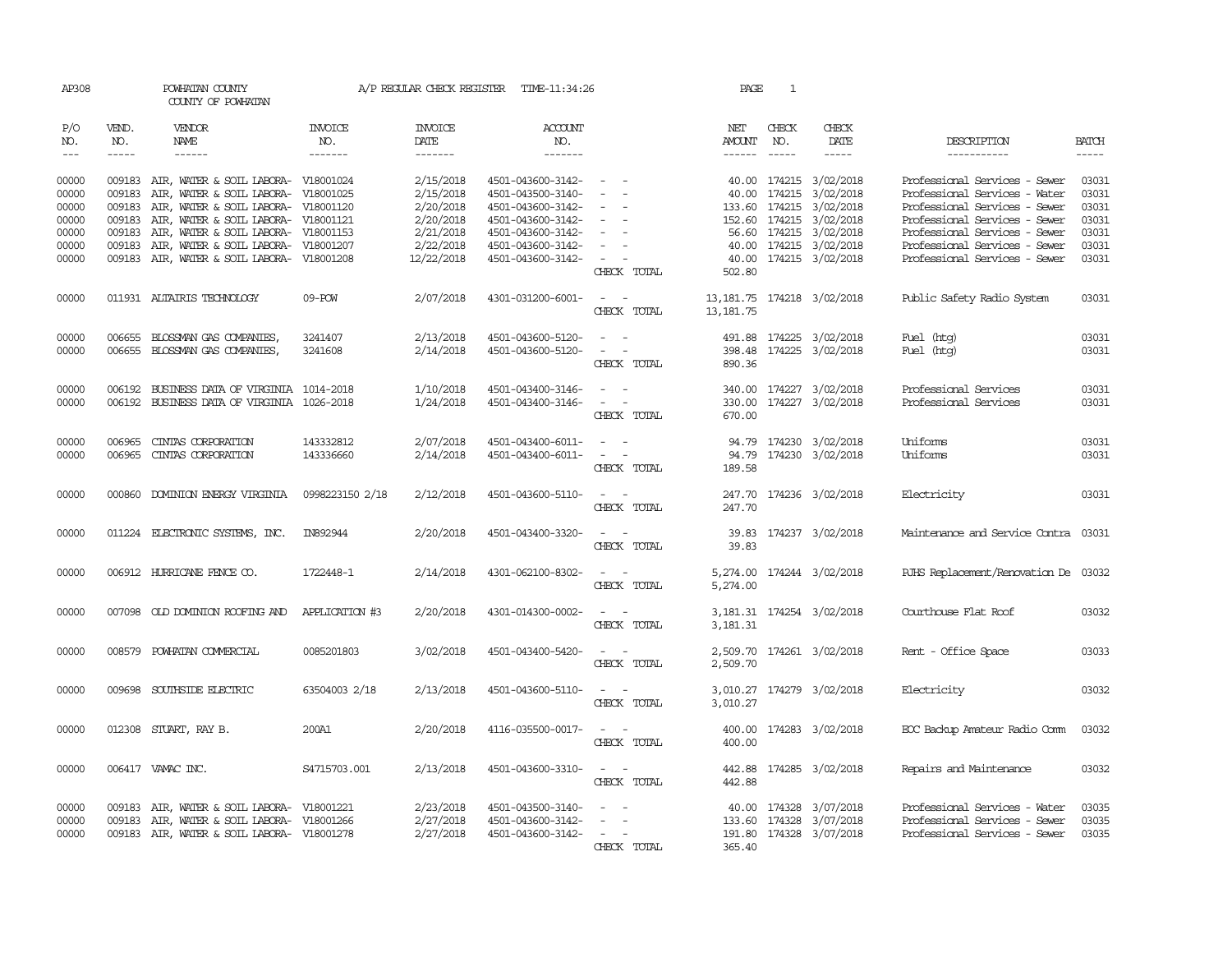| AP308                |                  | POWHATAN COUNTY<br>COUNTY OF POWHATAN                                             |                 |                        | A/P REGULAR CHECK REGISTER TIME-11:34:26 |                                                                                                                             | PAGE                                         | 1            |                                                   |                                                                |                |
|----------------------|------------------|-----------------------------------------------------------------------------------|-----------------|------------------------|------------------------------------------|-----------------------------------------------------------------------------------------------------------------------------|----------------------------------------------|--------------|---------------------------------------------------|----------------------------------------------------------------|----------------|
| P/O<br>NO.           | VEND.<br>NO.     | VENDOR<br>NAME                                                                    | INVOICE<br>NO.  | <b>INVOICE</b><br>DATE | <b>ACCOUNT</b><br>NO.                    |                                                                                                                             | NET<br>AMOUNT                                | CHECK<br>NO. | CHECK<br>DATE                                     | DESCRIPTION                                                    | <b>BATCH</b>   |
| $\sim$ $\sim$ $\sim$ | $- - - - -$      | $- - - - - -$                                                                     | $- - - - - - -$ | -------                | $- - - - - - -$                          |                                                                                                                             |                                              |              | $- - - - -$                                       | ------------                                                   | $- - - - -$    |
| 00000<br>00000       | 009183           | 009183 AIR, WATER & SOIL LABORA- V18001024<br>AIR, WATER & SOIL LABORA- V18001025 |                 | 2/15/2018<br>2/15/2018 | 4501-043600-3142-<br>4501-043500-3140-   | $\sim$<br>$\sim$<br>$\sim$ $-$                                                                                              |                                              |              | 40.00 174215 3/02/2018<br>40.00 174215 3/02/2018  | Professional Services - Sewer<br>Professional Services - Water | 03031<br>03031 |
| 00000                |                  | 009183 AIR, WATER & SOIL LABORA- V18001120                                        |                 | 2/20/2018              | 4501-043600-3142-                        |                                                                                                                             |                                              |              | 133.60 174215 3/02/2018                           | Professional Services - Sewer                                  | 03031          |
| 00000                | 009183           | AIR, WATER & SOIL LABORA- V18001121                                               |                 | 2/20/2018              | 4501-043600-3142-                        |                                                                                                                             |                                              |              | 152.60 174215 3/02/2018                           | Professional Services - Sewer                                  | 03031          |
| 00000                | 009183           | AIR, WATER & SOIL LABORA- V18001153                                               |                 | 2/21/2018              | 4501-043600-3142-                        | $\sim$                                                                                                                      |                                              |              | 56.60 174215 3/02/2018                            | Professional Services - Sewer                                  | 03031          |
| 00000                | 009183           | AIR, WATER & SOIL LABORA- V18001207                                               |                 | 2/22/2018              | 4501-043600-3142-                        | $\sim$                                                                                                                      |                                              |              | 40.00 174215 3/02/2018                            | Professional Services - Sewer                                  | 03031          |
| 00000                |                  | 009183 AIR, WATER & SOIL LABORA- V18001208                                        |                 | 12/22/2018             | 4501-043600-3142-                        | $\sim$ $ \sim$ $-$<br>CHECK TOTAL                                                                                           | 502.80                                       |              | 40.00 174215 3/02/2018                            | Professional Services - Sewer                                  | 03031          |
| 00000                |                  | 011931 ALTAIRIS TECHNOLOGY                                                        | 09-POW          | 2/07/2018              | 4301-031200-6001-                        | $\sim$ $ -$<br>CHECK TOTAL                                                                                                  | 13, 181. 75  174218  3/02/2018<br>13, 181.75 |              |                                                   | Public Safety Radio System                                     | 03031          |
| 00000                |                  | 006655 BLOSSMAN GAS COMPANIES,                                                    | 3241407         | 2/13/2018              | 4501-043600-5120-                        | $\sim$ $ \sim$                                                                                                              |                                              |              | 491.88 174225 3/02/2018                           | Fuel (htg)                                                     | 03031          |
| 00000                |                  | 006655 BLOSSMAN GAS COMPANIES,                                                    | 3241608         | 2/14/2018              | 4501-043600-5120-                        | CHECK TOTAL                                                                                                                 | 890.36                                       |              | 398.48 174225 3/02/2018                           | Fuel (htg)                                                     | 03031          |
| 00000                |                  | 006192 BUSINESS DATA OF VIRGINIA 1014-2018                                        |                 | 1/10/2018              | 4501-043400-3146-                        | $\sim$ $  -$                                                                                                                |                                              |              | 340.00 174227 3/02/2018                           | Professional Services                                          | 03031          |
| 00000                |                  | 006192 BUSINESS DATA OF VIRGINIA 1026-2018                                        |                 | 1/24/2018              | 4501-043400-3146-                        | $\sim$ $ -$<br>CHECK TOTAL                                                                                                  | 670.00                                       |              | 330.00 174227 3/02/2018                           | Professional Services                                          | 03031          |
| 00000                | 006965           | CINIAS CORPORATION                                                                | 143332812       | 2/07/2018              | 4501-043400-6011-                        |                                                                                                                             |                                              |              | 94.79 174230 3/02/2018                            | Uniforms                                                       | 03031          |
| 00000                |                  | 006965 CINIAS CORPORATION                                                         | 143336660       | 2/14/2018              | 4501-043400-6011-                        | $\frac{1}{2} \left( \frac{1}{2} \right) \left( \frac{1}{2} \right) = \frac{1}{2} \left( \frac{1}{2} \right)$<br>CHECK TOTAL | 189.58                                       |              | 94.79 174230 3/02/2018                            | Uniforms                                                       | 03031          |
| 00000                |                  | 000860 DOMINION ENERGY VIRGINIA                                                   | 0998223150 2/18 | 2/12/2018              | 4501-043600-5110-                        | $\sim$                                                                                                                      |                                              |              | 247.70 174236 3/02/2018                           | Electricity                                                    | 03031          |
|                      |                  |                                                                                   |                 |                        |                                          | CHECK TOTAL                                                                                                                 | 247.70                                       |              |                                                   |                                                                |                |
| 00000                |                  | 011224 ELECTRONIC SYSTEMS, INC.                                                   | IN892944        | 2/20/2018              | 4501-043400-3320-                        | $\overline{a}$<br>$\sim$                                                                                                    |                                              |              | 39.83 174237 3/02/2018                            | Maintenance and Service Contra 03031                           |                |
|                      |                  |                                                                                   |                 |                        |                                          | CHECK TOTAL                                                                                                                 | 39.83                                        |              |                                                   |                                                                |                |
| 00000                |                  | 006912 HURRICANE FENCE CO.                                                        | 1722448-1       | 2/14/2018              | 4301-062100-8302-                        | $\overline{\phantom{a}}$<br>$\sim$<br>CHECK TOTAL                                                                           | 5,274.00                                     |              | 5,274.00 174244 3/02/2018                         | RJHS Replacement/Renovation De 03032                           |                |
| 00000                |                  | 007098 OLD DOMINION ROOFING AND                                                   | APPLICATION #3  | 2/20/2018              | 4301-014300-0002-                        | $\sim$ $ \sim$                                                                                                              |                                              |              | 3, 181.31 174254 3/02/2018                        | Courthouse Flat Roof                                           | 03032          |
|                      |                  |                                                                                   |                 |                        |                                          | CHECK TOTAL                                                                                                                 | 3,181.31                                     |              |                                                   |                                                                |                |
| 00000                |                  | 008579 POWHATAN COMMERCIAL                                                        | 0085201803      | 3/02/2018              | 4501-043400-5420-                        | $\mathcal{L}_{\text{max}}$ , and $\mathcal{L}_{\text{max}}$<br>CHECK TOTAL                                                  | 2,509.70                                     |              | 2,509.70 174261 3/02/2018                         | Rent - Office Space                                            | 03033          |
| 00000                |                  | 009698 SOUTHSIDE ELECTRIC                                                         | 63504003 2/18   | 2/13/2018              | 4501-043600-5110-                        | $\sim$ $ \sim$                                                                                                              |                                              |              | 3,010.27 174279 3/02/2018                         | Electricity                                                    | 03032          |
|                      |                  |                                                                                   |                 |                        |                                          | CHECK TOTAL                                                                                                                 | 3,010.27                                     |              |                                                   |                                                                |                |
| 00000                |                  | 012308 STUART, RAY B.                                                             | 200A1           | 2/20/2018              | 4116-035500-0017-                        | $\sim$ $ \sim$<br>CHECK TOTAL                                                                                               | 400.00                                       |              | 400.00 174283 3/02/2018                           | EOC Backup Amateur Radio Comm                                  | 03032          |
| 00000                |                  | 006417 VAMAC INC.                                                                 | S4715703.001    | 2/13/2018              | 4501-043600-3310-                        | $\sim$ $ \sim$                                                                                                              |                                              |              | 442.88 174285 3/02/2018                           | Repairs and Maintenance                                        | 03032          |
|                      |                  |                                                                                   |                 |                        |                                          | CHECK TOTAL                                                                                                                 | 442.88                                       |              |                                                   |                                                                |                |
| 00000<br>00000       | 009183<br>009183 | AIR, WATER & SOIL LABORA- V18001221<br>AIR, WATER & SOIL LABORA- V18001266        |                 | 2/23/2018<br>2/27/2018 | 4501-043500-3140-<br>4501-043600-3142-   | $\sim$ $ \sim$<br>$\sim$                                                                                                    |                                              |              | 40.00 174328 3/07/2018<br>133.60 174328 3/07/2018 | Professional Services - Water<br>Professional Services - Sewer | 03035<br>03035 |
| 00000                |                  | 009183 AIR, WATER & SOIL LABORA- V18001278                                        |                 | 2/27/2018              | 4501-043600-3142-                        | $\sim$ $-$                                                                                                                  |                                              |              | 191.80 174328 3/07/2018                           | Professional Services - Sewer                                  | 03035          |
|                      |                  |                                                                                   |                 |                        |                                          | CHECK TOTAL                                                                                                                 | 365.40                                       |              |                                                   |                                                                |                |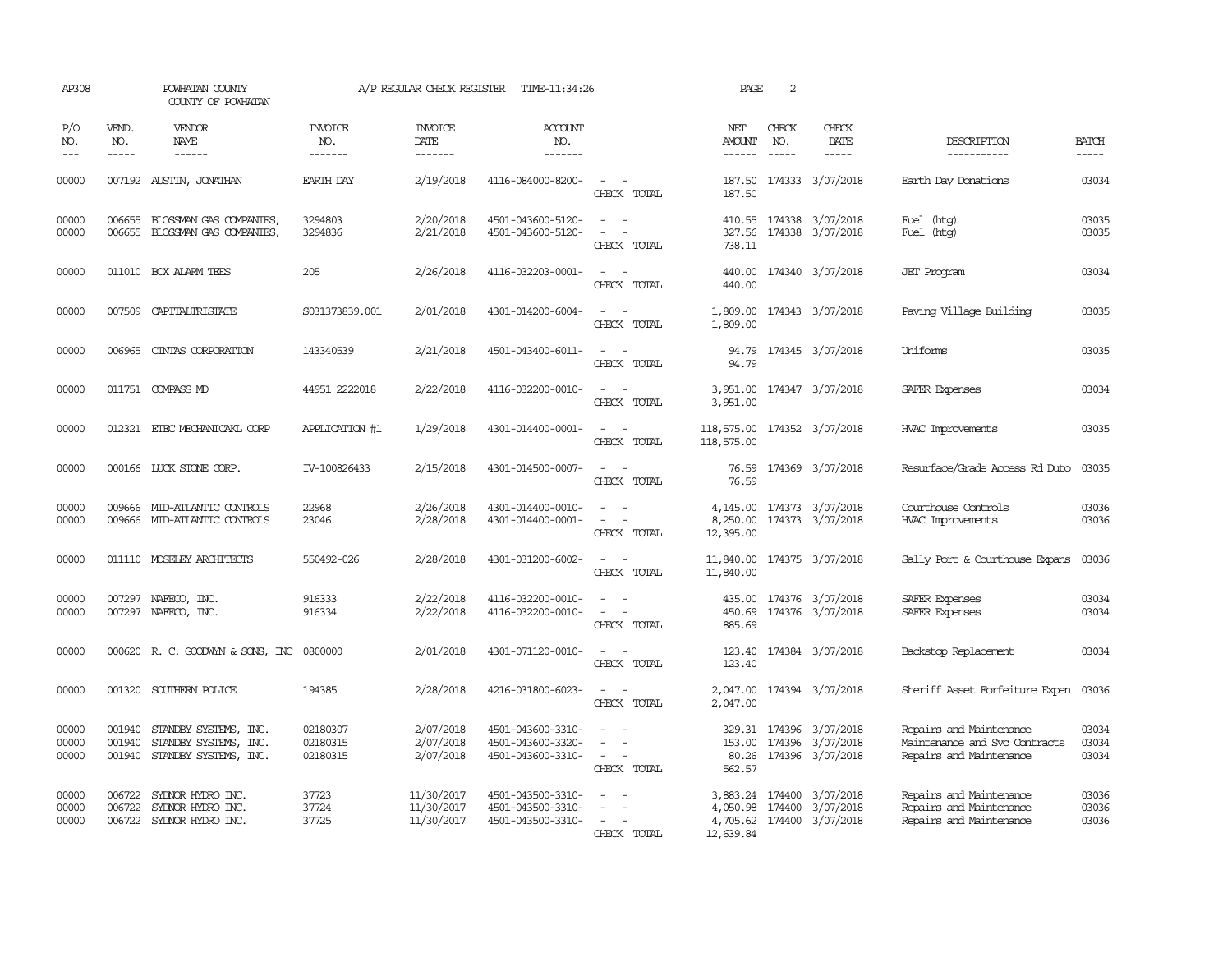| AP308                       |                               | POWHATAN COUNTY<br>COUNTY OF POWHATAN                                          |                                  | A/P REGULAR CHECK REGISTER             | TIME-11:34:26                                               |                                                                                                                             | PAGE                                      | 2                             |                                                                                     |                                                                                     |                         |
|-----------------------------|-------------------------------|--------------------------------------------------------------------------------|----------------------------------|----------------------------------------|-------------------------------------------------------------|-----------------------------------------------------------------------------------------------------------------------------|-------------------------------------------|-------------------------------|-------------------------------------------------------------------------------------|-------------------------------------------------------------------------------------|-------------------------|
| P/O<br>NO.<br>$\frac{1}{2}$ | VEND.<br>NO.<br>$\frac{1}{2}$ | <b>VENDOR</b><br><b>NAME</b><br>$- - - - - -$                                  | <b>INVOICE</b><br>NO.<br>------- | <b>INVOICE</b><br>DATE<br>-------      | <b>ACCOUNT</b><br>NO.<br>$- - - - - - -$                    |                                                                                                                             | NET<br><b>AMOUNT</b><br>------            | CHECK<br>NO.<br>$\frac{1}{2}$ | CHECK<br>DATE<br>$- - - - -$                                                        | DESCRIPTION<br>-----------                                                          | <b>BATCH</b><br>-----   |
| 00000                       |                               | 007192 AUSTIN, JONATHAN                                                        | EARTH DAY                        | 2/19/2018                              | 4116-084000-8200-                                           | $\sim$ $ \sim$<br>CHECK TOTAL                                                                                               | 187.50                                    |                               | 187.50 174333 3/07/2018                                                             | Earth Day Donations                                                                 | 03034                   |
| 00000<br>00000              | 006655<br>006655              | BLOSSMAN GAS COMPANIES,<br>BLOSSMAN GAS COMPANIES,                             | 3294803<br>3294836               | 2/20/2018<br>2/21/2018                 | 4501-043600-5120-<br>4501-043600-5120-                      | $\overline{\phantom{a}}$<br>CHECK TOTAL                                                                                     | 327.56<br>738.11                          |                               | 410.55 174338 3/07/2018<br>174338 3/07/2018                                         | Fuel (htg)<br>Fuel (htg)                                                            | 03035<br>03035          |
| 00000                       |                               | 011010 BOX ALARM TEES                                                          | 205                              | 2/26/2018                              | 4116-032203-0001-                                           | $\sim$ $ \sim$<br>CHECK TOTAL                                                                                               | 440.00<br>440.00                          |                               | 174340 3/07/2018                                                                    | <b>JET</b> Program                                                                  | 03034                   |
| 00000                       |                               | 007509 CAPITALIRISTATE                                                         | S031373839.001                   | 2/01/2018                              | 4301-014200-6004-                                           | CHECK TOTAL                                                                                                                 | 1,809.00                                  |                               | 1,809.00 174343 3/07/2018                                                           | Paving Village Building                                                             | 03035                   |
| 00000                       | 006965                        | CINIAS CORPORATION                                                             | 143340539                        | 2/21/2018                              | 4501-043400-6011-                                           | $\frac{1}{2} \left( \frac{1}{2} \right) \left( \frac{1}{2} \right) = \frac{1}{2} \left( \frac{1}{2} \right)$<br>CHECK TOTAL | 94.79<br>94.79                            |                               | 174345 3/07/2018                                                                    | Uniforms                                                                            | 03035                   |
| 00000                       |                               | 011751 COMPASS MD                                                              | 44951 2222018                    | 2/22/2018                              | 4116-032200-0010-                                           | $\sim$ $ \sim$<br>CHECK TOTAL                                                                                               | 3,951.00                                  |                               | 3,951.00 174347 3/07/2018                                                           | SAFER Expenses                                                                      | 03034                   |
| 00000                       |                               | 012321 ETEC MECHANICAKL CORP                                                   | APPLICATION #1                   | 1/29/2018                              | 4301-014400-0001-                                           | CHECK TOTAL                                                                                                                 | 118,575.00 174352 3/07/2018<br>118,575.00 |                               |                                                                                     | HVAC Improvements                                                                   | 03035                   |
| 00000                       |                               | 000166 LUCK STONE CORP.                                                        | IV-100826433                     | 2/15/2018                              | 4301-014500-0007-                                           | $\sim$<br>CHECK TOTAL                                                                                                       | 76.59<br>76.59                            |                               | 174369 3/07/2018                                                                    | Resurface/Grade Access Rd Duto                                                      | 03035                   |
| 00000<br>00000              |                               | 009666 MID-ATLANTIC CONTROLS<br>009666 MID-ATLANTIC CONTROLS                   | 22968<br>23046                   | 2/26/2018<br>2/28/2018                 | 4301-014400-0010-<br>4301-014400-0001-                      | $\sim$<br>$\sim$<br>CHECK TOTAL                                                                                             | 8,250.00<br>12,395.00                     |                               | 4, 145.00 174373 3/07/2018<br>174373 3/07/2018                                      | Courthouse Controls<br>HVAC Improvements                                            | 03036<br>03036          |
| 00000                       |                               | 011110 MOSELEY ARCHITECTS                                                      | 550492-026                       | 2/28/2018                              | 4301-031200-6002-                                           | $\frac{1}{2} \left( \frac{1}{2} \right) \left( \frac{1}{2} \right) = \frac{1}{2} \left( \frac{1}{2} \right)$<br>CHECK TOTAL | 11,840.00<br>11,840.00                    |                               | 174375 3/07/2018                                                                    | Sally Port & Courthouse Expans                                                      | 03036                   |
| 00000<br>00000              |                               | 007297 NAFECO, INC.<br>007297 NAFECO, INC.                                     | 916333<br>916334                 | 2/22/2018<br>2/22/2018                 | 4116-032200-0010-<br>4116-032200-0010-                      | CHECK TOTAL                                                                                                                 | 435.00<br>450.69<br>885.69                |                               | 174376 3/07/2018<br>174376 3/07/2018                                                | SAFER Expenses<br>SAFER Expenses                                                    | 03034<br>03034          |
| 00000                       |                               | 000620 R. C. GOODWYN & SONS, INC                                               | 0800000                          | 2/01/2018                              | 4301-071120-0010-                                           | $\sim$<br>CHECK TOTAL                                                                                                       | 123.40<br>123.40                          |                               | 174384 3/07/2018                                                                    | Backstop Replacement                                                                | 03034                   |
| 00000                       |                               | 001320 SOUTHERN POLICE                                                         | 194385                           | 2/28/2018                              | 4216-031800-6023-                                           | $\overline{\phantom{a}}$<br>CHECK TOTAL                                                                                     | 2,047.00<br>2,047.00                      |                               | 174394 3/07/2018                                                                    | Sheriff Asset Forfeiture Expen                                                      | 03036                   |
| 00000<br>00000<br>00000     | 001940<br>001940              | 001940 STANDBY SYSTEMS, INC.<br>STANDBY SYSTEMS, INC.<br>STANDBY SYSTEMS, INC. | 02180307<br>02180315<br>02180315 | 2/07/2018<br>2/07/2018<br>2/07/2018    | 4501-043600-3310-<br>4501-043600-3320-<br>4501-043600-3310- | $\sim$<br>$\sim$<br>CHECK TOTAL                                                                                             | 153.00<br>562.57                          |                               | 329.31 174396 3/07/2018<br>174396 3/07/2018<br>80.26 174396 3/07/2018               | Repairs and Maintenance<br>Maintenance and Svc Contracts<br>Repairs and Maintenance | 03034<br>03034<br>03034 |
| 00000<br>00000<br>00000     | 006722<br>006722              | SYLNOR HYDRO INC.<br>SYDNOR HYDRO INC.<br>006722 SYDNOR HYDRO INC.             | 37723<br>37724<br>37725          | 11/30/2017<br>11/30/2017<br>11/30/2017 | 4501-043500-3310-<br>4501-043500-3310-<br>4501-043500-3310- | $\sim$<br>CHECK TOTAL                                                                                                       | 12,639.84                                 |                               | 3,883.24 174400 3/07/2018<br>4,050.98 174400 3/07/2018<br>4,705.62 174400 3/07/2018 | Repairs and Maintenance<br>Repairs and Maintenance<br>Repairs and Maintenance       | 03036<br>03036<br>03036 |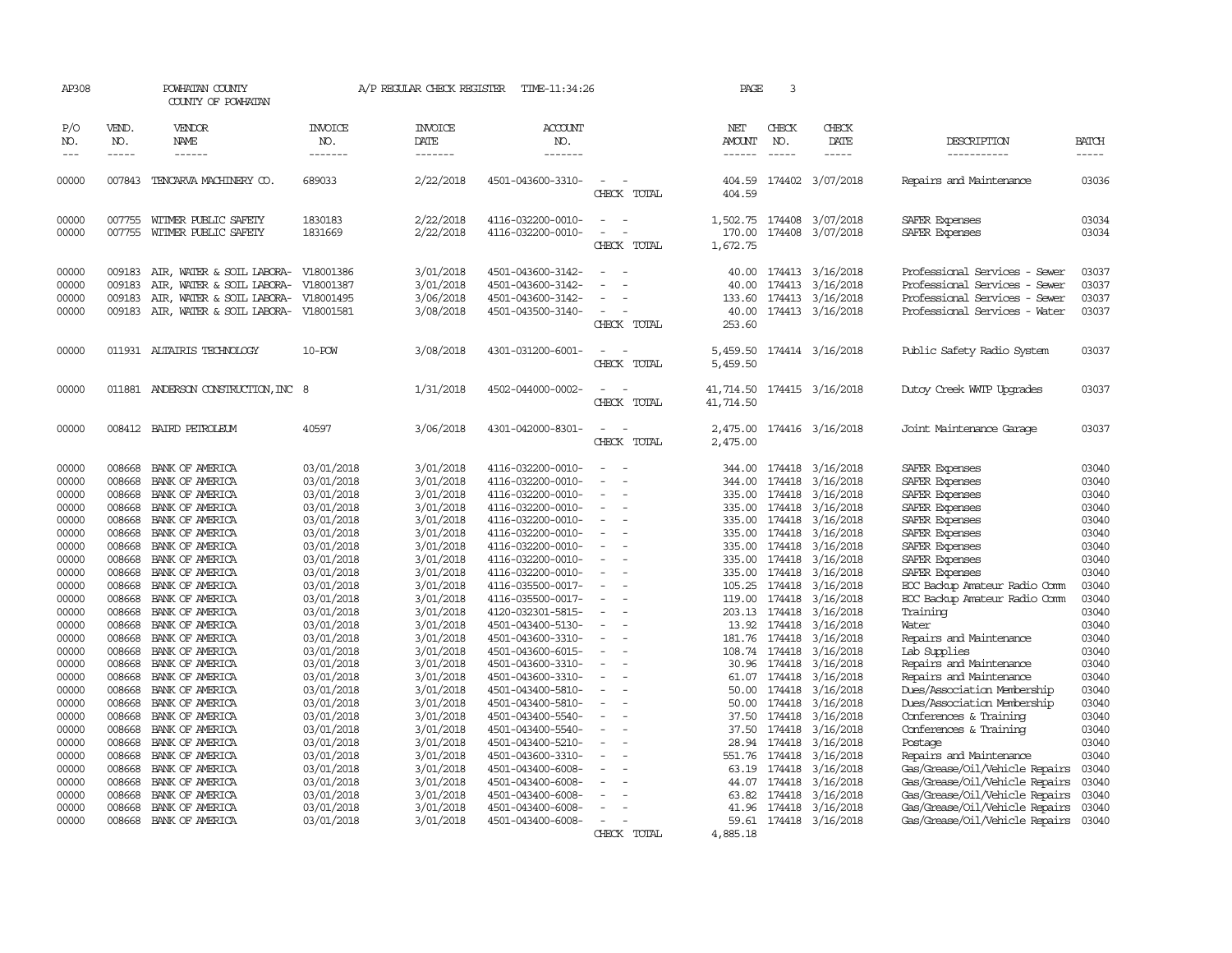| AP308               |                             | POWHATAN COUNTY<br>COUNTY OF POWHATAN |                                  | A/P REGULAR CHECK REGISTER         | TIME-11:34:26                          |                                         |                                       | 3<br>PAGE                     |                           |                                           |                             |
|---------------------|-----------------------------|---------------------------------------|----------------------------------|------------------------------------|----------------------------------------|-----------------------------------------|---------------------------------------|-------------------------------|---------------------------|-------------------------------------------|-----------------------------|
| P/O<br>NO.<br>$---$ | VEND.<br>NO.<br>$- - - - -$ | VENDOR<br>NAME<br>$- - - - - -$       | <b>INVOICE</b><br>NO.<br>------- | <b>INVOICE</b><br>DATE<br>-------- | ACCOUNT<br>NO.<br>-------              |                                         | NET<br><b>AMOUNT</b><br>$- - - - - -$ | CHECK<br>NO.<br>$\frac{1}{2}$ | CHECK<br>DATE<br>-----    | DESCRIPTION<br>-----------                | <b>BATCH</b><br>$- - - - -$ |
| 00000               | 007843                      | TENCARVA MACHINERY CO.                | 689033                           | 2/22/2018                          | 4501-043600-3310-                      | $\equiv$<br>CHECK TOTAL                 | 404.59                                |                               | 174402 3/07/2018          | Repairs and Maintenance                   | 03036                       |
|                     |                             |                                       |                                  |                                    |                                        |                                         | 404.59                                |                               |                           |                                           |                             |
| 00000               |                             | 007755 WITMER PUBLIC SAFETY           | 1830183                          | 2/22/2018                          | 4116-032200-0010-                      | $\sim$<br>$\overline{\phantom{a}}$      |                                       |                               | 1,502.75 174408 3/07/2018 | SAFER Expenses                            | 03034                       |
| 00000               | 007755                      | WITMER PUBLIC SAFETY                  | 1831669                          | 2/22/2018                          | 4116-032200-0010-                      | CHECK TOTAL                             | 170.00<br>1,672.75                    | 174408                        | 3/07/2018                 | SAFER Expenses                            | 03034                       |
| 00000               | 009183                      | AIR, WATER & SOIL LABORA-             | V18001386                        | 3/01/2018                          | 4501-043600-3142-                      |                                         | 40.00                                 |                               | 174413 3/16/2018          | Professional Services - Sewer             | 03037                       |
| 00000               | 009183                      | AIR, WATER & SOIL LABORA-             | V18001387                        | 3/01/2018                          | 4501-043600-3142-                      |                                         | 40.00                                 | 174413                        | 3/16/2018                 | Professional Services - Sewer             | 03037                       |
| 00000               | 009183                      | AIR, WATER & SOIL LABORA-             | V18001495                        | 3/06/2018                          | 4501-043600-3142-                      |                                         | 133.60                                |                               | 174413 3/16/2018          | Professional Services - Sewer             | 03037                       |
| 00000               |                             | 009183 AIR, WATER & SOIL LABORA-      | V18001581                        | 3/08/2018                          | 4501-043500-3140-                      | $\overline{\phantom{a}}$<br>CHECK TOTAL | 40.00<br>253.60                       |                               | 174413 3/16/2018          | Professional Services - Water             | 03037                       |
| 00000               |                             | 011931 ALTAIRIS TECHNOLOGY            | 10-POW                           | 3/08/2018                          | 4301-031200-6001-                      |                                         | 5,459.50                              |                               | 174414 3/16/2018          | Public Safety Radio System                | 03037                       |
|                     |                             |                                       |                                  |                                    |                                        | CHECK TOTAL                             | 5,459.50                              |                               |                           |                                           |                             |
| 00000               |                             | 011881 ANDERSON CONSTRUCTION, INC 8   |                                  | 1/31/2018                          | 4502-044000-0002-                      |                                         | 41,714.50                             |                               | 174415 3/16/2018          | Dutoy Creek WMTP Upqrades                 | 03037                       |
|                     |                             |                                       |                                  |                                    |                                        | CHECK TOTAL                             | 41,714.50                             |                               |                           |                                           |                             |
| 00000               |                             | 008412 BAIRD PETROLEUM                | 40597                            | 3/06/2018                          | 4301-042000-8301-                      |                                         | 2,475.00                              |                               | 174416 3/16/2018          | Joint Maintenance Garage                  | 03037                       |
|                     |                             |                                       |                                  |                                    |                                        | CHECK TOTAL                             | 2,475.00                              |                               |                           |                                           |                             |
| 00000               | 008668                      | BANK OF AMERICA                       | 03/01/2018                       | 3/01/2018                          | 4116-032200-0010-                      |                                         | 344.00                                |                               | 174418 3/16/2018          | SAFER Expenses                            | 03040                       |
| 00000               | 008668                      | BANK OF AMERICA                       | 03/01/2018                       | 3/01/2018                          | 4116-032200-0010-                      |                                         | 344.00                                | 174418                        | 3/16/2018                 | SAFER Expenses                            | 03040                       |
| 00000               | 008668                      | BANK OF AMERICA                       | 03/01/2018                       | 3/01/2018                          | 4116-032200-0010-                      | $\equiv$                                | 335.00                                | 174418                        | 3/16/2018                 | SAFER Expenses                            | 03040                       |
| 00000               | 008668                      | BANK OF AMERICA                       | 03/01/2018                       | 3/01/2018                          | 4116-032200-0010-                      |                                         | 335.00                                | 174418                        | 3/16/2018                 | SAFER Expenses                            | 03040                       |
| 00000               | 008668                      | BANK OF AMERICA                       | 03/01/2018                       | 3/01/2018                          | 4116-032200-0010-                      |                                         | 335.00                                | 174418                        | 3/16/2018                 | SAFER Expenses                            | 03040                       |
| 00000               | 008668                      | BANK OF AMERICA                       | 03/01/2018                       | 3/01/2018                          | 4116-032200-0010-                      | $\equiv$                                | 335.00                                | 174418                        | 3/16/2018                 | SAFER Expenses                            | 03040                       |
| 00000               | 008668                      | BANK OF AMERICA                       | 03/01/2018                       | 3/01/2018                          | 4116-032200-0010-                      |                                         | 335.00                                | 174418                        | 3/16/2018                 | SAFER Expenses                            | 03040                       |
| 00000               | 008668                      | BANK OF AMERICA                       | 03/01/2018                       | 3/01/2018                          | 4116-032200-0010-                      |                                         | 335.00                                | 174418                        | 3/16/2018                 | SAFER Expenses                            | 03040                       |
| 00000               | 008668                      | BANK OF AMERICA                       | 03/01/2018                       | 3/01/2018                          | 4116-032200-0010-                      | $\overline{\phantom{a}}$<br>$\equiv$    | 335.00                                | 174418                        | 3/16/2018                 | SAFER Expenses                            | 03040                       |
| 00000               | 008668                      | BANK OF AMERICA                       | 03/01/2018                       | 3/01/2018                          | 4116-035500-0017-                      | $\equiv$                                | 105.25                                | 174418                        | 3/16/2018                 | EOC Backup Amateur Radio Comm             | 03040                       |
| 00000<br>00000      | 008668<br>008668            | BANK OF AMERICA<br>BANK OF AMERICA    | 03/01/2018<br>03/01/2018         | 3/01/2018<br>3/01/2018             | 4116-035500-0017-<br>4120-032301-5815- |                                         | 119.00<br>203.13                      | 174418<br>174418              | 3/16/2018<br>3/16/2018    | EOC Backup Amateur Radio Comm<br>Training | 03040<br>03040              |
| 00000               | 008668                      | BANK OF AMERICA                       | 03/01/2018                       | 3/01/2018                          | 4501-043400-5130-                      | $\overline{\phantom{a}}$                | 13.92                                 | 174418                        | 3/16/2018                 | Water                                     | 03040                       |
| 00000               | 008668                      | BANK OF AMERICA                       | 03/01/2018                       | 3/01/2018                          | 4501-043600-3310-                      |                                         | 181.76                                | 174418                        | 3/16/2018                 | Repairs and Maintenance                   | 03040                       |
| 00000               | 008668                      | BANK OF AMERICA                       | 03/01/2018                       | 3/01/2018                          | 4501-043600-6015-                      |                                         | 108.74                                | 174418                        | 3/16/2018                 | Lab Supplies                              | 03040                       |
| 00000               | 008668                      | BANK OF AMERICA                       | 03/01/2018                       | 3/01/2018                          | 4501-043600-3310-                      |                                         | 30.96                                 | 174418                        | 3/16/2018                 | Repairs and Maintenance                   | 03040                       |
| 00000               | 008668                      | BANK OF AMERICA                       | 03/01/2018                       | 3/01/2018                          | 4501-043600-3310-                      |                                         | 61.07                                 | 174418                        | 3/16/2018                 | Repairs and Maintenance                   | 03040                       |
| 00000               | 008668                      | BANK OF AMERICA                       | 03/01/2018                       | 3/01/2018                          | 4501-043400-5810-                      |                                         | 50.00                                 | 174418                        | 3/16/2018                 | Dues/Association Membership               | 03040                       |
| 00000               | 008668                      | BANK OF AMERICA                       | 03/01/2018                       | 3/01/2018                          | 4501-043400-5810-                      |                                         | 50.00                                 | 174418                        | 3/16/2018                 | Dues/Association Membership               | 03040                       |
| 00000               | 008668                      | BANK OF AMERICA                       | 03/01/2018                       | 3/01/2018                          | 4501-043400-5540-                      | $\equiv$                                | 37.50                                 | 174418                        | 3/16/2018                 | Conferences & Training                    | 03040                       |
| 00000               | 008668                      | BANK OF AMERICA                       | 03/01/2018                       | 3/01/2018                          | 4501-043400-5540-                      |                                         | 37.50                                 | 174418                        | 3/16/2018                 | Conferences & Training                    | 03040                       |
| 00000               | 008668                      | BANK OF AMERICA                       | 03/01/2018                       | 3/01/2018                          | 4501-043400-5210-                      |                                         | 28.94                                 | 174418                        | 3/16/2018                 | Postage                                   | 03040                       |
| 00000               | 008668                      | BANK OF AMERICA                       | 03/01/2018                       | 3/01/2018                          | 4501-043600-3310-                      | $\overline{\phantom{a}}$                |                                       | 551.76 174418                 | 3/16/2018                 | Repairs and Maintenance                   | 03040                       |
| 00000               | 008668                      | BANK OF AMERICA                       | 03/01/2018                       | 3/01/2018                          | 4501-043400-6008-                      |                                         | 63.19                                 | 174418                        | 3/16/2018                 | Gas/Grease/Oil/Vehicle Repairs            | 03040                       |
| 00000               | 008668                      | BANK OF AMERICA                       | 03/01/2018                       | 3/01/2018                          | 4501-043400-6008-                      |                                         | 44.07                                 | 174418                        | 3/16/2018                 | Gas/Grease/Oil/Vehicle Repairs            | 03040                       |
| 00000               | 008668                      | BANK OF AMERICA                       | 03/01/2018                       | 3/01/2018                          | 4501-043400-6008-                      |                                         | 63.82                                 | 174418                        | 3/16/2018                 | Gas/Grease/Oil/Vehicle Repairs            | 03040                       |
| 00000               | 008668                      | BANK OF AMERICA                       | 03/01/2018                       | 3/01/2018                          | 4501-043400-6008-                      |                                         | 41.96                                 | 174418                        | 3/16/2018                 | Gas/Grease/Oil/Vehicle Repairs            | 03040                       |
| 00000               |                             | 008668 BANK OF AMERICA                | 03/01/2018                       | 3/01/2018                          | 4501-043400-6008-                      | $\sim$                                  |                                       |                               | 59.61 174418 3/16/2018    | Gas/Grease/Oil/Vehicle Repairs            | 03040                       |
|                     |                             |                                       |                                  |                                    |                                        | CHECK TOTAL                             | 4,885.18                              |                               |                           |                                           |                             |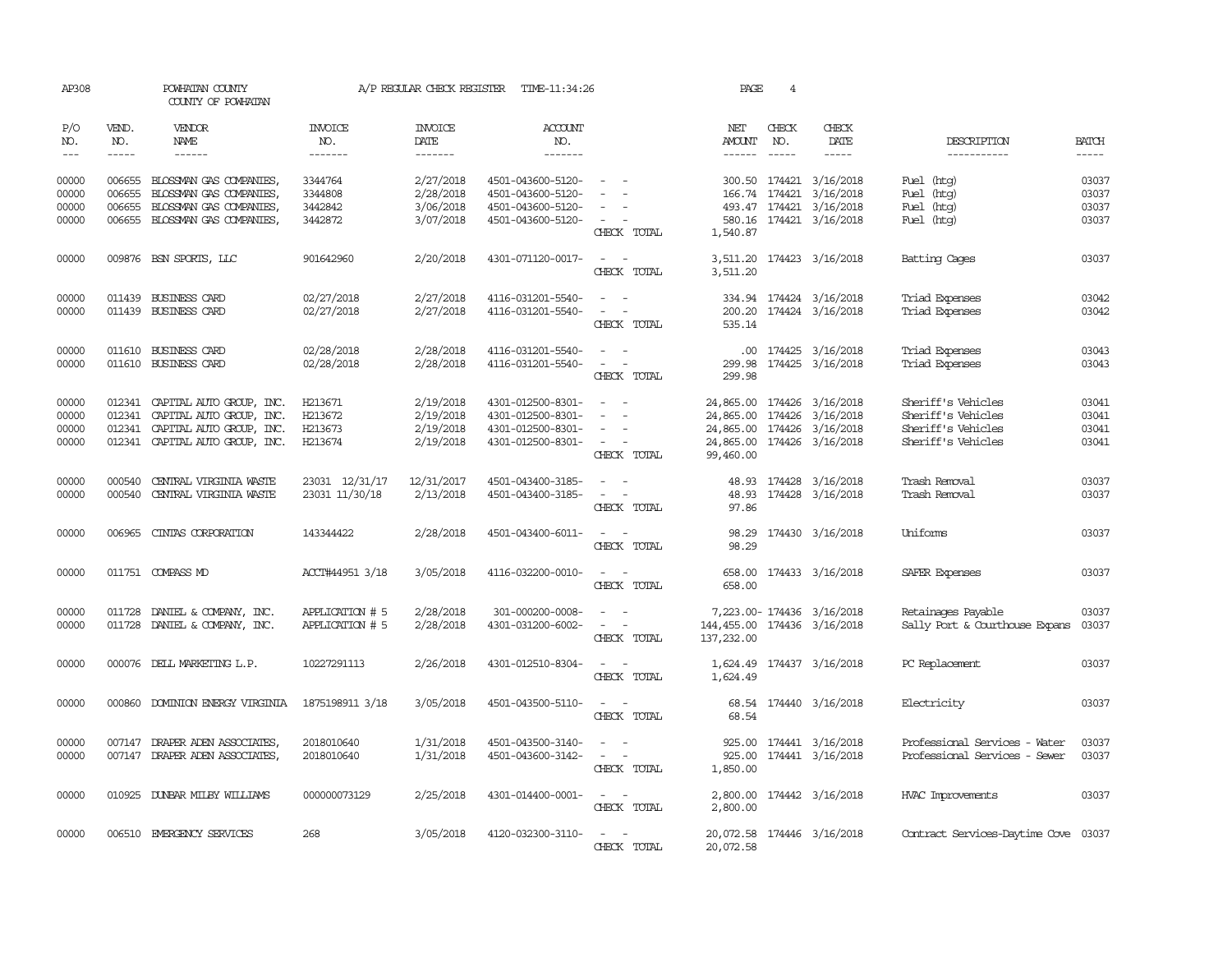| AP308                       |                             | POWHATAN COUNTY<br>COUNTY OF POWHATAN |                           | A/P REGULAR CHECK REGISTER | TIME-11:34:26                            |                                             | PAGE                           | $\overline{4}$                |                              |                                      |                             |
|-----------------------------|-----------------------------|---------------------------------------|---------------------------|----------------------------|------------------------------------------|---------------------------------------------|--------------------------------|-------------------------------|------------------------------|--------------------------------------|-----------------------------|
| P/O<br>NO.<br>$\frac{1}{2}$ | VEND.<br>NO.<br>$- - - - -$ | VENDOR<br>NAME<br>$- - - - - -$       | INVOICE<br>NO.<br>------- | <b>INVOICE</b><br>DATE     | <b>ACCOUNT</b><br>NO.<br>$- - - - - - -$ |                                             | NET<br>AMOUNT<br>$- - - - - -$ | CHECK<br>NO.<br>$\frac{1}{2}$ | CHECK<br>DATE<br>$- - - - -$ | DESCRIPTION<br>-----------           | <b>BATCH</b><br>$- - - - -$ |
| 00000                       | 006655                      | BLOSSMAN GAS COMPANIES.               | 3344764                   | $-----$<br>2/27/2018       | 4501-043600-5120-                        | $\sim$                                      |                                |                               | 300.50 174421 3/16/2018      | Fuel (htg)                           | 03037                       |
| 00000                       | 006655                      | BLOSSMAN GAS COMPANIES,               | 3344808                   | 2/28/2018                  | 4501-043600-5120-                        | $\sim$                                      |                                | 166.74 174421                 | 3/16/2018                    | Fuel (htg)                           | 03037                       |
| 00000                       | 006655                      | BLOSSMAN GAS COMPANIES,               | 3442842                   | 3/06/2018                  | 4501-043600-5120-                        | $\overline{\phantom{a}}$                    |                                | 493.47 174421                 | 3/16/2018                    | Fuel (htg)                           | 03037                       |
| 00000                       |                             | 006655 BLOSSMAN GAS COMPANIES,        | 3442872                   | 3/07/2018                  | 4501-043600-5120-                        | $\omega_{\rm{max}}$ and $\omega_{\rm{max}}$ |                                |                               | 580.16 174421 3/16/2018      | Fuel (htg)                           | 03037                       |
|                             |                             |                                       |                           |                            |                                          | CHECK TOTAL                                 | 1,540.87                       |                               |                              |                                      |                             |
| 00000                       |                             | 009876 BSN SPORTS, LLC                | 901642960                 | 2/20/2018                  | 4301-071120-0017-                        | $\sim$ 100 $\sim$ 100 $\sim$<br>CHECK TOTAL | 3,511.20                       |                               | 3,511.20 174423 3/16/2018    | Batting Cages                        | 03037                       |
| 00000                       | 011439                      | <b>BUSINESS CARD</b>                  | 02/27/2018                | 2/27/2018                  | 4116-031201-5540-                        |                                             |                                |                               | 334.94 174424 3/16/2018      | Triad Expenses                       | 03042                       |
| 00000                       |                             | 011439 BUSINESS CARD                  | 02/27/2018                | 2/27/2018                  | 4116-031201-5540-                        | $\sim$ 100 $\sim$                           |                                |                               | 200.20 174424 3/16/2018      | Triad Expenses                       | 03042                       |
|                             |                             |                                       |                           |                            |                                          | CHECK TOTAL                                 | 535.14                         |                               |                              |                                      |                             |
| 00000                       |                             | 011610 BUSINESS CARD                  | 02/28/2018                | 2/28/2018                  | 4116-031201-5540-                        | $\sim$ $ \sim$                              |                                |                               | .00 174425 3/16/2018         | Triad Expenses                       | 03043                       |
| 00000                       |                             | 011610 BUSINESS CARD                  | 02/28/2018                | 2/28/2018                  | 4116-031201-5540-                        | $\sim$ $ -$                                 |                                |                               | 299.98 174425 3/16/2018      | Triad Expenses                       | 03043                       |
|                             |                             |                                       |                           |                            |                                          | CHECK TOTAL                                 | 299.98                         |                               |                              |                                      |                             |
| 00000                       |                             | 012341 CAPITAL AUTO GROUP, INC.       | H213671                   | 2/19/2018                  | 4301-012500-8301-                        | $\sim$                                      | 24,865.00 174426               |                               | 3/16/2018                    | Sheriff's Vehicles                   | 03041                       |
| 00000                       |                             | 012341 CAPITAL AUTO GROUP, INC.       | H213672                   | 2/19/2018                  | 4301-012500-8301-                        | $\sim$                                      | 24,865.00 174426 3/16/2018     |                               |                              | Sheriff's Vehicles                   | 03041                       |
| 00000                       | 012341                      | CAPITAL AUTO GROUP, INC.              | H213673                   | 2/19/2018                  | 4301-012500-8301-                        | $\sim$<br>$\sim$                            | 24,865.00 174426 3/16/2018     |                               |                              | Sheriff's Vehicles                   | 03041                       |
| 00000                       |                             | 012341 CAPITAL AUTO GROUP, INC.       | H213674                   | 2/19/2018                  | 4301-012500-8301-                        | $\alpha = 1$ , $\alpha = 1$                 | 24,865.00 174426 3/16/2018     |                               |                              | Sheriff's Vehicles                   | 03041                       |
|                             |                             |                                       |                           |                            |                                          | CHECK TOTAL                                 | 99,460.00                      |                               |                              |                                      |                             |
| 00000                       | 000540                      | CENTRAL VIRGINIA WASTE                | 23031 12/31/17            | 12/31/2017                 | 4501-043400-3185-                        | $\sim$<br>$\sim$                            |                                |                               | 48.93 174428 3/16/2018       | Trash Removal                        | 03037                       |
| 00000                       |                             | 000540 CENTRAL VIRGINIA WASTE         | 23031 11/30/18            | 2/13/2018                  | 4501-043400-3185-                        | $\omega_{\rm{max}}$                         |                                |                               | 48.93 174428 3/16/2018       | Trash Removal                        | 03037                       |
|                             |                             |                                       |                           |                            |                                          | CHECK TOTAL                                 | 97.86                          |                               |                              |                                      |                             |
| 00000                       |                             | 006965 CINTAS CORPORATION             | 143344422                 | 2/28/2018                  | 4501-043400-6011-                        | $\omega_{\rm{max}}$ and $\omega_{\rm{max}}$ |                                |                               | 98.29 174430 3/16/2018       | Uniforms                             | 03037                       |
|                             |                             |                                       |                           |                            |                                          | CHECK TOTAL                                 | 98.29                          |                               |                              |                                      |                             |
| 00000                       |                             | 011751 COMPASS MD                     | ACCT#44951 3/18           | 3/05/2018                  | 4116-032200-0010-                        | $\sim 100$ km s $^{-1}$                     |                                |                               | 658.00 174433 3/16/2018      | SAFER Expenses                       | 03037                       |
|                             |                             |                                       |                           |                            |                                          | CHECK TOTAL                                 | 658.00                         |                               |                              |                                      |                             |
| 00000                       |                             | 011728 DANIEL & COMPANY, INC.         | APPLICATION # 5           | 2/28/2018                  | 301-000200-0008-                         |                                             |                                |                               | 7,223.00-174436 3/16/2018    | Retainages Payable                   | 03037                       |
| 00000                       |                             | 011728 DANIEL & COMPANY, INC.         | APPLICATION # 5           | 2/28/2018                  | 4301-031200-6002-                        |                                             | 144, 455.00 174436 3/16/2018   |                               |                              | Sally Port & Courthouse Expans       | 03037                       |
|                             |                             |                                       |                           |                            |                                          | CHECK TOTAL                                 | 137,232.00                     |                               |                              |                                      |                             |
| 00000                       |                             | 000076 DELL MARKETING L.P.            | 10227291113               | 2/26/2018                  | 4301-012510-8304-                        | $\sim$ $  -$                                |                                |                               | 1,624.49 174437 3/16/2018    | PC Replacement                       | 03037                       |
|                             |                             |                                       |                           |                            |                                          | CHECK TOTAL                                 | 1,624.49                       |                               |                              |                                      |                             |
| 00000                       | 000860                      | DOMINION ENERGY VIRGINIA              | 1875198911 3/18           | 3/05/2018                  | 4501-043500-5110-                        | $\sim$ 100 $\sim$ 100 $\sim$                |                                |                               | 68.54 174440 3/16/2018       | Electricity                          | 03037                       |
|                             |                             |                                       |                           |                            |                                          | CHECK TOTAL                                 | 68.54                          |                               |                              |                                      |                             |
| 00000                       |                             | 007147 DRAPER ADEN ASSOCIATES,        | 2018010640                | 1/31/2018                  | 4501-043500-3140-                        | $\sim$ $ \sim$                              |                                |                               | 925.00 174441 3/16/2018      | Professional Services - Water        | 03037                       |
| 00000                       |                             | 007147 DRAPER ADEN ASSOCIATES,        | 2018010640                | 1/31/2018                  | 4501-043600-3142-                        | $\omega_{\rm{max}}$ and $\omega_{\rm{max}}$ | 925.00                         |                               | 174441 3/16/2018             | Professional Services - Sewer        | 03037                       |
|                             |                             |                                       |                           |                            |                                          | CHECK TOTAL                                 | 1,850.00                       |                               |                              |                                      |                             |
| 00000                       |                             | 010925 DUNBAR MILBY WILLIAMS          | 000000073129              | 2/25/2018                  | 4301-014400-0001-                        | $ -$                                        |                                |                               | 2,800.00 174442 3/16/2018    | <b>HVAC Improvements</b>             | 03037                       |
|                             |                             |                                       |                           |                            |                                          | CHECK TOTAL                                 | 2,800.00                       |                               |                              |                                      |                             |
|                             |                             |                                       |                           |                            |                                          |                                             |                                |                               |                              |                                      |                             |
| 00000                       |                             | 006510 EMERGENCY SERVICES             | 268                       | 3/05/2018                  | 4120-032300-3110-                        | the company<br>CHECK TOTAL                  | 20,072.58                      |                               | 20,072.58 174446 3/16/2018   | Contract Services-Daytime Cove 03037 |                             |
|                             |                             |                                       |                           |                            |                                          |                                             |                                |                               |                              |                                      |                             |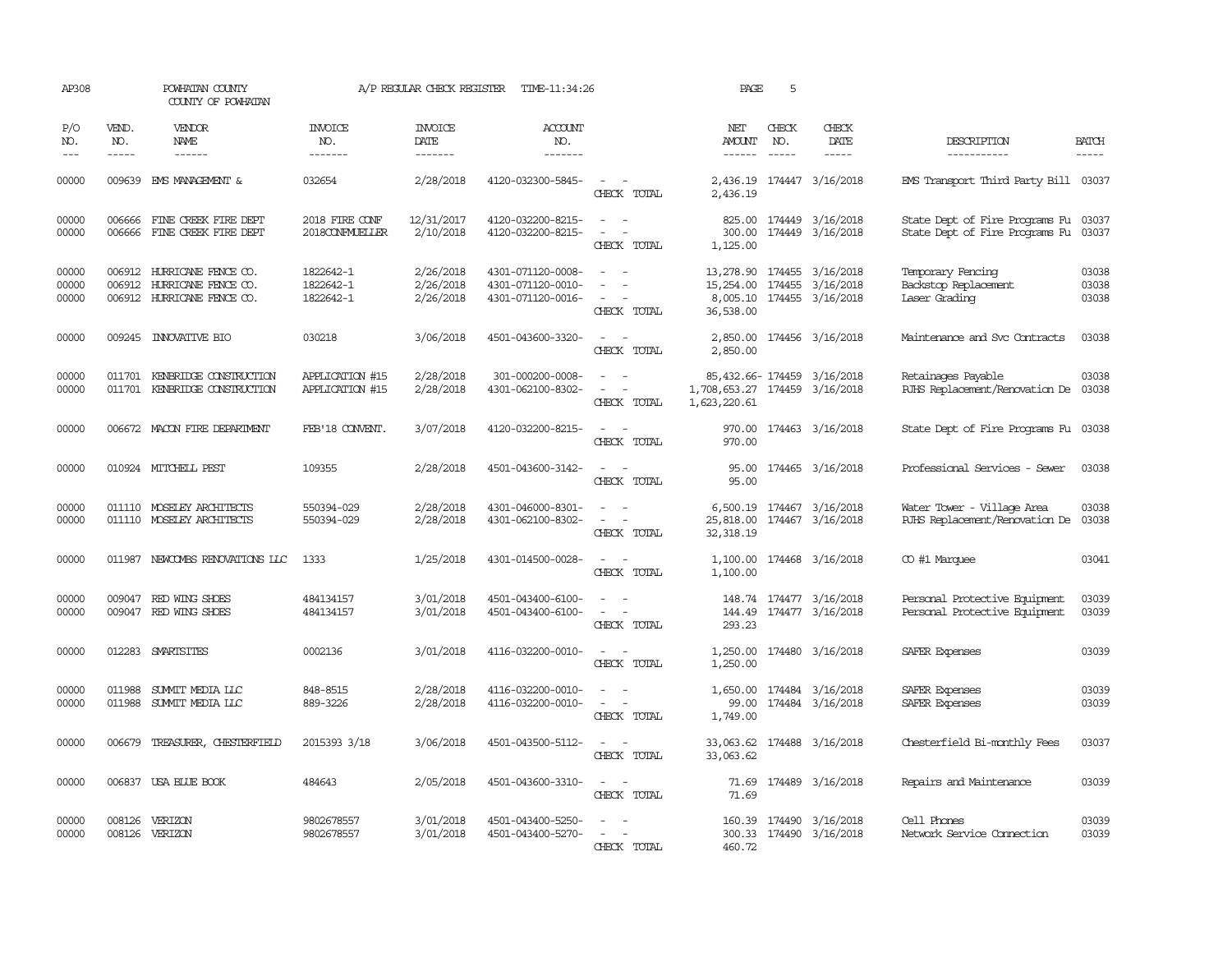| AP308                       |                               | POWHATAN COUNTY<br>COUNTY OF POWHATAN                                           |                                     | A/P REGULAR CHECK REGISTER                | TIME-11:34:26                                               |                                                                                                                             | PAGE                                            | 5                             |                                                          |                                                                        |                         |
|-----------------------------|-------------------------------|---------------------------------------------------------------------------------|-------------------------------------|-------------------------------------------|-------------------------------------------------------------|-----------------------------------------------------------------------------------------------------------------------------|-------------------------------------------------|-------------------------------|----------------------------------------------------------|------------------------------------------------------------------------|-------------------------|
| P/O<br>NO.<br>$\frac{1}{2}$ | VEND.<br>NO.<br>$\frac{1}{2}$ | <b>VENDOR</b><br>NAME<br>$- - - - - -$                                          | <b>INVOICE</b><br>NO.<br>-------    | <b>INVOICE</b><br>DATE<br>$- - - - - - -$ | ACCOUNT<br>NO.<br>-------                                   |                                                                                                                             | NET<br><b>AMOUNT</b>                            | CHECK<br>NO.<br>$\frac{1}{2}$ | CHECK<br>DATE<br>-----                                   | DESCRIPTION<br>-----------                                             | <b>BATCH</b><br>-----   |
| 00000                       |                               | 009639 EMS MANAGEMENT &                                                         | 032654                              | 2/28/2018                                 | 4120-032300-5845-                                           | $\sim$ $ -$<br>CHECK TOTAL                                                                                                  | 2,436.19                                        |                               | 2,436.19 174447 3/16/2018                                | EMS Transport Third Party Bill 03037                                   |                         |
| 00000<br>00000              | 006666<br>006666              | FINE CREEK FIRE DEPT<br>FINE CREEK FIRE DEPT                                    | 2018 FIRE CONF<br>2018CONFMUELLER   | 12/31/2017<br>2/10/2018                   | 4120-032200-8215-<br>4120-032200-8215-                      | $\sim$<br>$\overline{\phantom{a}}$<br>$\equiv$<br>$\overline{\phantom{a}}$<br>CHECK TOTAL                                   | 825.00<br>300.00<br>1,125.00                    |                               | 174449 3/16/2018<br>174449 3/16/2018                     | State Dept of Fire Programs Fu 03037<br>State Dept of Fire Programs Fu | 03037                   |
| 00000<br>00000<br>00000     | 006912                        | HURRICANE FENCE CO.<br>006912 HURRICANE FENCE CO.<br>006912 HURRICANE FENCE CO. | 1822642-1<br>1822642-1<br>1822642-1 | 2/26/2018<br>2/26/2018<br>2/26/2018       | 4301-071120-0008-<br>4301-071120-0010-<br>4301-071120-0016- | $\equiv$<br>$\sim$ $ \sim$<br>CHECK TOTAL                                                                                   | 13,278.90<br>15,254.00<br>8,005.10<br>36,538.00 |                               | 174455 3/16/2018<br>174455 3/16/2018<br>174455 3/16/2018 | Temporary Fencing<br>Backstop Replacement<br>Laser Grading             | 03038<br>03038<br>03038 |
| 00000                       | 009245                        | <b>INNOVATIVE BIO</b>                                                           | 030218                              | 3/06/2018                                 | 4501-043600-3320-                                           | $\overline{\phantom{a}}$<br>$\sim$<br>CHECK TOTAL                                                                           | 2,850.00<br>2,850.00                            |                               | 174456 3/16/2018                                         | Maintenance and Svc Contracts                                          | 03038                   |
| 00000<br>00000              | 011701                        | KENBRIDGE CONSTRUCTION<br>011701 KENBRIDGE CONSTRUCTION                         | APPLICATION #15<br>APPLICATION #15  | 2/28/2018<br>2/28/2018                    | 301-000200-0008-<br>4301-062100-8302-                       | $\equiv$<br>$\sim$<br>$\overline{\phantom{a}}$<br>CHECK TOTAL                                                               | 1,708,653.27 174459 3/16/2018<br>1,623,220.61   |                               | 85,432.66-174459 3/16/2018                               | Retainages Payable<br>RJHS Replacement/Renovation De                   | 03038<br>03038          |
| 00000                       |                               | 006672 MACON FIRE DEPARIMENT                                                    | FEB'18 CONVENT.                     | 3/07/2018                                 | 4120-032200-8215-                                           | $\sim$<br>CHECK TOTAL                                                                                                       | 970.00<br>970.00                                |                               | 174463 3/16/2018                                         | State Dept of Fire Programs Fu 03038                                   |                         |
| 00000                       |                               | 010924 MITCHELL PEST                                                            | 109355                              | 2/28/2018                                 | 4501-043600-3142-                                           | $\frac{1}{2} \left( \frac{1}{2} \right) \left( \frac{1}{2} \right) = \frac{1}{2} \left( \frac{1}{2} \right)$<br>CHECK TOTAL | 95.00                                           |                               | 95.00 174465 3/16/2018                                   | Professional Services - Sewer                                          | 03038                   |
| 00000<br>00000              |                               | 011110 MOSELEY ARCHITECTS<br>011110 MOSELEY ARCHITECTS                          | 550394-029<br>550394-029            | 2/28/2018<br>2/28/2018                    | 4301-046000-8301-<br>4301-062100-8302-                      | $\sim$<br>$\equiv$<br>$\overline{\phantom{0}}$<br>CHECK TOTAL                                                               | 6,500.19<br>25,818.00<br>32, 318.19             |                               | 174467 3/16/2018<br>174467 3/16/2018                     | Water Tower - Village Area<br>RJHS Replacement/Renovation De           | 03038<br>03038          |
| 00000                       |                               | 011987 NEWCOMBS RENOVATIONS LLC                                                 | 1333                                | 1/25/2018                                 | 4301-014500-0028-                                           | CHECK TOTAL                                                                                                                 | 1,100.00                                        |                               | 1,100.00 174468 3/16/2018                                | CO #1 Marquee                                                          | 03041                   |
| 00000<br>00000              | 009047                        | RED WING SHOES<br>009047 RED WING SHOES                                         | 484134157<br>484134157              | 3/01/2018<br>3/01/2018                    | 4501-043400-6100-<br>4501-043400-6100-                      | $\omega_{\rm{max}}$ and $\omega_{\rm{max}}$<br>CHECK TOTAL                                                                  | 293.23                                          |                               | 148.74 174477 3/16/2018<br>144.49 174477 3/16/2018       | Personal Protective Equipment<br>Personal Protective Equipment         | 03039<br>03039          |
| 00000                       |                               | 012283 SMARTSITES                                                               | 0002136                             | 3/01/2018                                 | 4116-032200-0010-                                           | $\sim$ $ \sim$<br>CHECK TOTAL                                                                                               | 1,250.00<br>1,250.00                            |                               | 174480 3/16/2018                                         | SAFER Expenses                                                         | 03039                   |
| 00000<br>00000              | 011988                        | SUMMIT MEDIA LLC<br>011988 SUMIT MEDIA LLC                                      | 848-8515<br>889-3226                | 2/28/2018<br>2/28/2018                    | 4116-032200-0010-<br>4116-032200-0010-                      | $\overline{\phantom{a}}$<br>$\overline{\phantom{a}}$<br>CHECK TOTAL                                                         | 1,650.00<br>99.00<br>1,749.00                   |                               | 174484 3/16/2018<br>174484 3/16/2018                     | SAFER Expenses<br>SAFER Expenses                                       | 03039<br>03039          |
| 00000                       | 006679                        | TREASURER, CHESTERFIELD                                                         | 2015393 3/18                        | 3/06/2018                                 | 4501-043500-5112-                                           | CHECK TOTAL                                                                                                                 | 33,063.62<br>33,063.62                          |                               | 174488 3/16/2018                                         | Chesterfield Bi-monthly Fees                                           | 03037                   |
| 00000                       |                               | 006837 USA BLUE BOOK                                                            | 484643                              | 2/05/2018                                 | 4501-043600-3310-                                           | $\sim$ $-$<br>CHECK TOTAL                                                                                                   | 71.69                                           |                               | 71.69 174489 3/16/2018                                   | Repairs and Maintenance                                                | 03039                   |
| 00000<br>00000              | 008126                        | VERIZON<br>008126 VERIZON                                                       | 9802678557<br>9802678557            | 3/01/2018<br>3/01/2018                    | 4501-043400-5250-<br>4501-043400-5270-                      | $\equiv$<br>$\sim$<br>CHECK TOTAL                                                                                           | 160.39<br>460.72                                |                               | 174490 3/16/2018<br>300.33 174490 3/16/2018              | Cell Phones<br>Network Service Connection                              | 03039<br>03039          |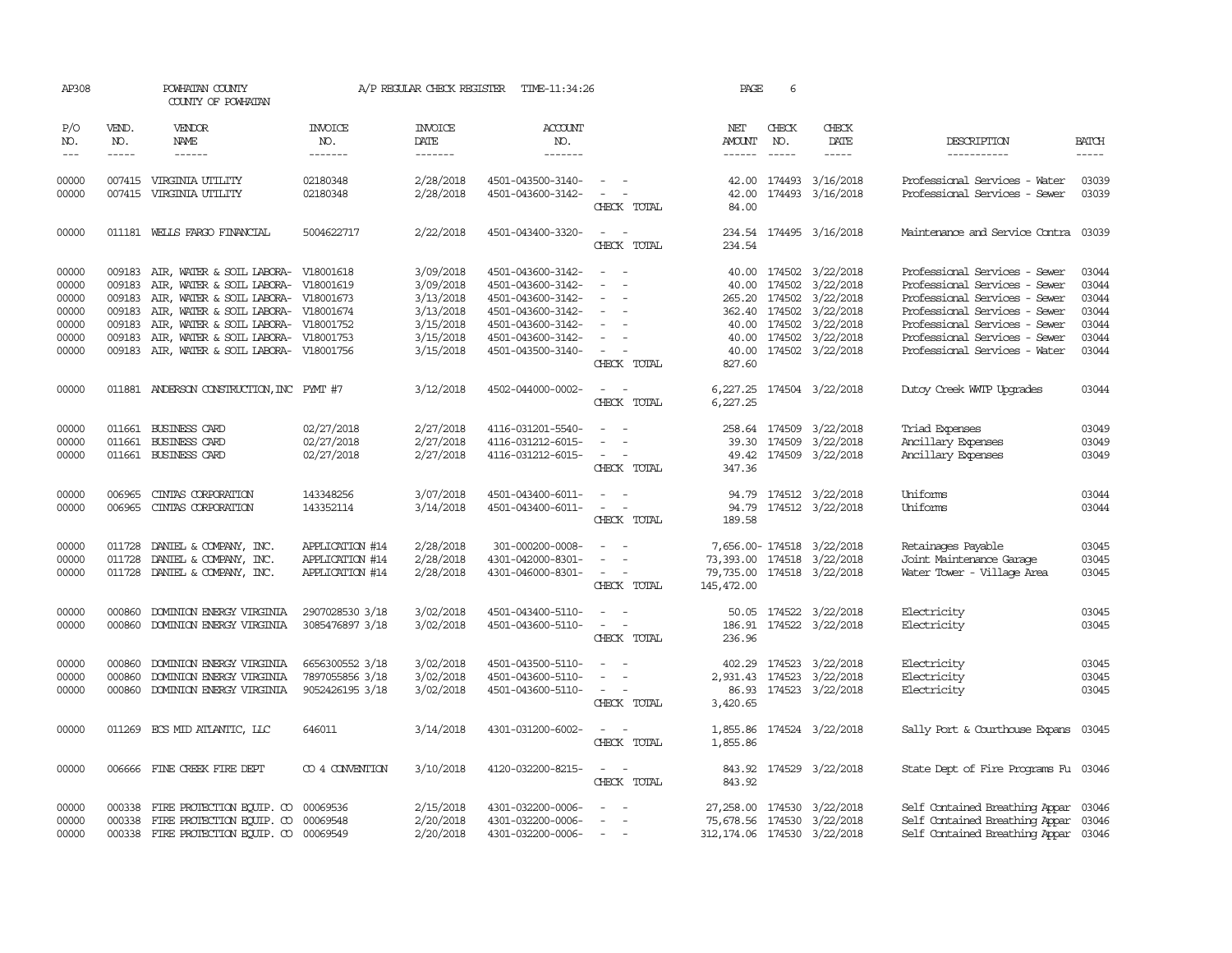| AP308          |               | POWHATAN COUNTY<br>COUNTY OF POWHATAN                                         |                       | A/P REGULAR CHECK REGISTER | TIME-11:34:26                          |                                                                                                                             | PAGE                         | 6             |                                                          |                                                                              |                |
|----------------|---------------|-------------------------------------------------------------------------------|-----------------------|----------------------------|----------------------------------------|-----------------------------------------------------------------------------------------------------------------------------|------------------------------|---------------|----------------------------------------------------------|------------------------------------------------------------------------------|----------------|
| P/O<br>NO.     | VEND.<br>NO.  | <b>VENDOR</b><br>NAME                                                         | <b>INVOICE</b><br>NO. | <b>INVOICE</b><br>DATE     | <b>ACCOUNT</b><br>NO.                  |                                                                                                                             | NET<br>AMOUNT                | CHECK<br>NO.  | CHECK<br>DATE                                            | DESCRIPTION                                                                  | <b>BATCH</b>   |
| $---$          | $\frac{1}{2}$ | $- - - - - -$                                                                 | -------               | $- - - - - - -$            | $- - - - - - -$                        |                                                                                                                             | $- - - - - -$                | $\frac{1}{2}$ | $- - - - -$                                              | -----------                                                                  | -----          |
| 00000<br>00000 |               | 007415 VIRGINIA UTILITY<br>007415 VIRGINIA UTILITY                            | 02180348<br>02180348  | 2/28/2018<br>2/28/2018     | 4501-043500-3140-<br>4501-043600-3142- | $\sim$ $ -$<br>$\sim$ $ -$<br>CHECK TOTAL                                                                                   | 42.00<br>84.00               |               | 42.00 174493 3/16/2018<br>174493 3/16/2018               | Professional Services - Water<br>Professional Services - Sewer               | 03039<br>03039 |
|                |               |                                                                               |                       |                            |                                        |                                                                                                                             |                              |               |                                                          |                                                                              |                |
| 00000          |               | 011181 WELLS FARGO FINANCIAL                                                  | 5004622717            | 2/22/2018                  | 4501-043400-3320-                      | $\frac{1}{2} \left( \frac{1}{2} \right) \left( \frac{1}{2} \right) = \frac{1}{2} \left( \frac{1}{2} \right)$<br>CHECK TOTAL | 234.54<br>234.54             |               | 174495 3/16/2018                                         | Maintenance and Service Contra                                               | 03039          |
| 00000          | 009183        | AIR, WATER & SOIL LABORA- V18001618                                           |                       | 3/09/2018                  | 4501-043600-3142-                      |                                                                                                                             |                              |               | 40.00 174502 3/22/2018                                   | Professional Services - Sewer                                                | 03044          |
| 00000          | 009183        | AIR, WATER & SOIL LABORA- V18001619                                           |                       | 3/09/2018                  | 4501-043600-3142-                      |                                                                                                                             |                              |               | 40.00 174502 3/22/2018                                   | Professional Services - Sewer                                                | 03044          |
| 00000          | 009183        | AIR, WATER & SOIL LABORA- V18001673                                           |                       | 3/13/2018                  | 4501-043600-3142-                      |                                                                                                                             |                              |               | 265.20 174502 3/22/2018                                  | Professional Services - Sewer                                                | 03044          |
| 00000          | 009183        | AIR, WATER & SOIL LABORA- V18001674                                           |                       | 3/13/2018                  | 4501-043600-3142-                      | $\sim$                                                                                                                      |                              |               | 362.40 174502 3/22/2018                                  | Professional Services - Sewer                                                | 03044          |
| 00000          |               | 009183 AIR, WATER & SOIL LABORA- V18001752                                    |                       | 3/15/2018                  | 4501-043600-3142-                      | $\overline{\phantom{a}}$                                                                                                    |                              |               | 40.00 174502 3/22/2018                                   | Professional Services - Sewer                                                | 03044          |
| 00000          | 009183        | AIR, WATER & SOIL LABORA- V18001753                                           |                       | 3/15/2018                  | 4501-043600-3142-                      |                                                                                                                             |                              |               | 40.00 174502 3/22/2018                                   | Professional Services - Sewer                                                | 03044          |
| 00000          |               | 009183 AIR, WATER & SOIL LABORA- V18001756                                    |                       | 3/15/2018                  | 4501-043500-3140-                      | $\sim$                                                                                                                      |                              |               | 40.00 174502 3/22/2018                                   | Professional Services - Water                                                | 03044          |
|                |               |                                                                               |                       |                            |                                        | CHECK TOTAL                                                                                                                 | 827.60                       |               |                                                          |                                                                              |                |
| 00000          |               | 011881 ANDERSON CONSTRUCTION, INC PYMT #7                                     |                       | 3/12/2018                  | 4502-044000-0002-                      | $\sim$ $ \sim$<br>CHECK TOTAL                                                                                               | 6,227.25                     |               | 6,227.25 174504 3/22/2018                                | Dutoy Creek WITP Upgrades                                                    | 03044          |
| 00000          |               | 011661 BUSINESS CARD                                                          | 02/27/2018            | 2/27/2018                  | 4116-031201-5540-                      |                                                                                                                             |                              |               | 258.64 174509 3/22/2018                                  | Triad Expenses                                                               | 03049          |
| 00000          |               | 011661 BUSINESS CARD                                                          | 02/27/2018            | 2/27/2018                  | 4116-031212-6015-                      | $\sim$                                                                                                                      |                              |               | 39.30 174509 3/22/2018                                   | Ancillary Expenses                                                           | 03049          |
| 00000          |               | 011661 BUSINESS CARD                                                          | 02/27/2018            | 2/27/2018                  | 4116-031212-6015-                      | $\sim$ $ -$                                                                                                                 |                              |               | 49.42 174509 3/22/2018                                   | Ancillary Expenses                                                           | 03049          |
|                |               |                                                                               |                       |                            |                                        | CHECK TOTAL                                                                                                                 | 347.36                       |               |                                                          |                                                                              |                |
| 00000          | 006965        | CINTAS CORPORATION                                                            | 143348256             | 3/07/2018                  | 4501-043400-6011-                      | $\overline{\phantom{a}}$                                                                                                    | 94.79                        |               | 174512 3/22/2018                                         | Uniforms                                                                     | 03044          |
| 00000          | 006965        | CINIAS CORPORATION                                                            | 143352114             | 3/14/2018                  | 4501-043400-6011-                      | $\sim$                                                                                                                      | 94.79                        |               | 174512 3/22/2018                                         | Uniforms                                                                     | 03044          |
|                |               |                                                                               |                       |                            |                                        | CHECK TOTAL                                                                                                                 | 189.58                       |               |                                                          |                                                                              |                |
| 00000          |               | 011728 DANIEL & COMPANY, INC.                                                 | APPLICATION #14       | 2/28/2018                  | 301-000200-0008-                       |                                                                                                                             |                              |               | 7,656.00-174518 3/22/2018                                | Retainages Payable                                                           | 03045          |
| 00000          |               | 011728 DANIEL & COMPANY, INC.                                                 | APPLICATION #14       | 2/28/2018                  | 4301-042000-8301-                      |                                                                                                                             |                              |               | 73,393.00 174518 3/22/2018                               | Joint Maintenance Garage                                                     | 03045          |
| 00000          |               | 011728 DANIEL & COMPANY, INC.                                                 | APPLICATION #14       | 2/28/2018                  | 4301-046000-8301-                      | $\sim$ $  -$                                                                                                                |                              |               | 79, 735.00 174518 3/22/2018                              | Water Tower - Village Area                                                   | 03045          |
|                |               |                                                                               |                       |                            |                                        | CHECK TOTAL                                                                                                                 | 145,472.00                   |               |                                                          |                                                                              |                |
| 00000          | 000860        | DOMINION ENERGY VIRGINIA                                                      | 2907028530 3/18       | 3/02/2018                  | 4501-043400-5110-                      | $\frac{1}{2} \left( \frac{1}{2} \right) \left( \frac{1}{2} \right) = \frac{1}{2} \left( \frac{1}{2} \right)$                |                              |               | 50.05 174522 3/22/2018                                   | Electricity                                                                  | 03045          |
| 00000          |               | 000860 DOMINION ENERGY VIRGINIA                                               | 3085476897 3/18       | 3/02/2018                  | 4501-043600-5110-                      | $\sim$ $-$<br>$\overline{\phantom{a}}$                                                                                      |                              |               | 186.91 174522 3/22/2018                                  | Electricity                                                                  | 03045          |
|                |               |                                                                               |                       |                            |                                        | CHECK TOTAL                                                                                                                 | 236.96                       |               |                                                          |                                                                              |                |
| 00000          |               | 000860 DOMINION ENERGY VIRGINIA                                               | 6656300552 3/18       | 3/02/2018                  | 4501-043500-5110-                      | $\sim$                                                                                                                      |                              |               | 402.29 174523 3/22/2018                                  | Electricity                                                                  | 03045          |
| 00000          | 000860        | DOMINION ENERGY VIRGINIA                                                      | 7897055856 3/18       | 3/02/2018                  | 4501-043600-5110-                      | $\sim$                                                                                                                      | 2,931.43                     |               | 174523 3/22/2018                                         | Electricity                                                                  | 03045          |
| 00000          |               | 000860 DOMINION ENERGY VIRGINIA                                               | 9052426195 3/18       | 3/02/2018                  | 4501-043600-5110-                      | $\sim$ $ \sim$                                                                                                              |                              |               | 86.93 174523 3/22/2018                                   | Electricity                                                                  | 03045          |
|                |               |                                                                               |                       |                            |                                        | CHECK TOTAL                                                                                                                 | 3,420.65                     |               |                                                          |                                                                              |                |
| 00000          |               | 011269 ECS MID ATLANTIC, LLC                                                  | 646011                | 3/14/2018                  | 4301-031200-6002-                      |                                                                                                                             |                              |               | 1,855.86 174524 3/22/2018                                | Sally Port & Courthouse Expans                                               | 03045          |
|                |               |                                                                               |                       |                            |                                        | CHECK TOTAL                                                                                                                 | 1,855.86                     |               |                                                          |                                                                              |                |
| 00000          |               | 006666 FINE CREEK FIRE DEPT                                                   | CO 4 CONVENTION       | 3/10/2018                  | 4120-032200-8215-                      | $\overline{\phantom{a}}$<br>CHECK TOTAL                                                                                     | 843.92<br>843.92             |               | 174529 3/22/2018                                         | State Dept of Fire Programs Fu 03046                                         |                |
|                |               |                                                                               |                       |                            |                                        |                                                                                                                             |                              |               |                                                          |                                                                              |                |
| 00000<br>00000 |               | 000338 FIRE PROTECTION EQUIP. CO<br>000338 FIRE PROTECTION EQUIP. CO 00069548 | 00069536              | 2/15/2018<br>2/20/2018     | 4301-032200-0006-<br>4301-032200-0006- | $\sim$                                                                                                                      |                              |               | 27,258.00 174530 3/22/2018<br>75,678.56 174530 3/22/2018 | Self Contained Breathing Appar 03046                                         |                |
| 00000          |               | 000338 FIRE PROTECTION EQUIP. CO 00069549                                     |                       | 2/20/2018                  | 4301-032200-0006-                      | $\sim$                                                                                                                      | 312, 174.06 174530 3/22/2018 |               |                                                          | Self Contained Breathing Appar 03046<br>Self Contained Breathing Appar 03046 |                |
|                |               |                                                                               |                       |                            |                                        |                                                                                                                             |                              |               |                                                          |                                                                              |                |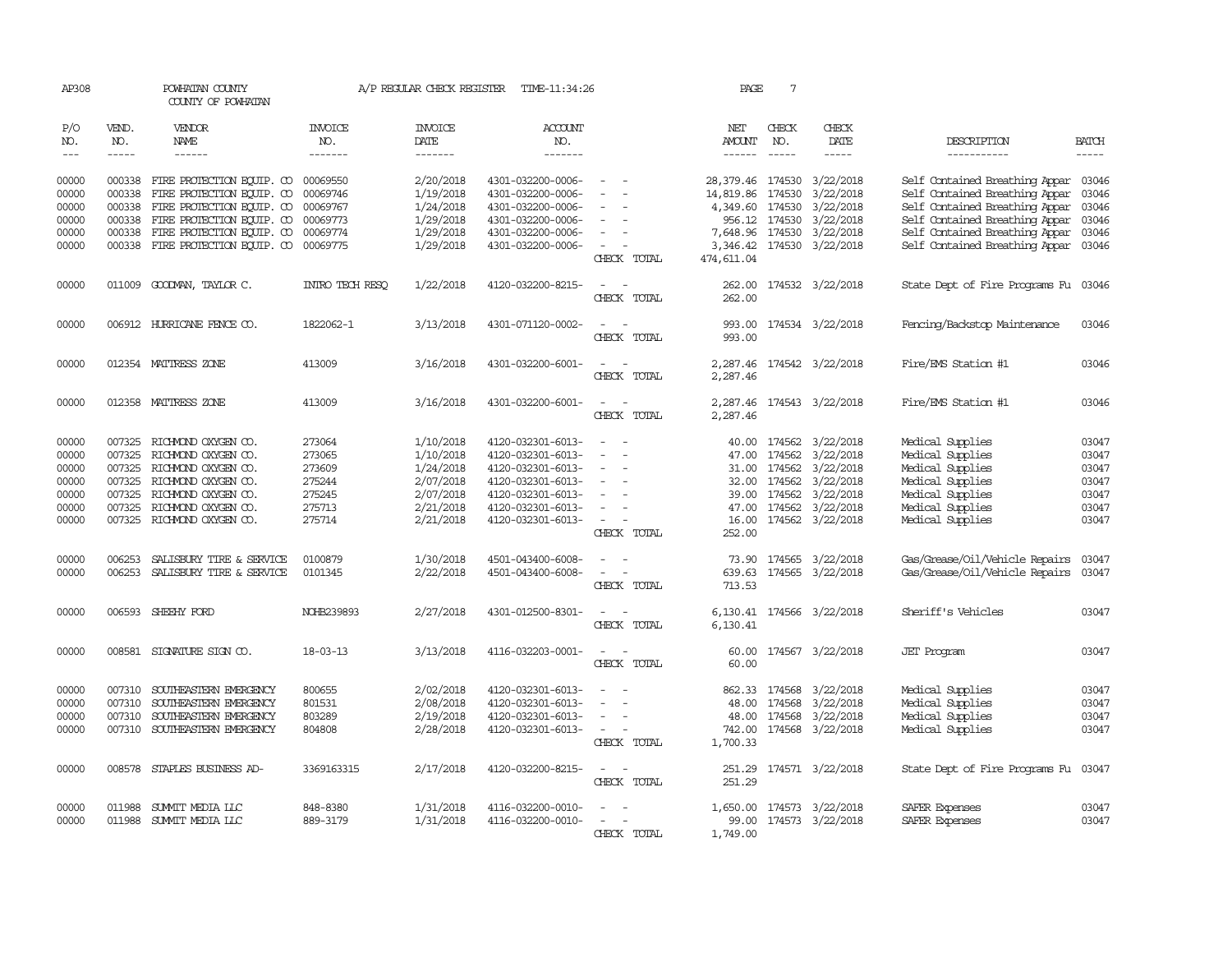| AP308          |              | POWHATAN COUNTY<br>COUNTY OF POWHATAN                                  |                       | A/P REGULAR CHECK REGISTER | TIME-11:34:26                          |                                                            | PAGE                          | 7                                                                                                                                                                                                                                                                                                                                                                                                                                                       |                                                                                                                                                                                                                                                                                                                                                                                                                                                                                     |                                                                        |                |
|----------------|--------------|------------------------------------------------------------------------|-----------------------|----------------------------|----------------------------------------|------------------------------------------------------------|-------------------------------|---------------------------------------------------------------------------------------------------------------------------------------------------------------------------------------------------------------------------------------------------------------------------------------------------------------------------------------------------------------------------------------------------------------------------------------------------------|-------------------------------------------------------------------------------------------------------------------------------------------------------------------------------------------------------------------------------------------------------------------------------------------------------------------------------------------------------------------------------------------------------------------------------------------------------------------------------------|------------------------------------------------------------------------|----------------|
| P/O<br>NO.     | VEND.<br>NO. | <b>VENDOR</b><br>NAME                                                  | <b>INVOICE</b><br>NO. | <b>INVOICE</b><br>DATE     | <b>ACCOUNT</b><br>NO.                  |                                                            | NET<br>AMOUNT                 | CHECK<br>NO.                                                                                                                                                                                                                                                                                                                                                                                                                                            | CHECK<br>DATE                                                                                                                                                                                                                                                                                                                                                                                                                                                                       | DESCRIPTION                                                            | <b>BATCH</b>   |
| $---$          | $\cdots$     | ------                                                                 | -------               | -------                    | -------                                |                                                            |                               | $\begin{tabular}{ccccc} \multicolumn{2}{c }{\multicolumn{2}{c }{\multicolumn{2}{c }{\multicolumn{2}{c}}{\hspace{-2.2cm}}}} \multicolumn{2}{c }{\multicolumn{2}{c }{\hspace{-2.2cm}}\hline} \multicolumn{2}{c }{\hspace{-2.2cm}}\hline \multicolumn{2}{c }{\hspace{-2.2cm}}\hline \multicolumn{2}{c }{\hspace{-2.2cm}}\hline \multicolumn{2}{c }{\hspace{-2.2cm}}\hline \multicolumn{2}{c }{\hspace{-2.2cm}}\hline \multicolumn{2}{c }{\hspace{-2.2cm}}$ | $\begin{tabular}{ccccc} \multicolumn{2}{c}{} & \multicolumn{2}{c}{} & \multicolumn{2}{c}{} & \multicolumn{2}{c}{} & \multicolumn{2}{c}{} & \multicolumn{2}{c}{} & \multicolumn{2}{c}{} & \multicolumn{2}{c}{} & \multicolumn{2}{c}{} & \multicolumn{2}{c}{} & \multicolumn{2}{c}{} & \multicolumn{2}{c}{} & \multicolumn{2}{c}{} & \multicolumn{2}{c}{} & \multicolumn{2}{c}{} & \multicolumn{2}{c}{} & \multicolumn{2}{c}{} & \multicolumn{2}{c}{} & \multicolumn{2}{c}{} & \mult$ | -----------                                                            | $- - - - -$    |
| 00000<br>00000 | 000338       | 000338 FIRE PROTECTION EQUIP. CO 00069550<br>FIRE PROTECTION EQUIP. CO | 00069746              | 2/20/2018<br>1/19/2018     | 4301-032200-0006-<br>4301-032200-0006- | $\sim$<br>$\sim$<br>$\sim$                                 | 28,379.46 174530<br>14,819.86 | 174530                                                                                                                                                                                                                                                                                                                                                                                                                                                  | 3/22/2018<br>3/22/2018                                                                                                                                                                                                                                                                                                                                                                                                                                                              | Self Contained Breathing Appar 03046<br>Self Contained Breathing Appar | 03046          |
| 00000          |              | 000338 FIRE PROTECTION EQUIP. CO                                       | 00069767              | 1/24/2018                  | 4301-032200-0006-                      |                                                            | 4,349.60                      | 174530                                                                                                                                                                                                                                                                                                                                                                                                                                                  | 3/22/2018                                                                                                                                                                                                                                                                                                                                                                                                                                                                           | Self Contained Breathing Appar                                         | 03046          |
| 00000          |              | 000338 FIRE PROTECTION EQUIP. CO                                       | 00069773              | 1/29/2018                  | 4301-032200-0006-                      | $\overline{\phantom{a}}$                                   | 956.12                        | 174530                                                                                                                                                                                                                                                                                                                                                                                                                                                  | 3/22/2018                                                                                                                                                                                                                                                                                                                                                                                                                                                                           | Self Contained Breathing Appar                                         | 03046          |
| 00000          |              | 000338 FIRE PROTECTION EQUIP. CO                                       | 00069774              | 1/29/2018                  | 4301-032200-0006-                      | $\overline{\phantom{a}}$                                   | 7,648.96 174530               |                                                                                                                                                                                                                                                                                                                                                                                                                                                         | 3/22/2018                                                                                                                                                                                                                                                                                                                                                                                                                                                                           | Self Contained Breathing Appar                                         | 03046          |
| 00000          |              | 000338 FIRE PROTECTION EQUIP. CO                                       | 00069775              | 1/29/2018                  | 4301-032200-0006-                      | CHECK TOTAL                                                | 3,346.42<br>474, 611.04       | 174530                                                                                                                                                                                                                                                                                                                                                                                                                                                  | 3/22/2018                                                                                                                                                                                                                                                                                                                                                                                                                                                                           | Self Contained Breathing Appar 03046                                   |                |
| 00000          |              | 011009 GOODMAN, TAYLOR C.                                              | INIRO TECH RESO       | 1/22/2018                  | 4120-032200-8215-                      | $\sim$<br>$\sim$<br>CHECK TOTAL                            | 262.00<br>262.00              |                                                                                                                                                                                                                                                                                                                                                                                                                                                         | 174532 3/22/2018                                                                                                                                                                                                                                                                                                                                                                                                                                                                    | State Dept of Fire Programs Fu 03046                                   |                |
| 00000          |              | 006912 HURRICANE FENCE CO.                                             | 1822062-1             | 3/13/2018                  | 4301-071120-0002-                      | $\sim$<br>$\sim$<br>CHECK TOTAL                            | 993.00<br>993.00              |                                                                                                                                                                                                                                                                                                                                                                                                                                                         | 174534 3/22/2018                                                                                                                                                                                                                                                                                                                                                                                                                                                                    | Fencing/Backstop Maintenance                                           | 03046          |
| 00000          |              | 012354 MATTRESS ZONE                                                   | 413009                | 3/16/2018                  | 4301-032200-6001-                      | $\sim$<br>$\overline{\phantom{a}}$<br>CHECK TOTAL          | 2,287.46                      |                                                                                                                                                                                                                                                                                                                                                                                                                                                         | 2,287.46 174542 3/22/2018                                                                                                                                                                                                                                                                                                                                                                                                                                                           | Fire/EMS Station #1                                                    | 03046          |
| 00000          |              | 012358 MATTRESS ZONE                                                   | 413009                | 3/16/2018                  | 4301-032200-6001-                      | $\sim$<br>$\sim$<br>CHECK TOTAL                            | 2,287.46                      |                                                                                                                                                                                                                                                                                                                                                                                                                                                         | 2,287.46 174543 3/22/2018                                                                                                                                                                                                                                                                                                                                                                                                                                                           | Fire/EMS Station #1                                                    | 03046          |
| 00000          |              | 007325 RICHMOND OXYGEN CO.                                             | 273064                | 1/10/2018                  | 4120-032301-6013-                      |                                                            |                               |                                                                                                                                                                                                                                                                                                                                                                                                                                                         | 40.00 174562 3/22/2018                                                                                                                                                                                                                                                                                                                                                                                                                                                              | Medical Supplies                                                       | 03047          |
| 00000          | 007325       | RICHMOND OXYGEN CO.                                                    | 273065                | 1/10/2018                  | 4120-032301-6013-                      | $\equiv$<br>$\overline{\phantom{a}}$                       |                               | 47.00 174562                                                                                                                                                                                                                                                                                                                                                                                                                                            | 3/22/2018                                                                                                                                                                                                                                                                                                                                                                                                                                                                           | Medical Supplies                                                       | 03047          |
| 00000          |              | 007325 RICHMOND OXYGEN CO.                                             | 273609                | 1/24/2018                  | 4120-032301-6013-                      | $\sim$                                                     |                               | 31.00 174562                                                                                                                                                                                                                                                                                                                                                                                                                                            | 3/22/2018                                                                                                                                                                                                                                                                                                                                                                                                                                                                           | Medical Supplies                                                       | 03047          |
| 00000<br>00000 | 007325       | RICHMOND OXYGEN CO.                                                    | 275244                | 2/07/2018                  | 4120-032301-6013-                      | $\overline{\phantom{a}}$                                   |                               | 32.00 174562                                                                                                                                                                                                                                                                                                                                                                                                                                            | 3/22/2018                                                                                                                                                                                                                                                                                                                                                                                                                                                                           | Medical Supplies                                                       | 03047          |
| 00000          | 007325       | 007325 RICHMOND OXYGEN CO.<br>RICHMOND OXYGEN CO.                      | 275245<br>275713      | 2/07/2018<br>2/21/2018     | 4120-032301-6013-<br>4120-032301-6013- | $\overline{\phantom{a}}$<br>$\overline{\phantom{a}}$       |                               | 39.00 174562<br>47.00 174562                                                                                                                                                                                                                                                                                                                                                                                                                            | 3/22/2018<br>3/22/2018                                                                                                                                                                                                                                                                                                                                                                                                                                                              | Medical Supplies<br>Medical Supplies                                   | 03047<br>03047 |
| 00000          |              | 007325 RICHMOND OXYGEN CO.                                             | 275714                | 2/21/2018                  | 4120-032301-6013-                      | $\sim$<br>$\overline{\phantom{a}}$<br>CHECK TOTAL          | 16.00<br>252.00               |                                                                                                                                                                                                                                                                                                                                                                                                                                                         | 174562 3/22/2018                                                                                                                                                                                                                                                                                                                                                                                                                                                                    | Medical Supplies                                                       | 03047          |
| 00000          | 006253       | SALISBURY TIRE & SERVICE                                               | 0100879               | 1/30/2018                  | 4501-043400-6008-                      | $\sim$                                                     |                               |                                                                                                                                                                                                                                                                                                                                                                                                                                                         | 73.90 174565 3/22/2018                                                                                                                                                                                                                                                                                                                                                                                                                                                              | Gas/Grease/Oil/Vehicle Repairs                                         | 03047          |
| 00000          |              | 006253 SALISBURY TIRE & SERVICE                                        | 0101345               | 2/22/2018                  | 4501-043400-6008-                      | $\overline{a}$<br>$\overline{\phantom{a}}$<br>CHECK TOTAL  | 713.53                        |                                                                                                                                                                                                                                                                                                                                                                                                                                                         | 639.63 174565 3/22/2018                                                                                                                                                                                                                                                                                                                                                                                                                                                             | Gas/Grease/Oil/Vehicle Repairs                                         | 03047          |
| 00000          | 006593       | SHEEHY FORD                                                            | NOHB239893            | 2/27/2018                  | 4301-012500-8301-                      | CHECK TOTAL                                                | 6,130.41<br>6,130.41          |                                                                                                                                                                                                                                                                                                                                                                                                                                                         | 174566 3/22/2018                                                                                                                                                                                                                                                                                                                                                                                                                                                                    | Sheriff's Vehicles                                                     | 03047          |
| 00000          |              | 008581 SIGNATURE SIGN CO.                                              | $18 - 03 - 13$        | 3/13/2018                  | 4116-032203-0001-                      | $\sim$<br>$\sim$<br>CHECK TOTAL                            | 60.00<br>60.00                |                                                                                                                                                                                                                                                                                                                                                                                                                                                         | 174567 3/22/2018                                                                                                                                                                                                                                                                                                                                                                                                                                                                    | <b>JET</b> Program                                                     | 03047          |
| 00000          |              | 007310 SOUTHEASTERN EMERGENCY                                          | 800655                | 2/02/2018                  | 4120-032301-6013-                      | $\sim$                                                     |                               | 862.33 174568                                                                                                                                                                                                                                                                                                                                                                                                                                           | 3/22/2018                                                                                                                                                                                                                                                                                                                                                                                                                                                                           | Medical Supplies                                                       | 03047          |
| 00000          | 007310       | SOUTHEASTERN EMERGENCY                                                 | 801531                | 2/08/2018                  | 4120-032301-6013-                      |                                                            | 48.00                         | 174568                                                                                                                                                                                                                                                                                                                                                                                                                                                  | 3/22/2018                                                                                                                                                                                                                                                                                                                                                                                                                                                                           | Medical Supplies                                                       | 03047          |
| 00000          | 007310       | SOUTHEASTERN EMERGENCY                                                 | 803289                | 2/19/2018                  | 4120-032301-6013-                      |                                                            |                               | 48.00 174568                                                                                                                                                                                                                                                                                                                                                                                                                                            | 3/22/2018                                                                                                                                                                                                                                                                                                                                                                                                                                                                           | Medical Supplies                                                       | 03047          |
| 00000          |              | 007310 SOUTHEASTERN EMERGENCY                                          | 804808                | 2/28/2018                  | 4120-032301-6013-                      | $\omega_{\rm{max}}$ and $\omega_{\rm{max}}$<br>CHECK TOTAL | 1,700.33                      |                                                                                                                                                                                                                                                                                                                                                                                                                                                         | 742.00 174568 3/22/2018                                                                                                                                                                                                                                                                                                                                                                                                                                                             | Medical Supplies                                                       | 03047          |
| 00000          |              | 008578 STAPLES BUSINESS AD-                                            | 3369163315            | 2/17/2018                  | 4120-032200-8215-                      | $\sim$<br>$\sim$<br>CHECK TOTAL                            | 251.29<br>251.29              |                                                                                                                                                                                                                                                                                                                                                                                                                                                         | 174571 3/22/2018                                                                                                                                                                                                                                                                                                                                                                                                                                                                    | State Dept of Fire Programs Fu                                         | 03047          |
| 00000          |              | 011988 SUMMIT MEDIA LLC                                                | 848-8380              | 1/31/2018                  | 4116-032200-0010-                      |                                                            |                               |                                                                                                                                                                                                                                                                                                                                                                                                                                                         | 1,650.00 174573 3/22/2018                                                                                                                                                                                                                                                                                                                                                                                                                                                           | SAFER Expenses                                                         | 03047          |
| 00000          |              | 011988 SUMMIT MEDIA LLC                                                | 889-3179              | 1/31/2018                  | 4116-032200-0010-                      | $\sim$<br>$\sim$                                           | 99.00                         |                                                                                                                                                                                                                                                                                                                                                                                                                                                         | 174573 3/22/2018                                                                                                                                                                                                                                                                                                                                                                                                                                                                    | SAFER Expenses                                                         | 03047          |
|                |              |                                                                        |                       |                            |                                        | CHECK TOTAL                                                | 1,749.00                      |                                                                                                                                                                                                                                                                                                                                                                                                                                                         |                                                                                                                                                                                                                                                                                                                                                                                                                                                                                     |                                                                        |                |
|                |              |                                                                        |                       |                            |                                        |                                                            |                               |                                                                                                                                                                                                                                                                                                                                                                                                                                                         |                                                                                                                                                                                                                                                                                                                                                                                                                                                                                     |                                                                        |                |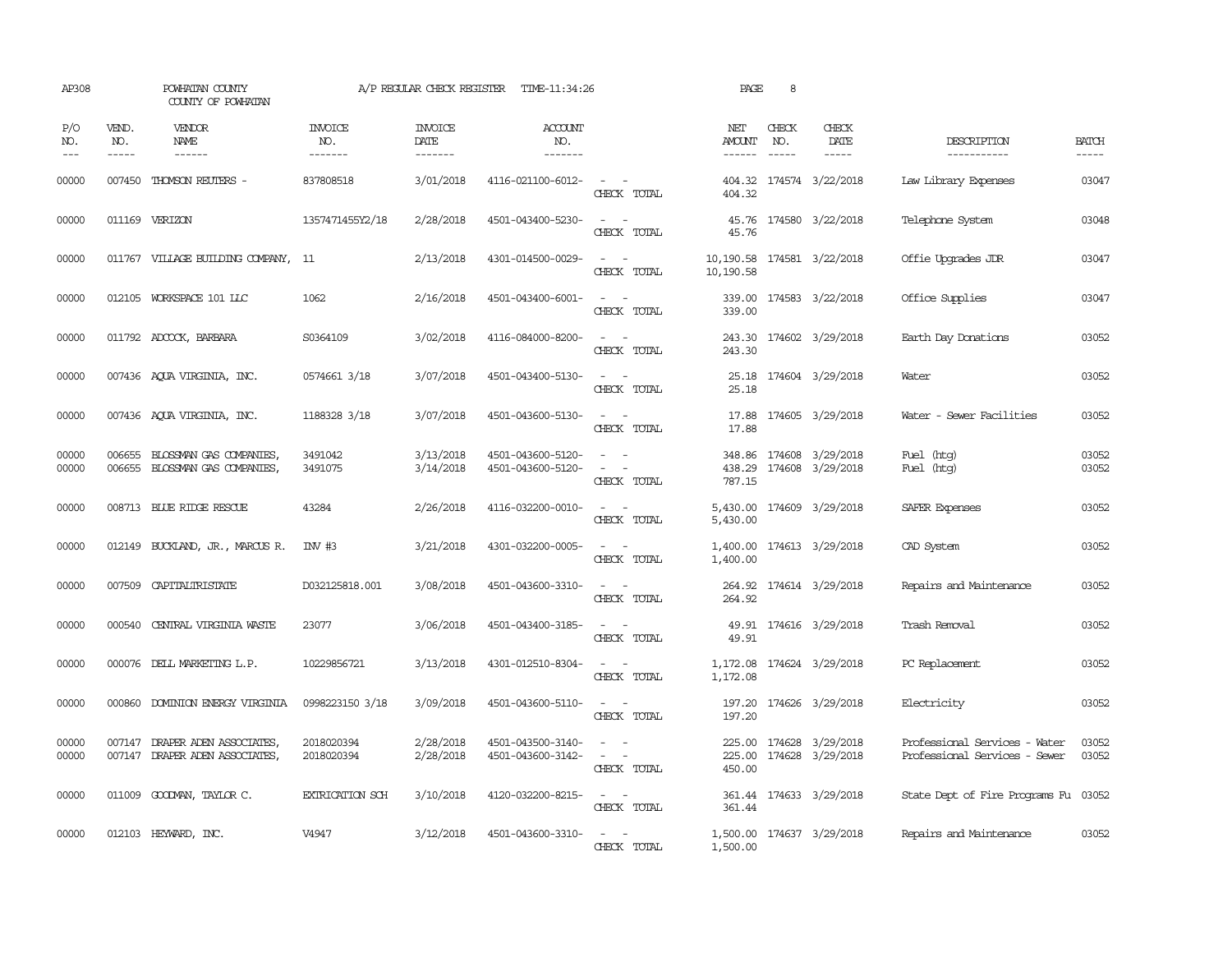| AP308                 |                               | POWHATAN COUNTY<br>COUNTY OF POWHATAN                     |                                  | A/P REGULAR CHECK REGISTER         | TIME-11:34:26                          |                                                                                                                             | PAGE                           | 8                             |                                             |                                                                |                       |
|-----------------------|-------------------------------|-----------------------------------------------------------|----------------------------------|------------------------------------|----------------------------------------|-----------------------------------------------------------------------------------------------------------------------------|--------------------------------|-------------------------------|---------------------------------------------|----------------------------------------------------------------|-----------------------|
| P/O<br>NO.<br>$- - -$ | VEND.<br>NO.<br>$\frac{1}{2}$ | VENDOR<br>NAME<br>$- - - - - -$                           | <b>INVOICE</b><br>NO.<br>------- | <b>INVOICE</b><br>DATE<br>-------- | <b>ACCOUNT</b><br>NO.<br>-------       |                                                                                                                             | NET<br>AMOUNT<br>$- - - - - -$ | CHECK<br>NO.<br>$\frac{1}{2}$ | CHECK<br>DATE<br>$- - - - -$                | DESCRIPTION<br>-----------                                     | <b>BATCH</b><br>----- |
| 00000                 | 007450                        | THOMSON REUTERS -                                         | 837808518                        | 3/01/2018                          | 4116-021100-6012-                      | $\sim$ $ \sim$<br>CHECK TOTAL                                                                                               | 404.32                         |                               | 404.32 174574 3/22/2018                     | Law Library Expenses                                           | 03047                 |
| 00000                 |                               | 011169 VERIZON                                            | 1357471455Y2/18                  | 2/28/2018                          | 4501-043400-5230-                      | $\sim$<br>$\sim$<br>CHECK TOTAL                                                                                             | 45.76                          |                               | 45.76 174580 3/22/2018                      | Telephone System                                               | 03048                 |
| 00000                 |                               | 011767 VILLAGE BUILDING COMPANY, 11                       |                                  | 2/13/2018                          | 4301-014500-0029-                      | $\frac{1}{2} \left( \frac{1}{2} \right) \left( \frac{1}{2} \right) = \frac{1}{2} \left( \frac{1}{2} \right)$<br>CHECK TOTAL | 10,190.58<br>10,190.58         |                               | 174581 3/22/2018                            | Offie Upopades JDR                                             | 03047                 |
| 00000                 |                               | 012105 WORKSPACE 101 LLC                                  | 1062                             | 2/16/2018                          | 4501-043400-6001-                      | $\omega_{\rm{max}}$ , $\omega_{\rm{max}}$<br>CHECK TOTAL                                                                    | 339.00                         |                               | 339.00 174583 3/22/2018                     | Office Supplies                                                | 03047                 |
| 00000                 |                               | 011792 ADCOCK, BARBARA                                    | S0364109                         | 3/02/2018                          | 4116-084000-8200-                      | $\overline{\phantom{a}}$<br>$\sim$<br>CHECK TOTAL                                                                           | 243.30<br>243.30               |                               | 174602 3/29/2018                            | Earth Day Donations                                            | 03052                 |
| 00000                 |                               | 007436 AQUA VIRGINIA, INC.                                | 0574661 3/18                     | 3/07/2018                          | 4501-043400-5130-                      | $\overline{\phantom{a}}$<br>$\sim$<br>CHECK TOTAL                                                                           | 25.18<br>25.18                 |                               | 174604 3/29/2018                            | Water                                                          | 03052                 |
| 00000                 |                               | 007436 AQUA VIRGINIA, INC.                                | 1188328 3/18                     | 3/07/2018                          | 4501-043600-5130-                      | $\sim$ 100 $\sim$ 100 $\sim$<br>CHECK TOTAL                                                                                 | 17.88<br>17.88                 |                               | 174605 3/29/2018                            | Water - Sewer Facilities                                       | 03052                 |
| 00000<br>00000        | 006655<br>006655              | BLOSSMAN GAS COMPANIES,<br>BLOSSMAN GAS COMPANIES,        | 3491042<br>3491075               | 3/13/2018<br>3/14/2018             | 4501-043600-5120-<br>4501-043600-5120- | $\sim$<br>$\sim$<br>$\sim$<br>$\sim$<br>CHECK TOTAL                                                                         | 438.29<br>787.15               |                               | 348.86 174608 3/29/2018<br>174608 3/29/2018 | Fuel (htg)<br>Fuel (htg)                                       | 03052<br>03052        |
| 00000                 |                               | 008713 BLUE RIDGE RESCUE                                  | 43284                            | 2/26/2018                          | 4116-032200-0010-                      | $\omega_{\rm{max}}$<br>CHECK TOTAL                                                                                          | 5,430.00<br>5,430.00           |                               | 174609 3/29/2018                            | SAFER Expenses                                                 | 03052                 |
| 00000                 |                               | 012149 BUCKLAND, JR., MARCUS R.                           | INV #3                           | 3/21/2018                          | 4301-032200-0005-                      | $\sim$ 100 $\sim$ 100 $\sim$<br>CHECK TOTAL                                                                                 | 1,400.00                       |                               | 1,400.00 174613 3/29/2018                   | CAD System                                                     | 03052                 |
| 00000                 | 007509                        | CAPITALIRISTATE                                           | D032125818.001                   | 3/08/2018                          | 4501-043600-3310-                      | $\sim$ 100 $\sim$ 100 $\sim$<br>CHECK TOTAL                                                                                 | 264.92                         |                               | 264.92 174614 3/29/2018                     | Repairs and Maintenance                                        | 03052                 |
| 00000                 | 000540                        | CENTRAL VIRGINIA WASTE                                    | 23077                            | 3/06/2018                          | 4501-043400-3185-                      | $\sim$<br>$\sim$<br>CHECK TOTAL                                                                                             | 49.91<br>49.91                 |                               | 174616 3/29/2018                            | Trash Removal                                                  | 03052                 |
| 00000                 |                               | 000076 DELL MARKETING L.P.                                | 10229856721                      | 3/13/2018                          | 4301-012510-8304-                      | $\sim$<br>$\sim$<br>CHECK TOTAL                                                                                             | 1,172.08<br>1,172.08           |                               | 174624 3/29/2018                            | PC Replacement                                                 | 03052                 |
| 00000                 |                               | 000860 DOMINION ENERGY VIRGINIA                           | 0998223150 3/18                  | 3/09/2018                          | 4501-043600-5110-                      | $\sim$ 10 $\sim$ 10 $\sim$<br>CHECK TOTAL                                                                                   | 197.20                         |                               | 197.20 174626 3/29/2018                     | Electricity                                                    | 03052                 |
| 00000<br>00000        | 007147                        | DRAPER ADEN ASSOCIATES,<br>007147 DRAPER ADEN ASSOCIATES, | 2018020394<br>2018020394         | 2/28/2018<br>2/28/2018             | 4501-043500-3140-<br>4501-043600-3142- | $\sim$<br>$\sim$<br>$\omega_{\rm{max}}$ and $\omega_{\rm{max}}$<br>CHECK TOTAL                                              | 225.00<br>450.00               |                               | 225.00 174628 3/29/2018<br>174628 3/29/2018 | Professional Services - Water<br>Professional Services - Sewer | 03052<br>03052        |
| 00000                 |                               | 011009 GOODWAN, TAYLOR C.                                 | EXTRICATION SCH                  | 3/10/2018                          | 4120-032200-8215-                      | $\sim$ 100 $\sim$ 100 $\sim$<br>CHECK TOTAL                                                                                 | 361.44                         |                               | 361.44 174633 3/29/2018                     | State Dept of Fire Programs Fu 03052                           |                       |
| 00000                 |                               | 012103 HEYWARD, INC.                                      | V4947                            | 3/12/2018                          | 4501-043600-3310-                      | $\sim$<br>$\sim$<br>CHECK TOTAL                                                                                             | 1,500.00                       |                               | 1,500.00 174637 3/29/2018                   | Repairs and Maintenance                                        | 03052                 |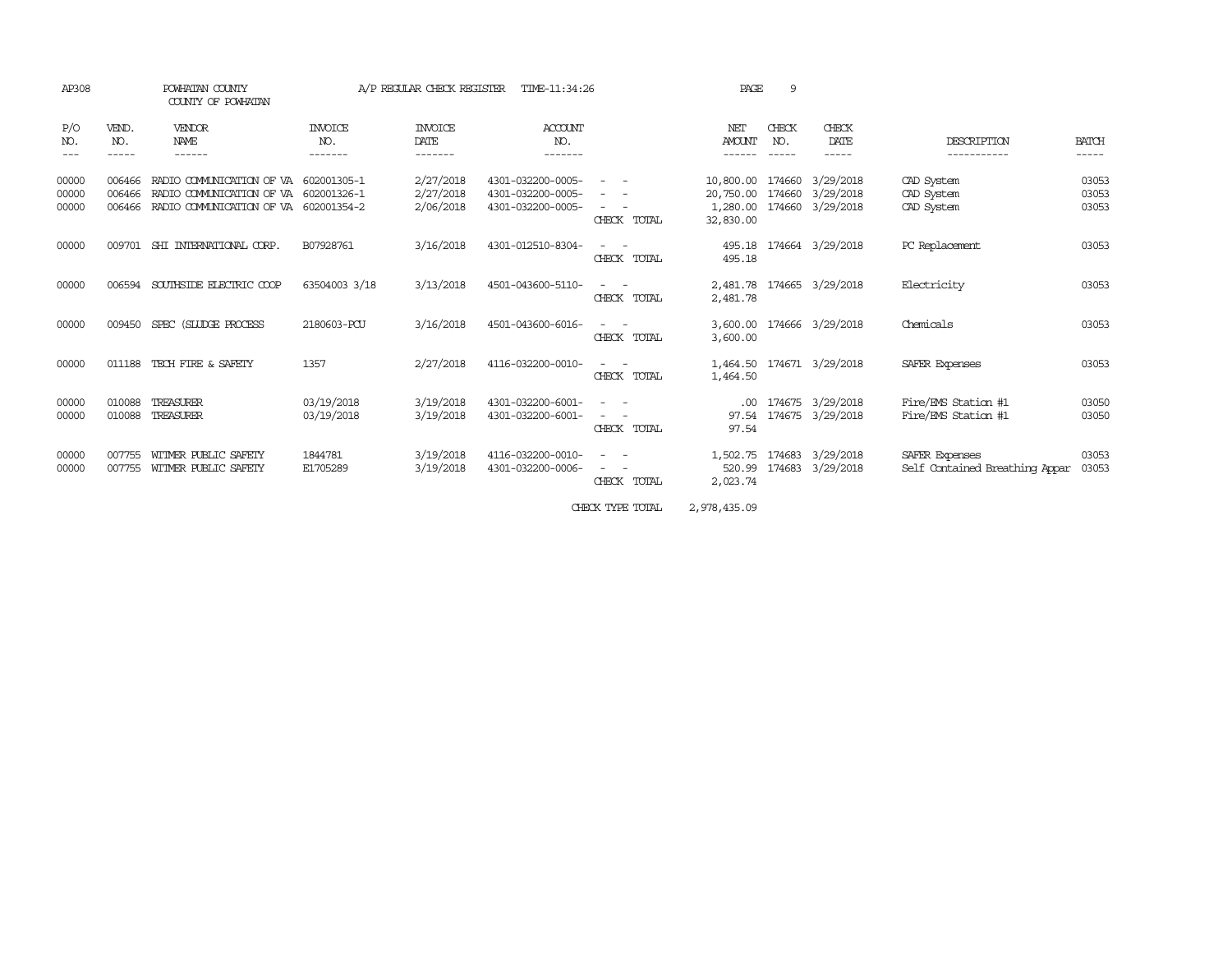| AP308                   |                            | POWHATAN COUNTY<br>COUNTY OF POWHATAN                                                                      |                           | A/P REGULAR CHECK REGISTER          | TIME-11:34:26                                               |                                                                                                                                                                                                                                                           | PAGE                                            | 9                          |                                      |                                                  |                         |
|-------------------------|----------------------------|------------------------------------------------------------------------------------------------------------|---------------------------|-------------------------------------|-------------------------------------------------------------|-----------------------------------------------------------------------------------------------------------------------------------------------------------------------------------------------------------------------------------------------------------|-------------------------------------------------|----------------------------|--------------------------------------|--------------------------------------------------|-------------------------|
| P/O<br>NO.              | VEND.<br>NO.               | VENDOR<br>NAME<br>------                                                                                   | INVOICE<br>NO.<br>------- | <b>INVOICE</b><br>DATE<br>-------   | ACCOUNT<br>NO.<br>-------                                   |                                                                                                                                                                                                                                                           | NET<br><b>AMOUNT</b>                            | CHECK<br>NO.               | CHECK<br>DATE<br>-----               | DESCRIPTION                                      | <b>BATCH</b><br>-----   |
| 00000<br>00000<br>00000 | 006466<br>006466<br>006466 | RADIO COMUNICATION OF VA<br>RADIO COMMUNICATION OF VA 602001326-1<br>RADIO COMMUNICATION OF VA 602001354-2 | 602001305-1               | 2/27/2018<br>2/27/2018<br>2/06/2018 | 4301-032200-0005-<br>4301-032200-0005-<br>4301-032200-0005- | $\sim 100$<br>$\frac{1}{2} \left( \frac{1}{2} \right) \left( \frac{1}{2} \right) = \frac{1}{2} \left( \frac{1}{2} \right)$<br>$\frac{1}{2} \left( \frac{1}{2} \right) \left( \frac{1}{2} \right) = \frac{1}{2} \left( \frac{1}{2} \right)$<br>CHECK TOTAL | 10,800.00<br>20,750.00<br>1,280.00<br>32,830.00 | 174660<br>174660<br>174660 | 3/29/2018<br>3/29/2018<br>3/29/2018  | CAD System<br>CAD System<br>CAD System           | 03053<br>03053<br>03053 |
| 00000                   | 009701                     | SHI INTERNATIONAL CORP.                                                                                    | B07928761                 | 3/16/2018                           | 4301-012510-8304-                                           | CHECK TOTAL                                                                                                                                                                                                                                               | 495.18<br>495.18                                |                            | 174664 3/29/2018                     | PC Replacement                                   | 03053                   |
| 00000                   | 006594                     | SOUTHSIDE ELECTRIC COOP                                                                                    | 63504003 3/18             | 3/13/2018                           | 4501-043600-5110-                                           | $\sim$ 100 $\mu$<br>CHECK TOTAL                                                                                                                                                                                                                           | 2,481.78<br>2,481.78                            |                            | 174665 3/29/2018                     | Electricity                                      | 03053                   |
| 00000                   | 009450                     | SPEC (SILIDGE PROCESS                                                                                      | 2180603-PCU               | 3/16/2018                           | 4501-043600-6016-                                           | CHECK TOTAL                                                                                                                                                                                                                                               | 3,600.00<br>3,600.00                            |                            | 174666 3/29/2018                     | Chemicals                                        | 03053                   |
| 00000                   | 011188                     | TECH FIRE & SAFETY                                                                                         | 1357                      | 2/27/2018                           | 4116-032200-0010-                                           | CHECK TOTAL                                                                                                                                                                                                                                               | 1,464.50<br>1,464.50                            |                            | 174671 3/29/2018                     | SAFER Expenses                                   | 03053                   |
| 00000<br>00000          | 010088<br>010088           | TREASURER<br>TREASURER                                                                                     | 03/19/2018<br>03/19/2018  | 3/19/2018<br>3/19/2018              | 4301-032200-6001-<br>4301-032200-6001-                      | $ -$<br>CHECK TOTAL                                                                                                                                                                                                                                       | .00.<br>97.54<br>97.54                          |                            | 174675 3/29/2018<br>174675 3/29/2018 | Fire/EMS Station #1<br>Fire/EMS Station #1       | 03050<br>03050          |
| 00000<br>00000          | 007755<br>007755           | WITMER PUBLIC SAFETY<br>WITMER PUBLIC SAFETY                                                               | 1844781<br>E1705289       | 3/19/2018<br>3/19/2018              | 4116-032200-0010-<br>4301-032200-0006-                      | CHECK TOTAL                                                                                                                                                                                                                                               | 1,502.75<br>520.99<br>2,023.74                  | 174683                     | 174683 3/29/2018<br>3/29/2018        | SAFER Expenses<br>Self Contained Breathing Appar | 03053<br>03053          |

CHECK TYPE TOTAL 2,978,435.09